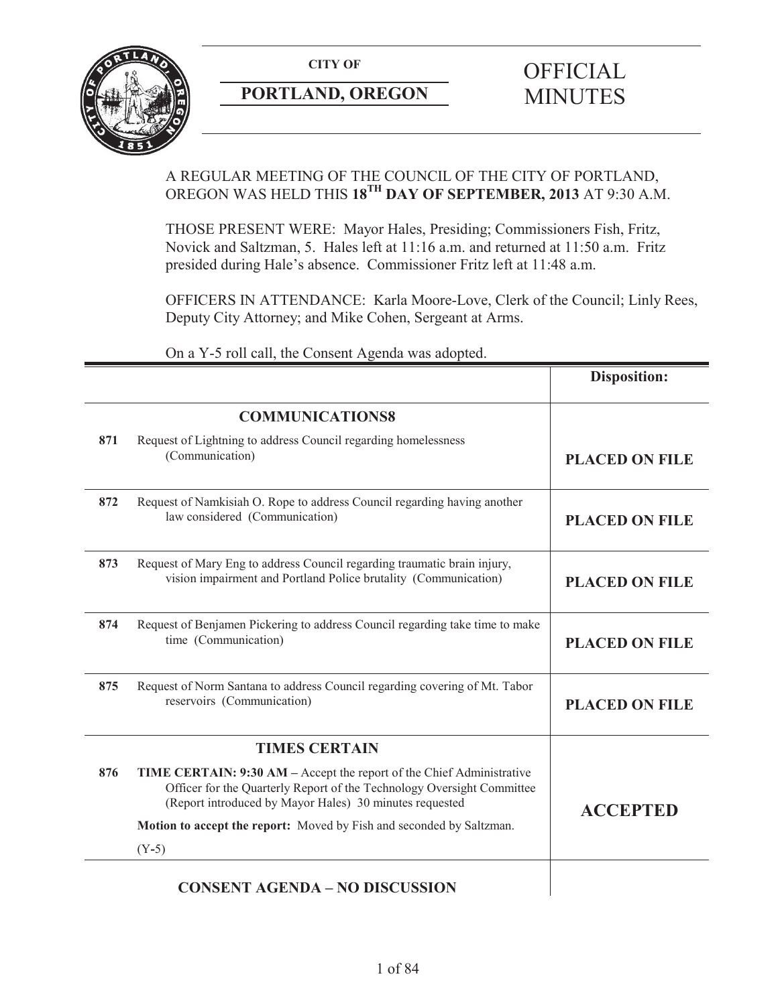

# **PORTLAND, OREGON MINUTES**

# A REGULAR MEETING OF THE COUNCIL OF THE CITY OF PORTLAND, OREGON WAS HELD THIS **18TH DAY OF SEPTEMBER, 2013** AT 9:30 A.M.

THOSE PRESENT WERE: Mayor Hales, Presiding; Commissioners Fish, Fritz, Novick and Saltzman, 5. Hales left at 11:16 a.m. and returned at 11:50 a.m. Fritz presided during Hale's absence. Commissioner Fritz left at 11:48 a.m.

OFFICERS IN ATTENDANCE: Karla Moore-Love, Clerk of the Council; Linly Rees, Deputy City Attorney; and Mike Cohen, Sergeant at Arms.

On a Y-5 roll call, the Consent Agenda was adopted.

| <b>COMMUNICATIONS8</b><br>Request of Lightning to address Council regarding homelessness<br><b>PLACED ON FILE</b>                                                                                          |
|------------------------------------------------------------------------------------------------------------------------------------------------------------------------------------------------------------|
|                                                                                                                                                                                                            |
|                                                                                                                                                                                                            |
| Request of Namkisiah O. Rope to address Council regarding having another<br><b>PLACED ON FILE</b>                                                                                                          |
| Request of Mary Eng to address Council regarding traumatic brain injury,<br>vision impairment and Portland Police brutality (Communication)<br><b>PLACED ON FILE</b>                                       |
| Request of Benjamen Pickering to address Council regarding take time to make<br><b>PLACED ON FILE</b>                                                                                                      |
| Request of Norm Santana to address Council regarding covering of Mt. Tabor<br><b>PLACED ON FILE</b>                                                                                                        |
|                                                                                                                                                                                                            |
|                                                                                                                                                                                                            |
| TIME CERTAIN: 9:30 AM - Accept the report of the Chief Administrative<br>Officer for the Quarterly Report of the Technology Oversight Committee<br>(Report introduced by Mayor Hales) 30 minutes requested |
| <b>ACCEPTED</b><br><b>Motion to accept the report:</b> Moved by Fish and seconded by Saltzman.                                                                                                             |
|                                                                                                                                                                                                            |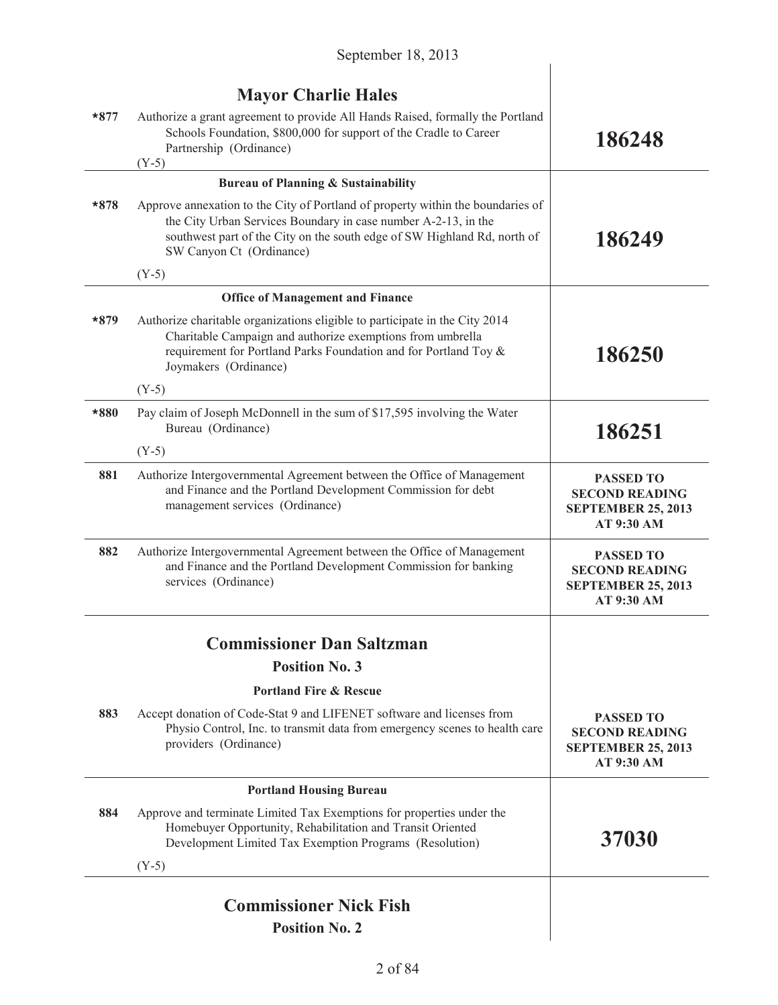|        | <b>Mayor Charlie Hales</b>                                                                                                                                                                                                                                |                                                                                      |
|--------|-----------------------------------------------------------------------------------------------------------------------------------------------------------------------------------------------------------------------------------------------------------|--------------------------------------------------------------------------------------|
| $*877$ | Authorize a grant agreement to provide All Hands Raised, formally the Portland<br>Schools Foundation, \$800,000 for support of the Cradle to Career<br>Partnership (Ordinance)<br>$(Y-5)$                                                                 | 186248                                                                               |
|        | <b>Bureau of Planning &amp; Sustainability</b>                                                                                                                                                                                                            |                                                                                      |
| $*878$ | Approve annexation to the City of Portland of property within the boundaries of<br>the City Urban Services Boundary in case number A-2-13, in the<br>southwest part of the City on the south edge of SW Highland Rd, north of<br>SW Canyon Ct (Ordinance) | 186249                                                                               |
|        | $(Y-5)$                                                                                                                                                                                                                                                   |                                                                                      |
|        | <b>Office of Management and Finance</b>                                                                                                                                                                                                                   |                                                                                      |
| $*879$ | Authorize charitable organizations eligible to participate in the City 2014<br>Charitable Campaign and authorize exemptions from umbrella<br>requirement for Portland Parks Foundation and for Portland Toy &<br>Joymakers (Ordinance)                    | 186250                                                                               |
|        | $(Y-5)$                                                                                                                                                                                                                                                   |                                                                                      |
| *880   | Pay claim of Joseph McDonnell in the sum of \$17,595 involving the Water<br>Bureau (Ordinance)                                                                                                                                                            | 186251                                                                               |
|        | $(Y-5)$                                                                                                                                                                                                                                                   |                                                                                      |
| 881    | Authorize Intergovernmental Agreement between the Office of Management<br>and Finance and the Portland Development Commission for debt<br>management services (Ordinance)                                                                                 | <b>PASSED TO</b><br><b>SECOND READING</b><br><b>SEPTEMBER 25, 2013</b><br>AT 9:30 AM |
| 882    | Authorize Intergovernmental Agreement between the Office of Management<br>and Finance and the Portland Development Commission for banking<br>services (Ordinance)                                                                                         | <b>PASSED TO</b><br><b>SECOND READING</b><br><b>SEPTEMBER 25, 2013</b><br>AT 9:30 AM |
|        | <b>Commissioner Dan Saltzman</b>                                                                                                                                                                                                                          |                                                                                      |
|        | <b>Position No. 3</b>                                                                                                                                                                                                                                     |                                                                                      |
|        | <b>Portland Fire &amp; Rescue</b>                                                                                                                                                                                                                         |                                                                                      |
| 883    | Accept donation of Code-Stat 9 and LIFENET software and licenses from<br>Physio Control, Inc. to transmit data from emergency scenes to health care<br>providers (Ordinance)                                                                              | <b>PASSED TO</b><br><b>SECOND READING</b><br><b>SEPTEMBER 25, 2013</b><br>AT 9:30 AM |
|        | <b>Portland Housing Bureau</b>                                                                                                                                                                                                                            |                                                                                      |
| 884    | Approve and terminate Limited Tax Exemptions for properties under the<br>Homebuyer Opportunity, Rehabilitation and Transit Oriented<br>Development Limited Tax Exemption Programs (Resolution)                                                            | 37030                                                                                |
|        | $(Y-5)$                                                                                                                                                                                                                                                   |                                                                                      |
|        | <b>Commissioner Nick Fish</b>                                                                                                                                                                                                                             |                                                                                      |
|        | <b>Position No. 2</b>                                                                                                                                                                                                                                     |                                                                                      |
|        |                                                                                                                                                                                                                                                           |                                                                                      |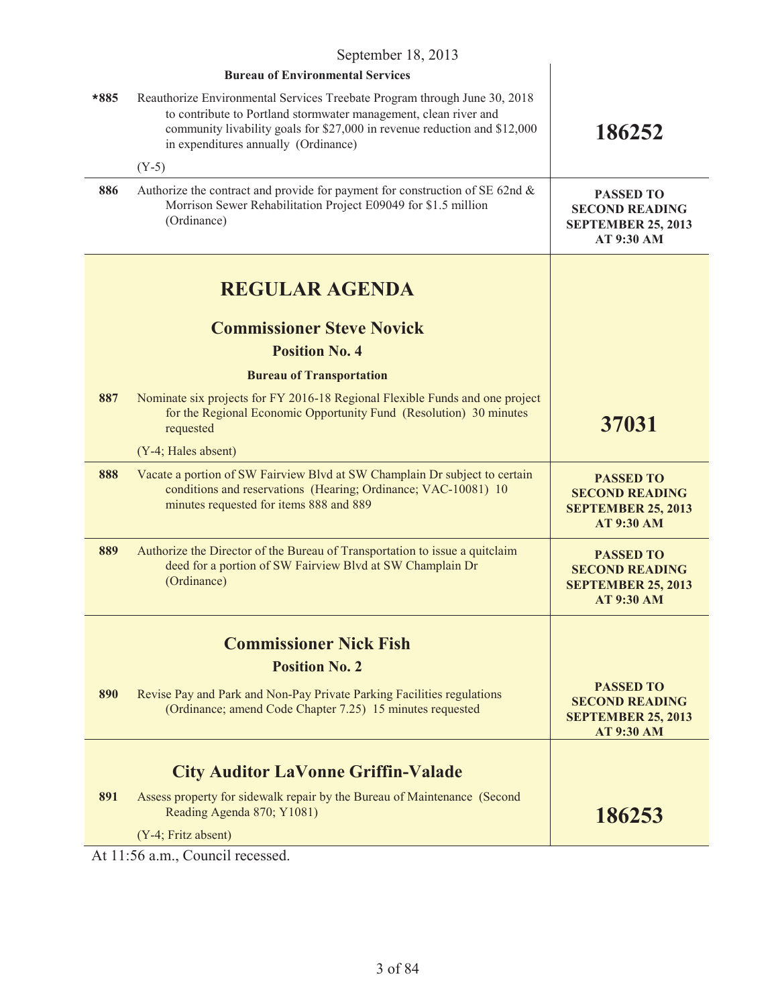| September 18, 2013 |                                                                                                                                                                                                                                                                    |                                                                                             |
|--------------------|--------------------------------------------------------------------------------------------------------------------------------------------------------------------------------------------------------------------------------------------------------------------|---------------------------------------------------------------------------------------------|
|                    | <b>Bureau of Environmental Services</b>                                                                                                                                                                                                                            |                                                                                             |
| $*885$             | Reauthorize Environmental Services Treebate Program through June 30, 2018<br>to contribute to Portland stormwater management, clean river and<br>community livability goals for \$27,000 in revenue reduction and \$12,000<br>in expenditures annually (Ordinance) | 186252                                                                                      |
|                    | $(Y-5)$                                                                                                                                                                                                                                                            |                                                                                             |
| 886                | Authorize the contract and provide for payment for construction of SE 62nd $\&$<br>Morrison Sewer Rehabilitation Project E09049 for \$1.5 million<br>(Ordinance)                                                                                                   | <b>PASSED TO</b><br><b>SECOND READING</b><br><b>SEPTEMBER 25, 2013</b><br>AT 9:30 AM        |
|                    | <b>REGULAR AGENDA</b>                                                                                                                                                                                                                                              |                                                                                             |
|                    | <b>Commissioner Steve Novick</b><br><b>Position No. 4</b>                                                                                                                                                                                                          |                                                                                             |
|                    |                                                                                                                                                                                                                                                                    |                                                                                             |
| 887                | <b>Bureau of Transportation</b><br>Nominate six projects for FY 2016-18 Regional Flexible Funds and one project                                                                                                                                                    |                                                                                             |
|                    | for the Regional Economic Opportunity Fund (Resolution) 30 minutes<br>requested                                                                                                                                                                                    | 37031                                                                                       |
|                    | (Y-4; Hales absent)                                                                                                                                                                                                                                                |                                                                                             |
| 888                | Vacate a portion of SW Fairview Blvd at SW Champlain Dr subject to certain<br>conditions and reservations (Hearing; Ordinance; VAC-10081) 10<br>minutes requested for items 888 and 889                                                                            | <b>PASSED TO</b><br><b>SECOND READING</b><br><b>SEPTEMBER 25, 2013</b><br><b>AT 9:30 AM</b> |
| 889                | Authorize the Director of the Bureau of Transportation to issue a quitclaim<br>deed for a portion of SW Fairview Blvd at SW Champlain Dr<br>(Ordinance)                                                                                                            | <b>PASSED TO</b><br><b>SECOND READING</b><br><b>SEPTEMBER 25, 2013</b><br><b>AT 9:30 AM</b> |
|                    | <b>Commissioner Nick Fish</b>                                                                                                                                                                                                                                      |                                                                                             |
|                    | <b>Position No. 2</b>                                                                                                                                                                                                                                              |                                                                                             |
| 890                | Revise Pay and Park and Non-Pay Private Parking Facilities regulations<br>(Ordinance; amend Code Chapter 7.25) 15 minutes requested                                                                                                                                | <b>PASSED TO</b><br><b>SECOND READING</b><br><b>SEPTEMBER 25, 2013</b><br><b>AT 9:30 AM</b> |
|                    | <b>City Auditor LaVonne Griffin-Valade</b>                                                                                                                                                                                                                         |                                                                                             |
| 891                | Assess property for sidewalk repair by the Bureau of Maintenance (Second<br>Reading Agenda 870; Y1081)                                                                                                                                                             | 186253                                                                                      |
|                    | (Y-4; Fritz absent)                                                                                                                                                                                                                                                |                                                                                             |

At 11:56 a.m., Council recessed.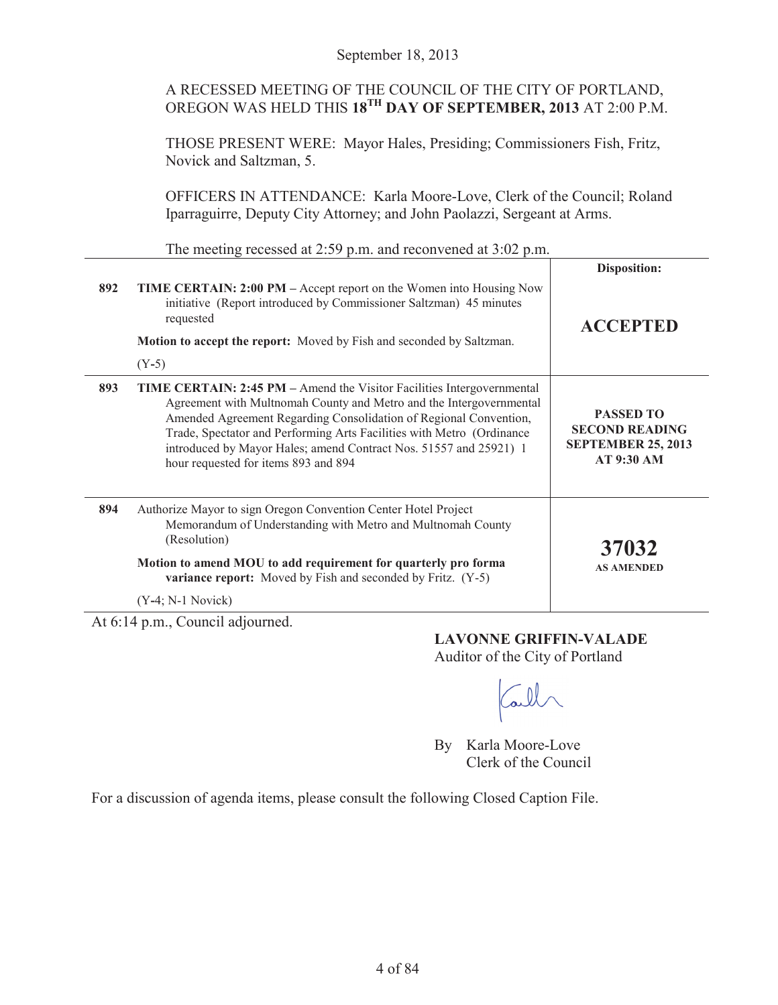## A RECESSED MEETING OF THE COUNCIL OF THE CITY OF PORTLAND, OREGON WAS HELD THIS **18TH DAY OF SEPTEMBER, 2013** AT 2:00 P.M.

THOSE PRESENT WERE: Mayor Hales, Presiding; Commissioners Fish, Fritz, Novick and Saltzman, 5.

OFFICERS IN ATTENDANCE: Karla Moore-Love, Clerk of the Council; Roland Iparraguirre, Deputy City Attorney; and John Paolazzi, Sergeant at Arms.

The meeting recessed at 2:59 p.m. and reconvened at 3:02 p.m.

|                                                        |                                                                                                                                                                                                                                                                                                                                                                                                          | Disposition:                                                                         |  |  |
|--------------------------------------------------------|----------------------------------------------------------------------------------------------------------------------------------------------------------------------------------------------------------------------------------------------------------------------------------------------------------------------------------------------------------------------------------------------------------|--------------------------------------------------------------------------------------|--|--|
| 892                                                    | <b>TIME CERTAIN: 2:00 PM</b> – Accept report on the Women into Housing Now<br>initiative (Report introduced by Commissioner Saltzman) 45 minutes<br>requested<br><b>Motion to accept the report:</b> Moved by Fish and seconded by Saltzman.<br>$(Y-5)$                                                                                                                                                  | <b>ACCEPTED</b>                                                                      |  |  |
| 893                                                    | TIME CERTAIN: 2:45 PM - Amend the Visitor Facilities Intergovernmental<br>Agreement with Multnomah County and Metro and the Intergovernmental<br>Amended Agreement Regarding Consolidation of Regional Convention,<br>Trade, Spectator and Performing Arts Facilities with Metro (Ordinance<br>introduced by Mayor Hales; amend Contract Nos. 51557 and 25921) 1<br>hour requested for items 893 and 894 | <b>PASSED TO</b><br><b>SECOND READING</b><br><b>SEPTEMBER 25, 2013</b><br>AT 9:30 AM |  |  |
| 894                                                    | Authorize Mayor to sign Oregon Convention Center Hotel Project<br>Memorandum of Understanding with Metro and Multnomah County<br>(Resolution)<br>Motion to amend MOU to add requirement for quarterly pro forma<br><b>variance report:</b> Moved by Fish and seconded by Fritz. (Y-5)<br>$(Y-4; N-1 Novick)$                                                                                             | 37032<br><b>AS AMENDED</b>                                                           |  |  |
| $\lambda$ , $\lambda$ 1.4<br>$11 - 11$<br>$\mathbf{1}$ |                                                                                                                                                                                                                                                                                                                                                                                                          |                                                                                      |  |  |

At 6:14 p.m., Council adjourned.

**LAVONNE GRIFFIN-VALADE** Auditor of the City of Portland

all

By Karla Moore-Love Clerk of the Council

For a discussion of agenda items, please consult the following Closed Caption File.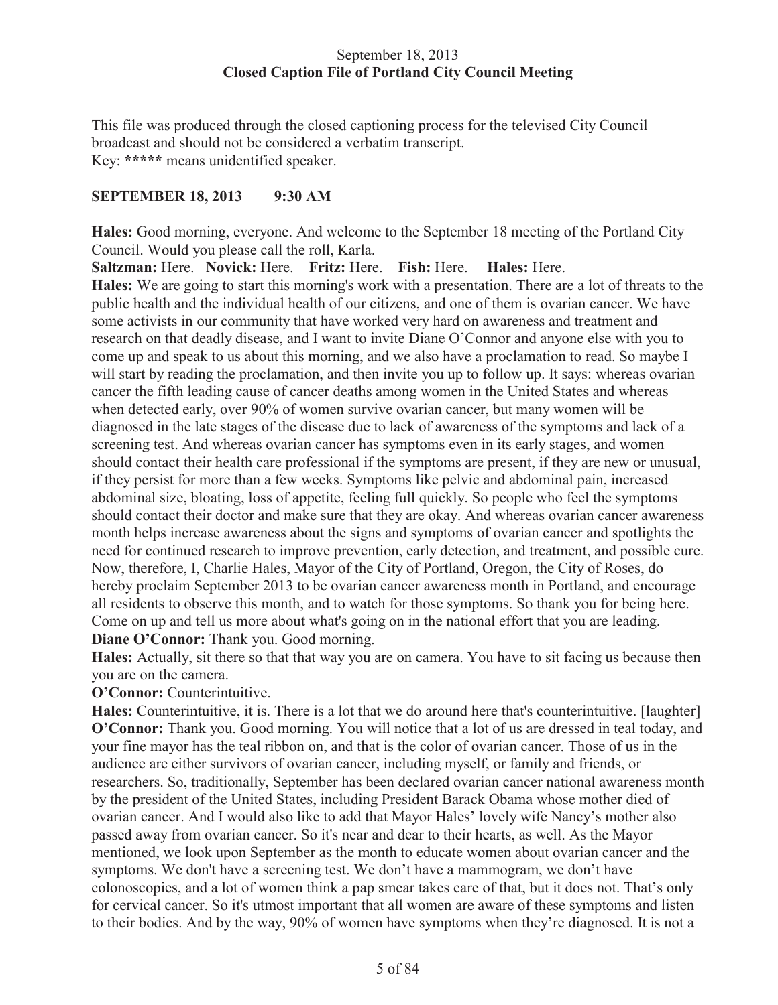## September 18, 2013 **Closed Caption File of Portland City Council Meeting**

This file was produced through the closed captioning process for the televised City Council broadcast and should not be considered a verbatim transcript. Key: **\*\*\*\*\*** means unidentified speaker.

## **SEPTEMBER 18, 2013 9:30 AM**

**Hales:** Good morning, everyone. And welcome to the September 18 meeting of the Portland City Council. Would you please call the roll, Karla.

**Saltzman:** Here. **Novick:** Here. **Fritz:** Here. **Fish:** Here. **Hales:** Here. **Hales:** We are going to start this morning's work with a presentation. There are a lot of threats to the public health and the individual health of our citizens, and one of them is ovarian cancer. We have some activists in our community that have worked very hard on awareness and treatment and research on that deadly disease, and I want to invite Diane O'Connor and anyone else with you to come up and speak to us about this morning, and we also have a proclamation to read. So maybe I will start by reading the proclamation, and then invite you up to follow up. It says: whereas ovarian cancer the fifth leading cause of cancer deaths among women in the United States and whereas when detected early, over 90% of women survive ovarian cancer, but many women will be diagnosed in the late stages of the disease due to lack of awareness of the symptoms and lack of a screening test. And whereas ovarian cancer has symptoms even in its early stages, and women should contact their health care professional if the symptoms are present, if they are new or unusual, if they persist for more than a few weeks. Symptoms like pelvic and abdominal pain, increased abdominal size, bloating, loss of appetite, feeling full quickly. So people who feel the symptoms should contact their doctor and make sure that they are okay. And whereas ovarian cancer awareness month helps increase awareness about the signs and symptoms of ovarian cancer and spotlights the need for continued research to improve prevention, early detection, and treatment, and possible cure. Now, therefore, I, Charlie Hales, Mayor of the City of Portland, Oregon, the City of Roses, do hereby proclaim September 2013 to be ovarian cancer awareness month in Portland, and encourage all residents to observe this month, and to watch for those symptoms. So thank you for being here. Come on up and tell us more about what's going on in the national effort that you are leading. **Diane O'Connor:** Thank you. Good morning.

**Hales:** Actually, sit there so that that way you are on camera. You have to sit facing us because then you are on the camera.

**O'Connor:** Counterintuitive.

**Hales:** Counterintuitive, it is. There is a lot that we do around here that's counterintuitive. [laughter] **O'Connor:** Thank you. Good morning. You will notice that a lot of us are dressed in teal today, and your fine mayor has the teal ribbon on, and that is the color of ovarian cancer. Those of us in the audience are either survivors of ovarian cancer, including myself, or family and friends, or researchers. So, traditionally, September has been declared ovarian cancer national awareness month by the president of the United States, including President Barack Obama whose mother died of ovarian cancer. And I would also like to add that Mayor Hales' lovely wife Nancy's mother also passed away from ovarian cancer. So it's near and dear to their hearts, as well. As the Mayor mentioned, we look upon September as the month to educate women about ovarian cancer and the symptoms. We don't have a screening test. We don't have a mammogram, we don't have colonoscopies, and a lot of women think a pap smear takes care of that, but it does not. That's only for cervical cancer. So it's utmost important that all women are aware of these symptoms and listen to their bodies. And by the way, 90% of women have symptoms when they're diagnosed. It is not a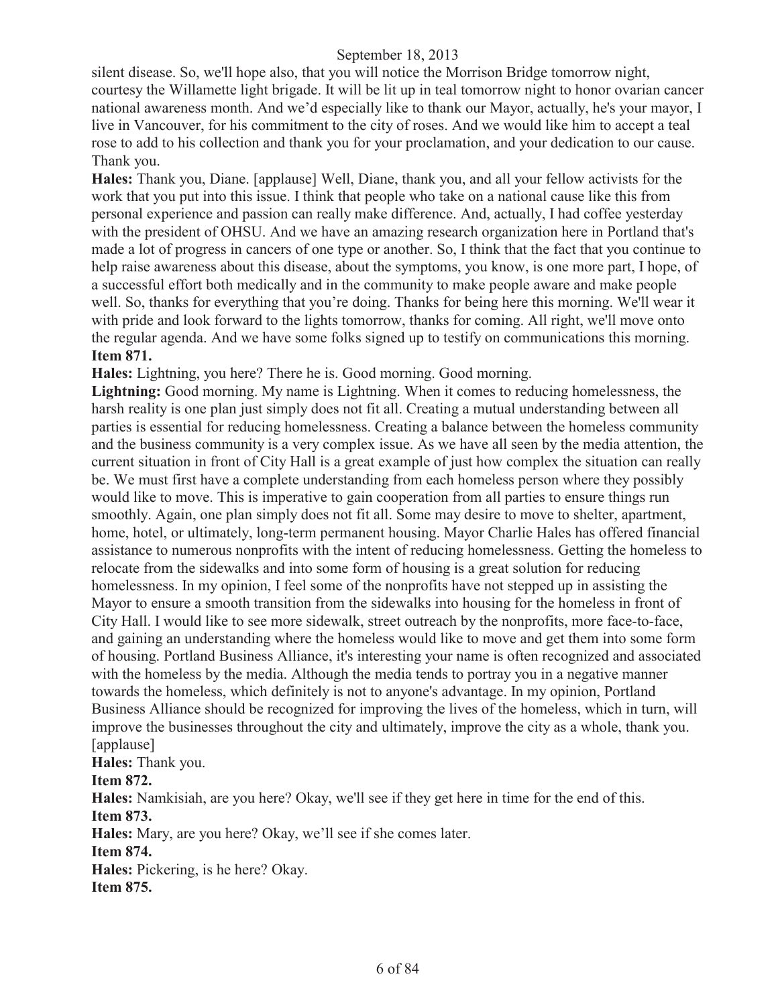silent disease. So, we'll hope also, that you will notice the Morrison Bridge tomorrow night, courtesy the Willamette light brigade. It will be lit up in teal tomorrow night to honor ovarian cancer national awareness month. And we'd especially like to thank our Mayor, actually, he's your mayor, I live in Vancouver, for his commitment to the city of roses. And we would like him to accept a teal rose to add to his collection and thank you for your proclamation, and your dedication to our cause. Thank you.

**Hales:** Thank you, Diane. [applause] Well, Diane, thank you, and all your fellow activists for the work that you put into this issue. I think that people who take on a national cause like this from personal experience and passion can really make difference. And, actually, I had coffee yesterday with the president of OHSU. And we have an amazing research organization here in Portland that's made a lot of progress in cancers of one type or another. So, I think that the fact that you continue to help raise awareness about this disease, about the symptoms, you know, is one more part, I hope, of a successful effort both medically and in the community to make people aware and make people well. So, thanks for everything that you're doing. Thanks for being here this morning. We'll wear it with pride and look forward to the lights tomorrow, thanks for coming. All right, we'll move onto the regular agenda. And we have some folks signed up to testify on communications this morning. **Item 871.**

**Hales:** Lightning, you here? There he is. Good morning. Good morning.

Lightning: Good morning. My name is Lightning. When it comes to reducing homelessness, the harsh reality is one plan just simply does not fit all. Creating a mutual understanding between all parties is essential for reducing homelessness. Creating a balance between the homeless community and the business community is a very complex issue. As we have all seen by the media attention, the current situation in front of City Hall is a great example of just how complex the situation can really be. We must first have a complete understanding from each homeless person where they possibly would like to move. This is imperative to gain cooperation from all parties to ensure things run smoothly. Again, one plan simply does not fit all. Some may desire to move to shelter, apartment, home, hotel, or ultimately, long-term permanent housing. Mayor Charlie Hales has offered financial assistance to numerous nonprofits with the intent of reducing homelessness. Getting the homeless to relocate from the sidewalks and into some form of housing is a great solution for reducing homelessness. In my opinion, I feel some of the nonprofits have not stepped up in assisting the Mayor to ensure a smooth transition from the sidewalks into housing for the homeless in front of City Hall. I would like to see more sidewalk, street outreach by the nonprofits, more face-to-face, and gaining an understanding where the homeless would like to move and get them into some form of housing. Portland Business Alliance, it's interesting your name is often recognized and associated with the homeless by the media. Although the media tends to portray you in a negative manner towards the homeless, which definitely is not to anyone's advantage. In my opinion, Portland Business Alliance should be recognized for improving the lives of the homeless, which in turn, will improve the businesses throughout the city and ultimately, improve the city as a whole, thank you. [applause]

**Hales:** Thank you.

**Item 872.**

**Hales:** Namkisiah, are you here? Okay, we'll see if they get here in time for the end of this. **Item 873.**

**Hales:** Mary, are you here? Okay, we'll see if she comes later.

**Item 874.**

**Hales:** Pickering, is he here? Okay.

**Item 875.**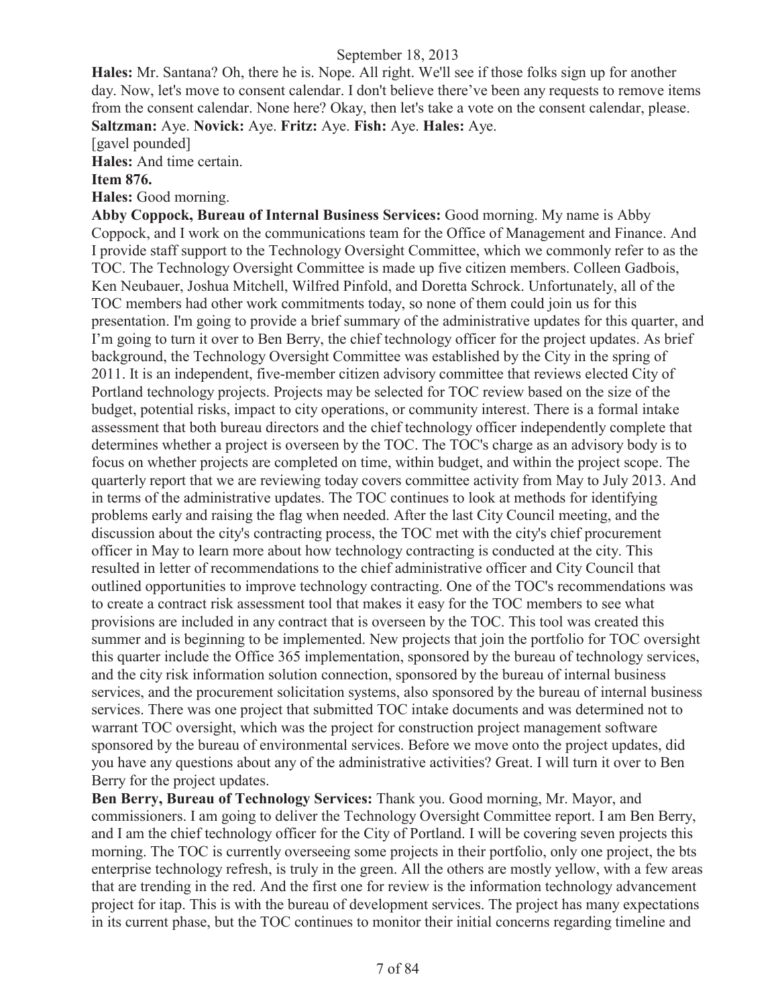**Hales:** Mr. Santana? Oh, there he is. Nope. All right. We'll see if those folks sign up for another day. Now, let's move to consent calendar. I don't believe there've been any requests to remove items from the consent calendar. None here? Okay, then let's take a vote on the consent calendar, please. **Saltzman:** Aye. **Novick:** Aye. **Fritz:** Aye. **Fish:** Aye. **Hales:** Aye.

[gavel pounded]

**Hales:** And time certain.

#### **Item 876.**

**Hales:** Good morning.

**Abby Coppock, Bureau of Internal Business Services:** Good morning. My name is Abby Coppock, and I work on the communications team for the Office of Management and Finance. And I provide staff support to the Technology Oversight Committee, which we commonly refer to as the TOC. The Technology Oversight Committee is made up five citizen members. Colleen Gadbois, Ken Neubauer, Joshua Mitchell, Wilfred Pinfold, and Doretta Schrock. Unfortunately, all of the TOC members had other work commitments today, so none of them could join us for this presentation. I'm going to provide a brief summary of the administrative updates for this quarter, and I'm going to turn it over to Ben Berry, the chief technology officer for the project updates. As brief background, the Technology Oversight Committee was established by the City in the spring of 2011. It is an independent, five-member citizen advisory committee that reviews elected City of Portland technology projects. Projects may be selected for TOC review based on the size of the budget, potential risks, impact to city operations, or community interest. There is a formal intake assessment that both bureau directors and the chief technology officer independently complete that determines whether a project is overseen by the TOC. The TOC's charge as an advisory body is to focus on whether projects are completed on time, within budget, and within the project scope. The quarterly report that we are reviewing today covers committee activity from May to July 2013. And in terms of the administrative updates. The TOC continues to look at methods for identifying problems early and raising the flag when needed. After the last City Council meeting, and the discussion about the city's contracting process, the TOC met with the city's chief procurement officer in May to learn more about how technology contracting is conducted at the city. This resulted in letter of recommendations to the chief administrative officer and City Council that outlined opportunities to improve technology contracting. One of the TOC's recommendations was to create a contract risk assessment tool that makes it easy for the TOC members to see what provisions are included in any contract that is overseen by the TOC. This tool was created this summer and is beginning to be implemented. New projects that join the portfolio for TOC oversight this quarter include the Office 365 implementation, sponsored by the bureau of technology services, and the city risk information solution connection, sponsored by the bureau of internal business services, and the procurement solicitation systems, also sponsored by the bureau of internal business services. There was one project that submitted TOC intake documents and was determined not to warrant TOC oversight, which was the project for construction project management software sponsored by the bureau of environmental services. Before we move onto the project updates, did you have any questions about any of the administrative activities? Great. I will turn it over to Ben Berry for the project updates.

**Ben Berry, Bureau of Technology Services:** Thank you. Good morning, Mr. Mayor, and commissioners. I am going to deliver the Technology Oversight Committee report. I am Ben Berry, and I am the chief technology officer for the City of Portland. I will be covering seven projects this morning. The TOC is currently overseeing some projects in their portfolio, only one project, the bts enterprise technology refresh, is truly in the green. All the others are mostly yellow, with a few areas that are trending in the red. And the first one for review is the information technology advancement project for itap. This is with the bureau of development services. The project has many expectations in its current phase, but the TOC continues to monitor their initial concerns regarding timeline and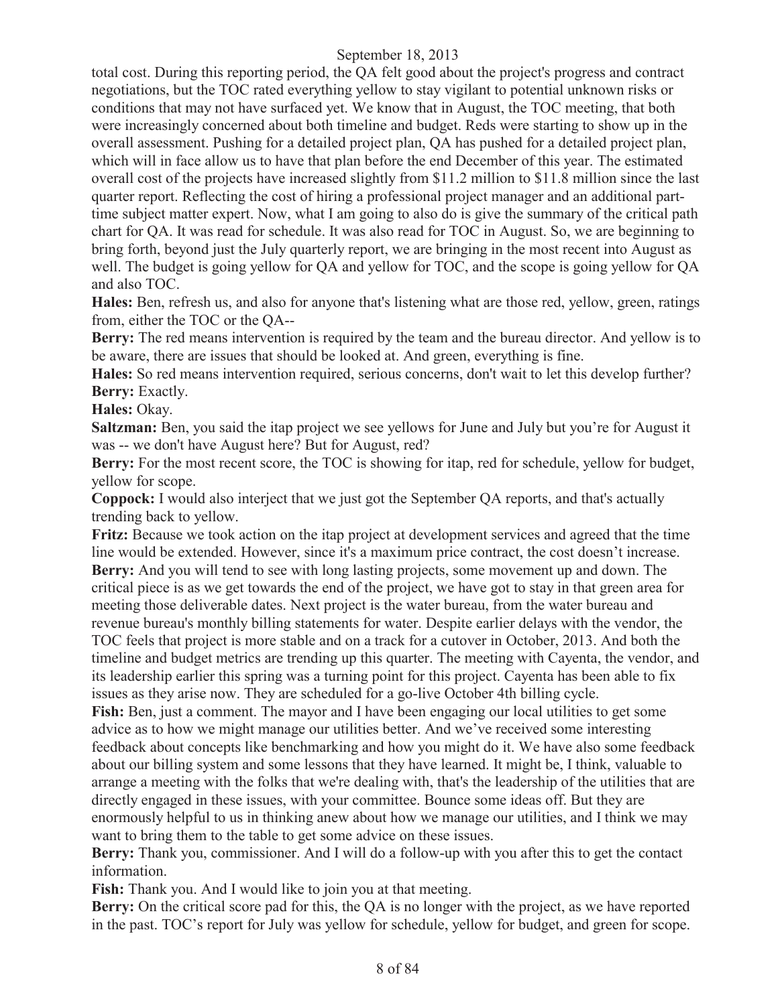total cost. During this reporting period, the QA felt good about the project's progress and contract negotiations, but the TOC rated everything yellow to stay vigilant to potential unknown risks or conditions that may not have surfaced yet. We know that in August, the TOC meeting, that both were increasingly concerned about both timeline and budget. Reds were starting to show up in the overall assessment. Pushing for a detailed project plan, QA has pushed for a detailed project plan, which will in face allow us to have that plan before the end December of this year. The estimated overall cost of the projects have increased slightly from \$11.2 million to \$11.8 million since the last quarter report. Reflecting the cost of hiring a professional project manager and an additional parttime subject matter expert. Now, what I am going to also do is give the summary of the critical path chart for QA. It was read for schedule. It was also read for TOC in August. So, we are beginning to bring forth, beyond just the July quarterly report, we are bringing in the most recent into August as well. The budget is going yellow for QA and yellow for TOC, and the scope is going yellow for QA and also TOC.

**Hales:** Ben, refresh us, and also for anyone that's listening what are those red, yellow, green, ratings from, either the TOC or the QA--

**Berry:** The red means intervention is required by the team and the bureau director. And yellow is to be aware, there are issues that should be looked at. And green, everything is fine.

**Hales:** So red means intervention required, serious concerns, don't wait to let this develop further? **Berry:** Exactly.

**Hales:** Okay.

**Saltzman:** Ben, you said the itap project we see yellows for June and July but you're for August it was -- we don't have August here? But for August, red?

**Berry:** For the most recent score, the TOC is showing for itap, red for schedule, yellow for budget, yellow for scope.

**Coppock:** I would also interject that we just got the September QA reports, and that's actually trending back to yellow.

**Fritz:** Because we took action on the itap project at development services and agreed that the time line would be extended. However, since it's a maximum price contract, the cost doesn't increase. **Berry:** And you will tend to see with long lasting projects, some movement up and down. The critical piece is as we get towards the end of the project, we have got to stay in that green area for meeting those deliverable dates. Next project is the water bureau, from the water bureau and revenue bureau's monthly billing statements for water. Despite earlier delays with the vendor, the TOC feels that project is more stable and on a track for a cutover in October, 2013. And both the timeline and budget metrics are trending up this quarter. The meeting with Cayenta, the vendor, and its leadership earlier this spring was a turning point for this project. Cayenta has been able to fix issues as they arise now. They are scheduled for a go-live October 4th billing cycle.

Fish: Ben, just a comment. The mayor and I have been engaging our local utilities to get some advice as to how we might manage our utilities better. And we've received some interesting feedback about concepts like benchmarking and how you might do it. We have also some feedback about our billing system and some lessons that they have learned. It might be, I think, valuable to arrange a meeting with the folks that we're dealing with, that's the leadership of the utilities that are directly engaged in these issues, with your committee. Bounce some ideas off. But they are enormously helpful to us in thinking anew about how we manage our utilities, and I think we may want to bring them to the table to get some advice on these issues.

**Berry:** Thank you, commissioner. And I will do a follow-up with you after this to get the contact information.

**Fish:** Thank you. And I would like to join you at that meeting.

**Berry:** On the critical score pad for this, the QA is no longer with the project, as we have reported in the past. TOC's report for July was yellow for schedule, yellow for budget, and green for scope.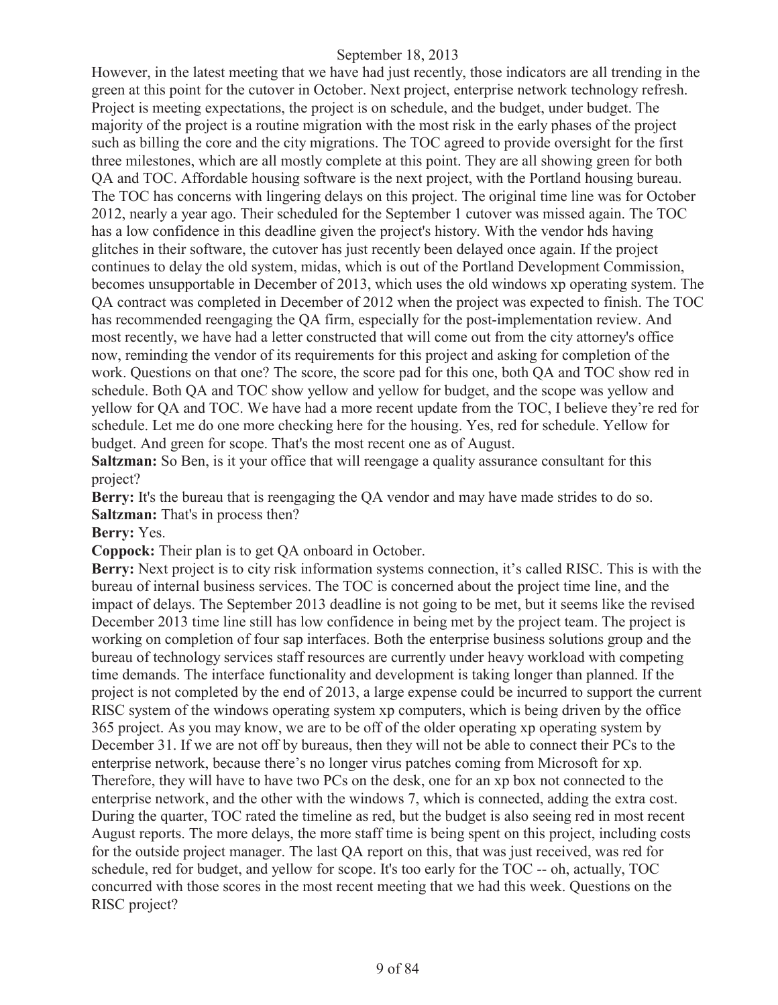However, in the latest meeting that we have had just recently, those indicators are all trending in the green at this point for the cutover in October. Next project, enterprise network technology refresh. Project is meeting expectations, the project is on schedule, and the budget, under budget. The majority of the project is a routine migration with the most risk in the early phases of the project such as billing the core and the city migrations. The TOC agreed to provide oversight for the first three milestones, which are all mostly complete at this point. They are all showing green for both QA and TOC. Affordable housing software is the next project, with the Portland housing bureau. The TOC has concerns with lingering delays on this project. The original time line was for October 2012, nearly a year ago. Their scheduled for the September 1 cutover was missed again. The TOC has a low confidence in this deadline given the project's history. With the vendor hds having glitches in their software, the cutover has just recently been delayed once again. If the project continues to delay the old system, midas, which is out of the Portland Development Commission, becomes unsupportable in December of 2013, which uses the old windows xp operating system. The QA contract was completed in December of 2012 when the project was expected to finish. The TOC has recommended reengaging the QA firm, especially for the post-implementation review. And most recently, we have had a letter constructed that will come out from the city attorney's office now, reminding the vendor of its requirements for this project and asking for completion of the work. Questions on that one? The score, the score pad for this one, both QA and TOC show red in schedule. Both QA and TOC show yellow and yellow for budget, and the scope was yellow and yellow for QA and TOC. We have had a more recent update from the TOC, I believe they're red for schedule. Let me do one more checking here for the housing. Yes, red for schedule. Yellow for budget. And green for scope. That's the most recent one as of August.

**Saltzman:** So Ben, is it your office that will reengage a quality assurance consultant for this project?

**Berry:** It's the bureau that is reengaging the OA vendor and may have made strides to do so. **Saltzman:** That's in process then?

# **Berry:** Yes.

**Coppock:** Their plan is to get QA onboard in October.

**Berry:** Next project is to city risk information systems connection, it's called RISC. This is with the bureau of internal business services. The TOC is concerned about the project time line, and the impact of delays. The September 2013 deadline is not going to be met, but it seems like the revised December 2013 time line still has low confidence in being met by the project team. The project is working on completion of four sap interfaces. Both the enterprise business solutions group and the bureau of technology services staff resources are currently under heavy workload with competing time demands. The interface functionality and development is taking longer than planned. If the project is not completed by the end of 2013, a large expense could be incurred to support the current RISC system of the windows operating system xp computers, which is being driven by the office 365 project. As you may know, we are to be off of the older operating xp operating system by December 31. If we are not off by bureaus, then they will not be able to connect their PCs to the enterprise network, because there's no longer virus patches coming from Microsoft for xp. Therefore, they will have to have two PCs on the desk, one for an xp box not connected to the enterprise network, and the other with the windows 7, which is connected, adding the extra cost. During the quarter, TOC rated the timeline as red, but the budget is also seeing red in most recent August reports. The more delays, the more staff time is being spent on this project, including costs for the outside project manager. The last QA report on this, that was just received, was red for schedule, red for budget, and yellow for scope. It's too early for the TOC -- oh, actually, TOC concurred with those scores in the most recent meeting that we had this week. Questions on the RISC project?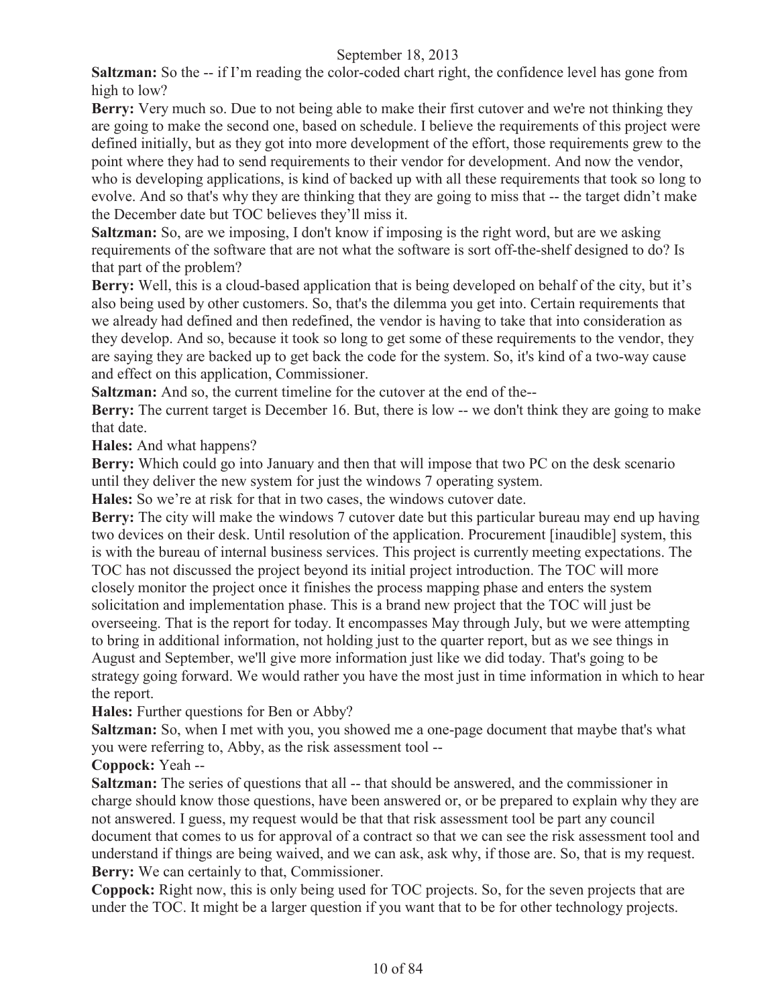**Saltzman:** So the -- if I'm reading the color-coded chart right, the confidence level has gone from high to low?

**Berry:** Very much so. Due to not being able to make their first cutover and we're not thinking they are going to make the second one, based on schedule. I believe the requirements of this project were defined initially, but as they got into more development of the effort, those requirements grew to the point where they had to send requirements to their vendor for development. And now the vendor, who is developing applications, is kind of backed up with all these requirements that took so long to evolve. And so that's why they are thinking that they are going to miss that -- the target didn't make the December date but TOC believes they'll miss it.

**Saltzman:** So, are we imposing, I don't know if imposing is the right word, but are we asking requirements of the software that are not what the software is sort off-the-shelf designed to do? Is that part of the problem?

**Berry:** Well, this is a cloud-based application that is being developed on behalf of the city, but it's also being used by other customers. So, that's the dilemma you get into. Certain requirements that we already had defined and then redefined, the vendor is having to take that into consideration as they develop. And so, because it took so long to get some of these requirements to the vendor, they are saying they are backed up to get back the code for the system. So, it's kind of a two-way cause and effect on this application, Commissioner.

**Saltzman:** And so, the current timeline for the cutover at the end of the--

**Berry:** The current target is December 16. But, there is low -- we don't think they are going to make that date.

**Hales:** And what happens?

**Berry:** Which could go into January and then that will impose that two PC on the desk scenario until they deliver the new system for just the windows 7 operating system.

**Hales:** So we're at risk for that in two cases, the windows cutover date.

**Berry:** The city will make the windows 7 cutover date but this particular bureau may end up having two devices on their desk. Until resolution of the application. Procurement [inaudible] system, this is with the bureau of internal business services. This project is currently meeting expectations. The TOC has not discussed the project beyond its initial project introduction. The TOC will more closely monitor the project once it finishes the process mapping phase and enters the system solicitation and implementation phase. This is a brand new project that the TOC will just be overseeing. That is the report for today. It encompasses May through July, but we were attempting to bring in additional information, not holding just to the quarter report, but as we see things in August and September, we'll give more information just like we did today. That's going to be strategy going forward. We would rather you have the most just in time information in which to hear the report.

**Hales:** Further questions for Ben or Abby?

**Saltzman:** So, when I met with you, you showed me a one-page document that maybe that's what you were referring to, Abby, as the risk assessment tool --

**Coppock:** Yeah --

**Saltzman:** The series of questions that all -- that should be answered, and the commissioner in charge should know those questions, have been answered or, or be prepared to explain why they are not answered. I guess, my request would be that that risk assessment tool be part any council document that comes to us for approval of a contract so that we can see the risk assessment tool and understand if things are being waived, and we can ask, ask why, if those are. So, that is my request. **Berry:** We can certainly to that, Commissioner.

**Coppock:** Right now, this is only being used for TOC projects. So, for the seven projects that are under the TOC. It might be a larger question if you want that to be for other technology projects.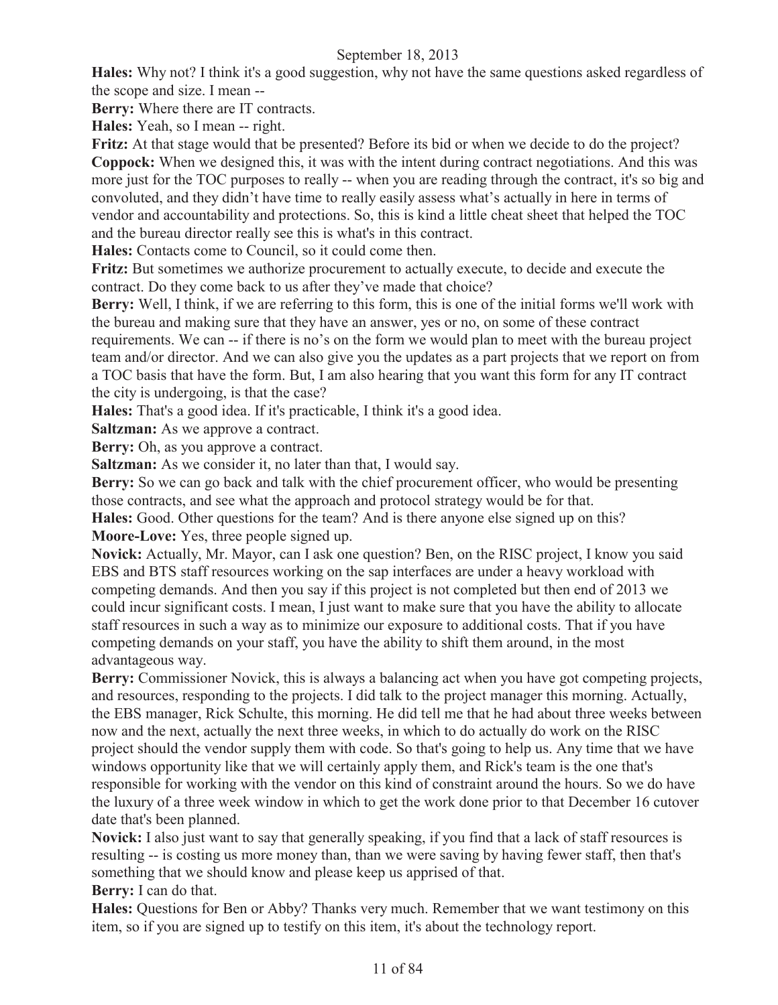**Hales:** Why not? I think it's a good suggestion, why not have the same questions asked regardless of the scope and size. I mean --

**Berry:** Where there are IT contracts.

**Hales:** Yeah, so I mean -- right.

**Fritz:** At that stage would that be presented? Before its bid or when we decide to do the project? **Coppock:** When we designed this, it was with the intent during contract negotiations. And this was more just for the TOC purposes to really -- when you are reading through the contract, it's so big and convoluted, and they didn't have time to really easily assess what's actually in here in terms of vendor and accountability and protections. So, this is kind a little cheat sheet that helped the TOC and the bureau director really see this is what's in this contract.

**Hales:** Contacts come to Council, so it could come then.

**Fritz:** But sometimes we authorize procurement to actually execute, to decide and execute the contract. Do they come back to us after they've made that choice?

**Berry:** Well, I think, if we are referring to this form, this is one of the initial forms we'll work with the bureau and making sure that they have an answer, yes or no, on some of these contract requirements. We can -- if there is no's on the form we would plan to meet with the bureau project team and/or director. And we can also give you the updates as a part projects that we report on from a TOC basis that have the form. But, I am also hearing that you want this form for any IT contract the city is undergoing, is that the case?

**Hales:** That's a good idea. If it's practicable, I think it's a good idea.

**Saltzman:** As we approve a contract.

**Berry:** Oh, as you approve a contract.

**Saltzman:** As we consider it, no later than that, I would say.

**Berry:** So we can go back and talk with the chief procurement officer, who would be presenting those contracts, and see what the approach and protocol strategy would be for that.

**Hales:** Good. Other questions for the team? And is there anyone else signed up on this? **Moore-Love:** Yes, three people signed up.

**Novick:** Actually, Mr. Mayor, can I ask one question? Ben, on the RISC project, I know you said EBS and BTS staff resources working on the sap interfaces are under a heavy workload with competing demands. And then you say if this project is not completed but then end of 2013 we could incur significant costs. I mean, I just want to make sure that you have the ability to allocate staff resources in such a way as to minimize our exposure to additional costs. That if you have competing demands on your staff, you have the ability to shift them around, in the most advantageous way.

Berry: Commissioner Novick, this is always a balancing act when you have got competing projects, and resources, responding to the projects. I did talk to the project manager this morning. Actually, the EBS manager, Rick Schulte, this morning. He did tell me that he had about three weeks between now and the next, actually the next three weeks, in which to do actually do work on the RISC project should the vendor supply them with code. So that's going to help us. Any time that we have windows opportunity like that we will certainly apply them, and Rick's team is the one that's responsible for working with the vendor on this kind of constraint around the hours. So we do have the luxury of a three week window in which to get the work done prior to that December 16 cutover date that's been planned.

**Novick:** I also just want to say that generally speaking, if you find that a lack of staff resources is resulting -- is costing us more money than, than we were saving by having fewer staff, then that's something that we should know and please keep us apprised of that. **Berry:** I can do that.

**Hales:** Questions for Ben or Abby? Thanks very much. Remember that we want testimony on this item, so if you are signed up to testify on this item, it's about the technology report.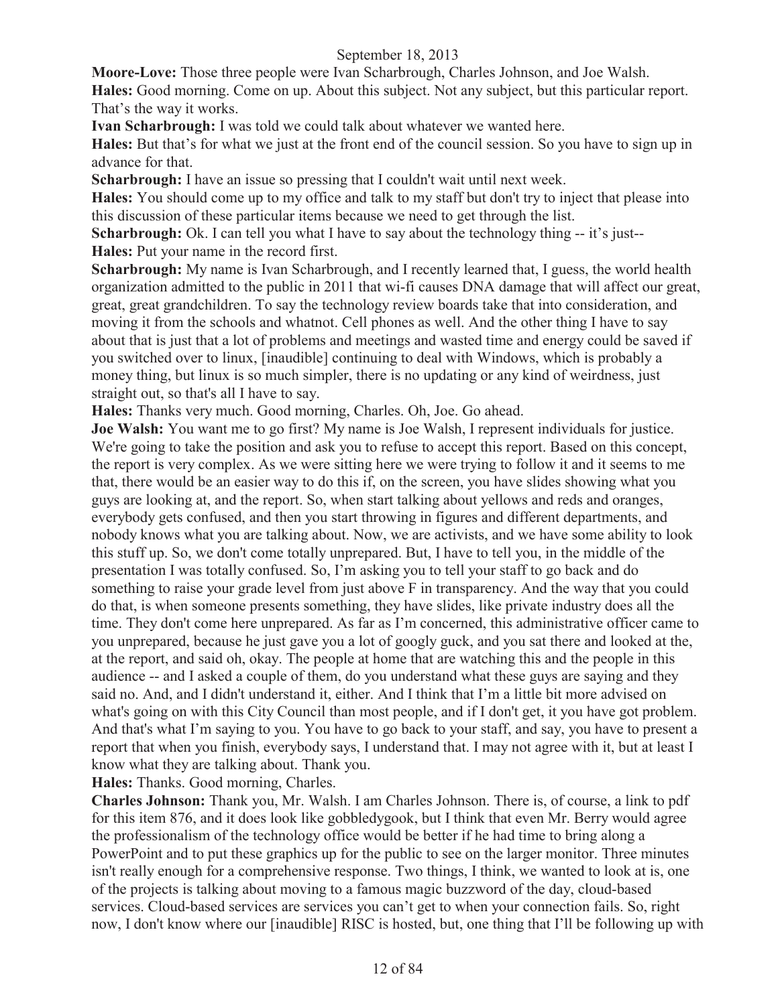**Moore-Love:** Those three people were Ivan Scharbrough, Charles Johnson, and Joe Walsh. **Hales:** Good morning. Come on up. About this subject. Not any subject, but this particular report. That's the way it works.

**Ivan Scharbrough:** I was told we could talk about whatever we wanted here.

**Hales:** But that's for what we just at the front end of the council session. So you have to sign up in advance for that.

**Scharbrough:** I have an issue so pressing that I couldn't wait until next week.

**Hales:** You should come up to my office and talk to my staff but don't try to inject that please into this discussion of these particular items because we need to get through the list.

**Scharbrough:** Ok. I can tell you what I have to say about the technology thing -- it's just--**Hales:** Put your name in the record first.

**Scharbrough:** My name is Ivan Scharbrough, and I recently learned that, I guess, the world health organization admitted to the public in 2011 that wi-fi causes DNA damage that will affect our great, great, great grandchildren. To say the technology review boards take that into consideration, and moving it from the schools and whatnot. Cell phones as well. And the other thing I have to say about that is just that a lot of problems and meetings and wasted time and energy could be saved if you switched over to linux, [inaudible] continuing to deal with Windows, which is probably a money thing, but linux is so much simpler, there is no updating or any kind of weirdness, just straight out, so that's all I have to say.

**Hales:** Thanks very much. Good morning, Charles. Oh, Joe. Go ahead.

**Joe Walsh:** You want me to go first? My name is Joe Walsh, I represent individuals for justice. We're going to take the position and ask you to refuse to accept this report. Based on this concept, the report is very complex. As we were sitting here we were trying to follow it and it seems to me that, there would be an easier way to do this if, on the screen, you have slides showing what you guys are looking at, and the report. So, when start talking about yellows and reds and oranges, everybody gets confused, and then you start throwing in figures and different departments, and nobody knows what you are talking about. Now, we are activists, and we have some ability to look this stuff up. So, we don't come totally unprepared. But, I have to tell you, in the middle of the presentation I was totally confused. So, I'm asking you to tell your staff to go back and do something to raise your grade level from just above F in transparency. And the way that you could do that, is when someone presents something, they have slides, like private industry does all the time. They don't come here unprepared. As far as I'm concerned, this administrative officer came to you unprepared, because he just gave you a lot of googly guck, and you sat there and looked at the, at the report, and said oh, okay. The people at home that are watching this and the people in this audience -- and I asked a couple of them, do you understand what these guys are saying and they said no. And, and I didn't understand it, either. And I think that I'm a little bit more advised on what's going on with this City Council than most people, and if I don't get, it you have got problem. And that's what I'm saying to you. You have to go back to your staff, and say, you have to present a report that when you finish, everybody says, I understand that. I may not agree with it, but at least I know what they are talking about. Thank you.

**Hales:** Thanks. Good morning, Charles.

**Charles Johnson:** Thank you, Mr. Walsh. I am Charles Johnson. There is, of course, a link to pdf for this item 876, and it does look like gobbledygook, but I think that even Mr. Berry would agree the professionalism of the technology office would be better if he had time to bring along a PowerPoint and to put these graphics up for the public to see on the larger monitor. Three minutes isn't really enough for a comprehensive response. Two things, I think, we wanted to look at is, one of the projects is talking about moving to a famous magic buzzword of the day, cloud-based services. Cloud-based services are services you can't get to when your connection fails. So, right now, I don't know where our [inaudible] RISC is hosted, but, one thing that I'll be following up with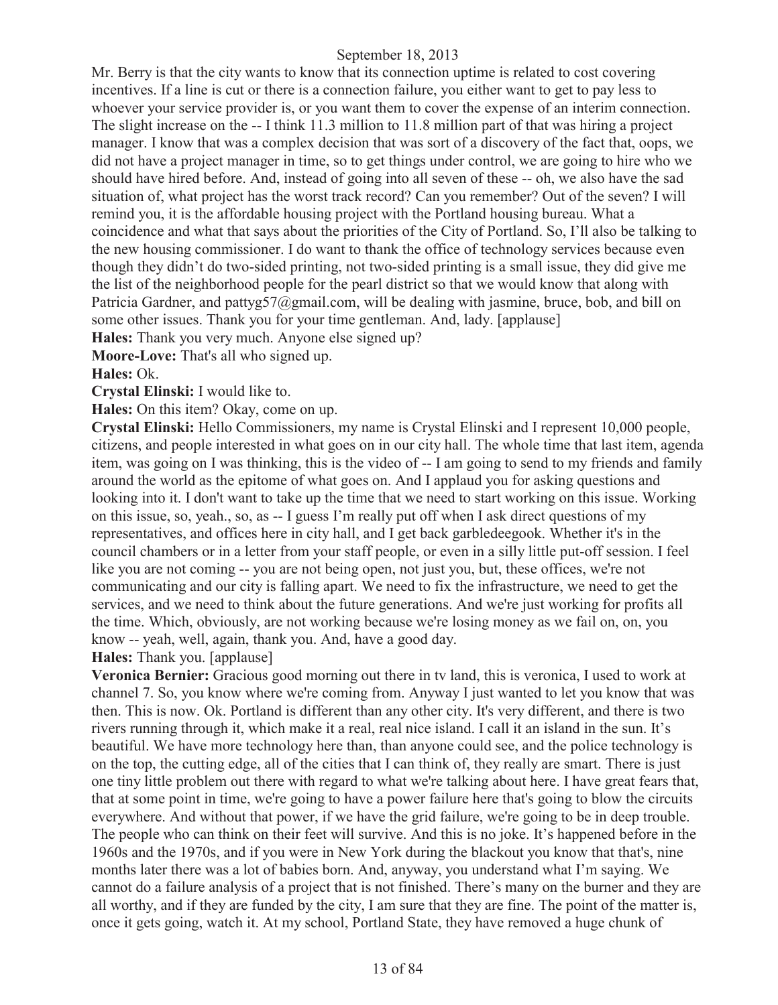Mr. Berry is that the city wants to know that its connection uptime is related to cost covering incentives. If a line is cut or there is a connection failure, you either want to get to pay less to whoever your service provider is, or you want them to cover the expense of an interim connection. The slight increase on the -- I think 11.3 million to 11.8 million part of that was hiring a project manager. I know that was a complex decision that was sort of a discovery of the fact that, oops, we did not have a project manager in time, so to get things under control, we are going to hire who we should have hired before. And, instead of going into all seven of these -- oh, we also have the sad situation of, what project has the worst track record? Can you remember? Out of the seven? I will remind you, it is the affordable housing project with the Portland housing bureau. What a coincidence and what that says about the priorities of the City of Portland. So, I'll also be talking to the new housing commissioner. I do want to thank the office of technology services because even though they didn't do two-sided printing, not two-sided printing is a small issue, they did give me the list of the neighborhood people for the pearl district so that we would know that along with Patricia Gardner, and pattyg57@gmail.com, will be dealing with jasmine, bruce, bob, and bill on some other issues. Thank you for your time gentleman. And, lady. [applause]

**Hales:** Thank you very much. Anyone else signed up?

**Moore-Love:** That's all who signed up.

#### **Hales:** Ok.

**Crystal Elinski:** I would like to.

**Hales:** On this item? Okay, come on up.

**Crystal Elinski:** Hello Commissioners, my name is Crystal Elinski and I represent 10,000 people, citizens, and people interested in what goes on in our city hall. The whole time that last item, agenda item, was going on I was thinking, this is the video of -- I am going to send to my friends and family around the world as the epitome of what goes on. And I applaud you for asking questions and looking into it. I don't want to take up the time that we need to start working on this issue. Working on this issue, so, yeah., so, as -- I guess I'm really put off when I ask direct questions of my representatives, and offices here in city hall, and I get back garbledeegook. Whether it's in the council chambers or in a letter from your staff people, or even in a silly little put-off session. I feel like you are not coming -- you are not being open, not just you, but, these offices, we're not communicating and our city is falling apart. We need to fix the infrastructure, we need to get the services, and we need to think about the future generations. And we're just working for profits all the time. Which, obviously, are not working because we're losing money as we fail on, on, you know -- yeah, well, again, thank you. And, have a good day.

**Hales:** Thank you. [applause]

**Veronica Bernier:** Gracious good morning out there in tv land, this is veronica, I used to work at channel 7. So, you know where we're coming from. Anyway I just wanted to let you know that was then. This is now. Ok. Portland is different than any other city. It's very different, and there is two rivers running through it, which make it a real, real nice island. I call it an island in the sun. It's beautiful. We have more technology here than, than anyone could see, and the police technology is on the top, the cutting edge, all of the cities that I can think of, they really are smart. There is just one tiny little problem out there with regard to what we're talking about here. I have great fears that, that at some point in time, we're going to have a power failure here that's going to blow the circuits everywhere. And without that power, if we have the grid failure, we're going to be in deep trouble. The people who can think on their feet will survive. And this is no joke. It's happened before in the 1960s and the 1970s, and if you were in New York during the blackout you know that that's, nine months later there was a lot of babies born. And, anyway, you understand what I'm saying. We cannot do a failure analysis of a project that is not finished. There's many on the burner and they are all worthy, and if they are funded by the city, I am sure that they are fine. The point of the matter is, once it gets going, watch it. At my school, Portland State, they have removed a huge chunk of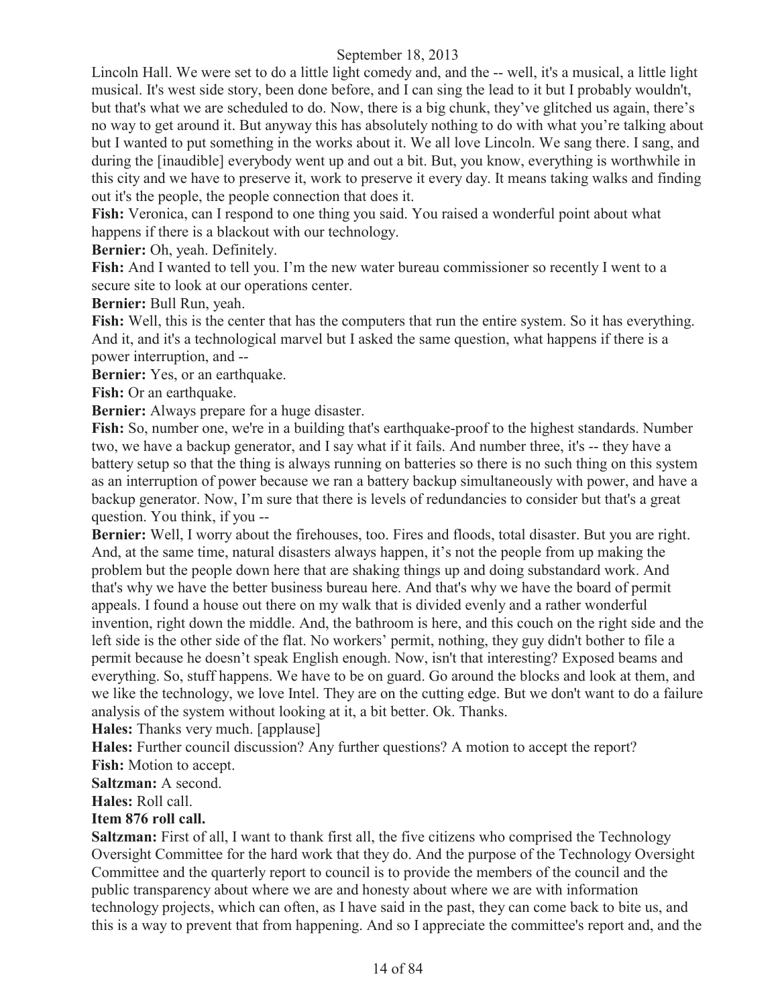Lincoln Hall. We were set to do a little light comedy and, and the -- well, it's a musical, a little light musical. It's west side story, been done before, and I can sing the lead to it but I probably wouldn't, but that's what we are scheduled to do. Now, there is a big chunk, they've glitched us again, there's no way to get around it. But anyway this has absolutely nothing to do with what you're talking about but I wanted to put something in the works about it. We all love Lincoln. We sang there. I sang, and during the [inaudible] everybody went up and out a bit. But, you know, everything is worthwhile in this city and we have to preserve it, work to preserve it every day. It means taking walks and finding out it's the people, the people connection that does it.

**Fish:** Veronica, can I respond to one thing you said. You raised a wonderful point about what happens if there is a blackout with our technology.

**Bernier:** Oh, yeah. Definitely.

**Fish:** And I wanted to tell you. I'm the new water bureau commissioner so recently I went to a secure site to look at our operations center.

**Bernier:** Bull Run, yeah.

**Fish:** Well, this is the center that has the computers that run the entire system. So it has everything. And it, and it's a technological marvel but I asked the same question, what happens if there is a power interruption, and --

**Bernier:** Yes, or an earthquake.

**Fish:** Or an earthquake.

**Bernier:** Always prepare for a huge disaster.

**Fish:** So, number one, we're in a building that's earthquake-proof to the highest standards. Number two, we have a backup generator, and I say what if it fails. And number three, it's -- they have a battery setup so that the thing is always running on batteries so there is no such thing on this system as an interruption of power because we ran a battery backup simultaneously with power, and have a backup generator. Now, I'm sure that there is levels of redundancies to consider but that's a great question. You think, if you --

**Bernier:** Well, I worry about the firehouses, too. Fires and floods, total disaster. But you are right. And, at the same time, natural disasters always happen, it's not the people from up making the problem but the people down here that are shaking things up and doing substandard work. And that's why we have the better business bureau here. And that's why we have the board of permit appeals. I found a house out there on my walk that is divided evenly and a rather wonderful invention, right down the middle. And, the bathroom is here, and this couch on the right side and the left side is the other side of the flat. No workers' permit, nothing, they guy didn't bother to file a permit because he doesn't speak English enough. Now, isn't that interesting? Exposed beams and everything. So, stuff happens. We have to be on guard. Go around the blocks and look at them, and we like the technology, we love Intel. They are on the cutting edge. But we don't want to do a failure analysis of the system without looking at it, a bit better. Ok. Thanks.

**Hales:** Thanks very much. [applause]

**Hales:** Further council discussion? Any further questions? A motion to accept the report? **Fish:** Motion to accept.

**Saltzman:** A second.

**Hales:** Roll call.

#### **Item 876 roll call.**

**Saltzman:** First of all, I want to thank first all, the five citizens who comprised the Technology Oversight Committee for the hard work that they do. And the purpose of the Technology Oversight Committee and the quarterly report to council is to provide the members of the council and the public transparency about where we are and honesty about where we are with information technology projects, which can often, as I have said in the past, they can come back to bite us, and this is a way to prevent that from happening. And so I appreciate the committee's report and, and the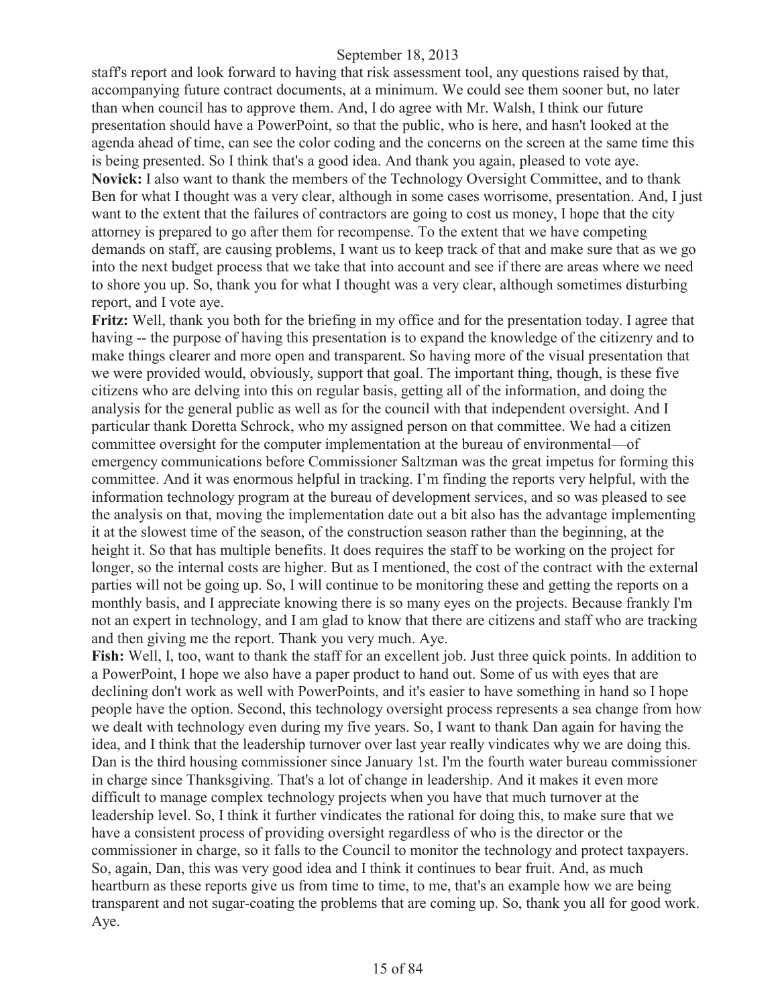staff's report and look forward to having that risk assessment tool, any questions raised by that, accompanying future contract documents, at a minimum. We could see them sooner but, no later than when council has to approve them. And, I do agree with Mr. Walsh, I think our future presentation should have a PowerPoint, so that the public, who is here, and hasn't looked at the agenda ahead of time, can see the color coding and the concerns on the screen at the same time this is being presented. So I think that's a good idea. And thank you again, pleased to vote aye. **Novick:** I also want to thank the members of the Technology Oversight Committee, and to thank Ben for what I thought was a very clear, although in some cases worrisome, presentation. And, I just want to the extent that the failures of contractors are going to cost us money, I hope that the city attorney is prepared to go after them for recompense. To the extent that we have competing demands on staff, are causing problems, I want us to keep track of that and make sure that as we go into the next budget process that we take that into account and see if there are areas where we need to shore you up. So, thank you for what I thought was a very clear, although sometimes disturbing report, and I vote aye.

**Fritz:** Well, thank you both for the briefing in my office and for the presentation today. I agree that having -- the purpose of having this presentation is to expand the knowledge of the citizenry and to make things clearer and more open and transparent. So having more of the visual presentation that we were provided would, obviously, support that goal. The important thing, though, is these five citizens who are delving into this on regular basis, getting all of the information, and doing the analysis for the general public as well as for the council with that independent oversight. And I particular thank Doretta Schrock, who my assigned person on that committee. We had a citizen committee oversight for the computer implementation at the bureau of environmental—of emergency communications before Commissioner Saltzman was the great impetus for forming this committee. And it was enormous helpful in tracking. I'm finding the reports very helpful, with the information technology program at the bureau of development services, and so was pleased to see the analysis on that, moving the implementation date out a bit also has the advantage implementing it at the slowest time of the season, of the construction season rather than the beginning, at the height it. So that has multiple benefits. It does requires the staff to be working on the project for longer, so the internal costs are higher. But as I mentioned, the cost of the contract with the external parties will not be going up. So, I will continue to be monitoring these and getting the reports on a monthly basis, and I appreciate knowing there is so many eyes on the projects. Because frankly I'm not an expert in technology, and I am glad to know that there are citizens and staff who are tracking and then giving me the report. Thank you very much. Aye.

**Fish:** Well, I, too, want to thank the staff for an excellent job. Just three quick points. In addition to a PowerPoint, I hope we also have a paper product to hand out. Some of us with eyes that are declining don't work as well with PowerPoints, and it's easier to have something in hand so I hope people have the option. Second, this technology oversight process represents a sea change from how we dealt with technology even during my five years. So, I want to thank Dan again for having the idea, and I think that the leadership turnover over last year really vindicates why we are doing this. Dan is the third housing commissioner since January 1st. I'm the fourth water bureau commissioner in charge since Thanksgiving. That's a lot of change in leadership. And it makes it even more difficult to manage complex technology projects when you have that much turnover at the leadership level. So, I think it further vindicates the rational for doing this, to make sure that we have a consistent process of providing oversight regardless of who is the director or the commissioner in charge, so it falls to the Council to monitor the technology and protect taxpayers. So, again, Dan, this was very good idea and I think it continues to bear fruit. And, as much heartburn as these reports give us from time to time, to me, that's an example how we are being transparent and not sugar-coating the problems that are coming up. So, thank you all for good work. Aye.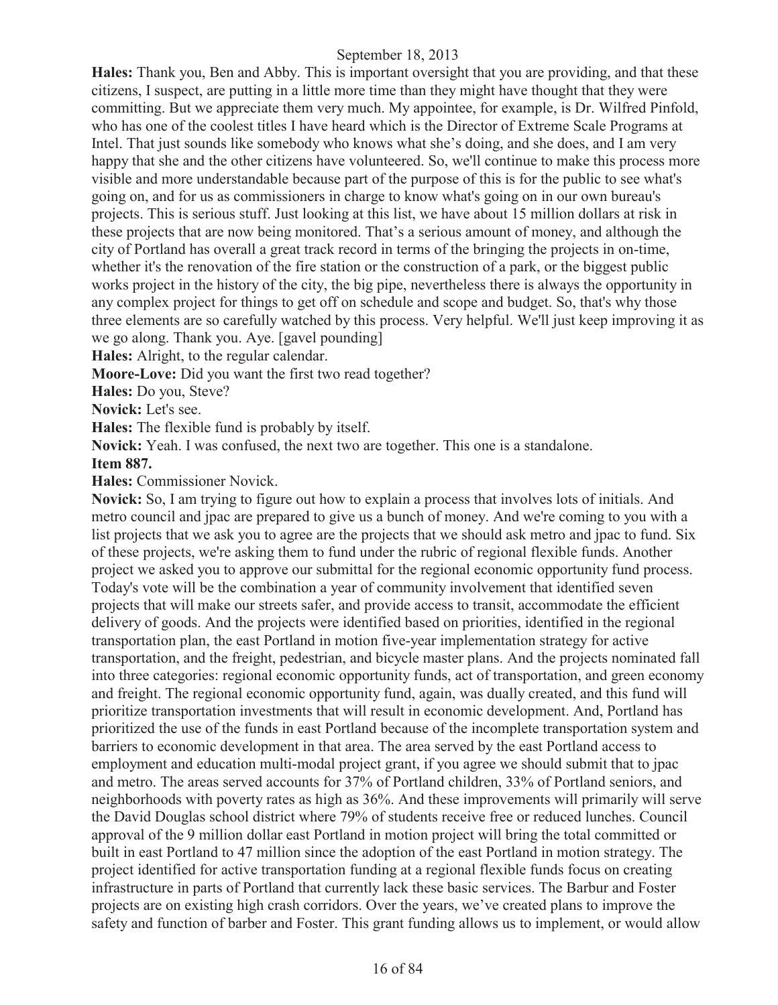**Hales:** Thank you, Ben and Abby. This is important oversight that you are providing, and that these citizens, I suspect, are putting in a little more time than they might have thought that they were committing. But we appreciate them very much. My appointee, for example, is Dr. Wilfred Pinfold, who has one of the coolest titles I have heard which is the Director of Extreme Scale Programs at Intel. That just sounds like somebody who knows what she's doing, and she does, and I am very happy that she and the other citizens have volunteered. So, we'll continue to make this process more visible and more understandable because part of the purpose of this is for the public to see what's going on, and for us as commissioners in charge to know what's going on in our own bureau's projects. This is serious stuff. Just looking at this list, we have about 15 million dollars at risk in these projects that are now being monitored. That's a serious amount of money, and although the city of Portland has overall a great track record in terms of the bringing the projects in on-time, whether it's the renovation of the fire station or the construction of a park, or the biggest public works project in the history of the city, the big pipe, nevertheless there is always the opportunity in any complex project for things to get off on schedule and scope and budget. So, that's why those three elements are so carefully watched by this process. Very helpful. We'll just keep improving it as we go along. Thank you. Aye. [gavel pounding]

**Hales:** Alright, to the regular calendar.

**Moore-Love:** Did you want the first two read together?

**Hales:** Do you, Steve?

**Novick:** Let's see.

**Hales:** The flexible fund is probably by itself.

**Novick:** Yeah. I was confused, the next two are together. This one is a standalone.

## **Item 887.**

**Hales:** Commissioner Novick.

**Novick:** So, I am trying to figure out how to explain a process that involves lots of initials. And metro council and jpac are prepared to give us a bunch of money. And we're coming to you with a list projects that we ask you to agree are the projects that we should ask metro and jpac to fund. Six of these projects, we're asking them to fund under the rubric of regional flexible funds. Another project we asked you to approve our submittal for the regional economic opportunity fund process. Today's vote will be the combination a year of community involvement that identified seven projects that will make our streets safer, and provide access to transit, accommodate the efficient delivery of goods. And the projects were identified based on priorities, identified in the regional transportation plan, the east Portland in motion five-year implementation strategy for active transportation, and the freight, pedestrian, and bicycle master plans. And the projects nominated fall into three categories: regional economic opportunity funds, act of transportation, and green economy and freight. The regional economic opportunity fund, again, was dually created, and this fund will prioritize transportation investments that will result in economic development. And, Portland has prioritized the use of the funds in east Portland because of the incomplete transportation system and barriers to economic development in that area. The area served by the east Portland access to employment and education multi-modal project grant, if you agree we should submit that to jpac and metro. The areas served accounts for 37% of Portland children, 33% of Portland seniors, and neighborhoods with poverty rates as high as 36%. And these improvements will primarily will serve the David Douglas school district where 79% of students receive free or reduced lunches. Council approval of the 9 million dollar east Portland in motion project will bring the total committed or built in east Portland to 47 million since the adoption of the east Portland in motion strategy. The project identified for active transportation funding at a regional flexible funds focus on creating infrastructure in parts of Portland that currently lack these basic services. The Barbur and Foster projects are on existing high crash corridors. Over the years, we've created plans to improve the safety and function of barber and Foster. This grant funding allows us to implement, or would allow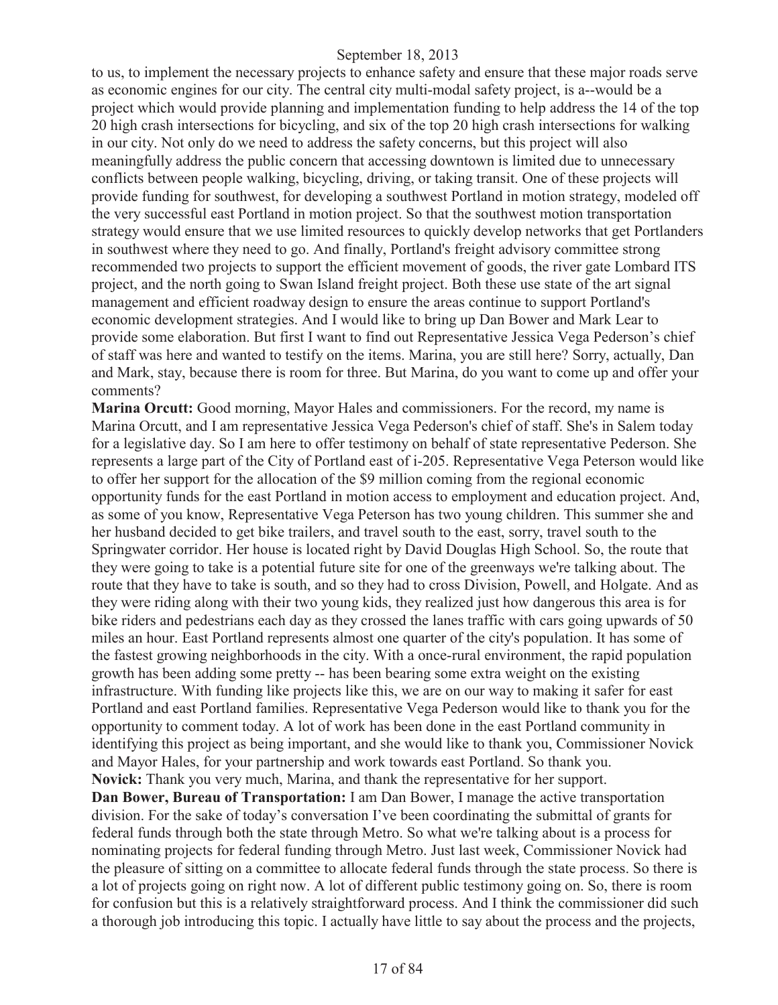to us, to implement the necessary projects to enhance safety and ensure that these major roads serve as economic engines for our city. The central city multi-modal safety project, is a--would be a project which would provide planning and implementation funding to help address the 14 of the top 20 high crash intersections for bicycling, and six of the top 20 high crash intersections for walking in our city. Not only do we need to address the safety concerns, but this project will also meaningfully address the public concern that accessing downtown is limited due to unnecessary conflicts between people walking, bicycling, driving, or taking transit. One of these projects will provide funding for southwest, for developing a southwest Portland in motion strategy, modeled off the very successful east Portland in motion project. So that the southwest motion transportation strategy would ensure that we use limited resources to quickly develop networks that get Portlanders in southwest where they need to go. And finally, Portland's freight advisory committee strong recommended two projects to support the efficient movement of goods, the river gate Lombard ITS project, and the north going to Swan Island freight project. Both these use state of the art signal management and efficient roadway design to ensure the areas continue to support Portland's economic development strategies. And I would like to bring up Dan Bower and Mark Lear to provide some elaboration. But first I want to find out Representative Jessica Vega Pederson's chief of staff was here and wanted to testify on the items. Marina, you are still here? Sorry, actually, Dan and Mark, stay, because there is room for three. But Marina, do you want to come up and offer your comments?

**Marina Orcutt:** Good morning, Mayor Hales and commissioners. For the record, my name is Marina Orcutt, and I am representative Jessica Vega Pederson's chief of staff. She's in Salem today for a legislative day. So I am here to offer testimony on behalf of state representative Pederson. She represents a large part of the City of Portland east of i-205. Representative Vega Peterson would like to offer her support for the allocation of the \$9 million coming from the regional economic opportunity funds for the east Portland in motion access to employment and education project. And, as some of you know, Representative Vega Peterson has two young children. This summer she and her husband decided to get bike trailers, and travel south to the east, sorry, travel south to the Springwater corridor. Her house is located right by David Douglas High School. So, the route that they were going to take is a potential future site for one of the greenways we're talking about. The route that they have to take is south, and so they had to cross Division, Powell, and Holgate. And as they were riding along with their two young kids, they realized just how dangerous this area is for bike riders and pedestrians each day as they crossed the lanes traffic with cars going upwards of 50 miles an hour. East Portland represents almost one quarter of the city's population. It has some of the fastest growing neighborhoods in the city. With a once-rural environment, the rapid population growth has been adding some pretty -- has been bearing some extra weight on the existing infrastructure. With funding like projects like this, we are on our way to making it safer for east Portland and east Portland families. Representative Vega Pederson would like to thank you for the opportunity to comment today. A lot of work has been done in the east Portland community in identifying this project as being important, and she would like to thank you, Commissioner Novick and Mayor Hales, for your partnership and work towards east Portland. So thank you. **Novick:** Thank you very much, Marina, and thank the representative for her support. **Dan Bower, Bureau of Transportation:** I am Dan Bower, I manage the active transportation

division. For the sake of today's conversation I've been coordinating the submittal of grants for federal funds through both the state through Metro. So what we're talking about is a process for nominating projects for federal funding through Metro. Just last week, Commissioner Novick had the pleasure of sitting on a committee to allocate federal funds through the state process. So there is a lot of projects going on right now. A lot of different public testimony going on. So, there is room for confusion but this is a relatively straightforward process. And I think the commissioner did such a thorough job introducing this topic. I actually have little to say about the process and the projects,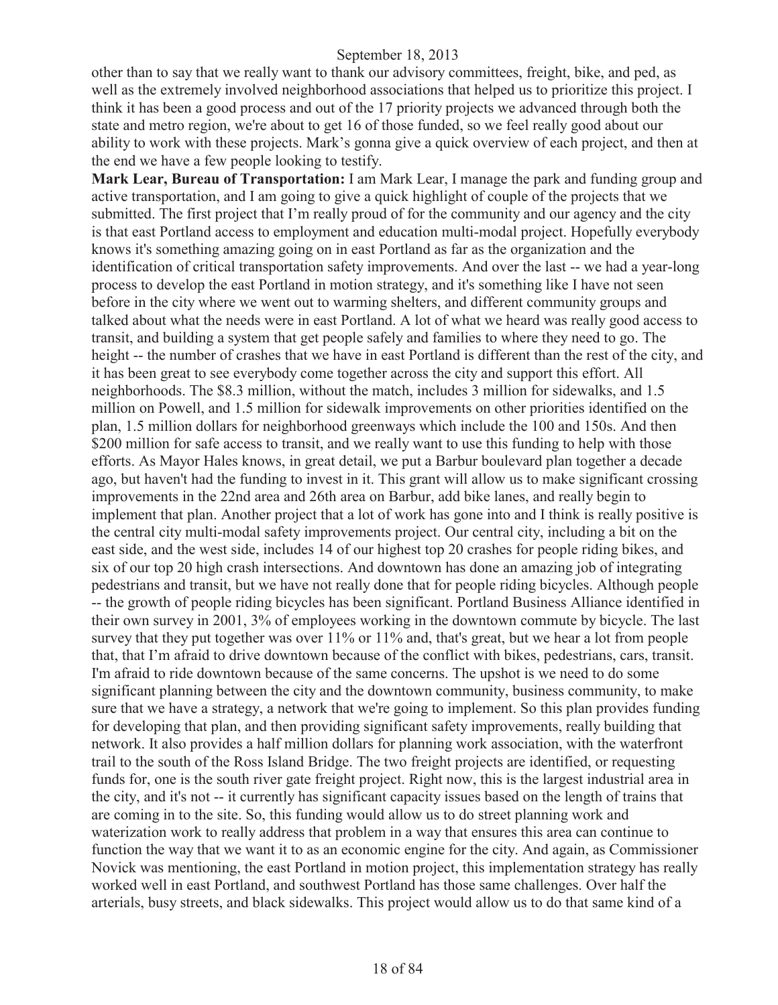other than to say that we really want to thank our advisory committees, freight, bike, and ped, as well as the extremely involved neighborhood associations that helped us to prioritize this project. I think it has been a good process and out of the 17 priority projects we advanced through both the state and metro region, we're about to get 16 of those funded, so we feel really good about our ability to work with these projects. Mark's gonna give a quick overview of each project, and then at the end we have a few people looking to testify.

**Mark Lear, Bureau of Transportation:** I am Mark Lear, I manage the park and funding group and active transportation, and I am going to give a quick highlight of couple of the projects that we submitted. The first project that I'm really proud of for the community and our agency and the city is that east Portland access to employment and education multi-modal project. Hopefully everybody knows it's something amazing going on in east Portland as far as the organization and the identification of critical transportation safety improvements. And over the last -- we had a year-long process to develop the east Portland in motion strategy, and it's something like I have not seen before in the city where we went out to warming shelters, and different community groups and talked about what the needs were in east Portland. A lot of what we heard was really good access to transit, and building a system that get people safely and families to where they need to go. The height -- the number of crashes that we have in east Portland is different than the rest of the city, and it has been great to see everybody come together across the city and support this effort. All neighborhoods. The \$8.3 million, without the match, includes 3 million for sidewalks, and 1.5 million on Powell, and 1.5 million for sidewalk improvements on other priorities identified on the plan, 1.5 million dollars for neighborhood greenways which include the 100 and 150s. And then \$200 million for safe access to transit, and we really want to use this funding to help with those efforts. As Mayor Hales knows, in great detail, we put a Barbur boulevard plan together a decade ago, but haven't had the funding to invest in it. This grant will allow us to make significant crossing improvements in the 22nd area and 26th area on Barbur, add bike lanes, and really begin to implement that plan. Another project that a lot of work has gone into and I think is really positive is the central city multi-modal safety improvements project. Our central city, including a bit on the east side, and the west side, includes 14 of our highest top 20 crashes for people riding bikes, and six of our top 20 high crash intersections. And downtown has done an amazing job of integrating pedestrians and transit, but we have not really done that for people riding bicycles. Although people -- the growth of people riding bicycles has been significant. Portland Business Alliance identified in their own survey in 2001, 3% of employees working in the downtown commute by bicycle. The last survey that they put together was over 11% or 11% and, that's great, but we hear a lot from people that, that I'm afraid to drive downtown because of the conflict with bikes, pedestrians, cars, transit. I'm afraid to ride downtown because of the same concerns. The upshot is we need to do some significant planning between the city and the downtown community, business community, to make sure that we have a strategy, a network that we're going to implement. So this plan provides funding for developing that plan, and then providing significant safety improvements, really building that network. It also provides a half million dollars for planning work association, with the waterfront trail to the south of the Ross Island Bridge. The two freight projects are identified, or requesting funds for, one is the south river gate freight project. Right now, this is the largest industrial area in the city, and it's not -- it currently has significant capacity issues based on the length of trains that are coming in to the site. So, this funding would allow us to do street planning work and waterization work to really address that problem in a way that ensures this area can continue to function the way that we want it to as an economic engine for the city. And again, as Commissioner Novick was mentioning, the east Portland in motion project, this implementation strategy has really worked well in east Portland, and southwest Portland has those same challenges. Over half the arterials, busy streets, and black sidewalks. This project would allow us to do that same kind of a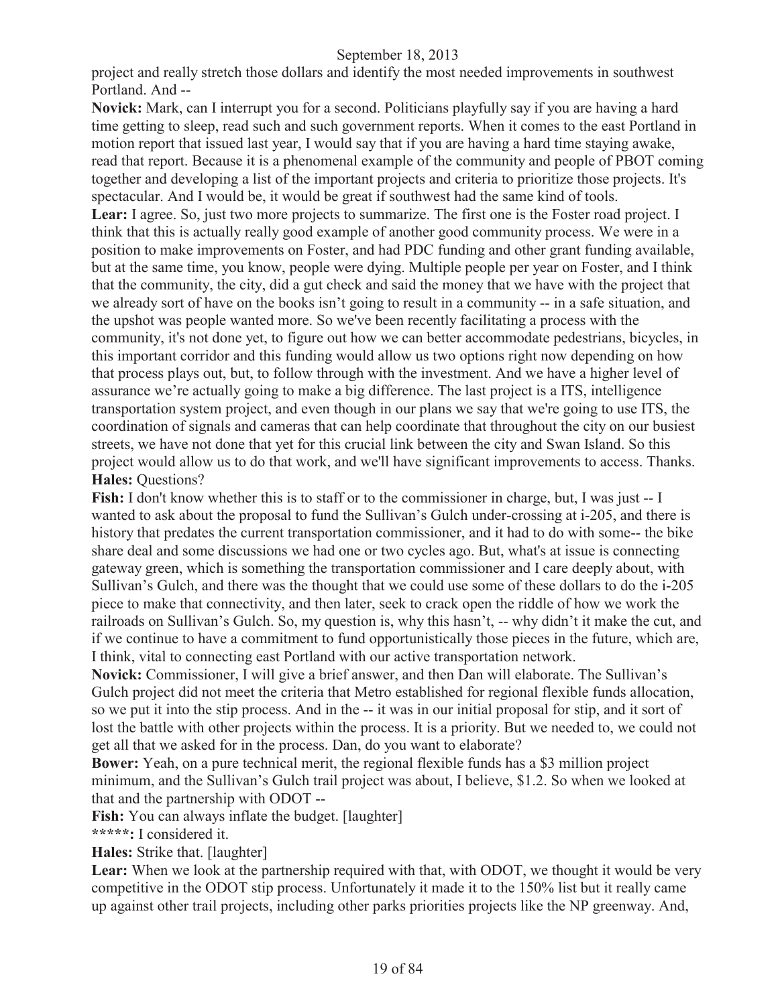project and really stretch those dollars and identify the most needed improvements in southwest Portland. And --

**Novick:** Mark, can I interrupt you for a second. Politicians playfully say if you are having a hard time getting to sleep, read such and such government reports. When it comes to the east Portland in motion report that issued last year, I would say that if you are having a hard time staying awake, read that report. Because it is a phenomenal example of the community and people of PBOT coming together and developing a list of the important projects and criteria to prioritize those projects. It's spectacular. And I would be, it would be great if southwest had the same kind of tools. Lear: I agree. So, just two more projects to summarize. The first one is the Foster road project. I think that this is actually really good example of another good community process. We were in a position to make improvements on Foster, and had PDC funding and other grant funding available, but at the same time, you know, people were dying. Multiple people per year on Foster, and I think that the community, the city, did a gut check and said the money that we have with the project that we already sort of have on the books isn't going to result in a community -- in a safe situation, and the upshot was people wanted more. So we've been recently facilitating a process with the community, it's not done yet, to figure out how we can better accommodate pedestrians, bicycles, in this important corridor and this funding would allow us two options right now depending on how that process plays out, but, to follow through with the investment. And we have a higher level of assurance we're actually going to make a big difference. The last project is a ITS, intelligence transportation system project, and even though in our plans we say that we're going to use ITS, the coordination of signals and cameras that can help coordinate that throughout the city on our busiest streets, we have not done that yet for this crucial link between the city and Swan Island. So this project would allow us to do that work, and we'll have significant improvements to access. Thanks. **Hales: Questions?** 

**Fish:** I don't know whether this is to staff or to the commissioner in charge, but, I was just -- I wanted to ask about the proposal to fund the Sullivan's Gulch under-crossing at i-205, and there is history that predates the current transportation commissioner, and it had to do with some-- the bike share deal and some discussions we had one or two cycles ago. But, what's at issue is connecting gateway green, which is something the transportation commissioner and I care deeply about, with Sullivan's Gulch, and there was the thought that we could use some of these dollars to do the i-205 piece to make that connectivity, and then later, seek to crack open the riddle of how we work the railroads on Sullivan's Gulch. So, my question is, why this hasn't, -- why didn't it make the cut, and if we continue to have a commitment to fund opportunistically those pieces in the future, which are, I think, vital to connecting east Portland with our active transportation network.

**Novick:** Commissioner, I will give a brief answer, and then Dan will elaborate. The Sullivan's Gulch project did not meet the criteria that Metro established for regional flexible funds allocation, so we put it into the stip process. And in the -- it was in our initial proposal for stip, and it sort of lost the battle with other projects within the process. It is a priority. But we needed to, we could not get all that we asked for in the process. Dan, do you want to elaborate?

**Bower:** Yeah, on a pure technical merit, the regional flexible funds has a \$3 million project minimum, and the Sullivan's Gulch trail project was about, I believe, \$1.2. So when we looked at that and the partnership with ODOT --

Fish: You can always inflate the budget. [laughter]

**\*\*\*\*\*:** I considered it.

**Hales:** Strike that. [laughter]

Lear: When we look at the partnership required with that, with ODOT, we thought it would be very competitive in the ODOT stip process. Unfortunately it made it to the 150% list but it really came up against other trail projects, including other parks priorities projects like the NP greenway. And,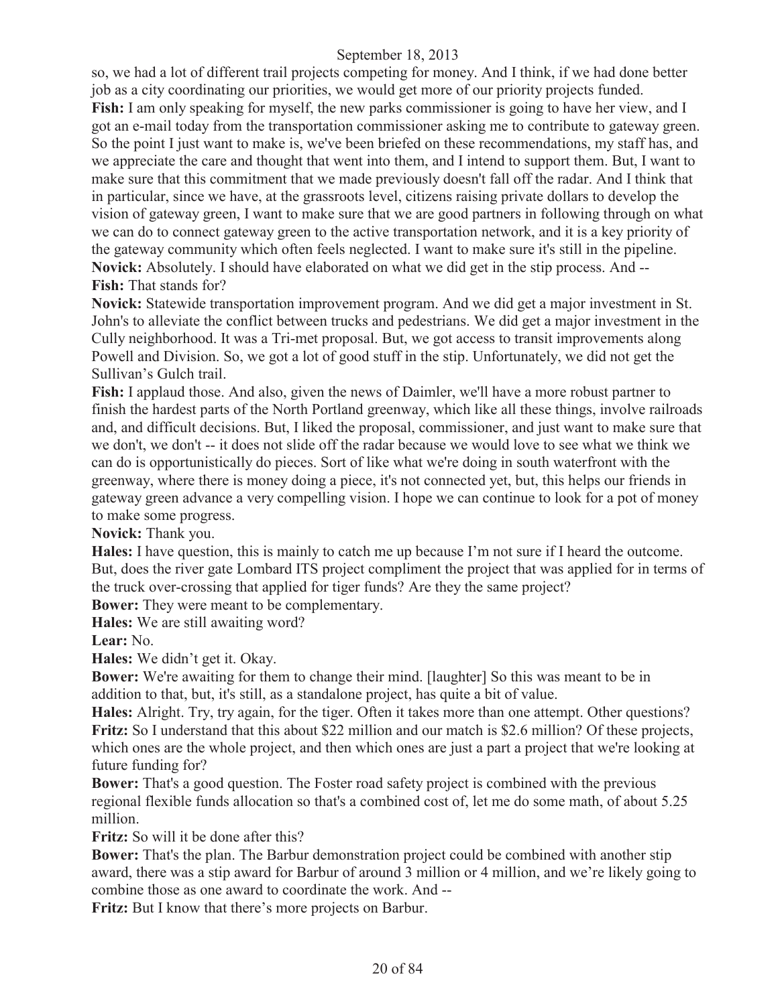so, we had a lot of different trail projects competing for money. And I think, if we had done better job as a city coordinating our priorities, we would get more of our priority projects funded. Fish: I am only speaking for myself, the new parks commissioner is going to have her view, and I got an e-mail today from the transportation commissioner asking me to contribute to gateway green. So the point I just want to make is, we've been briefed on these recommendations, my staff has, and we appreciate the care and thought that went into them, and I intend to support them. But, I want to make sure that this commitment that we made previously doesn't fall off the radar. And I think that in particular, since we have, at the grassroots level, citizens raising private dollars to develop the vision of gateway green, I want to make sure that we are good partners in following through on what we can do to connect gateway green to the active transportation network, and it is a key priority of the gateway community which often feels neglected. I want to make sure it's still in the pipeline. **Novick:** Absolutely. I should have elaborated on what we did get in the stip process. And -- **Fish:** That stands for?

**Novick:** Statewide transportation improvement program. And we did get a major investment in St. John's to alleviate the conflict between trucks and pedestrians. We did get a major investment in the Cully neighborhood. It was a Tri-met proposal. But, we got access to transit improvements along Powell and Division. So, we got a lot of good stuff in the stip. Unfortunately, we did not get the Sullivan's Gulch trail.

**Fish:** I applaud those. And also, given the news of Daimler, we'll have a more robust partner to finish the hardest parts of the North Portland greenway, which like all these things, involve railroads and, and difficult decisions. But, I liked the proposal, commissioner, and just want to make sure that we don't, we don't -- it does not slide off the radar because we would love to see what we think we can do is opportunistically do pieces. Sort of like what we're doing in south waterfront with the greenway, where there is money doing a piece, it's not connected yet, but, this helps our friends in gateway green advance a very compelling vision. I hope we can continue to look for a pot of money to make some progress.

**Novick:** Thank you.

**Hales:** I have question, this is mainly to catch me up because I'm not sure if I heard the outcome. But, does the river gate Lombard ITS project compliment the project that was applied for in terms of the truck over-crossing that applied for tiger funds? Are they the same project?

**Bower:** They were meant to be complementary.

**Hales:** We are still awaiting word?

**Lear:** No.

**Hales:** We didn't get it. Okay.

**Bower:** We're awaiting for them to change their mind. [laughter] So this was meant to be in addition to that, but, it's still, as a standalone project, has quite a bit of value.

**Hales:** Alright. Try, try again, for the tiger. Often it takes more than one attempt. Other questions? **Fritz:** So I understand that this about \$22 million and our match is \$2.6 million? Of these projects, which ones are the whole project, and then which ones are just a part a project that we're looking at future funding for?

**Bower:** That's a good question. The Foster road safety project is combined with the previous regional flexible funds allocation so that's a combined cost of, let me do some math, of about 5.25 million.

**Fritz:** So will it be done after this?

**Bower:** That's the plan. The Barbur demonstration project could be combined with another stip award, there was a stip award for Barbur of around 3 million or 4 million, and we're likely going to combine those as one award to coordinate the work. And --

**Fritz:** But I know that there's more projects on Barbur.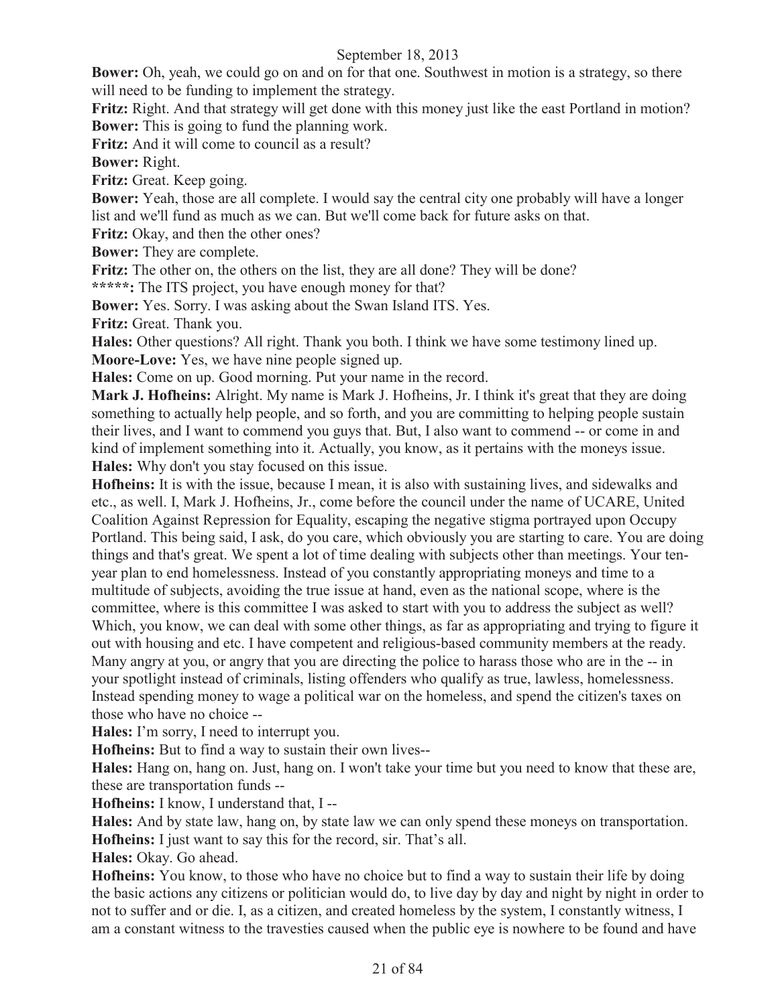**Bower:** Oh, yeah, we could go on and on for that one. Southwest in motion is a strategy, so there will need to be funding to implement the strategy.

**Fritz:** Right. And that strategy will get done with this money just like the east Portland in motion? **Bower:** This is going to fund the planning work.

**Fritz:** And it will come to council as a result?

**Bower:** Right.

**Fritz:** Great. Keep going.

**Bower:** Yeah, those are all complete. I would say the central city one probably will have a longer list and we'll fund as much as we can. But we'll come back for future asks on that.

**Fritz:** Okay, and then the other ones?

**Bower:** They are complete.

**Fritz:** The other on, the others on the list, they are all done? They will be done?

**\*\*\*\*\*:** The ITS project, you have enough money for that?

**Bower:** Yes. Sorry. I was asking about the Swan Island ITS. Yes.

**Fritz:** Great. Thank you.

**Hales:** Other questions? All right. Thank you both. I think we have some testimony lined up. **Moore-Love:** Yes, we have nine people signed up.

**Hales:** Come on up. Good morning. Put your name in the record.

**Mark J. Hofheins:** Alright. My name is Mark J. Hofheins, Jr. I think it's great that they are doing something to actually help people, and so forth, and you are committing to helping people sustain their lives, and I want to commend you guys that. But, I also want to commend -- or come in and kind of implement something into it. Actually, you know, as it pertains with the moneys issue. **Hales:** Why don't you stay focused on this issue.

**Hofheins:** It is with the issue, because I mean, it is also with sustaining lives, and sidewalks and etc., as well. I, Mark J. Hofheins, Jr., come before the council under the name of UCARE, United Coalition Against Repression for Equality, escaping the negative stigma portrayed upon Occupy Portland. This being said, I ask, do you care, which obviously you are starting to care. You are doing things and that's great. We spent a lot of time dealing with subjects other than meetings. Your tenyear plan to end homelessness. Instead of you constantly appropriating moneys and time to a multitude of subjects, avoiding the true issue at hand, even as the national scope, where is the committee, where is this committee I was asked to start with you to address the subject as well? Which, you know, we can deal with some other things, as far as appropriating and trying to figure it out with housing and etc. I have competent and religious-based community members at the ready. Many angry at you, or angry that you are directing the police to harass those who are in the -- in your spotlight instead of criminals, listing offenders who qualify as true, lawless, homelessness. Instead spending money to wage a political war on the homeless, and spend the citizen's taxes on those who have no choice --

**Hales:** I'm sorry, I need to interrupt you.

**Hofheins:** But to find a way to sustain their own lives--

**Hales:** Hang on, hang on. Just, hang on. I won't take your time but you need to know that these are, these are transportation funds --

**Hofheins:** I know, I understand that, I --

**Hales:** And by state law, hang on, by state law we can only spend these moneys on transportation. **Hofheins:** I just want to say this for the record, sir. That's all.

**Hales:** Okay. Go ahead.

**Hofheins:** You know, to those who have no choice but to find a way to sustain their life by doing the basic actions any citizens or politician would do, to live day by day and night by night in order to not to suffer and or die. I, as a citizen, and created homeless by the system, I constantly witness, I am a constant witness to the travesties caused when the public eye is nowhere to be found and have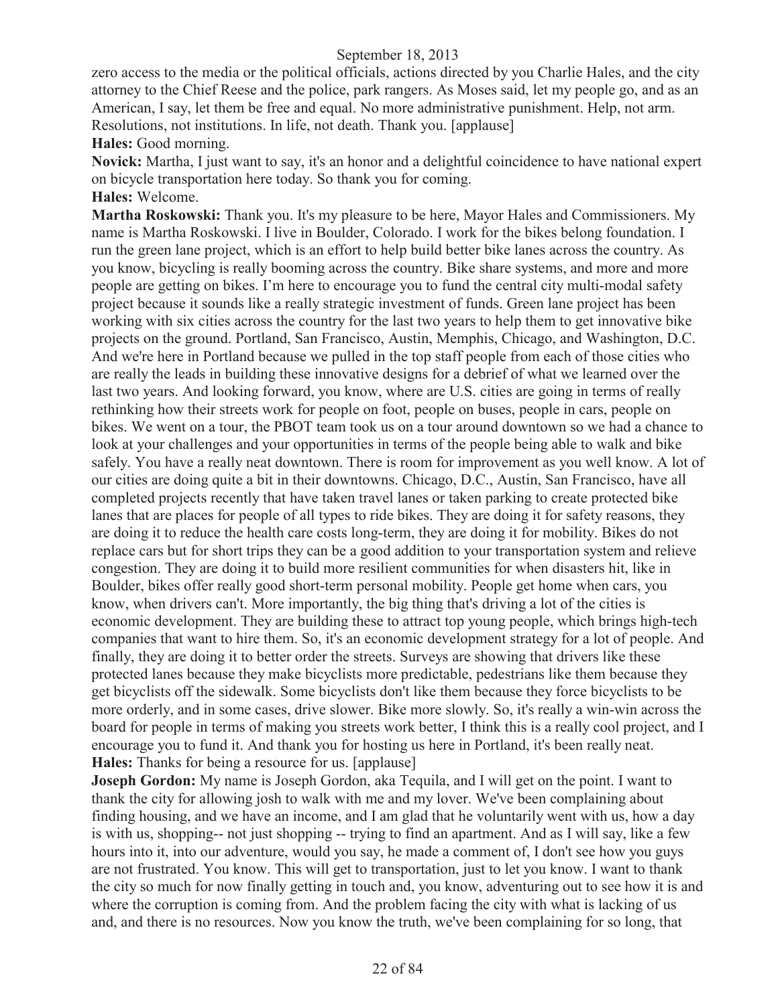zero access to the media or the political officials, actions directed by you Charlie Hales, and the city attorney to the Chief Reese and the police, park rangers. As Moses said, let my people go, and as an American, I say, let them be free and equal. No more administrative punishment. Help, not arm. Resolutions, not institutions. In life, not death. Thank you. [applause]

**Hales:** Good morning.

**Novick:** Martha, I just want to say, it's an honor and a delightful coincidence to have national expert on bicycle transportation here today. So thank you for coming. **Hales:** Welcome.

**Martha Roskowski:** Thank you. It's my pleasure to be here, Mayor Hales and Commissioners. My name is Martha Roskowski. I live in Boulder, Colorado. I work for the bikes belong foundation. I run the green lane project, which is an effort to help build better bike lanes across the country. As you know, bicycling is really booming across the country. Bike share systems, and more and more people are getting on bikes. I'm here to encourage you to fund the central city multi-modal safety project because it sounds like a really strategic investment of funds. Green lane project has been working with six cities across the country for the last two years to help them to get innovative bike projects on the ground. Portland, San Francisco, Austin, Memphis, Chicago, and Washington, D.C. And we're here in Portland because we pulled in the top staff people from each of those cities who are really the leads in building these innovative designs for a debrief of what we learned over the last two years. And looking forward, you know, where are U.S. cities are going in terms of really rethinking how their streets work for people on foot, people on buses, people in cars, people on bikes. We went on a tour, the PBOT team took us on a tour around downtown so we had a chance to look at your challenges and your opportunities in terms of the people being able to walk and bike safely. You have a really neat downtown. There is room for improvement as you well know. A lot of our cities are doing quite a bit in their downtowns. Chicago, D.C., Austin, San Francisco, have all completed projects recently that have taken travel lanes or taken parking to create protected bike lanes that are places for people of all types to ride bikes. They are doing it for safety reasons, they are doing it to reduce the health care costs long-term, they are doing it for mobility. Bikes do not replace cars but for short trips they can be a good addition to your transportation system and relieve congestion. They are doing it to build more resilient communities for when disasters hit, like in Boulder, bikes offer really good short-term personal mobility. People get home when cars, you know, when drivers can't. More importantly, the big thing that's driving a lot of the cities is economic development. They are building these to attract top young people, which brings high-tech companies that want to hire them. So, it's an economic development strategy for a lot of people. And finally, they are doing it to better order the streets. Surveys are showing that drivers like these protected lanes because they make bicyclists more predictable, pedestrians like them because they get bicyclists off the sidewalk. Some bicyclists don't like them because they force bicyclists to be more orderly, and in some cases, drive slower. Bike more slowly. So, it's really a win-win across the board for people in terms of making you streets work better, I think this is a really cool project, and I encourage you to fund it. And thank you for hosting us here in Portland, it's been really neat. **Hales:** Thanks for being a resource for us. [applause]

**Joseph Gordon:** My name is Joseph Gordon, aka Tequila, and I will get on the point. I want to thank the city for allowing josh to walk with me and my lover. We've been complaining about finding housing, and we have an income, and I am glad that he voluntarily went with us, how a day is with us, shopping-- not just shopping -- trying to find an apartment. And as I will say, like a few hours into it, into our adventure, would you say, he made a comment of, I don't see how you guys are not frustrated. You know. This will get to transportation, just to let you know. I want to thank the city so much for now finally getting in touch and, you know, adventuring out to see how it is and where the corruption is coming from. And the problem facing the city with what is lacking of us and, and there is no resources. Now you know the truth, we've been complaining for so long, that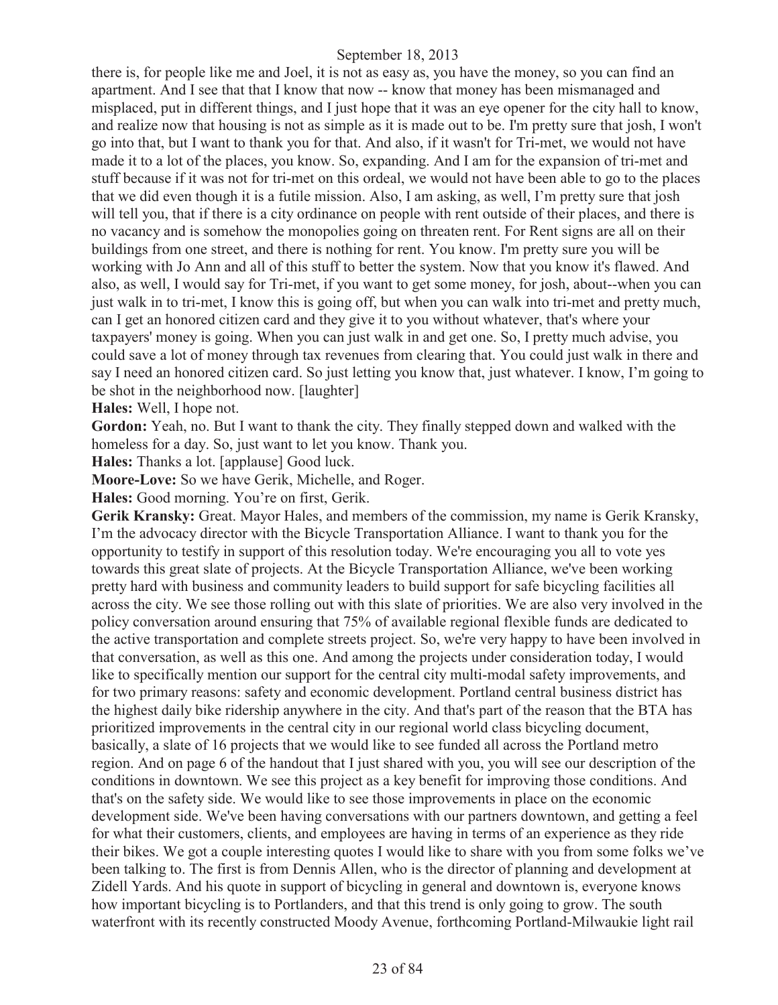there is, for people like me and Joel, it is not as easy as, you have the money, so you can find an apartment. And I see that that I know that now -- know that money has been mismanaged and misplaced, put in different things, and I just hope that it was an eye opener for the city hall to know, and realize now that housing is not as simple as it is made out to be. I'm pretty sure that josh, I won't go into that, but I want to thank you for that. And also, if it wasn't for Tri-met, we would not have made it to a lot of the places, you know. So, expanding. And I am for the expansion of tri-met and stuff because if it was not for tri-met on this ordeal, we would not have been able to go to the places that we did even though it is a futile mission. Also, I am asking, as well, I'm pretty sure that josh will tell you, that if there is a city ordinance on people with rent outside of their places, and there is no vacancy and is somehow the monopolies going on threaten rent. For Rent signs are all on their buildings from one street, and there is nothing for rent. You know. I'm pretty sure you will be working with Jo Ann and all of this stuff to better the system. Now that you know it's flawed. And also, as well, I would say for Tri-met, if you want to get some money, for josh, about--when you can just walk in to tri-met, I know this is going off, but when you can walk into tri-met and pretty much, can I get an honored citizen card and they give it to you without whatever, that's where your taxpayers' money is going. When you can just walk in and get one. So, I pretty much advise, you could save a lot of money through tax revenues from clearing that. You could just walk in there and say I need an honored citizen card. So just letting you know that, just whatever. I know, I'm going to be shot in the neighborhood now. [laughter]

**Hales:** Well, I hope not.

**Gordon:** Yeah, no. But I want to thank the city. They finally stepped down and walked with the homeless for a day. So, just want to let you know. Thank you.

**Hales:** Thanks a lot. [applause] Good luck.

**Moore-Love:** So we have Gerik, Michelle, and Roger.

**Hales:** Good morning. You're on first, Gerik.

**Gerik Kransky:** Great. Mayor Hales, and members of the commission, my name is Gerik Kransky, I'm the advocacy director with the Bicycle Transportation Alliance. I want to thank you for the opportunity to testify in support of this resolution today. We're encouraging you all to vote yes towards this great slate of projects. At the Bicycle Transportation Alliance, we've been working pretty hard with business and community leaders to build support for safe bicycling facilities all across the city. We see those rolling out with this slate of priorities. We are also very involved in the policy conversation around ensuring that 75% of available regional flexible funds are dedicated to the active transportation and complete streets project. So, we're very happy to have been involved in that conversation, as well as this one. And among the projects under consideration today, I would like to specifically mention our support for the central city multi-modal safety improvements, and for two primary reasons: safety and economic development. Portland central business district has the highest daily bike ridership anywhere in the city. And that's part of the reason that the BTA has prioritized improvements in the central city in our regional world class bicycling document, basically, a slate of 16 projects that we would like to see funded all across the Portland metro region. And on page 6 of the handout that I just shared with you, you will see our description of the conditions in downtown. We see this project as a key benefit for improving those conditions. And that's on the safety side. We would like to see those improvements in place on the economic development side. We've been having conversations with our partners downtown, and getting a feel for what their customers, clients, and employees are having in terms of an experience as they ride their bikes. We got a couple interesting quotes I would like to share with you from some folks we've been talking to. The first is from Dennis Allen, who is the director of planning and development at Zidell Yards. And his quote in support of bicycling in general and downtown is, everyone knows how important bicycling is to Portlanders, and that this trend is only going to grow. The south waterfront with its recently constructed Moody Avenue, forthcoming Portland-Milwaukie light rail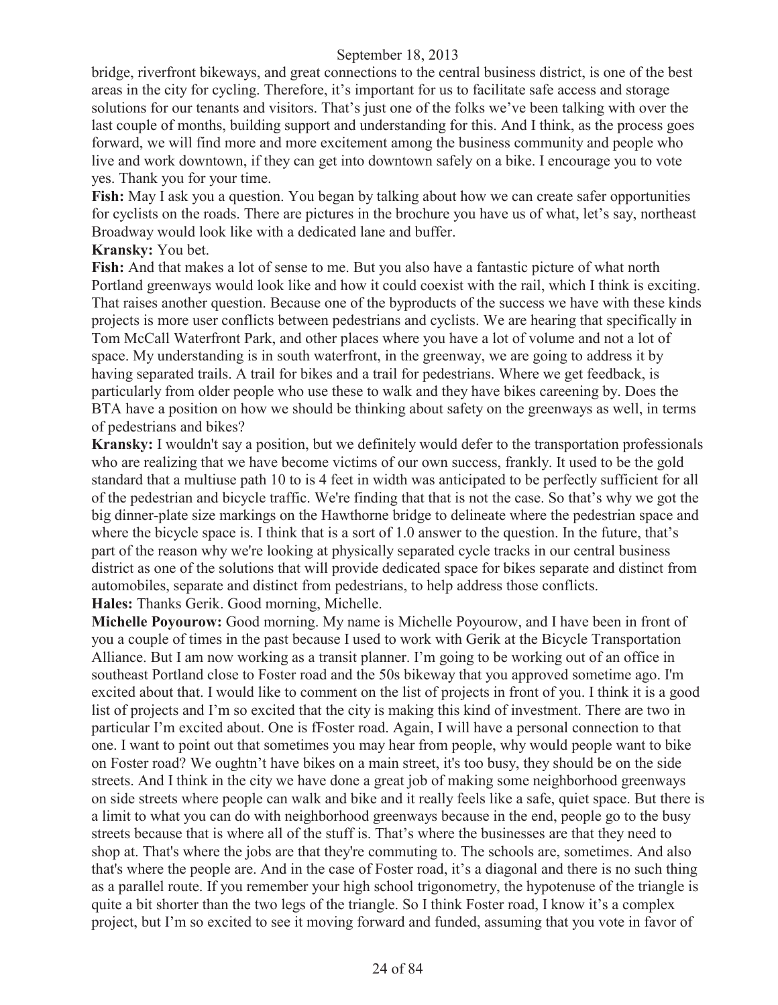bridge, riverfront bikeways, and great connections to the central business district, is one of the best areas in the city for cycling. Therefore, it's important for us to facilitate safe access and storage solutions for our tenants and visitors. That's just one of the folks we've been talking with over the last couple of months, building support and understanding for this. And I think, as the process goes forward, we will find more and more excitement among the business community and people who live and work downtown, if they can get into downtown safely on a bike. I encourage you to vote yes. Thank you for your time.

**Fish:** May I ask you a question. You began by talking about how we can create safer opportunities for cyclists on the roads. There are pictures in the brochure you have us of what, let's say, northeast Broadway would look like with a dedicated lane and buffer.

#### **Kransky:** You bet.

**Fish:** And that makes a lot of sense to me. But you also have a fantastic picture of what north Portland greenways would look like and how it could coexist with the rail, which I think is exciting. That raises another question. Because one of the byproducts of the success we have with these kinds projects is more user conflicts between pedestrians and cyclists. We are hearing that specifically in Tom McCall Waterfront Park, and other places where you have a lot of volume and not a lot of space. My understanding is in south waterfront, in the greenway, we are going to address it by having separated trails. A trail for bikes and a trail for pedestrians. Where we get feedback, is particularly from older people who use these to walk and they have bikes careening by. Does the BTA have a position on how we should be thinking about safety on the greenways as well, in terms of pedestrians and bikes?

**Kransky:** I wouldn't say a position, but we definitely would defer to the transportation professionals who are realizing that we have become victims of our own success, frankly. It used to be the gold standard that a multiuse path 10 to is 4 feet in width was anticipated to be perfectly sufficient for all of the pedestrian and bicycle traffic. We're finding that that is not the case. So that's why we got the big dinner-plate size markings on the Hawthorne bridge to delineate where the pedestrian space and where the bicycle space is. I think that is a sort of 1.0 answer to the question. In the future, that's part of the reason why we're looking at physically separated cycle tracks in our central business district as one of the solutions that will provide dedicated space for bikes separate and distinct from automobiles, separate and distinct from pedestrians, to help address those conflicts. **Hales:** Thanks Gerik. Good morning, Michelle.

**Michelle Poyourow:** Good morning. My name is Michelle Poyourow, and I have been in front of you a couple of times in the past because I used to work with Gerik at the Bicycle Transportation Alliance. But I am now working as a transit planner. I'm going to be working out of an office in southeast Portland close to Foster road and the 50s bikeway that you approved sometime ago. I'm excited about that. I would like to comment on the list of projects in front of you. I think it is a good list of projects and I'm so excited that the city is making this kind of investment. There are two in particular I'm excited about. One is fFoster road. Again, I will have a personal connection to that one. I want to point out that sometimes you may hear from people, why would people want to bike on Foster road? We oughtn't have bikes on a main street, it's too busy, they should be on the side streets. And I think in the city we have done a great job of making some neighborhood greenways on side streets where people can walk and bike and it really feels like a safe, quiet space. But there is a limit to what you can do with neighborhood greenways because in the end, people go to the busy streets because that is where all of the stuff is. That's where the businesses are that they need to shop at. That's where the jobs are that they're commuting to. The schools are, sometimes. And also that's where the people are. And in the case of Foster road, it's a diagonal and there is no such thing as a parallel route. If you remember your high school trigonometry, the hypotenuse of the triangle is quite a bit shorter than the two legs of the triangle. So I think Foster road, I know it's a complex project, but I'm so excited to see it moving forward and funded, assuming that you vote in favor of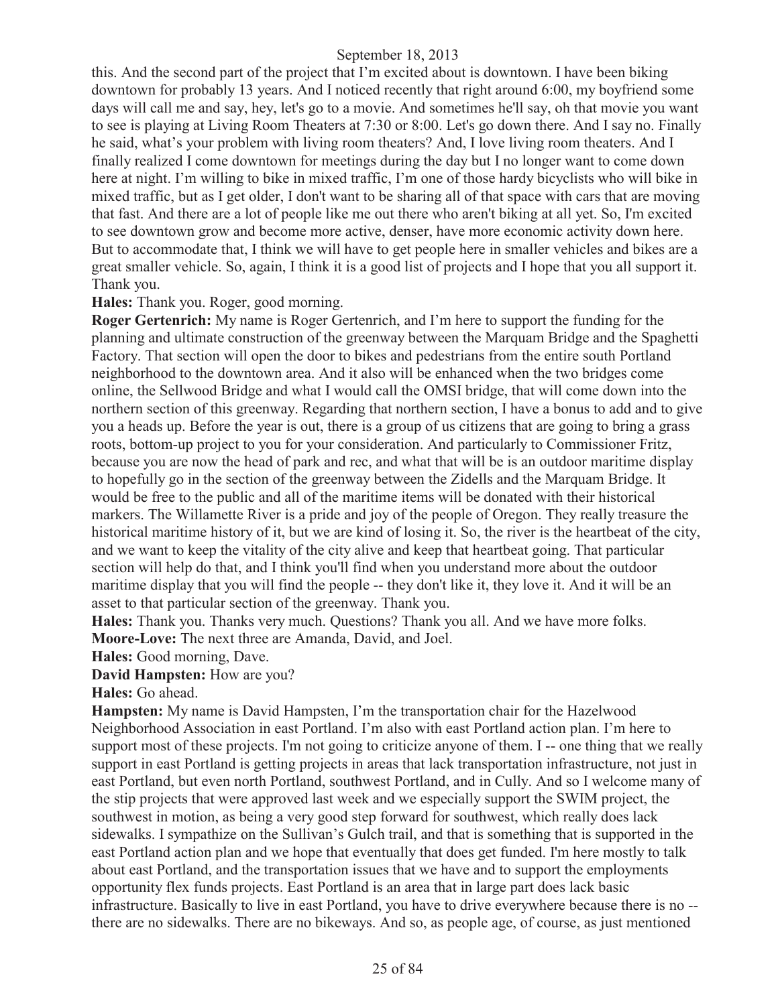this. And the second part of the project that I'm excited about is downtown. I have been biking downtown for probably 13 years. And I noticed recently that right around 6:00, my boyfriend some days will call me and say, hey, let's go to a movie. And sometimes he'll say, oh that movie you want to see is playing at Living Room Theaters at 7:30 or 8:00. Let's go down there. And I say no. Finally he said, what's your problem with living room theaters? And, I love living room theaters. And I finally realized I come downtown for meetings during the day but I no longer want to come down here at night. I'm willing to bike in mixed traffic, I'm one of those hardy bicyclists who will bike in mixed traffic, but as I get older, I don't want to be sharing all of that space with cars that are moving that fast. And there are a lot of people like me out there who aren't biking at all yet. So, I'm excited to see downtown grow and become more active, denser, have more economic activity down here. But to accommodate that, I think we will have to get people here in smaller vehicles and bikes are a great smaller vehicle. So, again, I think it is a good list of projects and I hope that you all support it. Thank you.

## **Hales:** Thank you. Roger, good morning.

**Roger Gertenrich:** My name is Roger Gertenrich, and I'm here to support the funding for the planning and ultimate construction of the greenway between the Marquam Bridge and the Spaghetti Factory. That section will open the door to bikes and pedestrians from the entire south Portland neighborhood to the downtown area. And it also will be enhanced when the two bridges come online, the Sellwood Bridge and what I would call the OMSI bridge, that will come down into the northern section of this greenway. Regarding that northern section, I have a bonus to add and to give you a heads up. Before the year is out, there is a group of us citizens that are going to bring a grass roots, bottom-up project to you for your consideration. And particularly to Commissioner Fritz, because you are now the head of park and rec, and what that will be is an outdoor maritime display to hopefully go in the section of the greenway between the Zidells and the Marquam Bridge. It would be free to the public and all of the maritime items will be donated with their historical markers. The Willamette River is a pride and joy of the people of Oregon. They really treasure the historical maritime history of it, but we are kind of losing it. So, the river is the heartbeat of the city, and we want to keep the vitality of the city alive and keep that heartbeat going. That particular section will help do that, and I think you'll find when you understand more about the outdoor maritime display that you will find the people -- they don't like it, they love it. And it will be an asset to that particular section of the greenway. Thank you.

**Hales:** Thank you. Thanks very much. Questions? Thank you all. And we have more folks. **Moore-Love:** The next three are Amanda, David, and Joel.

**Hales:** Good morning, Dave.

**David Hampsten:** How are you?

**Hales:** Go ahead.

**Hampsten:** My name is David Hampsten, I'm the transportation chair for the Hazelwood Neighborhood Association in east Portland. I'm also with east Portland action plan. I'm here to support most of these projects. I'm not going to criticize anyone of them. I -- one thing that we really support in east Portland is getting projects in areas that lack transportation infrastructure, not just in east Portland, but even north Portland, southwest Portland, and in Cully. And so I welcome many of the stip projects that were approved last week and we especially support the SWIM project, the southwest in motion, as being a very good step forward for southwest, which really does lack sidewalks. I sympathize on the Sullivan's Gulch trail, and that is something that is supported in the east Portland action plan and we hope that eventually that does get funded. I'm here mostly to talk about east Portland, and the transportation issues that we have and to support the employments opportunity flex funds projects. East Portland is an area that in large part does lack basic infrastructure. Basically to live in east Portland, you have to drive everywhere because there is no - there are no sidewalks. There are no bikeways. And so, as people age, of course, as just mentioned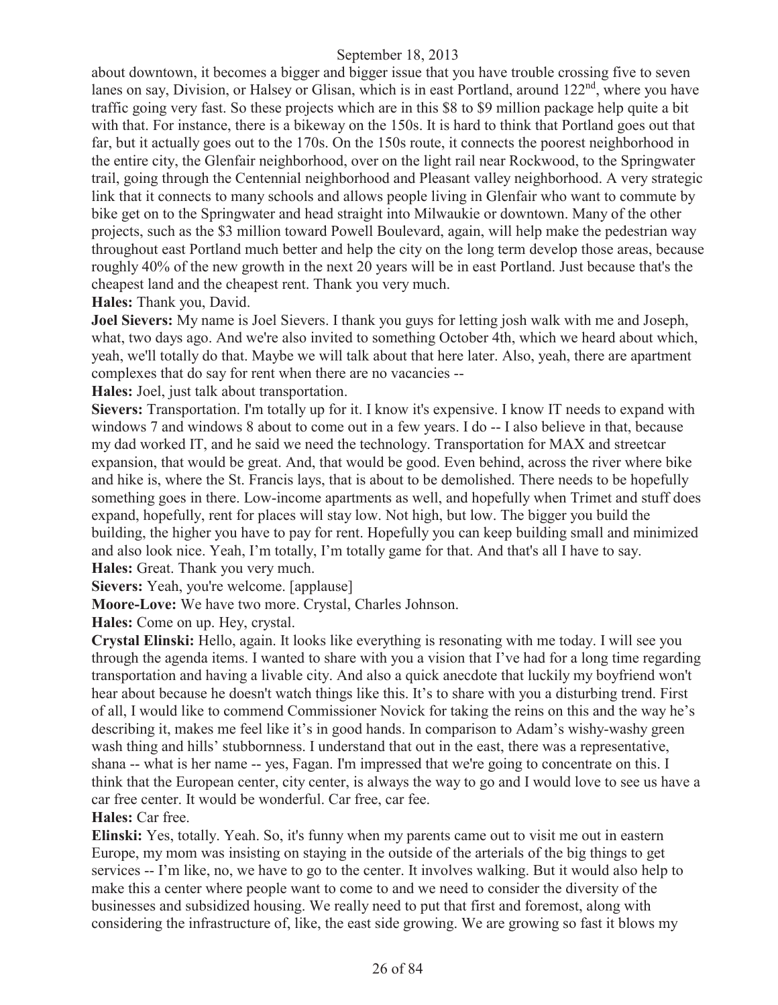about downtown, it becomes a bigger and bigger issue that you have trouble crossing five to seven lanes on say, Division, or Halsey or Glisan, which is in east Portland, around  $122<sup>nd</sup>$ , where you have traffic going very fast. So these projects which are in this \$8 to \$9 million package help quite a bit with that. For instance, there is a bikeway on the 150s. It is hard to think that Portland goes out that far, but it actually goes out to the 170s. On the 150s route, it connects the poorest neighborhood in the entire city, the Glenfair neighborhood, over on the light rail near Rockwood, to the Springwater trail, going through the Centennial neighborhood and Pleasant valley neighborhood. A very strategic link that it connects to many schools and allows people living in Glenfair who want to commute by bike get on to the Springwater and head straight into Milwaukie or downtown. Many of the other projects, such as the \$3 million toward Powell Boulevard, again, will help make the pedestrian way throughout east Portland much better and help the city on the long term develop those areas, because roughly 40% of the new growth in the next 20 years will be in east Portland. Just because that's the cheapest land and the cheapest rent. Thank you very much.

**Hales:** Thank you, David.

**Joel Sievers:** My name is Joel Sievers. I thank you guys for letting josh walk with me and Joseph, what, two days ago. And we're also invited to something October 4th, which we heard about which, yeah, we'll totally do that. Maybe we will talk about that here later. Also, yeah, there are apartment complexes that do say for rent when there are no vacancies --

**Hales:** Joel, just talk about transportation.

**Sievers:** Transportation. I'm totally up for it. I know it's expensive. I know IT needs to expand with windows 7 and windows 8 about to come out in a few years. I do -- I also believe in that, because my dad worked IT, and he said we need the technology. Transportation for MAX and streetcar expansion, that would be great. And, that would be good. Even behind, across the river where bike and hike is, where the St. Francis lays, that is about to be demolished. There needs to be hopefully something goes in there. Low-income apartments as well, and hopefully when Trimet and stuff does expand, hopefully, rent for places will stay low. Not high, but low. The bigger you build the building, the higher you have to pay for rent. Hopefully you can keep building small and minimized and also look nice. Yeah, I'm totally, I'm totally game for that. And that's all I have to say. **Hales:** Great. Thank you very much.

**Sievers:** Yeah, you're welcome. [applause]

**Moore-Love:** We have two more. Crystal, Charles Johnson.

**Hales:** Come on up. Hey, crystal.

**Crystal Elinski:** Hello, again. It looks like everything is resonating with me today. I will see you through the agenda items. I wanted to share with you a vision that I've had for a long time regarding transportation and having a livable city. And also a quick anecdote that luckily my boyfriend won't hear about because he doesn't watch things like this. It's to share with you a disturbing trend. First of all, I would like to commend Commissioner Novick for taking the reins on this and the way he's describing it, makes me feel like it's in good hands. In comparison to Adam's wishy-washy green wash thing and hills' stubbornness. I understand that out in the east, there was a representative, shana -- what is her name -- yes, Fagan. I'm impressed that we're going to concentrate on this. I think that the European center, city center, is always the way to go and I would love to see us have a car free center. It would be wonderful. Car free, car fee.

**Hales:** Car free.

**Elinski:** Yes, totally. Yeah. So, it's funny when my parents came out to visit me out in eastern Europe, my mom was insisting on staying in the outside of the arterials of the big things to get services -- I'm like, no, we have to go to the center. It involves walking. But it would also help to make this a center where people want to come to and we need to consider the diversity of the businesses and subsidized housing. We really need to put that first and foremost, along with considering the infrastructure of, like, the east side growing. We are growing so fast it blows my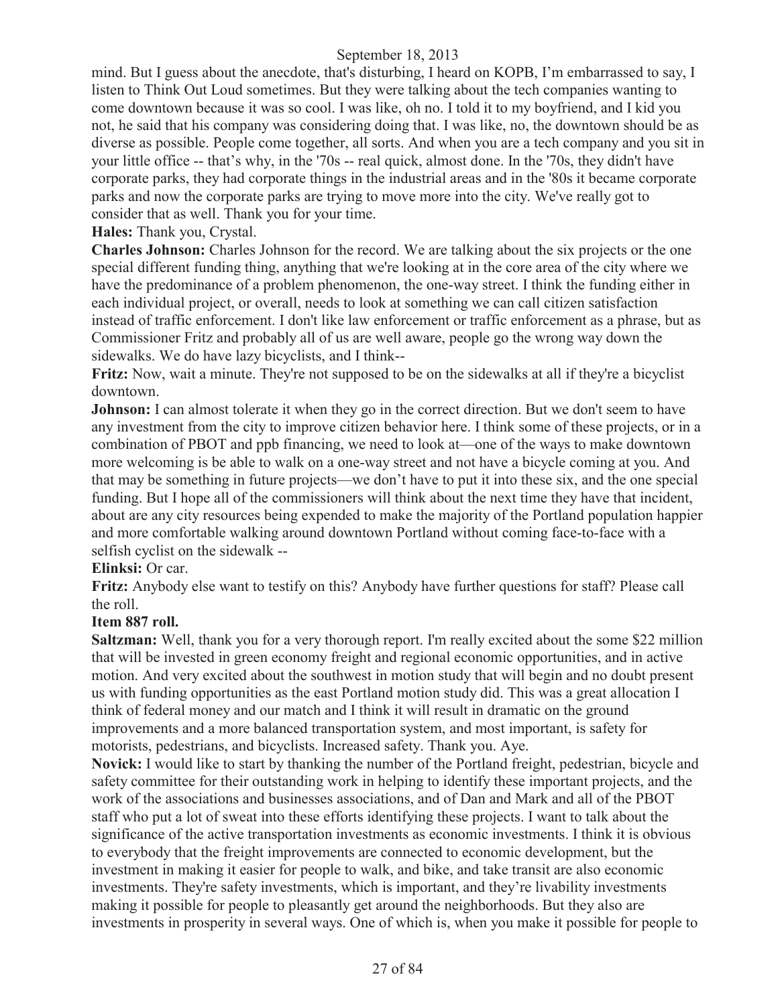mind. But I guess about the anecdote, that's disturbing, I heard on KOPB, I'm embarrassed to say, I listen to Think Out Loud sometimes. But they were talking about the tech companies wanting to come downtown because it was so cool. I was like, oh no. I told it to my boyfriend, and I kid you not, he said that his company was considering doing that. I was like, no, the downtown should be as diverse as possible. People come together, all sorts. And when you are a tech company and you sit in your little office -- that's why, in the '70s -- real quick, almost done. In the '70s, they didn't have corporate parks, they had corporate things in the industrial areas and in the '80s it became corporate parks and now the corporate parks are trying to move more into the city. We've really got to consider that as well. Thank you for your time.

## **Hales:** Thank you, Crystal.

**Charles Johnson:** Charles Johnson for the record. We are talking about the six projects or the one special different funding thing, anything that we're looking at in the core area of the city where we have the predominance of a problem phenomenon, the one-way street. I think the funding either in each individual project, or overall, needs to look at something we can call citizen satisfaction instead of traffic enforcement. I don't like law enforcement or traffic enforcement as a phrase, but as Commissioner Fritz and probably all of us are well aware, people go the wrong way down the sidewalks. We do have lazy bicyclists, and I think--

**Fritz:** Now, wait a minute. They're not supposed to be on the sidewalks at all if they're a bicyclist downtown.

**Johnson:** I can almost tolerate it when they go in the correct direction. But we don't seem to have any investment from the city to improve citizen behavior here. I think some of these projects, or in a combination of PBOT and ppb financing, we need to look at—one of the ways to make downtown more welcoming is be able to walk on a one-way street and not have a bicycle coming at you. And that may be something in future projects—we don't have to put it into these six, and the one special funding. But I hope all of the commissioners will think about the next time they have that incident, about are any city resources being expended to make the majority of the Portland population happier and more comfortable walking around downtown Portland without coming face-to-face with a selfish cyclist on the sidewalk --

## **Elinksi:** Or car.

**Fritz:** Anybody else want to testify on this? Anybody have further questions for staff? Please call the roll.

## **Item 887 roll.**

**Saltzman:** Well, thank you for a very thorough report. I'm really excited about the some \$22 million that will be invested in green economy freight and regional economic opportunities, and in active motion. And very excited about the southwest in motion study that will begin and no doubt present us with funding opportunities as the east Portland motion study did. This was a great allocation I think of federal money and our match and I think it will result in dramatic on the ground improvements and a more balanced transportation system, and most important, is safety for motorists, pedestrians, and bicyclists. Increased safety. Thank you. Aye.

**Novick:** I would like to start by thanking the number of the Portland freight, pedestrian, bicycle and safety committee for their outstanding work in helping to identify these important projects, and the work of the associations and businesses associations, and of Dan and Mark and all of the PBOT staff who put a lot of sweat into these efforts identifying these projects. I want to talk about the significance of the active transportation investments as economic investments. I think it is obvious to everybody that the freight improvements are connected to economic development, but the investment in making it easier for people to walk, and bike, and take transit are also economic investments. They're safety investments, which is important, and they're livability investments making it possible for people to pleasantly get around the neighborhoods. But they also are investments in prosperity in several ways. One of which is, when you make it possible for people to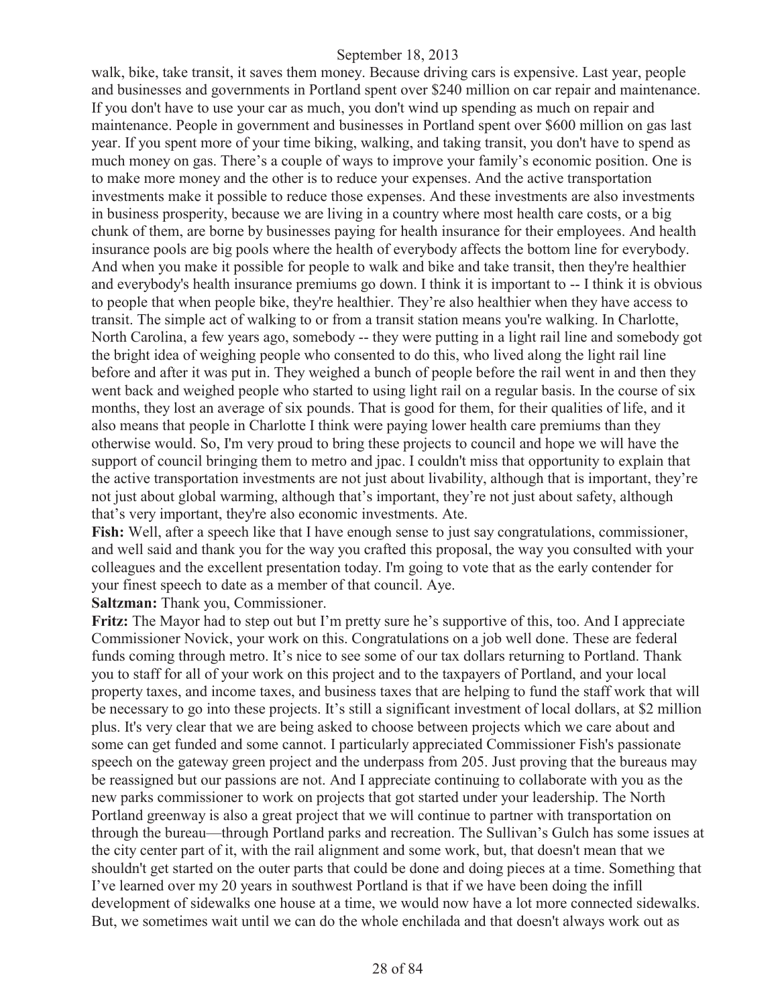walk, bike, take transit, it saves them money. Because driving cars is expensive. Last year, people and businesses and governments in Portland spent over \$240 million on car repair and maintenance. If you don't have to use your car as much, you don't wind up spending as much on repair and maintenance. People in government and businesses in Portland spent over \$600 million on gas last year. If you spent more of your time biking, walking, and taking transit, you don't have to spend as much money on gas. There's a couple of ways to improve your family's economic position. One is to make more money and the other is to reduce your expenses. And the active transportation investments make it possible to reduce those expenses. And these investments are also investments in business prosperity, because we are living in a country where most health care costs, or a big chunk of them, are borne by businesses paying for health insurance for their employees. And health insurance pools are big pools where the health of everybody affects the bottom line for everybody. And when you make it possible for people to walk and bike and take transit, then they're healthier and everybody's health insurance premiums go down. I think it is important to -- I think it is obvious to people that when people bike, they're healthier. They're also healthier when they have access to transit. The simple act of walking to or from a transit station means you're walking. In Charlotte, North Carolina, a few years ago, somebody -- they were putting in a light rail line and somebody got the bright idea of weighing people who consented to do this, who lived along the light rail line before and after it was put in. They weighed a bunch of people before the rail went in and then they went back and weighed people who started to using light rail on a regular basis. In the course of six months, they lost an average of six pounds. That is good for them, for their qualities of life, and it also means that people in Charlotte I think were paying lower health care premiums than they otherwise would. So, I'm very proud to bring these projects to council and hope we will have the support of council bringing them to metro and jpac. I couldn't miss that opportunity to explain that the active transportation investments are not just about livability, although that is important, they're not just about global warming, although that's important, they're not just about safety, although that's very important, they're also economic investments. Ate.

**Fish:** Well, after a speech like that I have enough sense to just say congratulations, commissioner, and well said and thank you for the way you crafted this proposal, the way you consulted with your colleagues and the excellent presentation today. I'm going to vote that as the early contender for your finest speech to date as a member of that council. Aye.

**Saltzman:** Thank you, Commissioner.

**Fritz:** The Mayor had to step out but I'm pretty sure he's supportive of this, too. And I appreciate Commissioner Novick, your work on this. Congratulations on a job well done. These are federal funds coming through metro. It's nice to see some of our tax dollars returning to Portland. Thank you to staff for all of your work on this project and to the taxpayers of Portland, and your local property taxes, and income taxes, and business taxes that are helping to fund the staff work that will be necessary to go into these projects. It's still a significant investment of local dollars, at \$2 million plus. It's very clear that we are being asked to choose between projects which we care about and some can get funded and some cannot. I particularly appreciated Commissioner Fish's passionate speech on the gateway green project and the underpass from 205. Just proving that the bureaus may be reassigned but our passions are not. And I appreciate continuing to collaborate with you as the new parks commissioner to work on projects that got started under your leadership. The North Portland greenway is also a great project that we will continue to partner with transportation on through the bureau—through Portland parks and recreation. The Sullivan's Gulch has some issues at the city center part of it, with the rail alignment and some work, but, that doesn't mean that we shouldn't get started on the outer parts that could be done and doing pieces at a time. Something that I've learned over my 20 years in southwest Portland is that if we have been doing the infill development of sidewalks one house at a time, we would now have a lot more connected sidewalks. But, we sometimes wait until we can do the whole enchilada and that doesn't always work out as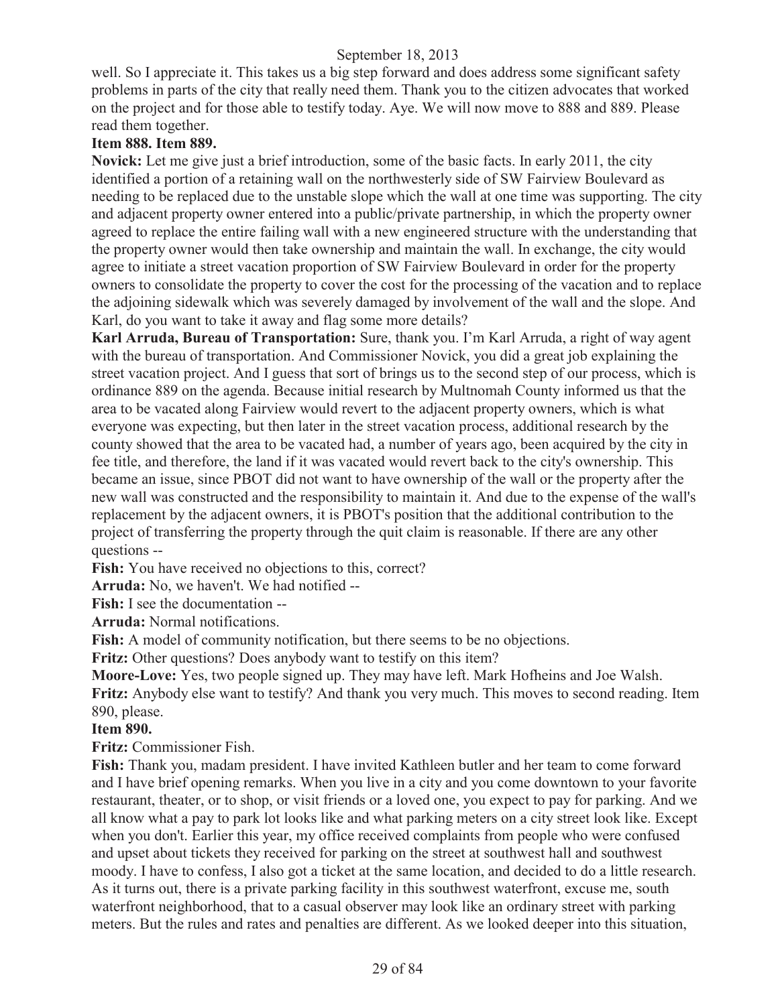well. So I appreciate it. This takes us a big step forward and does address some significant safety problems in parts of the city that really need them. Thank you to the citizen advocates that worked on the project and for those able to testify today. Aye. We will now move to 888 and 889. Please read them together.

## **Item 888. Item 889.**

**Novick:** Let me give just a brief introduction, some of the basic facts. In early 2011, the city identified a portion of a retaining wall on the northwesterly side of SW Fairview Boulevard as needing to be replaced due to the unstable slope which the wall at one time was supporting. The city and adjacent property owner entered into a public/private partnership, in which the property owner agreed to replace the entire failing wall with a new engineered structure with the understanding that the property owner would then take ownership and maintain the wall. In exchange, the city would agree to initiate a street vacation proportion of SW Fairview Boulevard in order for the property owners to consolidate the property to cover the cost for the processing of the vacation and to replace the adjoining sidewalk which was severely damaged by involvement of the wall and the slope. And Karl, do you want to take it away and flag some more details?

**Karl Arruda, Bureau of Transportation:** Sure, thank you. I'm Karl Arruda, a right of way agent with the bureau of transportation. And Commissioner Novick, you did a great job explaining the street vacation project. And I guess that sort of brings us to the second step of our process, which is ordinance 889 on the agenda. Because initial research by Multnomah County informed us that the area to be vacated along Fairview would revert to the adjacent property owners, which is what everyone was expecting, but then later in the street vacation process, additional research by the county showed that the area to be vacated had, a number of years ago, been acquired by the city in fee title, and therefore, the land if it was vacated would revert back to the city's ownership. This became an issue, since PBOT did not want to have ownership of the wall or the property after the new wall was constructed and the responsibility to maintain it. And due to the expense of the wall's replacement by the adjacent owners, it is PBOT's position that the additional contribution to the project of transferring the property through the quit claim is reasonable. If there are any other questions --

Fish: You have received no objections to this, correct?

**Arruda:** No, we haven't. We had notified --

**Fish:** I see the documentation --

**Arruda:** Normal notifications.

**Fish:** A model of community notification, but there seems to be no objections.

**Fritz:** Other questions? Does anybody want to testify on this item?

**Moore-Love:** Yes, two people signed up. They may have left. Mark Hofheins and Joe Walsh. **Fritz:** Anybody else want to testify? And thank you very much. This moves to second reading. Item 890, please.

## **Item 890.**

**Fritz:** Commissioner Fish.

**Fish:** Thank you, madam president. I have invited Kathleen butler and her team to come forward and I have brief opening remarks. When you live in a city and you come downtown to your favorite restaurant, theater, or to shop, or visit friends or a loved one, you expect to pay for parking. And we all know what a pay to park lot looks like and what parking meters on a city street look like. Except when you don't. Earlier this year, my office received complaints from people who were confused and upset about tickets they received for parking on the street at southwest hall and southwest moody. I have to confess, I also got a ticket at the same location, and decided to do a little research. As it turns out, there is a private parking facility in this southwest waterfront, excuse me, south waterfront neighborhood, that to a casual observer may look like an ordinary street with parking meters. But the rules and rates and penalties are different. As we looked deeper into this situation,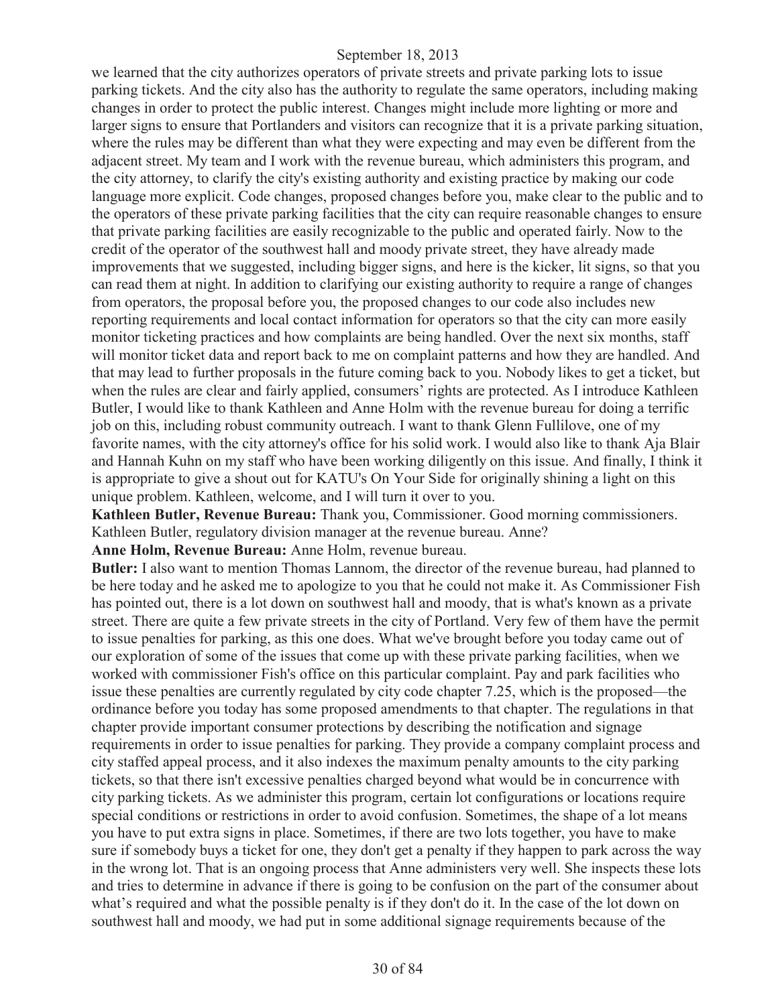we learned that the city authorizes operators of private streets and private parking lots to issue parking tickets. And the city also has the authority to regulate the same operators, including making changes in order to protect the public interest. Changes might include more lighting or more and larger signs to ensure that Portlanders and visitors can recognize that it is a private parking situation, where the rules may be different than what they were expecting and may even be different from the adjacent street. My team and I work with the revenue bureau, which administers this program, and the city attorney, to clarify the city's existing authority and existing practice by making our code language more explicit. Code changes, proposed changes before you, make clear to the public and to the operators of these private parking facilities that the city can require reasonable changes to ensure that private parking facilities are easily recognizable to the public and operated fairly. Now to the credit of the operator of the southwest hall and moody private street, they have already made improvements that we suggested, including bigger signs, and here is the kicker, lit signs, so that you can read them at night. In addition to clarifying our existing authority to require a range of changes from operators, the proposal before you, the proposed changes to our code also includes new reporting requirements and local contact information for operators so that the city can more easily monitor ticketing practices and how complaints are being handled. Over the next six months, staff will monitor ticket data and report back to me on complaint patterns and how they are handled. And that may lead to further proposals in the future coming back to you. Nobody likes to get a ticket, but when the rules are clear and fairly applied, consumers' rights are protected. As I introduce Kathleen Butler, I would like to thank Kathleen and Anne Holm with the revenue bureau for doing a terrific job on this, including robust community outreach. I want to thank Glenn Fullilove, one of my favorite names, with the city attorney's office for his solid work. I would also like to thank Aja Blair and Hannah Kuhn on my staff who have been working diligently on this issue. And finally, I think it is appropriate to give a shout out for KATU's On Your Side for originally shining a light on this unique problem. Kathleen, welcome, and I will turn it over to you.

**Kathleen Butler, Revenue Bureau:** Thank you, Commissioner. Good morning commissioners. Kathleen Butler, regulatory division manager at the revenue bureau. Anne?

**Anne Holm, Revenue Bureau:** Anne Holm, revenue bureau.

**Butler:** I also want to mention Thomas Lannom, the director of the revenue bureau, had planned to be here today and he asked me to apologize to you that he could not make it. As Commissioner Fish has pointed out, there is a lot down on southwest hall and moody, that is what's known as a private street. There are quite a few private streets in the city of Portland. Very few of them have the permit to issue penalties for parking, as this one does. What we've brought before you today came out of our exploration of some of the issues that come up with these private parking facilities, when we worked with commissioner Fish's office on this particular complaint. Pay and park facilities who issue these penalties are currently regulated by city code chapter 7.25, which is the proposed—the ordinance before you today has some proposed amendments to that chapter. The regulations in that chapter provide important consumer protections by describing the notification and signage requirements in order to issue penalties for parking. They provide a company complaint process and city staffed appeal process, and it also indexes the maximum penalty amounts to the city parking tickets, so that there isn't excessive penalties charged beyond what would be in concurrence with city parking tickets. As we administer this program, certain lot configurations or locations require special conditions or restrictions in order to avoid confusion. Sometimes, the shape of a lot means you have to put extra signs in place. Sometimes, if there are two lots together, you have to make sure if somebody buys a ticket for one, they don't get a penalty if they happen to park across the way in the wrong lot. That is an ongoing process that Anne administers very well. She inspects these lots and tries to determine in advance if there is going to be confusion on the part of the consumer about what's required and what the possible penalty is if they don't do it. In the case of the lot down on southwest hall and moody, we had put in some additional signage requirements because of the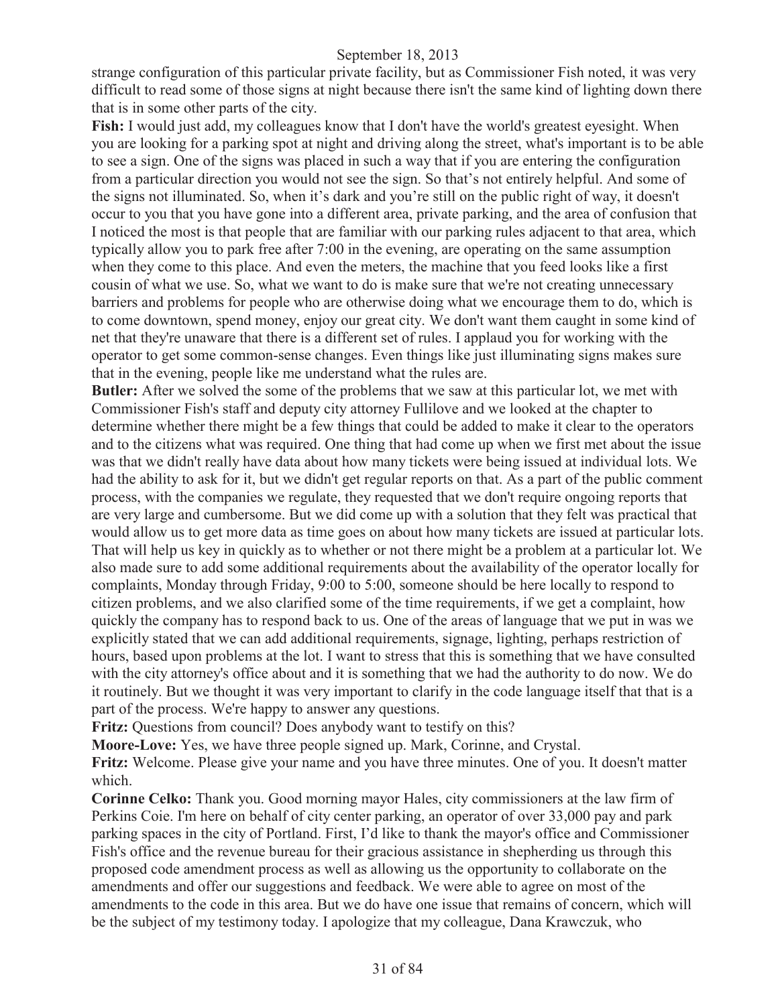strange configuration of this particular private facility, but as Commissioner Fish noted, it was very difficult to read some of those signs at night because there isn't the same kind of lighting down there that is in some other parts of the city.

Fish: I would just add, my colleagues know that I don't have the world's greatest eyesight. When you are looking for a parking spot at night and driving along the street, what's important is to be able to see a sign. One of the signs was placed in such a way that if you are entering the configuration from a particular direction you would not see the sign. So that's not entirely helpful. And some of the signs not illuminated. So, when it's dark and you're still on the public right of way, it doesn't occur to you that you have gone into a different area, private parking, and the area of confusion that I noticed the most is that people that are familiar with our parking rules adjacent to that area, which typically allow you to park free after 7:00 in the evening, are operating on the same assumption when they come to this place. And even the meters, the machine that you feed looks like a first cousin of what we use. So, what we want to do is make sure that we're not creating unnecessary barriers and problems for people who are otherwise doing what we encourage them to do, which is to come downtown, spend money, enjoy our great city. We don't want them caught in some kind of net that they're unaware that there is a different set of rules. I applaud you for working with the operator to get some common-sense changes. Even things like just illuminating signs makes sure that in the evening, people like me understand what the rules are.

**Butler:** After we solved the some of the problems that we saw at this particular lot, we met with Commissioner Fish's staff and deputy city attorney Fullilove and we looked at the chapter to determine whether there might be a few things that could be added to make it clear to the operators and to the citizens what was required. One thing that had come up when we first met about the issue was that we didn't really have data about how many tickets were being issued at individual lots. We had the ability to ask for it, but we didn't get regular reports on that. As a part of the public comment process, with the companies we regulate, they requested that we don't require ongoing reports that are very large and cumbersome. But we did come up with a solution that they felt was practical that would allow us to get more data as time goes on about how many tickets are issued at particular lots. That will help us key in quickly as to whether or not there might be a problem at a particular lot. We also made sure to add some additional requirements about the availability of the operator locally for complaints, Monday through Friday, 9:00 to 5:00, someone should be here locally to respond to citizen problems, and we also clarified some of the time requirements, if we get a complaint, how quickly the company has to respond back to us. One of the areas of language that we put in was we explicitly stated that we can add additional requirements, signage, lighting, perhaps restriction of hours, based upon problems at the lot. I want to stress that this is something that we have consulted with the city attorney's office about and it is something that we had the authority to do now. We do it routinely. But we thought it was very important to clarify in the code language itself that that is a part of the process. We're happy to answer any questions.

**Fritz:** Questions from council? Does anybody want to testify on this?

**Moore-Love:** Yes, we have three people signed up. Mark, Corinne, and Crystal.

**Fritz:** Welcome. Please give your name and you have three minutes. One of you. It doesn't matter which.

**Corinne Celko:** Thank you. Good morning mayor Hales, city commissioners at the law firm of Perkins Coie. I'm here on behalf of city center parking, an operator of over 33,000 pay and park parking spaces in the city of Portland. First, I'd like to thank the mayor's office and Commissioner Fish's office and the revenue bureau for their gracious assistance in shepherding us through this proposed code amendment process as well as allowing us the opportunity to collaborate on the amendments and offer our suggestions and feedback. We were able to agree on most of the amendments to the code in this area. But we do have one issue that remains of concern, which will be the subject of my testimony today. I apologize that my colleague, Dana Krawczuk, who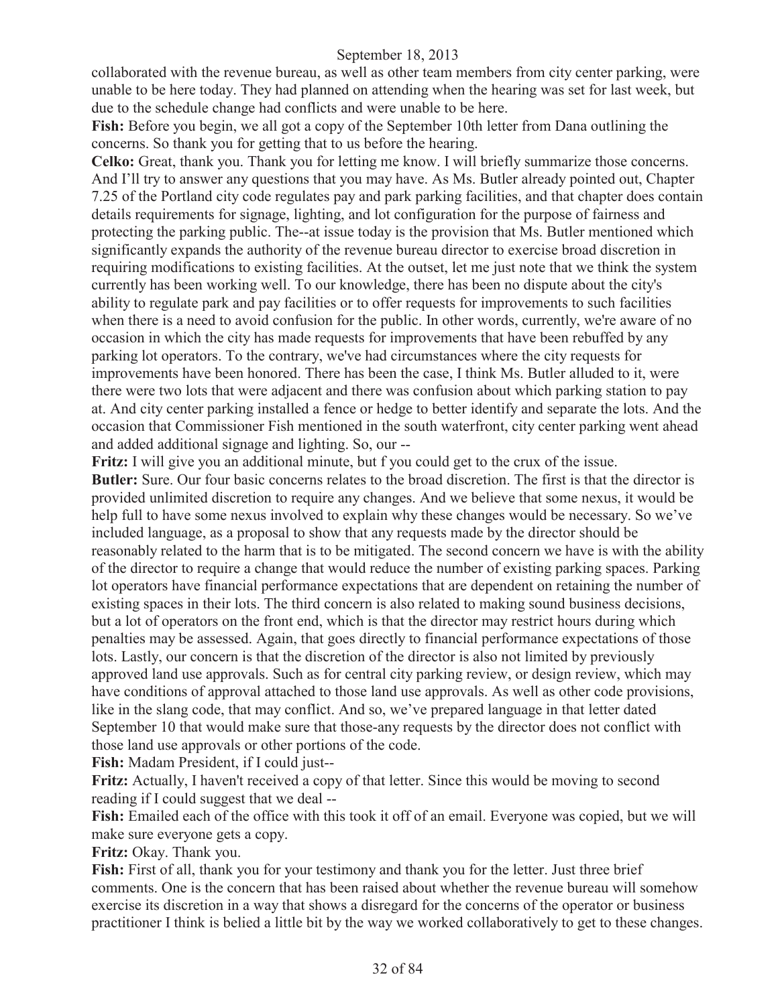collaborated with the revenue bureau, as well as other team members from city center parking, were unable to be here today. They had planned on attending when the hearing was set for last week, but due to the schedule change had conflicts and were unable to be here.

Fish: Before you begin, we all got a copy of the September 10th letter from Dana outlining the concerns. So thank you for getting that to us before the hearing.

**Celko:** Great, thank you. Thank you for letting me know. I will briefly summarize those concerns. And I'll try to answer any questions that you may have. As Ms. Butler already pointed out, Chapter 7.25 of the Portland city code regulates pay and park parking facilities, and that chapter does contain details requirements for signage, lighting, and lot configuration for the purpose of fairness and protecting the parking public. The--at issue today is the provision that Ms. Butler mentioned which significantly expands the authority of the revenue bureau director to exercise broad discretion in requiring modifications to existing facilities. At the outset, let me just note that we think the system currently has been working well. To our knowledge, there has been no dispute about the city's ability to regulate park and pay facilities or to offer requests for improvements to such facilities when there is a need to avoid confusion for the public. In other words, currently, we're aware of no occasion in which the city has made requests for improvements that have been rebuffed by any parking lot operators. To the contrary, we've had circumstances where the city requests for improvements have been honored. There has been the case, I think Ms. Butler alluded to it, were there were two lots that were adjacent and there was confusion about which parking station to pay at. And city center parking installed a fence or hedge to better identify and separate the lots. And the occasion that Commissioner Fish mentioned in the south waterfront, city center parking went ahead and added additional signage and lighting. So, our --

**Fritz:** I will give you an additional minute, but f you could get to the crux of the issue. **Butler:** Sure. Our four basic concerns relates to the broad discretion. The first is that the director is provided unlimited discretion to require any changes. And we believe that some nexus, it would be help full to have some nexus involved to explain why these changes would be necessary. So we've included language, as a proposal to show that any requests made by the director should be reasonably related to the harm that is to be mitigated. The second concern we have is with the ability of the director to require a change that would reduce the number of existing parking spaces. Parking lot operators have financial performance expectations that are dependent on retaining the number of existing spaces in their lots. The third concern is also related to making sound business decisions, but a lot of operators on the front end, which is that the director may restrict hours during which penalties may be assessed. Again, that goes directly to financial performance expectations of those lots. Lastly, our concern is that the discretion of the director is also not limited by previously approved land use approvals. Such as for central city parking review, or design review, which may have conditions of approval attached to those land use approvals. As well as other code provisions, like in the slang code, that may conflict. And so, we've prepared language in that letter dated September 10 that would make sure that those-any requests by the director does not conflict with those land use approvals or other portions of the code.

**Fish:** Madam President, if I could just--

**Fritz:** Actually, I haven't received a copy of that letter. Since this would be moving to second reading if I could suggest that we deal --

Fish: Emailed each of the office with this took it off of an email. Everyone was copied, but we will make sure everyone gets a copy.

**Fritz:** Okay. Thank you.

Fish: First of all, thank you for your testimony and thank you for the letter. Just three brief comments. One is the concern that has been raised about whether the revenue bureau will somehow exercise its discretion in a way that shows a disregard for the concerns of the operator or business practitioner I think is belied a little bit by the way we worked collaboratively to get to these changes.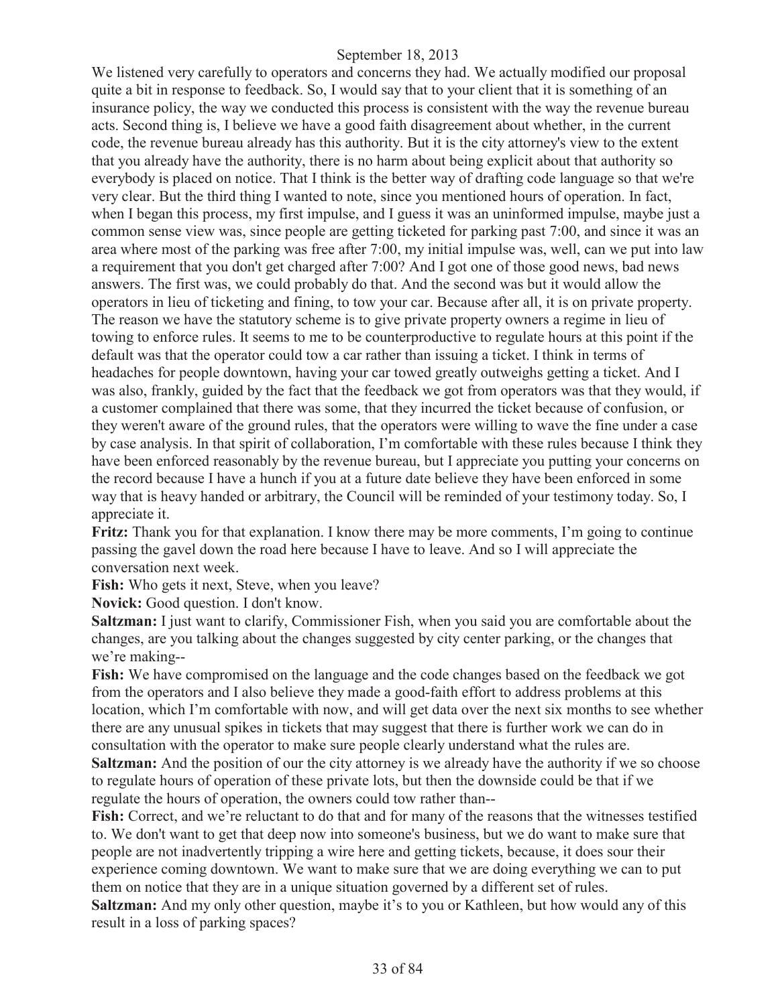We listened very carefully to operators and concerns they had. We actually modified our proposal quite a bit in response to feedback. So, I would say that to your client that it is something of an insurance policy, the way we conducted this process is consistent with the way the revenue bureau acts. Second thing is, I believe we have a good faith disagreement about whether, in the current code, the revenue bureau already has this authority. But it is the city attorney's view to the extent that you already have the authority, there is no harm about being explicit about that authority so everybody is placed on notice. That I think is the better way of drafting code language so that we're very clear. But the third thing I wanted to note, since you mentioned hours of operation. In fact, when I began this process, my first impulse, and I guess it was an uninformed impulse, maybe just a common sense view was, since people are getting ticketed for parking past 7:00, and since it was an area where most of the parking was free after 7:00, my initial impulse was, well, can we put into law a requirement that you don't get charged after 7:00? And I got one of those good news, bad news answers. The first was, we could probably do that. And the second was but it would allow the operators in lieu of ticketing and fining, to tow your car. Because after all, it is on private property. The reason we have the statutory scheme is to give private property owners a regime in lieu of towing to enforce rules. It seems to me to be counterproductive to regulate hours at this point if the default was that the operator could tow a car rather than issuing a ticket. I think in terms of headaches for people downtown, having your car towed greatly outweighs getting a ticket. And I was also, frankly, guided by the fact that the feedback we got from operators was that they would, if a customer complained that there was some, that they incurred the ticket because of confusion, or they weren't aware of the ground rules, that the operators were willing to wave the fine under a case by case analysis. In that spirit of collaboration, I'm comfortable with these rules because I think they have been enforced reasonably by the revenue bureau, but I appreciate you putting your concerns on the record because I have a hunch if you at a future date believe they have been enforced in some way that is heavy handed or arbitrary, the Council will be reminded of your testimony today. So, I appreciate it.

**Fritz:** Thank you for that explanation. I know there may be more comments, I'm going to continue passing the gavel down the road here because I have to leave. And so I will appreciate the conversation next week.

Fish: Who gets it next, Steve, when you leave?

**Novick:** Good question. I don't know.

**Saltzman:** I just want to clarify, Commissioner Fish, when you said you are comfortable about the changes, are you talking about the changes suggested by city center parking, or the changes that we're making--

**Fish:** We have compromised on the language and the code changes based on the feedback we got from the operators and I also believe they made a good-faith effort to address problems at this location, which I'm comfortable with now, and will get data over the next six months to see whether there are any unusual spikes in tickets that may suggest that there is further work we can do in consultation with the operator to make sure people clearly understand what the rules are.

**Saltzman:** And the position of our the city attorney is we already have the authority if we so choose to regulate hours of operation of these private lots, but then the downside could be that if we regulate the hours of operation, the owners could tow rather than--

**Fish:** Correct, and we're reluctant to do that and for many of the reasons that the witnesses testified to. We don't want to get that deep now into someone's business, but we do want to make sure that people are not inadvertently tripping a wire here and getting tickets, because, it does sour their experience coming downtown. We want to make sure that we are doing everything we can to put them on notice that they are in a unique situation governed by a different set of rules.

**Saltzman:** And my only other question, maybe it's to you or Kathleen, but how would any of this result in a loss of parking spaces?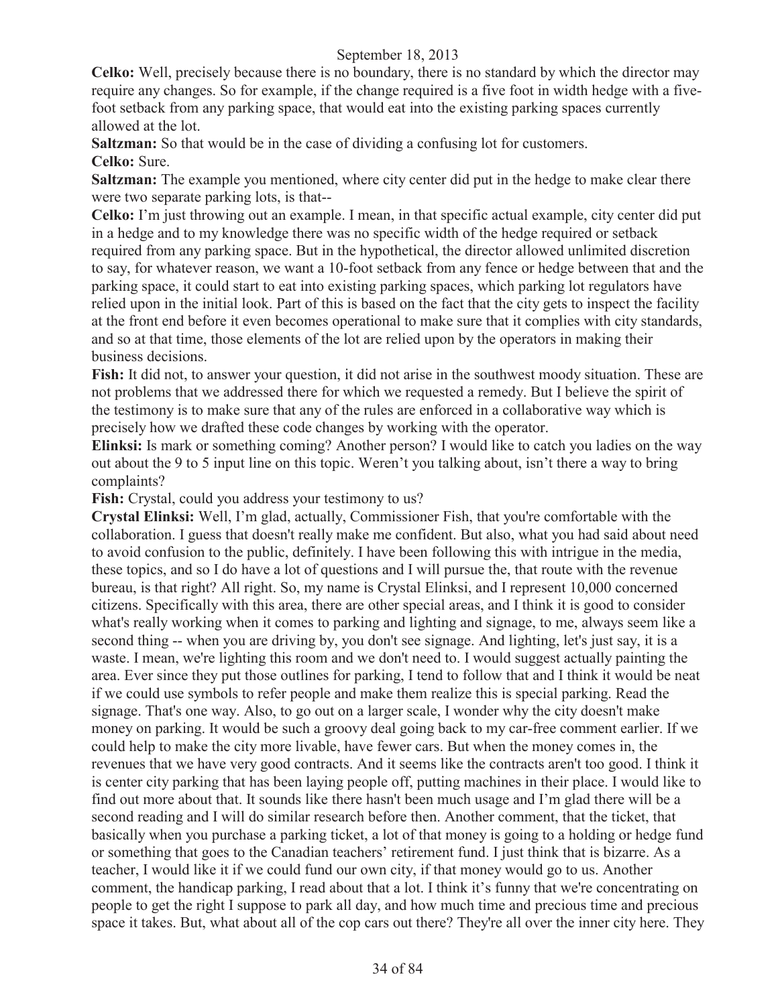**Celko:** Well, precisely because there is no boundary, there is no standard by which the director may require any changes. So for example, if the change required is a five foot in width hedge with a fivefoot setback from any parking space, that would eat into the existing parking spaces currently allowed at the lot.

**Saltzman:** So that would be in the case of dividing a confusing lot for customers.

# **Celko:** Sure.

**Saltzman:** The example you mentioned, where city center did put in the hedge to make clear there were two separate parking lots, is that--

**Celko:** I'm just throwing out an example. I mean, in that specific actual example, city center did put in a hedge and to my knowledge there was no specific width of the hedge required or setback required from any parking space. But in the hypothetical, the director allowed unlimited discretion to say, for whatever reason, we want a 10-foot setback from any fence or hedge between that and the parking space, it could start to eat into existing parking spaces, which parking lot regulators have relied upon in the initial look. Part of this is based on the fact that the city gets to inspect the facility at the front end before it even becomes operational to make sure that it complies with city standards, and so at that time, those elements of the lot are relied upon by the operators in making their business decisions.

**Fish:** It did not, to answer your question, it did not arise in the southwest moody situation. These are not problems that we addressed there for which we requested a remedy. But I believe the spirit of the testimony is to make sure that any of the rules are enforced in a collaborative way which is precisely how we drafted these code changes by working with the operator.

**Elinksi:** Is mark or something coming? Another person? I would like to catch you ladies on the way out about the 9 to 5 input line on this topic. Weren't you talking about, isn't there a way to bring complaints?

Fish: Crystal, could you address your testimony to us?

**Crystal Elinksi:** Well, I'm glad, actually, Commissioner Fish, that you're comfortable with the collaboration. I guess that doesn't really make me confident. But also, what you had said about need to avoid confusion to the public, definitely. I have been following this with intrigue in the media, these topics, and so I do have a lot of questions and I will pursue the, that route with the revenue bureau, is that right? All right. So, my name is Crystal Elinksi, and I represent 10,000 concerned citizens. Specifically with this area, there are other special areas, and I think it is good to consider what's really working when it comes to parking and lighting and signage, to me, always seem like a second thing -- when you are driving by, you don't see signage. And lighting, let's just say, it is a waste. I mean, we're lighting this room and we don't need to. I would suggest actually painting the area. Ever since they put those outlines for parking, I tend to follow that and I think it would be neat if we could use symbols to refer people and make them realize this is special parking. Read the signage. That's one way. Also, to go out on a larger scale, I wonder why the city doesn't make money on parking. It would be such a groovy deal going back to my car-free comment earlier. If we could help to make the city more livable, have fewer cars. But when the money comes in, the revenues that we have very good contracts. And it seems like the contracts aren't too good. I think it is center city parking that has been laying people off, putting machines in their place. I would like to find out more about that. It sounds like there hasn't been much usage and I'm glad there will be a second reading and I will do similar research before then. Another comment, that the ticket, that basically when you purchase a parking ticket, a lot of that money is going to a holding or hedge fund or something that goes to the Canadian teachers' retirement fund. I just think that is bizarre. As a teacher, I would like it if we could fund our own city, if that money would go to us. Another comment, the handicap parking, I read about that a lot. I think it's funny that we're concentrating on people to get the right I suppose to park all day, and how much time and precious time and precious space it takes. But, what about all of the cop cars out there? They're all over the inner city here. They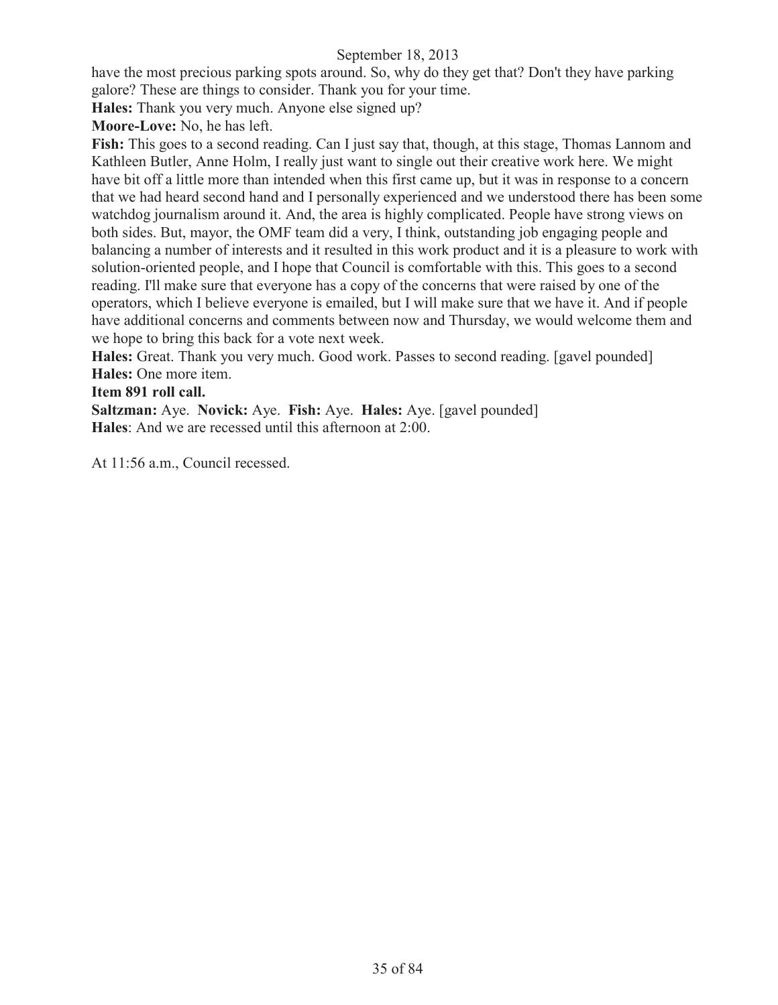have the most precious parking spots around. So, why do they get that? Don't they have parking galore? These are things to consider. Thank you for your time.

**Hales:** Thank you very much. Anyone else signed up?

**Moore-Love:** No, he has left.

**Fish:** This goes to a second reading. Can I just say that, though, at this stage, Thomas Lannom and Kathleen Butler, Anne Holm, I really just want to single out their creative work here. We might have bit off a little more than intended when this first came up, but it was in response to a concern that we had heard second hand and I personally experienced and we understood there has been some watchdog journalism around it. And, the area is highly complicated. People have strong views on both sides. But, mayor, the OMF team did a very, I think, outstanding job engaging people and balancing a number of interests and it resulted in this work product and it is a pleasure to work with solution-oriented people, and I hope that Council is comfortable with this. This goes to a second reading. I'll make sure that everyone has a copy of the concerns that were raised by one of the operators, which I believe everyone is emailed, but I will make sure that we have it. And if people have additional concerns and comments between now and Thursday, we would welcome them and we hope to bring this back for a vote next week.

**Hales:** Great. Thank you very much. Good work. Passes to second reading. [gavel pounded] **Hales:** One more item.

## **Item 891 roll call.**

**Saltzman:** Aye. **Novick:** Aye. **Fish:** Aye. **Hales:** Aye. [gavel pounded] **Hales**: And we are recessed until this afternoon at 2:00.

At 11:56 a.m., Council recessed.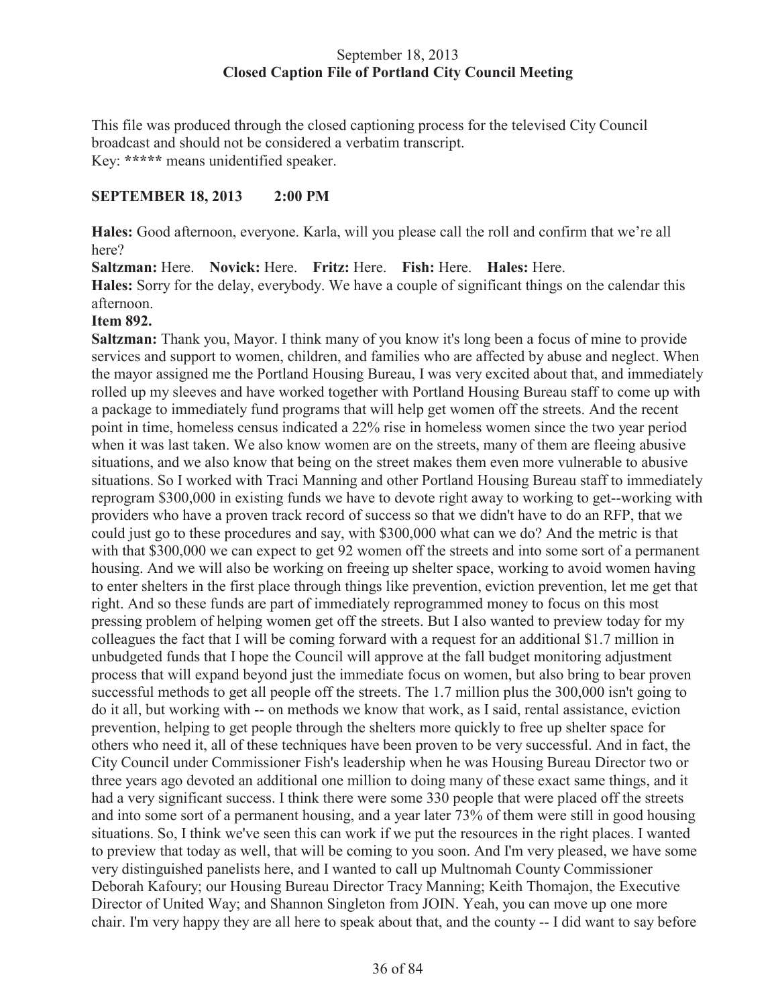## September 18, 2013 **Closed Caption File of Portland City Council Meeting**

This file was produced through the closed captioning process for the televised City Council broadcast and should not be considered a verbatim transcript. Key: **\*\*\*\*\*** means unidentified speaker.

## **SEPTEMBER 18, 2013 2:00 PM**

**Hales:** Good afternoon, everyone. Karla, will you please call the roll and confirm that we're all here?

**Saltzman:** Here. **Novick:** Here. **Fritz:** Here. **Fish:** Here. **Hales:** Here. **Hales:** Sorry for the delay, everybody. We have a couple of significant things on the calendar this afternoon.

## **Item 892.**

**Saltzman:** Thank you, Mayor. I think many of you know it's long been a focus of mine to provide services and support to women, children, and families who are affected by abuse and neglect. When the mayor assigned me the Portland Housing Bureau, I was very excited about that, and immediately rolled up my sleeves and have worked together with Portland Housing Bureau staff to come up with a package to immediately fund programs that will help get women off the streets. And the recent point in time, homeless census indicated a 22% rise in homeless women since the two year period when it was last taken. We also know women are on the streets, many of them are fleeing abusive situations, and we also know that being on the street makes them even more vulnerable to abusive situations. So I worked with Traci Manning and other Portland Housing Bureau staff to immediately reprogram \$300,000 in existing funds we have to devote right away to working to get--working with providers who have a proven track record of success so that we didn't have to do an RFP, that we could just go to these procedures and say, with \$300,000 what can we do? And the metric is that with that \$300,000 we can expect to get 92 women off the streets and into some sort of a permanent housing. And we will also be working on freeing up shelter space, working to avoid women having to enter shelters in the first place through things like prevention, eviction prevention, let me get that right. And so these funds are part of immediately reprogrammed money to focus on this most pressing problem of helping women get off the streets. But I also wanted to preview today for my colleagues the fact that I will be coming forward with a request for an additional \$1.7 million in unbudgeted funds that I hope the Council will approve at the fall budget monitoring adjustment process that will expand beyond just the immediate focus on women, but also bring to bear proven successful methods to get all people off the streets. The 1.7 million plus the 300,000 isn't going to do it all, but working with -- on methods we know that work, as I said, rental assistance, eviction prevention, helping to get people through the shelters more quickly to free up shelter space for others who need it, all of these techniques have been proven to be very successful. And in fact, the City Council under Commissioner Fish's leadership when he was Housing Bureau Director two or three years ago devoted an additional one million to doing many of these exact same things, and it had a very significant success. I think there were some 330 people that were placed off the streets and into some sort of a permanent housing, and a year later 73% of them were still in good housing situations. So, I think we've seen this can work if we put the resources in the right places. I wanted to preview that today as well, that will be coming to you soon. And I'm very pleased, we have some very distinguished panelists here, and I wanted to call up Multnomah County Commissioner Deborah Kafoury; our Housing Bureau Director Tracy Manning; Keith Thomajon, the Executive Director of United Way; and Shannon Singleton from JOIN. Yeah, you can move up one more chair. I'm very happy they are all here to speak about that, and the county -- I did want to say before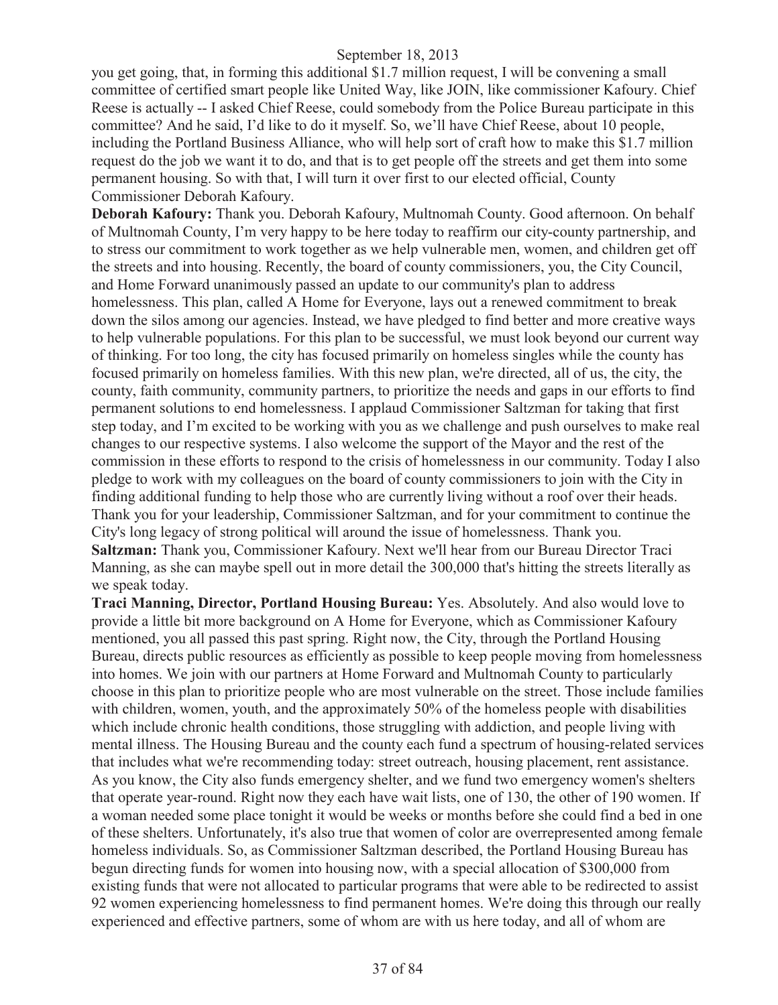you get going, that, in forming this additional \$1.7 million request, I will be convening a small committee of certified smart people like United Way, like JOIN, like commissioner Kafoury. Chief Reese is actually -- I asked Chief Reese, could somebody from the Police Bureau participate in this committee? And he said, I'd like to do it myself. So, we'll have Chief Reese, about 10 people, including the Portland Business Alliance, who will help sort of craft how to make this \$1.7 million request do the job we want it to do, and that is to get people off the streets and get them into some permanent housing. So with that, I will turn it over first to our elected official, County Commissioner Deborah Kafoury.

**Deborah Kafoury:** Thank you. Deborah Kafoury, Multnomah County. Good afternoon. On behalf of Multnomah County, I'm very happy to be here today to reaffirm our city-county partnership, and to stress our commitment to work together as we help vulnerable men, women, and children get off the streets and into housing. Recently, the board of county commissioners, you, the City Council, and Home Forward unanimously passed an update to our community's plan to address homelessness. This plan, called A Home for Everyone, lays out a renewed commitment to break down the silos among our agencies. Instead, we have pledged to find better and more creative ways to help vulnerable populations. For this plan to be successful, we must look beyond our current way of thinking. For too long, the city has focused primarily on homeless singles while the county has focused primarily on homeless families. With this new plan, we're directed, all of us, the city, the county, faith community, community partners, to prioritize the needs and gaps in our efforts to find permanent solutions to end homelessness. I applaud Commissioner Saltzman for taking that first step today, and I'm excited to be working with you as we challenge and push ourselves to make real changes to our respective systems. I also welcome the support of the Mayor and the rest of the commission in these efforts to respond to the crisis of homelessness in our community. Today I also pledge to work with my colleagues on the board of county commissioners to join with the City in finding additional funding to help those who are currently living without a roof over their heads. Thank you for your leadership, Commissioner Saltzman, and for your commitment to continue the City's long legacy of strong political will around the issue of homelessness. Thank you. **Saltzman:** Thank you, Commissioner Kafoury. Next we'll hear from our Bureau Director Traci Manning, as she can maybe spell out in more detail the 300,000 that's hitting the streets literally as we speak today.

**Traci Manning, Director, Portland Housing Bureau:** Yes. Absolutely. And also would love to provide a little bit more background on A Home for Everyone, which as Commissioner Kafoury mentioned, you all passed this past spring. Right now, the City, through the Portland Housing Bureau, directs public resources as efficiently as possible to keep people moving from homelessness into homes. We join with our partners at Home Forward and Multnomah County to particularly choose in this plan to prioritize people who are most vulnerable on the street. Those include families with children, women, youth, and the approximately 50% of the homeless people with disabilities which include chronic health conditions, those struggling with addiction, and people living with mental illness. The Housing Bureau and the county each fund a spectrum of housing-related services that includes what we're recommending today: street outreach, housing placement, rent assistance. As you know, the City also funds emergency shelter, and we fund two emergency women's shelters that operate year-round. Right now they each have wait lists, one of 130, the other of 190 women. If a woman needed some place tonight it would be weeks or months before she could find a bed in one of these shelters. Unfortunately, it's also true that women of color are overrepresented among female homeless individuals. So, as Commissioner Saltzman described, the Portland Housing Bureau has begun directing funds for women into housing now, with a special allocation of \$300,000 from existing funds that were not allocated to particular programs that were able to be redirected to assist 92 women experiencing homelessness to find permanent homes. We're doing this through our really experienced and effective partners, some of whom are with us here today, and all of whom are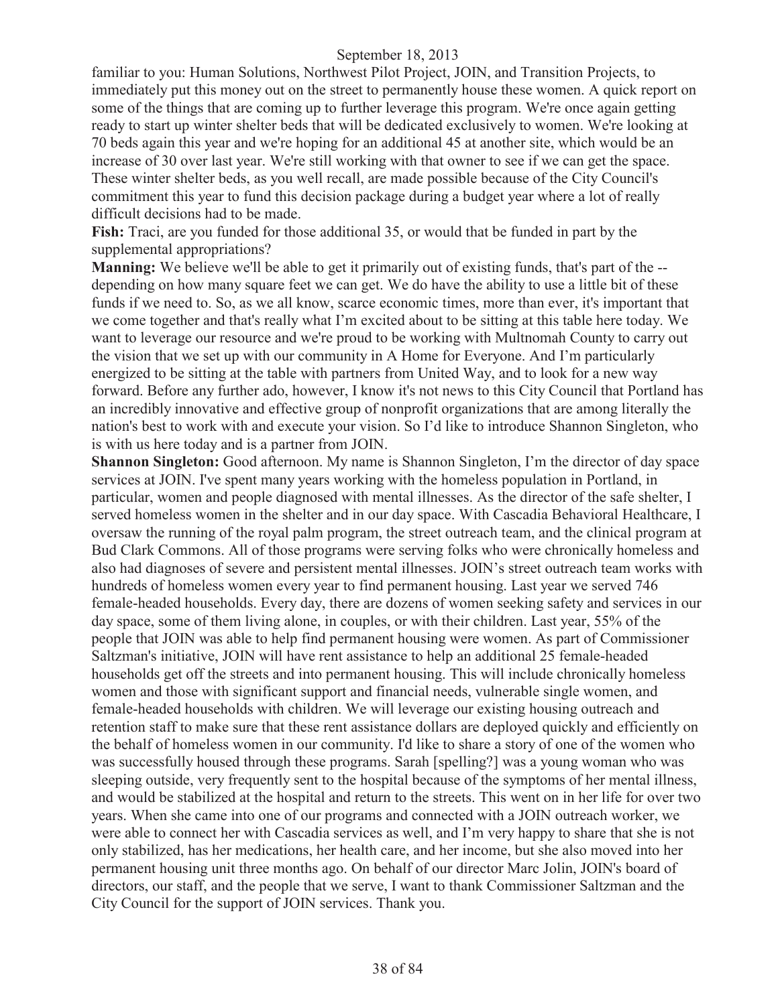familiar to you: Human Solutions, Northwest Pilot Project, JOIN, and Transition Projects, to immediately put this money out on the street to permanently house these women. A quick report on some of the things that are coming up to further leverage this program. We're once again getting ready to start up winter shelter beds that will be dedicated exclusively to women. We're looking at 70 beds again this year and we're hoping for an additional 45 at another site, which would be an increase of 30 over last year. We're still working with that owner to see if we can get the space. These winter shelter beds, as you well recall, are made possible because of the City Council's commitment this year to fund this decision package during a budget year where a lot of really difficult decisions had to be made.

**Fish:** Traci, are you funded for those additional 35, or would that be funded in part by the supplemental appropriations?

**Manning:** We believe we'll be able to get it primarily out of existing funds, that's part of the - depending on how many square feet we can get. We do have the ability to use a little bit of these funds if we need to. So, as we all know, scarce economic times, more than ever, it's important that we come together and that's really what I'm excited about to be sitting at this table here today. We want to leverage our resource and we're proud to be working with Multnomah County to carry out the vision that we set up with our community in A Home for Everyone. And I'm particularly energized to be sitting at the table with partners from United Way, and to look for a new way forward. Before any further ado, however, I know it's not news to this City Council that Portland has an incredibly innovative and effective group of nonprofit organizations that are among literally the nation's best to work with and execute your vision. So I'd like to introduce Shannon Singleton, who is with us here today and is a partner from JOIN.

**Shannon Singleton:** Good afternoon. My name is Shannon Singleton, I'm the director of day space services at JOIN. I've spent many years working with the homeless population in Portland, in particular, women and people diagnosed with mental illnesses. As the director of the safe shelter, I served homeless women in the shelter and in our day space. With Cascadia Behavioral Healthcare, I oversaw the running of the royal palm program, the street outreach team, and the clinical program at Bud Clark Commons. All of those programs were serving folks who were chronically homeless and also had diagnoses of severe and persistent mental illnesses. JOIN's street outreach team works with hundreds of homeless women every year to find permanent housing. Last year we served 746 female-headed households. Every day, there are dozens of women seeking safety and services in our day space, some of them living alone, in couples, or with their children. Last year, 55% of the people that JOIN was able to help find permanent housing were women. As part of Commissioner Saltzman's initiative, JOIN will have rent assistance to help an additional 25 female-headed households get off the streets and into permanent housing. This will include chronically homeless women and those with significant support and financial needs, vulnerable single women, and female-headed households with children. We will leverage our existing housing outreach and retention staff to make sure that these rent assistance dollars are deployed quickly and efficiently on the behalf of homeless women in our community. I'd like to share a story of one of the women who was successfully housed through these programs. Sarah [spelling?] was a young woman who was sleeping outside, very frequently sent to the hospital because of the symptoms of her mental illness, and would be stabilized at the hospital and return to the streets. This went on in her life for over two years. When she came into one of our programs and connected with a JOIN outreach worker, we were able to connect her with Cascadia services as well, and I'm very happy to share that she is not only stabilized, has her medications, her health care, and her income, but she also moved into her permanent housing unit three months ago. On behalf of our director Marc Jolin, JOIN's board of directors, our staff, and the people that we serve, I want to thank Commissioner Saltzman and the City Council for the support of JOIN services. Thank you.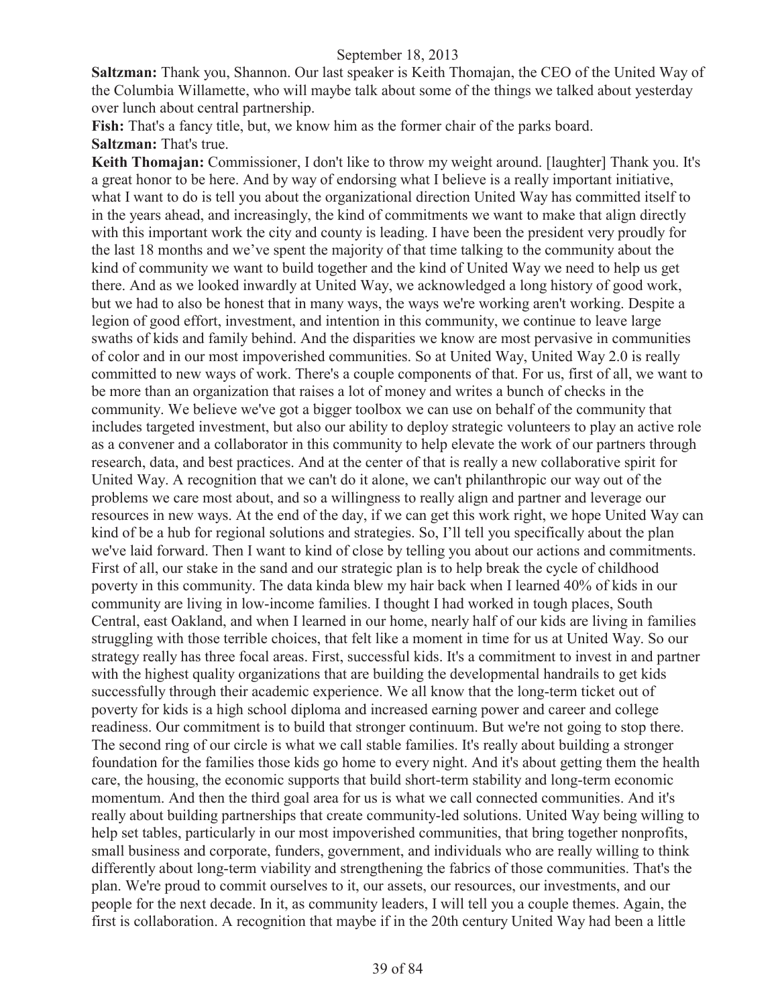**Saltzman:** Thank you, Shannon. Our last speaker is Keith Thomajan, the CEO of the United Way of the Columbia Willamette, who will maybe talk about some of the things we talked about yesterday over lunch about central partnership.

Fish: That's a fancy title, but, we know him as the former chair of the parks board. **Saltzman:** That's true.

**Keith Thomajan:** Commissioner, I don't like to throw my weight around. [laughter] Thank you. It's a great honor to be here. And by way of endorsing what I believe is a really important initiative, what I want to do is tell you about the organizational direction United Way has committed itself to in the years ahead, and increasingly, the kind of commitments we want to make that align directly with this important work the city and county is leading. I have been the president very proudly for the last 18 months and we've spent the majority of that time talking to the community about the kind of community we want to build together and the kind of United Way we need to help us get there. And as we looked inwardly at United Way, we acknowledged a long history of good work, but we had to also be honest that in many ways, the ways we're working aren't working. Despite a legion of good effort, investment, and intention in this community, we continue to leave large swaths of kids and family behind. And the disparities we know are most pervasive in communities of color and in our most impoverished communities. So at United Way, United Way 2.0 is really committed to new ways of work. There's a couple components of that. For us, first of all, we want to be more than an organization that raises a lot of money and writes a bunch of checks in the community. We believe we've got a bigger toolbox we can use on behalf of the community that includes targeted investment, but also our ability to deploy strategic volunteers to play an active role as a convener and a collaborator in this community to help elevate the work of our partners through research, data, and best practices. And at the center of that is really a new collaborative spirit for United Way. A recognition that we can't do it alone, we can't philanthropic our way out of the problems we care most about, and so a willingness to really align and partner and leverage our resources in new ways. At the end of the day, if we can get this work right, we hope United Way can kind of be a hub for regional solutions and strategies. So, I'll tell you specifically about the plan we've laid forward. Then I want to kind of close by telling you about our actions and commitments. First of all, our stake in the sand and our strategic plan is to help break the cycle of childhood poverty in this community. The data kinda blew my hair back when I learned 40% of kids in our community are living in low-income families. I thought I had worked in tough places, South Central, east Oakland, and when I learned in our home, nearly half of our kids are living in families struggling with those terrible choices, that felt like a moment in time for us at United Way. So our strategy really has three focal areas. First, successful kids. It's a commitment to invest in and partner with the highest quality organizations that are building the developmental handrails to get kids successfully through their academic experience. We all know that the long-term ticket out of poverty for kids is a high school diploma and increased earning power and career and college readiness. Our commitment is to build that stronger continuum. But we're not going to stop there. The second ring of our circle is what we call stable families. It's really about building a stronger foundation for the families those kids go home to every night. And it's about getting them the health care, the housing, the economic supports that build short-term stability and long-term economic momentum. And then the third goal area for us is what we call connected communities. And it's really about building partnerships that create community-led solutions. United Way being willing to help set tables, particularly in our most impoverished communities, that bring together nonprofits, small business and corporate, funders, government, and individuals who are really willing to think differently about long-term viability and strengthening the fabrics of those communities. That's the plan. We're proud to commit ourselves to it, our assets, our resources, our investments, and our people for the next decade. In it, as community leaders, I will tell you a couple themes. Again, the first is collaboration. A recognition that maybe if in the 20th century United Way had been a little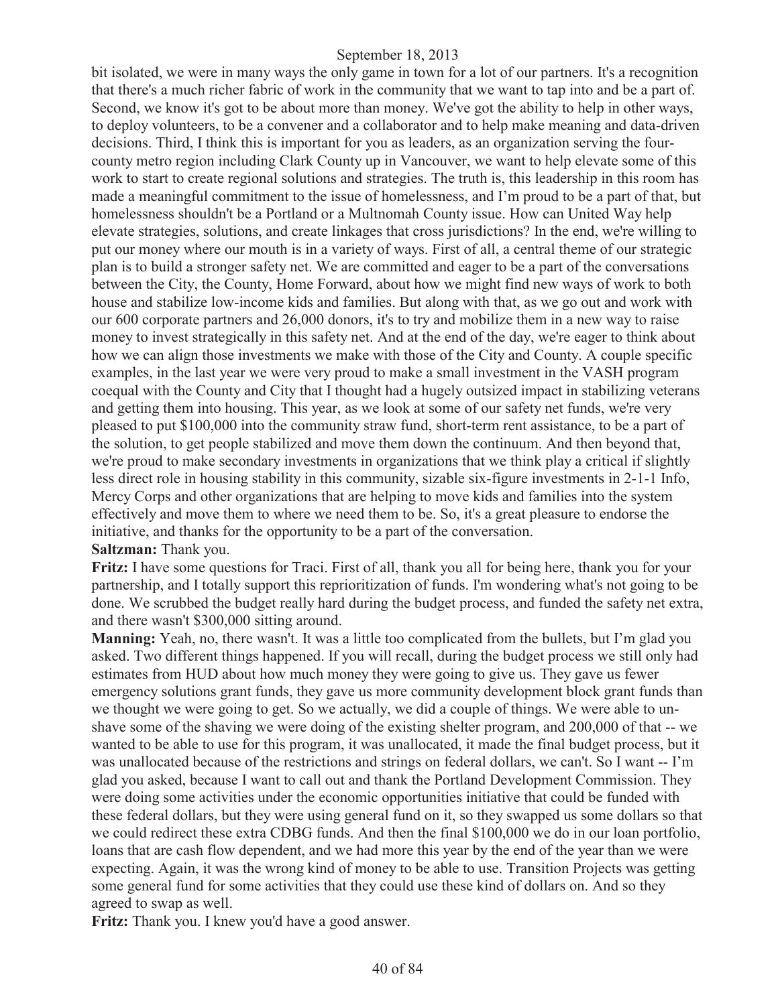bit isolated, we were in many ways the only game in town for a lot of our partners. It's a recognition that there's a much richer fabric of work in the community that we want to tap into and be a part of. Second, we know it's got to be about more than money. We've got the ability to help in other ways, to deploy volunteers, to be a convener and a collaborator and to help make meaning and data-driven decisions. Third, I think this is important for you as leaders, as an organization serving the fourcounty metro region including Clark County up in Vancouver, we want to help elevate some of this work to start to create regional solutions and strategies. The truth is, this leadership in this room has made a meaningful commitment to the issue of homelessness, and I'm proud to be a part of that, but homelessness shouldn't be a Portland or a Multnomah County issue. How can United Way help elevate strategies, solutions, and create linkages that cross jurisdictions? In the end, we're willing to put our money where our mouth is in a variety of ways. First of all, a central theme of our strategic plan is to build a stronger safety net. We are committed and eager to be a part of the conversations between the City, the County, Home Forward, about how we might find new ways of work to both house and stabilize low-income kids and families. But along with that, as we go out and work with our 600 corporate partners and 26,000 donors, it's to try and mobilize them in a new way to raise money to invest strategically in this safety net. And at the end of the day, we're eager to think about how we can align those investments we make with those of the City and County. A couple specific examples, in the last year we were very proud to make a small investment in the VASH program coequal with the County and City that I thought had a hugely outsized impact in stabilizing veterans and getting them into housing. This year, as we look at some of our safety net funds, we're very pleased to put \$100,000 into the community straw fund, short-term rent assistance, to be a part of the solution, to get people stabilized and move them down the continuum. And then beyond that, we're proud to make secondary investments in organizations that we think play a critical if slightly less direct role in housing stability in this community, sizable six-figure investments in 2-1-1 Info, Mercy Corps and other organizations that are helping to move kids and families into the system effectively and move them to where we need them to be. So, it's a great pleasure to endorse the initiative, and thanks for the opportunity to be a part of the conversation. **Saltzman:** Thank you.

**Fritz:** I have some questions for Traci. First of all, thank you all for being here, thank you for your partnership, and I totally support this reprioritization of funds. I'm wondering what's not going to be done. We scrubbed the budget really hard during the budget process, and funded the safety net extra, and there wasn't \$300,000 sitting around.

**Manning:** Yeah, no, there wasn't. It was a little too complicated from the bullets, but I'm glad you asked. Two different things happened. If you will recall, during the budget process we still only had estimates from HUD about how much money they were going to give us. They gave us fewer emergency solutions grant funds, they gave us more community development block grant funds than we thought we were going to get. So we actually, we did a couple of things. We were able to unshave some of the shaving we were doing of the existing shelter program, and 200,000 of that -- we wanted to be able to use for this program, it was unallocated, it made the final budget process, but it was unallocated because of the restrictions and strings on federal dollars, we can't. So I want -- I'm glad you asked, because I want to call out and thank the Portland Development Commission. They were doing some activities under the economic opportunities initiative that could be funded with these federal dollars, but they were using general fund on it, so they swapped us some dollars so that we could redirect these extra CDBG funds. And then the final \$100,000 we do in our loan portfolio, loans that are cash flow dependent, and we had more this year by the end of the year than we were expecting. Again, it was the wrong kind of money to be able to use. Transition Projects was getting some general fund for some activities that they could use these kind of dollars on. And so they agreed to swap as well.

**Fritz:** Thank you. I knew you'd have a good answer.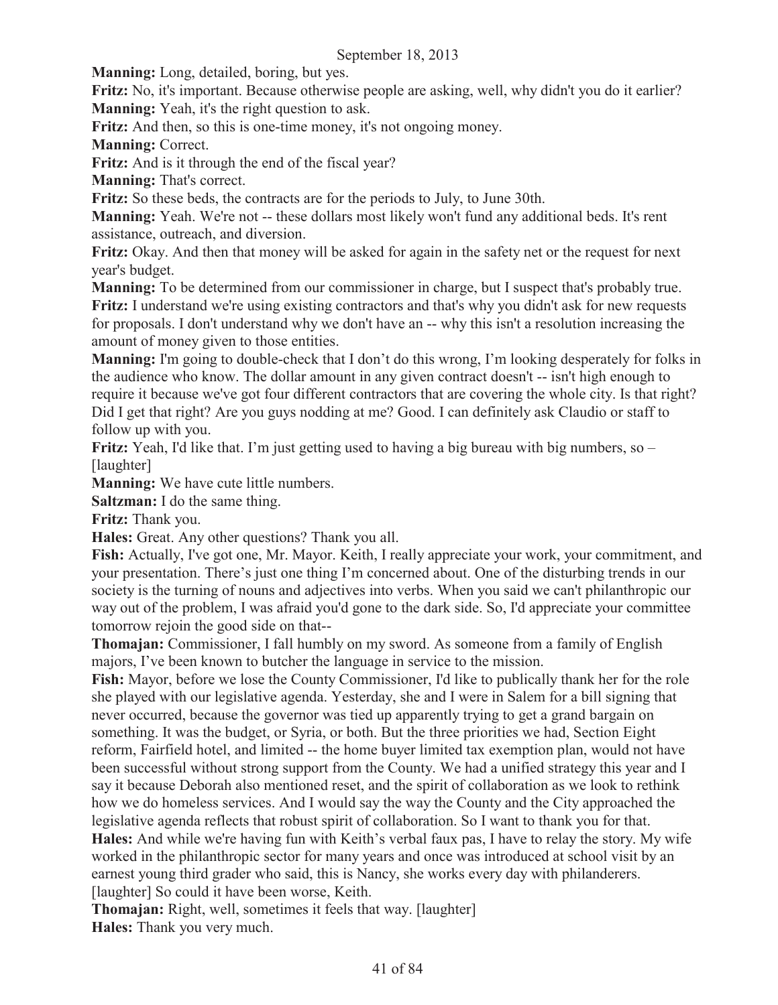**Manning:** Long, detailed, boring, but yes.

**Fritz:** No, it's important. Because otherwise people are asking, well, why didn't you do it earlier? **Manning:** Yeah, it's the right question to ask.

**Fritz:** And then, so this is one-time money, it's not ongoing money.

**Manning:** Correct.

**Fritz:** And is it through the end of the fiscal year?

**Manning:** That's correct.

**Fritz:** So these beds, the contracts are for the periods to July, to June 30th.

**Manning:** Yeah. We're not -- these dollars most likely won't fund any additional beds. It's rent assistance, outreach, and diversion.

**Fritz:** Okay. And then that money will be asked for again in the safety net or the request for next year's budget.

**Manning:** To be determined from our commissioner in charge, but I suspect that's probably true. **Fritz:** I understand we're using existing contractors and that's why you didn't ask for new requests for proposals. I don't understand why we don't have an -- why this isn't a resolution increasing the amount of money given to those entities.

**Manning:** I'm going to double-check that I don't do this wrong, I'm looking desperately for folks in the audience who know. The dollar amount in any given contract doesn't -- isn't high enough to require it because we've got four different contractors that are covering the whole city. Is that right? Did I get that right? Are you guys nodding at me? Good. I can definitely ask Claudio or staff to follow up with you.

**Fritz:** Yeah, I'd like that. I'm just getting used to having a big bureau with big numbers, so – [laughter]

**Manning:** We have cute little numbers.

**Saltzman:** I do the same thing.

**Fritz:** Thank you.

**Hales:** Great. Any other questions? Thank you all.

**Fish:** Actually, I've got one, Mr. Mayor. Keith, I really appreciate your work, your commitment, and your presentation. There's just one thing I'm concerned about. One of the disturbing trends in our society is the turning of nouns and adjectives into verbs. When you said we can't philanthropic our way out of the problem, I was afraid you'd gone to the dark side. So, I'd appreciate your committee tomorrow rejoin the good side on that--

**Thomajan:** Commissioner, I fall humbly on my sword. As someone from a family of English majors, I've been known to butcher the language in service to the mission.

**Fish:** Mayor, before we lose the County Commissioner, I'd like to publically thank her for the role she played with our legislative agenda. Yesterday, she and I were in Salem for a bill signing that never occurred, because the governor was tied up apparently trying to get a grand bargain on something. It was the budget, or Syria, or both. But the three priorities we had, Section Eight reform, Fairfield hotel, and limited -- the home buyer limited tax exemption plan, would not have been successful without strong support from the County. We had a unified strategy this year and I say it because Deborah also mentioned reset, and the spirit of collaboration as we look to rethink how we do homeless services. And I would say the way the County and the City approached the legislative agenda reflects that robust spirit of collaboration. So I want to thank you for that. **Hales:** And while we're having fun with Keith's verbal faux pas, I have to relay the story. My wife worked in the philanthropic sector for many years and once was introduced at school visit by an earnest young third grader who said, this is Nancy, she works every day with philanderers. [laughter] So could it have been worse, Keith.

**Thomajan:** Right, well, sometimes it feels that way. [laughter] **Hales:** Thank you very much.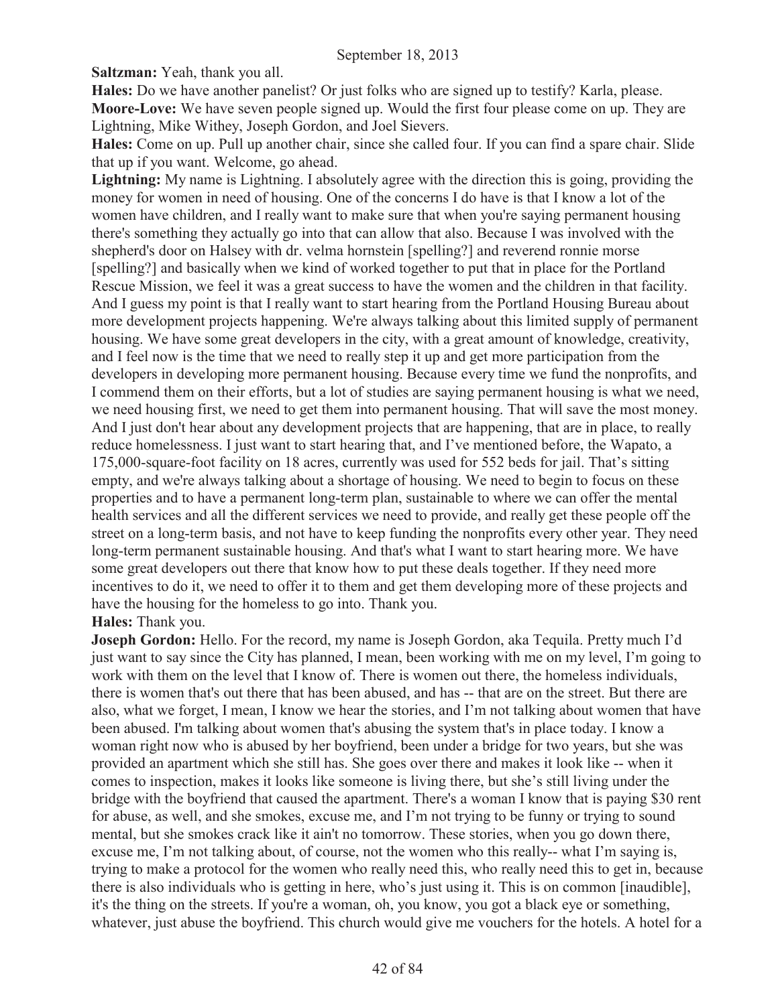**Saltzman:** Yeah, thank you all.

**Hales:** Do we have another panelist? Or just folks who are signed up to testify? Karla, please. **Moore-Love:** We have seven people signed up. Would the first four please come on up. They are Lightning, Mike Withey, Joseph Gordon, and Joel Sievers.

**Hales:** Come on up. Pull up another chair, since she called four. If you can find a spare chair. Slide that up if you want. Welcome, go ahead.

**Lightning:** My name is Lightning. I absolutely agree with the direction this is going, providing the money for women in need of housing. One of the concerns I do have is that I know a lot of the women have children, and I really want to make sure that when you're saying permanent housing there's something they actually go into that can allow that also. Because I was involved with the shepherd's door on Halsey with dr. velma hornstein [spelling?] and reverend ronnie morse [spelling?] and basically when we kind of worked together to put that in place for the Portland Rescue Mission, we feel it was a great success to have the women and the children in that facility. And I guess my point is that I really want to start hearing from the Portland Housing Bureau about more development projects happening. We're always talking about this limited supply of permanent housing. We have some great developers in the city, with a great amount of knowledge, creativity, and I feel now is the time that we need to really step it up and get more participation from the developers in developing more permanent housing. Because every time we fund the nonprofits, and I commend them on their efforts, but a lot of studies are saying permanent housing is what we need, we need housing first, we need to get them into permanent housing. That will save the most money. And I just don't hear about any development projects that are happening, that are in place, to really reduce homelessness. I just want to start hearing that, and I've mentioned before, the Wapato, a 175,000-square-foot facility on 18 acres, currently was used for 552 beds for jail. That's sitting empty, and we're always talking about a shortage of housing. We need to begin to focus on these properties and to have a permanent long-term plan, sustainable to where we can offer the mental health services and all the different services we need to provide, and really get these people off the street on a long-term basis, and not have to keep funding the nonprofits every other year. They need long-term permanent sustainable housing. And that's what I want to start hearing more. We have some great developers out there that know how to put these deals together. If they need more incentives to do it, we need to offer it to them and get them developing more of these projects and have the housing for the homeless to go into. Thank you.

#### **Hales:** Thank you.

**Joseph Gordon:** Hello. For the record, my name is Joseph Gordon, aka Tequila. Pretty much I'd just want to say since the City has planned, I mean, been working with me on my level, I'm going to work with them on the level that I know of. There is women out there, the homeless individuals, there is women that's out there that has been abused, and has -- that are on the street. But there are also, what we forget, I mean, I know we hear the stories, and I'm not talking about women that have been abused. I'm talking about women that's abusing the system that's in place today. I know a woman right now who is abused by her boyfriend, been under a bridge for two years, but she was provided an apartment which she still has. She goes over there and makes it look like -- when it comes to inspection, makes it looks like someone is living there, but she's still living under the bridge with the boyfriend that caused the apartment. There's a woman I know that is paying \$30 rent for abuse, as well, and she smokes, excuse me, and I'm not trying to be funny or trying to sound mental, but she smokes crack like it ain't no tomorrow. These stories, when you go down there, excuse me, I'm not talking about, of course, not the women who this really-- what I'm saying is, trying to make a protocol for the women who really need this, who really need this to get in, because there is also individuals who is getting in here, who's just using it. This is on common [inaudible], it's the thing on the streets. If you're a woman, oh, you know, you got a black eye or something, whatever, just abuse the boyfriend. This church would give me vouchers for the hotels. A hotel for a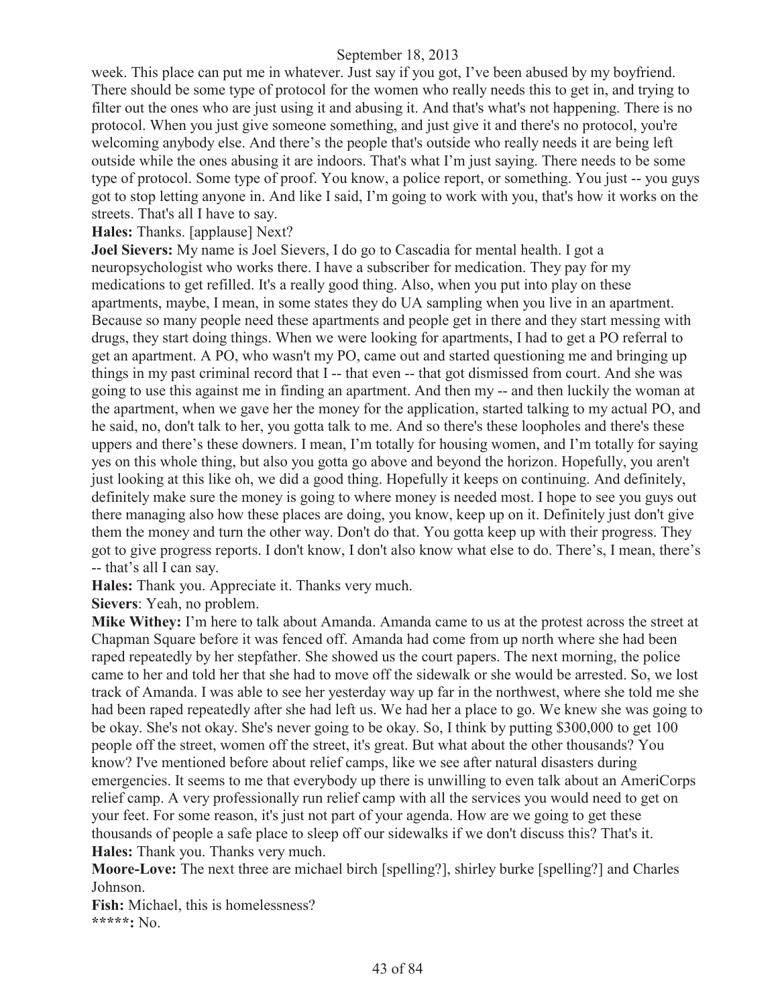week. This place can put me in whatever. Just say if you got, I've been abused by my boyfriend. There should be some type of protocol for the women who really needs this to get in, and trying to filter out the ones who are just using it and abusing it. And that's what's not happening. There is no protocol. When you just give someone something, and just give it and there's no protocol, you're welcoming anybody else. And there's the people that's outside who really needs it are being left outside while the ones abusing it are indoors. That's what I'm just saying. There needs to be some type of protocol. Some type of proof. You know, a police report, or something. You just -- you guys got to stop letting anyone in. And like I said, I'm going to work with you, that's how it works on the streets. That's all I have to say.

# **Hales:** Thanks. [applause] Next?

**Joel Sievers:** My name is Joel Sievers, I do go to Cascadia for mental health. I got a neuropsychologist who works there. I have a subscriber for medication. They pay for my medications to get refilled. It's a really good thing. Also, when you put into play on these apartments, maybe, I mean, in some states they do UA sampling when you live in an apartment. Because so many people need these apartments and people get in there and they start messing with drugs, they start doing things. When we were looking for apartments, I had to get a PO referral to get an apartment. A PO, who wasn't my PO, came out and started questioning me and bringing up things in my past criminal record that I -- that even -- that got dismissed from court. And she was going to use this against me in finding an apartment. And then my -- and then luckily the woman at the apartment, when we gave her the money for the application, started talking to my actual PO, and he said, no, don't talk to her, you gotta talk to me. And so there's these loopholes and there's these uppers and there's these downers. I mean, I'm totally for housing women, and I'm totally for saying yes on this whole thing, but also you gotta go above and beyond the horizon. Hopefully, you aren't just looking at this like oh, we did a good thing. Hopefully it keeps on continuing. And definitely, definitely make sure the money is going to where money is needed most. I hope to see you guys out there managing also how these places are doing, you know, keep up on it. Definitely just don't give them the money and turn the other way. Don't do that. You gotta keep up with their progress. They got to give progress reports. I don't know, I don't also know what else to do. There's, I mean, there's -- that's all I can say.

**Hales:** Thank you. Appreciate it. Thanks very much.

**Sievers**: Yeah, no problem.

**Mike Withey:** I'm here to talk about Amanda. Amanda came to us at the protest across the street at Chapman Square before it was fenced off. Amanda had come from up north where she had been raped repeatedly by her stepfather. She showed us the court papers. The next morning, the police came to her and told her that she had to move off the sidewalk or she would be arrested. So, we lost track of Amanda. I was able to see her yesterday way up far in the northwest, where she told me she had been raped repeatedly after she had left us. We had her a place to go. We knew she was going to be okay. She's not okay. She's never going to be okay. So, I think by putting \$300,000 to get 100 people off the street, women off the street, it's great. But what about the other thousands? You know? I've mentioned before about relief camps, like we see after natural disasters during emergencies. It seems to me that everybody up there is unwilling to even talk about an AmeriCorps relief camp. A very professionally run relief camp with all the services you would need to get on your feet. For some reason, it's just not part of your agenda. How are we going to get these thousands of people a safe place to sleep off our sidewalks if we don't discuss this? That's it. **Hales:** Thank you. Thanks very much.

**Moore-Love:** The next three are michael birch [spelling?], shirley burke [spelling?] and Charles Johnson.

**Fish:** Michael, this is homelessness? **\*\*\*\*\*:** No.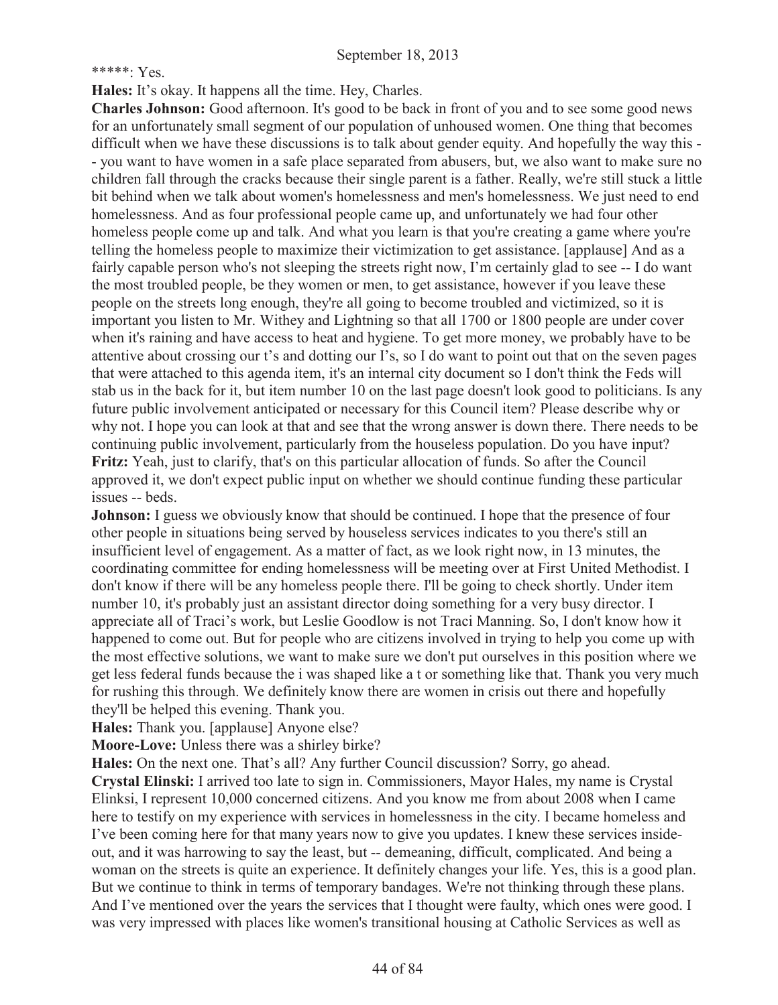#### \*\*\*\*\*: Yes.

**Hales:** It's okay. It happens all the time. Hey, Charles.

**Charles Johnson:** Good afternoon. It's good to be back in front of you and to see some good news for an unfortunately small segment of our population of unhoused women. One thing that becomes difficult when we have these discussions is to talk about gender equity. And hopefully the way this - - you want to have women in a safe place separated from abusers, but, we also want to make sure no children fall through the cracks because their single parent is a father. Really, we're still stuck a little bit behind when we talk about women's homelessness and men's homelessness. We just need to end homelessness. And as four professional people came up, and unfortunately we had four other homeless people come up and talk. And what you learn is that you're creating a game where you're telling the homeless people to maximize their victimization to get assistance. [applause] And as a fairly capable person who's not sleeping the streets right now, I'm certainly glad to see -- I do want the most troubled people, be they women or men, to get assistance, however if you leave these people on the streets long enough, they're all going to become troubled and victimized, so it is important you listen to Mr. Withey and Lightning so that all 1700 or 1800 people are under cover when it's raining and have access to heat and hygiene. To get more money, we probably have to be attentive about crossing our t's and dotting our I's, so I do want to point out that on the seven pages that were attached to this agenda item, it's an internal city document so I don't think the Feds will stab us in the back for it, but item number 10 on the last page doesn't look good to politicians. Is any future public involvement anticipated or necessary for this Council item? Please describe why or why not. I hope you can look at that and see that the wrong answer is down there. There needs to be continuing public involvement, particularly from the houseless population. Do you have input? **Fritz:** Yeah, just to clarify, that's on this particular allocation of funds. So after the Council approved it, we don't expect public input on whether we should continue funding these particular issues -- beds.

**Johnson:** I guess we obviously know that should be continued. I hope that the presence of four other people in situations being served by houseless services indicates to you there's still an insufficient level of engagement. As a matter of fact, as we look right now, in 13 minutes, the coordinating committee for ending homelessness will be meeting over at First United Methodist. I don't know if there will be any homeless people there. I'll be going to check shortly. Under item number 10, it's probably just an assistant director doing something for a very busy director. I appreciate all of Traci's work, but Leslie Goodlow is not Traci Manning. So, I don't know how it happened to come out. But for people who are citizens involved in trying to help you come up with the most effective solutions, we want to make sure we don't put ourselves in this position where we get less federal funds because the i was shaped like a t or something like that. Thank you very much for rushing this through. We definitely know there are women in crisis out there and hopefully they'll be helped this evening. Thank you.

**Hales:** Thank you. [applause] Anyone else?

**Moore-Love:** Unless there was a shirley birke?

**Hales:** On the next one. That's all? Any further Council discussion? Sorry, go ahead.

**Crystal Elinski:** I arrived too late to sign in. Commissioners, Mayor Hales, my name is Crystal Elinksi, I represent 10,000 concerned citizens. And you know me from about 2008 when I came here to testify on my experience with services in homelessness in the city. I became homeless and I've been coming here for that many years now to give you updates. I knew these services insideout, and it was harrowing to say the least, but -- demeaning, difficult, complicated. And being a woman on the streets is quite an experience. It definitely changes your life. Yes, this is a good plan. But we continue to think in terms of temporary bandages. We're not thinking through these plans. And I've mentioned over the years the services that I thought were faulty, which ones were good. I was very impressed with places like women's transitional housing at Catholic Services as well as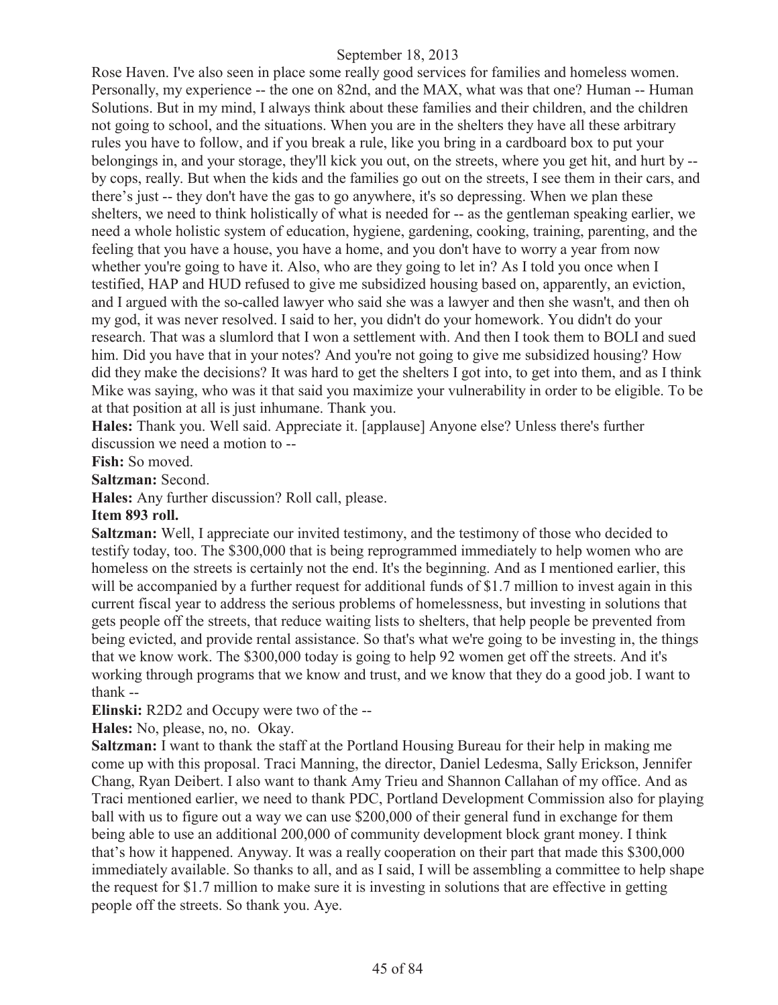Rose Haven. I've also seen in place some really good services for families and homeless women. Personally, my experience -- the one on 82nd, and the MAX, what was that one? Human -- Human Solutions. But in my mind, I always think about these families and their children, and the children not going to school, and the situations. When you are in the shelters they have all these arbitrary rules you have to follow, and if you break a rule, like you bring in a cardboard box to put your belongings in, and your storage, they'll kick you out, on the streets, where you get hit, and hurt by - by cops, really. But when the kids and the families go out on the streets, I see them in their cars, and there's just -- they don't have the gas to go anywhere, it's so depressing. When we plan these shelters, we need to think holistically of what is needed for -- as the gentleman speaking earlier, we need a whole holistic system of education, hygiene, gardening, cooking, training, parenting, and the feeling that you have a house, you have a home, and you don't have to worry a year from now whether you're going to have it. Also, who are they going to let in? As I told you once when I testified, HAP and HUD refused to give me subsidized housing based on, apparently, an eviction, and I argued with the so-called lawyer who said she was a lawyer and then she wasn't, and then oh my god, it was never resolved. I said to her, you didn't do your homework. You didn't do your research. That was a slumlord that I won a settlement with. And then I took them to BOLI and sued him. Did you have that in your notes? And you're not going to give me subsidized housing? How did they make the decisions? It was hard to get the shelters I got into, to get into them, and as I think Mike was saying, who was it that said you maximize your vulnerability in order to be eligible. To be at that position at all is just inhumane. Thank you.

**Hales:** Thank you. Well said. Appreciate it. [applause] Anyone else? Unless there's further discussion we need a motion to --

**Fish:** So moved.

**Saltzman:** Second.

**Hales:** Any further discussion? Roll call, please.

#### **Item 893 roll.**

**Saltzman:** Well, I appreciate our invited testimony, and the testimony of those who decided to testify today, too. The \$300,000 that is being reprogrammed immediately to help women who are homeless on the streets is certainly not the end. It's the beginning. And as I mentioned earlier, this will be accompanied by a further request for additional funds of \$1.7 million to invest again in this current fiscal year to address the serious problems of homelessness, but investing in solutions that gets people off the streets, that reduce waiting lists to shelters, that help people be prevented from being evicted, and provide rental assistance. So that's what we're going to be investing in, the things that we know work. The \$300,000 today is going to help 92 women get off the streets. And it's working through programs that we know and trust, and we know that they do a good job. I want to thank --

**Elinski:** R2D2 and Occupy were two of the --

**Hales:** No, please, no, no. Okay.

**Saltzman:** I want to thank the staff at the Portland Housing Bureau for their help in making me come up with this proposal. Traci Manning, the director, Daniel Ledesma, Sally Erickson, Jennifer Chang, Ryan Deibert. I also want to thank Amy Trieu and Shannon Callahan of my office. And as Traci mentioned earlier, we need to thank PDC, Portland Development Commission also for playing ball with us to figure out a way we can use \$200,000 of their general fund in exchange for them being able to use an additional 200,000 of community development block grant money. I think that's how it happened. Anyway. It was a really cooperation on their part that made this \$300,000 immediately available. So thanks to all, and as I said, I will be assembling a committee to help shape the request for \$1.7 million to make sure it is investing in solutions that are effective in getting people off the streets. So thank you. Aye.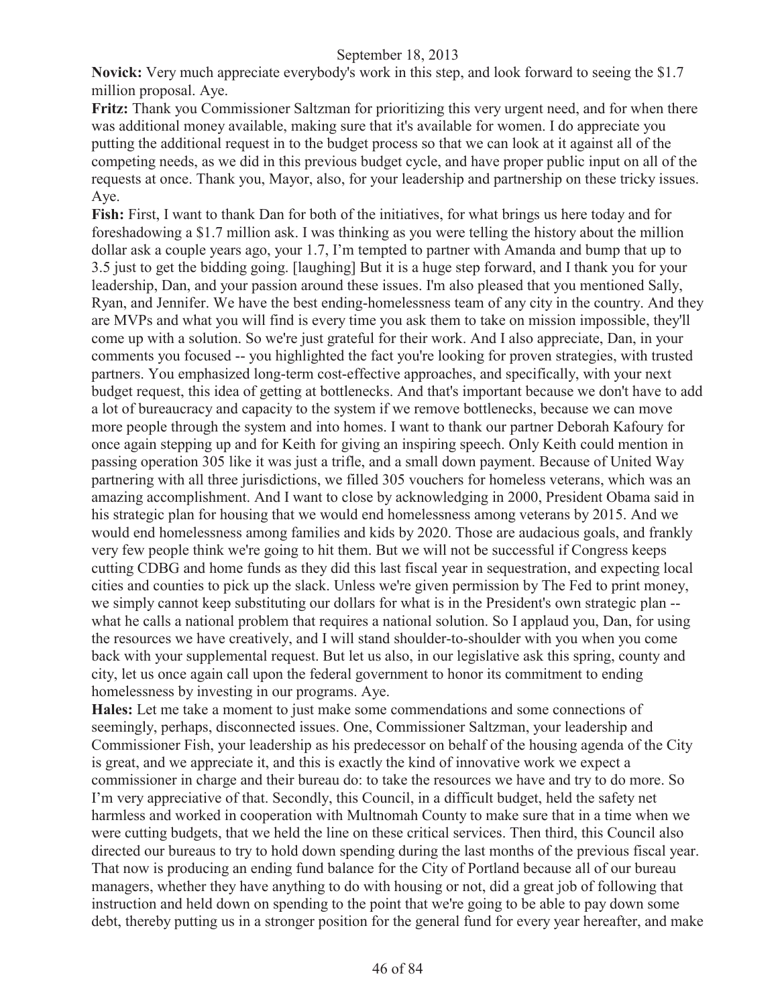**Novick:** Very much appreciate everybody's work in this step, and look forward to seeing the \$1.7 million proposal. Aye.

**Fritz:** Thank you Commissioner Saltzman for prioritizing this very urgent need, and for when there was additional money available, making sure that it's available for women. I do appreciate you putting the additional request in to the budget process so that we can look at it against all of the competing needs, as we did in this previous budget cycle, and have proper public input on all of the requests at once. Thank you, Mayor, also, for your leadership and partnership on these tricky issues. Aye.

**Fish:** First, I want to thank Dan for both of the initiatives, for what brings us here today and for foreshadowing a \$1.7 million ask. I was thinking as you were telling the history about the million dollar ask a couple years ago, your 1.7, I'm tempted to partner with Amanda and bump that up to 3.5 just to get the bidding going. [laughing] But it is a huge step forward, and I thank you for your leadership, Dan, and your passion around these issues. I'm also pleased that you mentioned Sally, Ryan, and Jennifer. We have the best ending-homelessness team of any city in the country. And they are MVPs and what you will find is every time you ask them to take on mission impossible, they'll come up with a solution. So we're just grateful for their work. And I also appreciate, Dan, in your comments you focused -- you highlighted the fact you're looking for proven strategies, with trusted partners. You emphasized long-term cost-effective approaches, and specifically, with your next budget request, this idea of getting at bottlenecks. And that's important because we don't have to add a lot of bureaucracy and capacity to the system if we remove bottlenecks, because we can move more people through the system and into homes. I want to thank our partner Deborah Kafoury for once again stepping up and for Keith for giving an inspiring speech. Only Keith could mention in passing operation 305 like it was just a trifle, and a small down payment. Because of United Way partnering with all three jurisdictions, we filled 305 vouchers for homeless veterans, which was an amazing accomplishment. And I want to close by acknowledging in 2000, President Obama said in his strategic plan for housing that we would end homelessness among veterans by 2015. And we would end homelessness among families and kids by 2020. Those are audacious goals, and frankly very few people think we're going to hit them. But we will not be successful if Congress keeps cutting CDBG and home funds as they did this last fiscal year in sequestration, and expecting local cities and counties to pick up the slack. Unless we're given permission by The Fed to print money, we simply cannot keep substituting our dollars for what is in the President's own strategic plan - what he calls a national problem that requires a national solution. So I applaud you, Dan, for using the resources we have creatively, and I will stand shoulder-to-shoulder with you when you come back with your supplemental request. But let us also, in our legislative ask this spring, county and city, let us once again call upon the federal government to honor its commitment to ending homelessness by investing in our programs. Aye.

**Hales:** Let me take a moment to just make some commendations and some connections of seemingly, perhaps, disconnected issues. One, Commissioner Saltzman, your leadership and Commissioner Fish, your leadership as his predecessor on behalf of the housing agenda of the City is great, and we appreciate it, and this is exactly the kind of innovative work we expect a commissioner in charge and their bureau do: to take the resources we have and try to do more. So I'm very appreciative of that. Secondly, this Council, in a difficult budget, held the safety net harmless and worked in cooperation with Multnomah County to make sure that in a time when we were cutting budgets, that we held the line on these critical services. Then third, this Council also directed our bureaus to try to hold down spending during the last months of the previous fiscal year. That now is producing an ending fund balance for the City of Portland because all of our bureau managers, whether they have anything to do with housing or not, did a great job of following that instruction and held down on spending to the point that we're going to be able to pay down some debt, thereby putting us in a stronger position for the general fund for every year hereafter, and make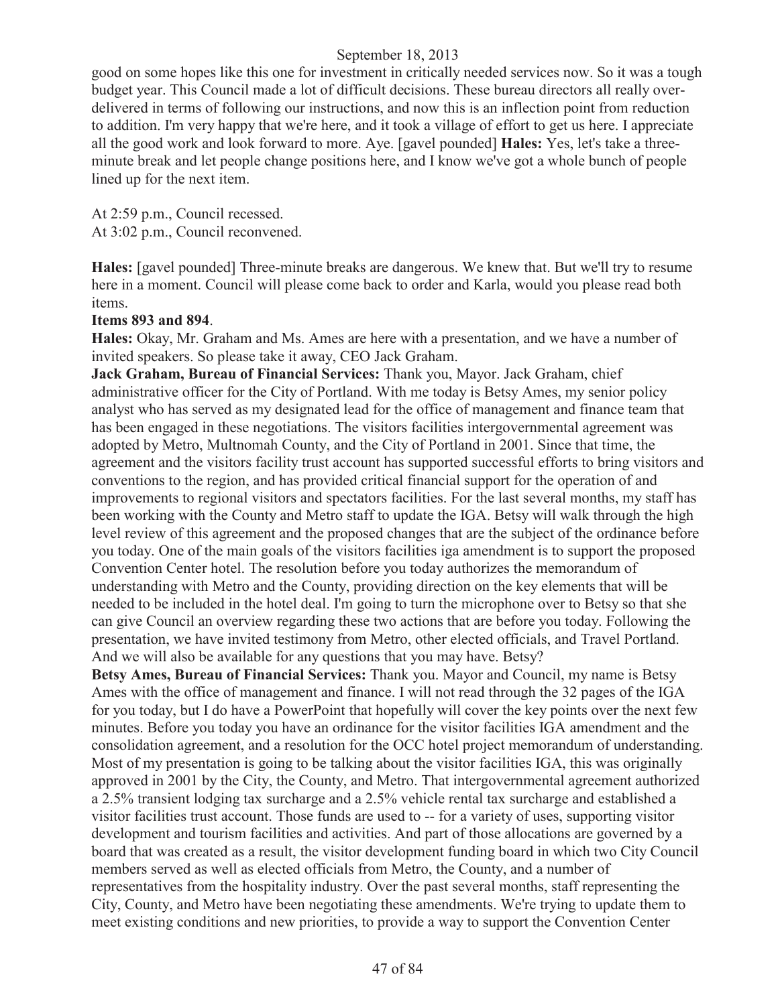good on some hopes like this one for investment in critically needed services now. So it was a tough budget year. This Council made a lot of difficult decisions. These bureau directors all really overdelivered in terms of following our instructions, and now this is an inflection point from reduction to addition. I'm very happy that we're here, and it took a village of effort to get us here. I appreciate all the good work and look forward to more. Aye. [gavel pounded] **Hales:** Yes, let's take a threeminute break and let people change positions here, and I know we've got a whole bunch of people lined up for the next item.

At 2:59 p.m., Council recessed. At 3:02 p.m., Council reconvened.

**Hales:** [gavel pounded] Three-minute breaks are dangerous. We knew that. But we'll try to resume here in a moment. Council will please come back to order and Karla, would you please read both items.

### **Items 893 and 894**.

**Hales:** Okay, Mr. Graham and Ms. Ames are here with a presentation, and we have a number of invited speakers. So please take it away, CEO Jack Graham.

**Jack Graham, Bureau of Financial Services:** Thank you, Mayor. Jack Graham, chief administrative officer for the City of Portland. With me today is Betsy Ames, my senior policy analyst who has served as my designated lead for the office of management and finance team that has been engaged in these negotiations. The visitors facilities intergovernmental agreement was adopted by Metro, Multnomah County, and the City of Portland in 2001. Since that time, the agreement and the visitors facility trust account has supported successful efforts to bring visitors and conventions to the region, and has provided critical financial support for the operation of and improvements to regional visitors and spectators facilities. For the last several months, my staff has been working with the County and Metro staff to update the IGA. Betsy will walk through the high level review of this agreement and the proposed changes that are the subject of the ordinance before you today. One of the main goals of the visitors facilities iga amendment is to support the proposed Convention Center hotel. The resolution before you today authorizes the memorandum of understanding with Metro and the County, providing direction on the key elements that will be needed to be included in the hotel deal. I'm going to turn the microphone over to Betsy so that she can give Council an overview regarding these two actions that are before you today. Following the presentation, we have invited testimony from Metro, other elected officials, and Travel Portland. And we will also be available for any questions that you may have. Betsy?

**Betsy Ames, Bureau of Financial Services:** Thank you. Mayor and Council, my name is Betsy Ames with the office of management and finance. I will not read through the 32 pages of the IGA for you today, but I do have a PowerPoint that hopefully will cover the key points over the next few minutes. Before you today you have an ordinance for the visitor facilities IGA amendment and the consolidation agreement, and a resolution for the OCC hotel project memorandum of understanding. Most of my presentation is going to be talking about the visitor facilities IGA, this was originally approved in 2001 by the City, the County, and Metro. That intergovernmental agreement authorized a 2.5% transient lodging tax surcharge and a 2.5% vehicle rental tax surcharge and established a visitor facilities trust account. Those funds are used to -- for a variety of uses, supporting visitor development and tourism facilities and activities. And part of those allocations are governed by a board that was created as a result, the visitor development funding board in which two City Council members served as well as elected officials from Metro, the County, and a number of representatives from the hospitality industry. Over the past several months, staff representing the City, County, and Metro have been negotiating these amendments. We're trying to update them to meet existing conditions and new priorities, to provide a way to support the Convention Center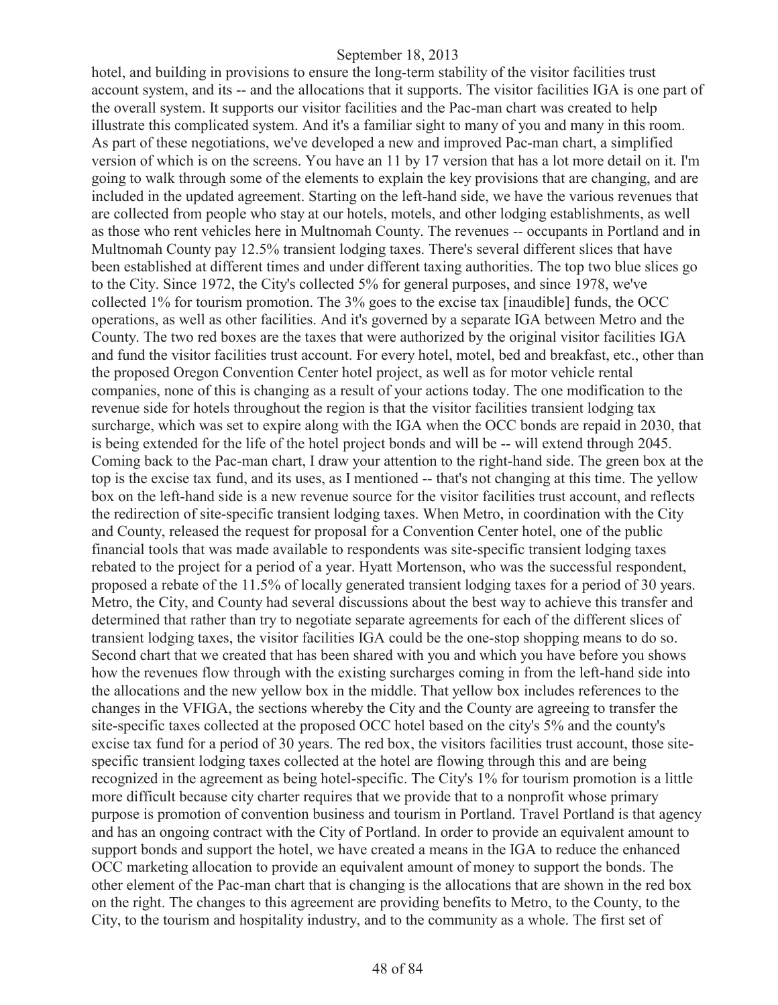hotel, and building in provisions to ensure the long-term stability of the visitor facilities trust account system, and its -- and the allocations that it supports. The visitor facilities IGA is one part of the overall system. It supports our visitor facilities and the Pac-man chart was created to help illustrate this complicated system. And it's a familiar sight to many of you and many in this room. As part of these negotiations, we've developed a new and improved Pac-man chart, a simplified version of which is on the screens. You have an 11 by 17 version that has a lot more detail on it. I'm going to walk through some of the elements to explain the key provisions that are changing, and are included in the updated agreement. Starting on the left-hand side, we have the various revenues that are collected from people who stay at our hotels, motels, and other lodging establishments, as well as those who rent vehicles here in Multnomah County. The revenues -- occupants in Portland and in Multnomah County pay 12.5% transient lodging taxes. There's several different slices that have been established at different times and under different taxing authorities. The top two blue slices go to the City. Since 1972, the City's collected 5% for general purposes, and since 1978, we've collected 1% for tourism promotion. The 3% goes to the excise tax [inaudible] funds, the OCC operations, as well as other facilities. And it's governed by a separate IGA between Metro and the County. The two red boxes are the taxes that were authorized by the original visitor facilities IGA and fund the visitor facilities trust account. For every hotel, motel, bed and breakfast, etc., other than the proposed Oregon Convention Center hotel project, as well as for motor vehicle rental companies, none of this is changing as a result of your actions today. The one modification to the revenue side for hotels throughout the region is that the visitor facilities transient lodging tax surcharge, which was set to expire along with the IGA when the OCC bonds are repaid in 2030, that is being extended for the life of the hotel project bonds and will be -- will extend through 2045. Coming back to the Pac-man chart, I draw your attention to the right-hand side. The green box at the top is the excise tax fund, and its uses, as I mentioned -- that's not changing at this time. The yellow box on the left-hand side is a new revenue source for the visitor facilities trust account, and reflects the redirection of site-specific transient lodging taxes. When Metro, in coordination with the City and County, released the request for proposal for a Convention Center hotel, one of the public financial tools that was made available to respondents was site-specific transient lodging taxes rebated to the project for a period of a year. Hyatt Mortenson, who was the successful respondent, proposed a rebate of the 11.5% of locally generated transient lodging taxes for a period of 30 years. Metro, the City, and County had several discussions about the best way to achieve this transfer and determined that rather than try to negotiate separate agreements for each of the different slices of transient lodging taxes, the visitor facilities IGA could be the one-stop shopping means to do so. Second chart that we created that has been shared with you and which you have before you shows how the revenues flow through with the existing surcharges coming in from the left-hand side into the allocations and the new yellow box in the middle. That yellow box includes references to the changes in the VFIGA, the sections whereby the City and the County are agreeing to transfer the site-specific taxes collected at the proposed OCC hotel based on the city's 5% and the county's excise tax fund for a period of 30 years. The red box, the visitors facilities trust account, those sitespecific transient lodging taxes collected at the hotel are flowing through this and are being recognized in the agreement as being hotel-specific. The City's 1% for tourism promotion is a little more difficult because city charter requires that we provide that to a nonprofit whose primary purpose is promotion of convention business and tourism in Portland. Travel Portland is that agency and has an ongoing contract with the City of Portland. In order to provide an equivalent amount to support bonds and support the hotel, we have created a means in the IGA to reduce the enhanced OCC marketing allocation to provide an equivalent amount of money to support the bonds. The other element of the Pac-man chart that is changing is the allocations that are shown in the red box on the right. The changes to this agreement are providing benefits to Metro, to the County, to the City, to the tourism and hospitality industry, and to the community as a whole. The first set of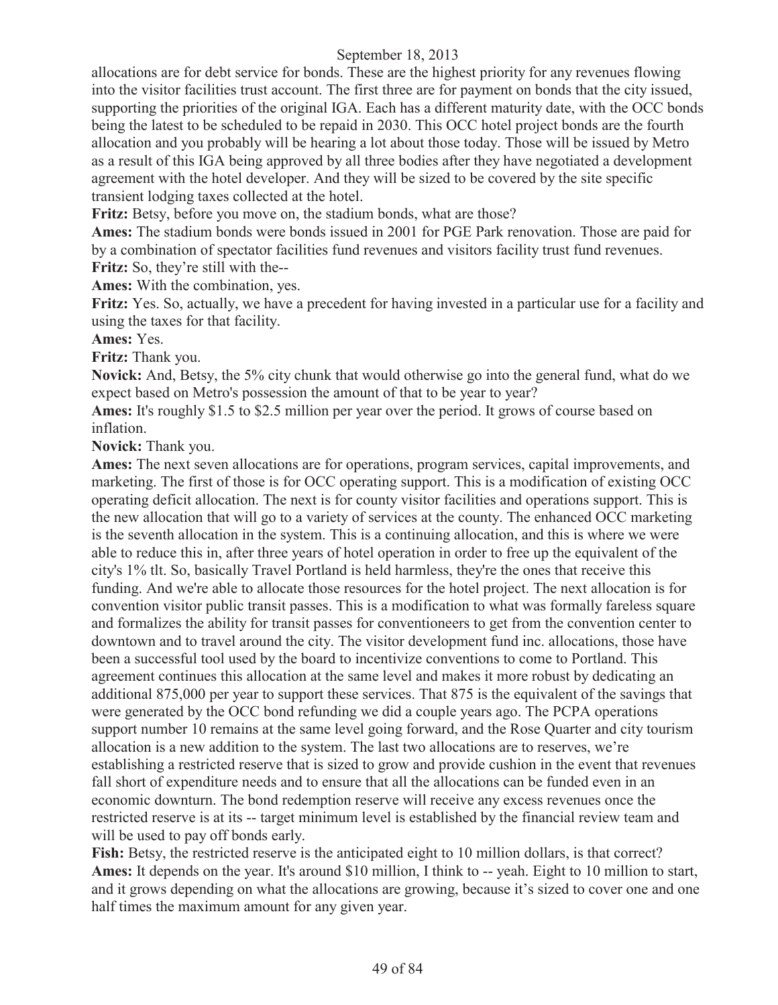allocations are for debt service for bonds. These are the highest priority for any revenues flowing into the visitor facilities trust account. The first three are for payment on bonds that the city issued, supporting the priorities of the original IGA. Each has a different maturity date, with the OCC bonds being the latest to be scheduled to be repaid in 2030. This OCC hotel project bonds are the fourth allocation and you probably will be hearing a lot about those today. Those will be issued by Metro as a result of this IGA being approved by all three bodies after they have negotiated a development agreement with the hotel developer. And they will be sized to be covered by the site specific transient lodging taxes collected at the hotel.

**Fritz:** Betsy, before you move on, the stadium bonds, what are those?

**Ames:** The stadium bonds were bonds issued in 2001 for PGE Park renovation. Those are paid for by a combination of spectator facilities fund revenues and visitors facility trust fund revenues. Fritz: So, they're still with the--

**Ames:** With the combination, yes.

**Fritz:** Yes. So, actually, we have a precedent for having invested in a particular use for a facility and using the taxes for that facility.

**Ames:** Yes.

**Fritz:** Thank you.

**Novick:** And, Betsy, the 5% city chunk that would otherwise go into the general fund, what do we expect based on Metro's possession the amount of that to be year to year?

**Ames:** It's roughly \$1.5 to \$2.5 million per year over the period. It grows of course based on inflation.

**Novick:** Thank you.

**Ames:** The next seven allocations are for operations, program services, capital improvements, and marketing. The first of those is for OCC operating support. This is a modification of existing OCC operating deficit allocation. The next is for county visitor facilities and operations support. This is the new allocation that will go to a variety of services at the county. The enhanced OCC marketing is the seventh allocation in the system. This is a continuing allocation, and this is where we were able to reduce this in, after three years of hotel operation in order to free up the equivalent of the city's 1% tlt. So, basically Travel Portland is held harmless, they're the ones that receive this funding. And we're able to allocate those resources for the hotel project. The next allocation is for convention visitor public transit passes. This is a modification to what was formally fareless square and formalizes the ability for transit passes for conventioneers to get from the convention center to downtown and to travel around the city. The visitor development fund inc. allocations, those have been a successful tool used by the board to incentivize conventions to come to Portland. This agreement continues this allocation at the same level and makes it more robust by dedicating an additional 875,000 per year to support these services. That 875 is the equivalent of the savings that were generated by the OCC bond refunding we did a couple years ago. The PCPA operations support number 10 remains at the same level going forward, and the Rose Quarter and city tourism allocation is a new addition to the system. The last two allocations are to reserves, we're establishing a restricted reserve that is sized to grow and provide cushion in the event that revenues fall short of expenditure needs and to ensure that all the allocations can be funded even in an economic downturn. The bond redemption reserve will receive any excess revenues once the restricted reserve is at its -- target minimum level is established by the financial review team and will be used to pay off bonds early.

**Fish:** Betsy, the restricted reserve is the anticipated eight to 10 million dollars, is that correct? **Ames:** It depends on the year. It's around \$10 million, I think to -- yeah. Eight to 10 million to start, and it grows depending on what the allocations are growing, because it's sized to cover one and one half times the maximum amount for any given year.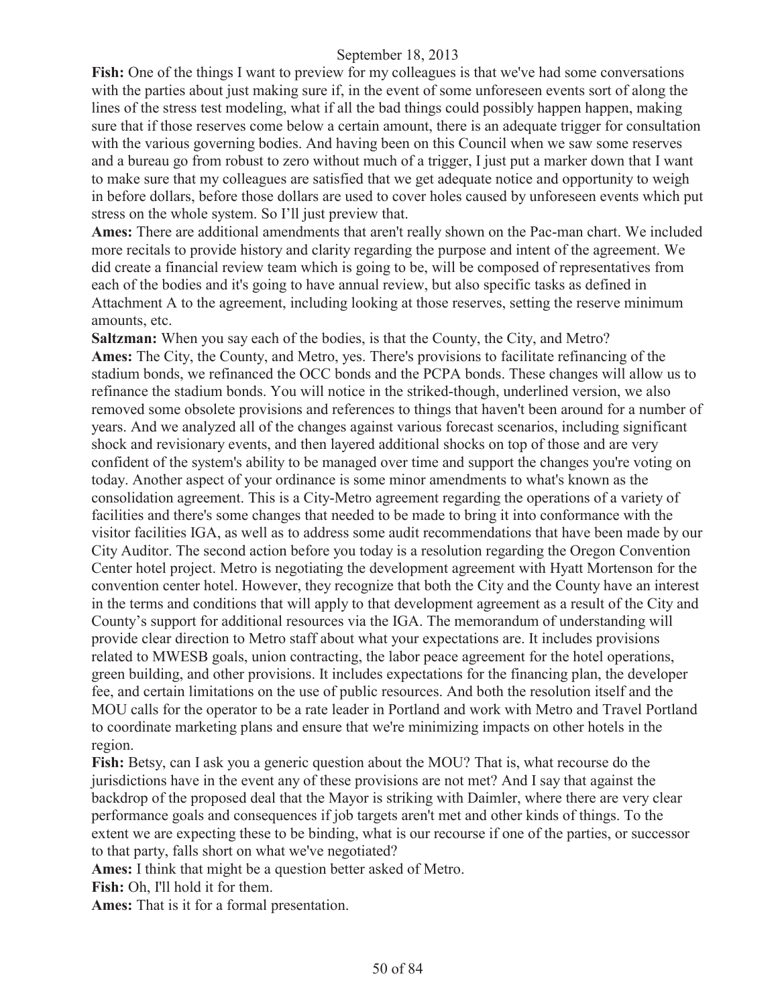**Fish:** One of the things I want to preview for my colleagues is that we've had some conversations with the parties about just making sure if, in the event of some unforeseen events sort of along the lines of the stress test modeling, what if all the bad things could possibly happen happen, making sure that if those reserves come below a certain amount, there is an adequate trigger for consultation with the various governing bodies. And having been on this Council when we saw some reserves and a bureau go from robust to zero without much of a trigger, I just put a marker down that I want to make sure that my colleagues are satisfied that we get adequate notice and opportunity to weigh in before dollars, before those dollars are used to cover holes caused by unforeseen events which put stress on the whole system. So I'll just preview that.

**Ames:** There are additional amendments that aren't really shown on the Pac-man chart. We included more recitals to provide history and clarity regarding the purpose and intent of the agreement. We did create a financial review team which is going to be, will be composed of representatives from each of the bodies and it's going to have annual review, but also specific tasks as defined in Attachment A to the agreement, including looking at those reserves, setting the reserve minimum amounts, etc.

**Saltzman:** When you say each of the bodies, is that the County, the City, and Metro? **Ames:** The City, the County, and Metro, yes. There's provisions to facilitate refinancing of the stadium bonds, we refinanced the OCC bonds and the PCPA bonds. These changes will allow us to refinance the stadium bonds. You will notice in the striked-though, underlined version, we also removed some obsolete provisions and references to things that haven't been around for a number of years. And we analyzed all of the changes against various forecast scenarios, including significant shock and revisionary events, and then layered additional shocks on top of those and are very confident of the system's ability to be managed over time and support the changes you're voting on today. Another aspect of your ordinance is some minor amendments to what's known as the consolidation agreement. This is a City-Metro agreement regarding the operations of a variety of facilities and there's some changes that needed to be made to bring it into conformance with the visitor facilities IGA, as well as to address some audit recommendations that have been made by our City Auditor. The second action before you today is a resolution regarding the Oregon Convention Center hotel project. Metro is negotiating the development agreement with Hyatt Mortenson for the convention center hotel. However, they recognize that both the City and the County have an interest in the terms and conditions that will apply to that development agreement as a result of the City and County's support for additional resources via the IGA. The memorandum of understanding will provide clear direction to Metro staff about what your expectations are. It includes provisions related to MWESB goals, union contracting, the labor peace agreement for the hotel operations, green building, and other provisions. It includes expectations for the financing plan, the developer fee, and certain limitations on the use of public resources. And both the resolution itself and the MOU calls for the operator to be a rate leader in Portland and work with Metro and Travel Portland to coordinate marketing plans and ensure that we're minimizing impacts on other hotels in the region.

**Fish:** Betsy, can I ask you a generic question about the MOU? That is, what recourse do the jurisdictions have in the event any of these provisions are not met? And I say that against the backdrop of the proposed deal that the Mayor is striking with Daimler, where there are very clear performance goals and consequences if job targets aren't met and other kinds of things. To the extent we are expecting these to be binding, what is our recourse if one of the parties, or successor to that party, falls short on what we've negotiated?

**Ames:** I think that might be a question better asked of Metro.

**Fish:** Oh, I'll hold it for them.

**Ames:** That is it for a formal presentation.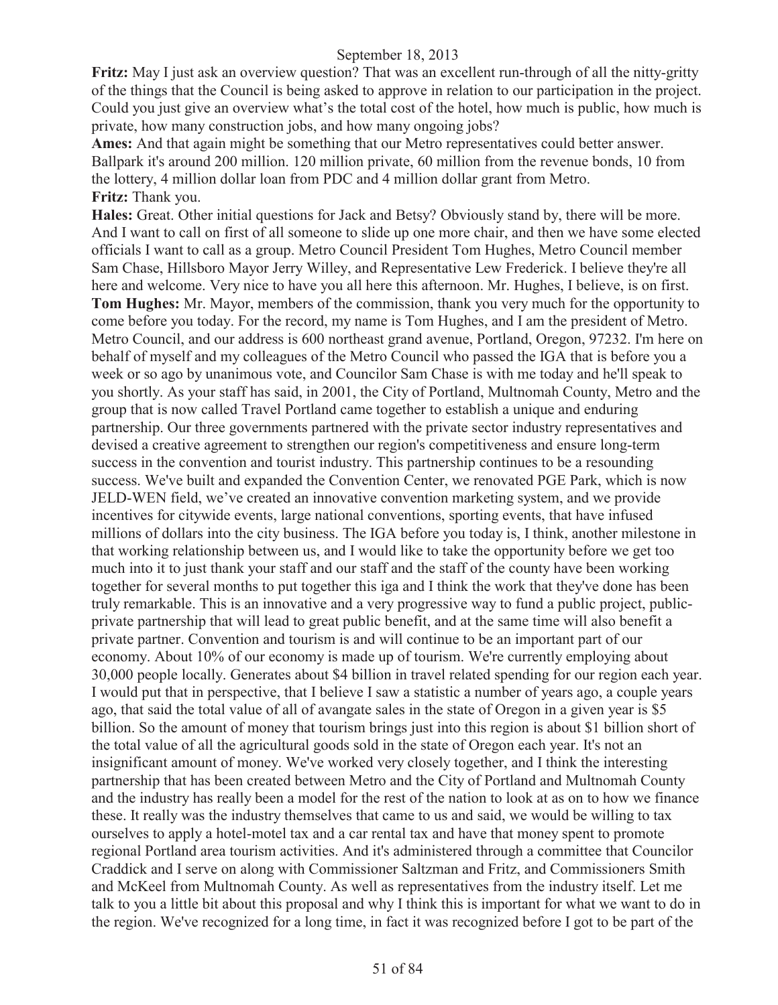**Fritz:** May I just ask an overview question? That was an excellent run-through of all the nitty-gritty of the things that the Council is being asked to approve in relation to our participation in the project. Could you just give an overview what's the total cost of the hotel, how much is public, how much is private, how many construction jobs, and how many ongoing jobs?

**Ames:** And that again might be something that our Metro representatives could better answer. Ballpark it's around 200 million. 120 million private, 60 million from the revenue bonds, 10 from the lottery, 4 million dollar loan from PDC and 4 million dollar grant from Metro. **Fritz:** Thank you.

**Hales:** Great. Other initial questions for Jack and Betsy? Obviously stand by, there will be more. And I want to call on first of all someone to slide up one more chair, and then we have some elected officials I want to call as a group. Metro Council President Tom Hughes, Metro Council member Sam Chase, Hillsboro Mayor Jerry Willey, and Representative Lew Frederick. I believe they're all here and welcome. Very nice to have you all here this afternoon. Mr. Hughes, I believe, is on first. **Tom Hughes:** Mr. Mayor, members of the commission, thank you very much for the opportunity to come before you today. For the record, my name is Tom Hughes, and I am the president of Metro. Metro Council, and our address is 600 northeast grand avenue, Portland, Oregon, 97232. I'm here on behalf of myself and my colleagues of the Metro Council who passed the IGA that is before you a week or so ago by unanimous vote, and Councilor Sam Chase is with me today and he'll speak to you shortly. As your staff has said, in 2001, the City of Portland, Multnomah County, Metro and the group that is now called Travel Portland came together to establish a unique and enduring partnership. Our three governments partnered with the private sector industry representatives and devised a creative agreement to strengthen our region's competitiveness and ensure long-term success in the convention and tourist industry. This partnership continues to be a resounding success. We've built and expanded the Convention Center, we renovated PGE Park, which is now JELD-WEN field, we've created an innovative convention marketing system, and we provide incentives for citywide events, large national conventions, sporting events, that have infused millions of dollars into the city business. The IGA before you today is, I think, another milestone in that working relationship between us, and I would like to take the opportunity before we get too much into it to just thank your staff and our staff and the staff of the county have been working together for several months to put together this iga and I think the work that they've done has been truly remarkable. This is an innovative and a very progressive way to fund a public project, publicprivate partnership that will lead to great public benefit, and at the same time will also benefit a private partner. Convention and tourism is and will continue to be an important part of our economy. About 10% of our economy is made up of tourism. We're currently employing about 30,000 people locally. Generates about \$4 billion in travel related spending for our region each year. I would put that in perspective, that I believe I saw a statistic a number of years ago, a couple years ago, that said the total value of all of avangate sales in the state of Oregon in a given year is \$5 billion. So the amount of money that tourism brings just into this region is about \$1 billion short of the total value of all the agricultural goods sold in the state of Oregon each year. It's not an insignificant amount of money. We've worked very closely together, and I think the interesting partnership that has been created between Metro and the City of Portland and Multnomah County and the industry has really been a model for the rest of the nation to look at as on to how we finance these. It really was the industry themselves that came to us and said, we would be willing to tax ourselves to apply a hotel-motel tax and a car rental tax and have that money spent to promote regional Portland area tourism activities. And it's administered through a committee that Councilor Craddick and I serve on along with Commissioner Saltzman and Fritz, and Commissioners Smith and McKeel from Multnomah County. As well as representatives from the industry itself. Let me talk to you a little bit about this proposal and why I think this is important for what we want to do in the region. We've recognized for a long time, in fact it was recognized before I got to be part of the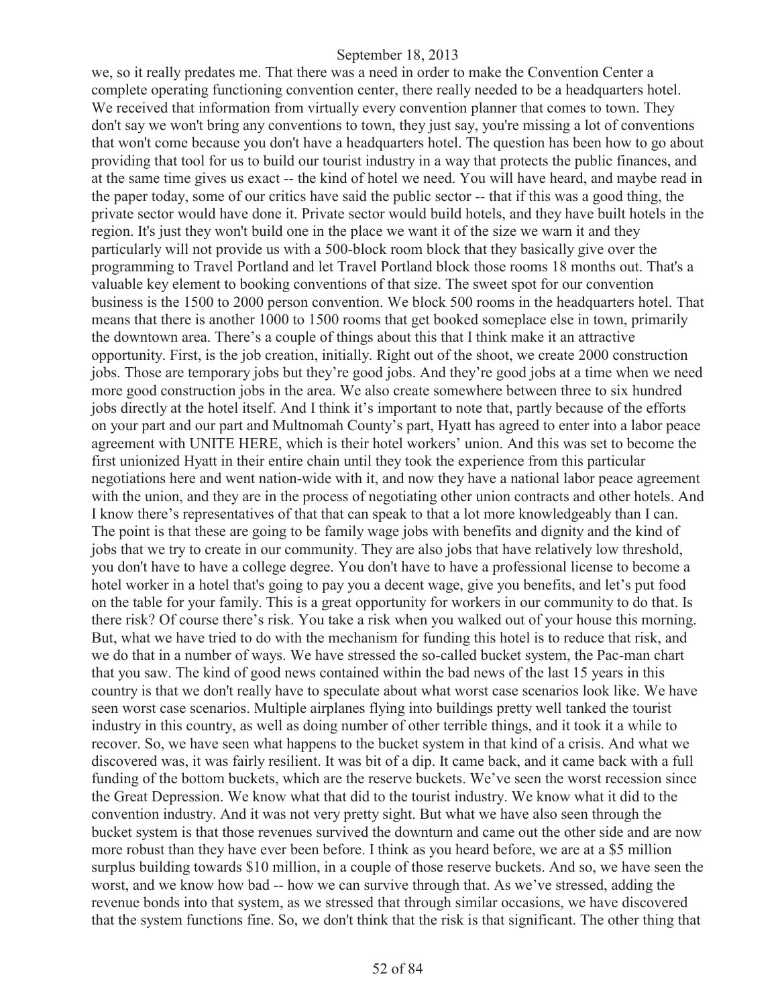we, so it really predates me. That there was a need in order to make the Convention Center a complete operating functioning convention center, there really needed to be a headquarters hotel. We received that information from virtually every convention planner that comes to town. They don't say we won't bring any conventions to town, they just say, you're missing a lot of conventions that won't come because you don't have a headquarters hotel. The question has been how to go about providing that tool for us to build our tourist industry in a way that protects the public finances, and at the same time gives us exact -- the kind of hotel we need. You will have heard, and maybe read in the paper today, some of our critics have said the public sector -- that if this was a good thing, the private sector would have done it. Private sector would build hotels, and they have built hotels in the region. It's just they won't build one in the place we want it of the size we warn it and they particularly will not provide us with a 500-block room block that they basically give over the programming to Travel Portland and let Travel Portland block those rooms 18 months out. That's a valuable key element to booking conventions of that size. The sweet spot for our convention business is the 1500 to 2000 person convention. We block 500 rooms in the headquarters hotel. That means that there is another 1000 to 1500 rooms that get booked someplace else in town, primarily the downtown area. There's a couple of things about this that I think make it an attractive opportunity. First, is the job creation, initially. Right out of the shoot, we create 2000 construction jobs. Those are temporary jobs but they're good jobs. And they're good jobs at a time when we need more good construction jobs in the area. We also create somewhere between three to six hundred jobs directly at the hotel itself. And I think it's important to note that, partly because of the efforts on your part and our part and Multnomah County's part, Hyatt has agreed to enter into a labor peace agreement with UNITE HERE, which is their hotel workers' union. And this was set to become the first unionized Hyatt in their entire chain until they took the experience from this particular negotiations here and went nation-wide with it, and now they have a national labor peace agreement with the union, and they are in the process of negotiating other union contracts and other hotels. And I know there's representatives of that that can speak to that a lot more knowledgeably than I can. The point is that these are going to be family wage jobs with benefits and dignity and the kind of jobs that we try to create in our community. They are also jobs that have relatively low threshold, you don't have to have a college degree. You don't have to have a professional license to become a hotel worker in a hotel that's going to pay you a decent wage, give you benefits, and let's put food on the table for your family. This is a great opportunity for workers in our community to do that. Is there risk? Of course there's risk. You take a risk when you walked out of your house this morning. But, what we have tried to do with the mechanism for funding this hotel is to reduce that risk, and we do that in a number of ways. We have stressed the so-called bucket system, the Pac-man chart that you saw. The kind of good news contained within the bad news of the last 15 years in this country is that we don't really have to speculate about what worst case scenarios look like. We have seen worst case scenarios. Multiple airplanes flying into buildings pretty well tanked the tourist industry in this country, as well as doing number of other terrible things, and it took it a while to recover. So, we have seen what happens to the bucket system in that kind of a crisis. And what we discovered was, it was fairly resilient. It was bit of a dip. It came back, and it came back with a full funding of the bottom buckets, which are the reserve buckets. We've seen the worst recession since the Great Depression. We know what that did to the tourist industry. We know what it did to the convention industry. And it was not very pretty sight. But what we have also seen through the bucket system is that those revenues survived the downturn and came out the other side and are now more robust than they have ever been before. I think as you heard before, we are at a \$5 million surplus building towards \$10 million, in a couple of those reserve buckets. And so, we have seen the worst, and we know how bad -- how we can survive through that. As we've stressed, adding the revenue bonds into that system, as we stressed that through similar occasions, we have discovered that the system functions fine. So, we don't think that the risk is that significant. The other thing that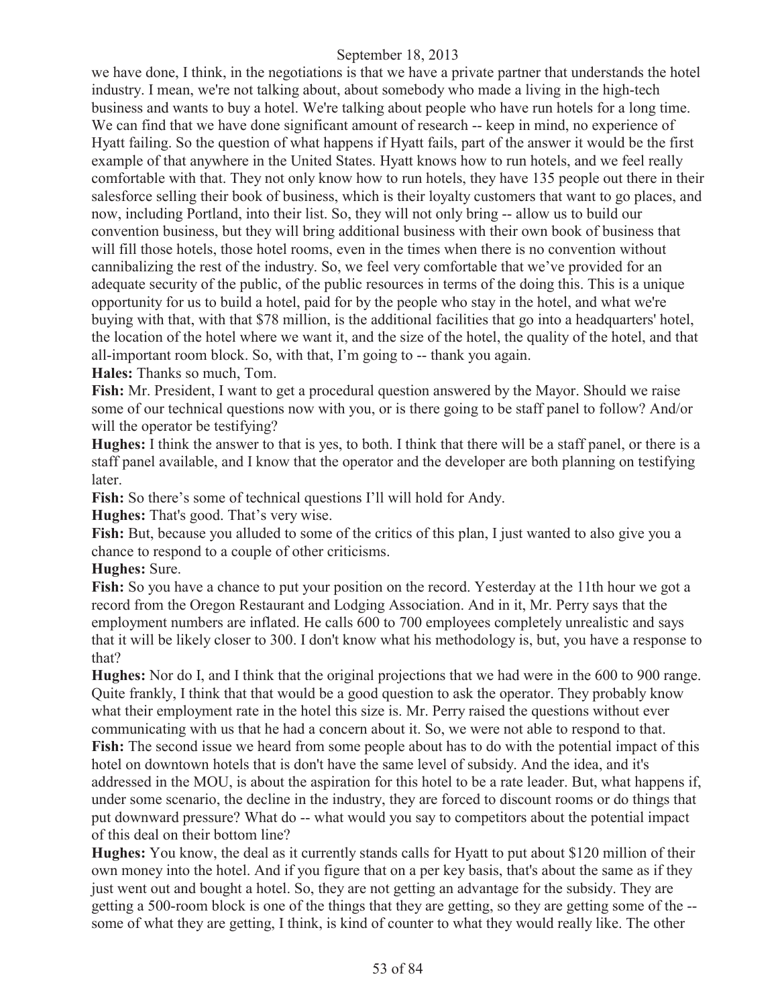we have done, I think, in the negotiations is that we have a private partner that understands the hotel industry. I mean, we're not talking about, about somebody who made a living in the high-tech business and wants to buy a hotel. We're talking about people who have run hotels for a long time. We can find that we have done significant amount of research -- keep in mind, no experience of Hyatt failing. So the question of what happens if Hyatt fails, part of the answer it would be the first example of that anywhere in the United States. Hyatt knows how to run hotels, and we feel really comfortable with that. They not only know how to run hotels, they have 135 people out there in their salesforce selling their book of business, which is their loyalty customers that want to go places, and now, including Portland, into their list. So, they will not only bring -- allow us to build our convention business, but they will bring additional business with their own book of business that will fill those hotels, those hotel rooms, even in the times when there is no convention without cannibalizing the rest of the industry. So, we feel very comfortable that we've provided for an adequate security of the public, of the public resources in terms of the doing this. This is a unique opportunity for us to build a hotel, paid for by the people who stay in the hotel, and what we're buying with that, with that \$78 million, is the additional facilities that go into a headquarters' hotel, the location of the hotel where we want it, and the size of the hotel, the quality of the hotel, and that all-important room block. So, with that, I'm going to -- thank you again.

**Hales:** Thanks so much, Tom.

**Fish:** Mr. President, I want to get a procedural question answered by the Mayor. Should we raise some of our technical questions now with you, or is there going to be staff panel to follow? And/or will the operator be testifying?

**Hughes:** I think the answer to that is yes, to both. I think that there will be a staff panel, or there is a staff panel available, and I know that the operator and the developer are both planning on testifying later.

**Fish:** So there's some of technical questions I'll will hold for Andy.

**Hughes:** That's good. That's very wise.

**Fish:** But, because you alluded to some of the critics of this plan, I just wanted to also give you a chance to respond to a couple of other criticisms.

**Hughes:** Sure.

**Fish:** So you have a chance to put your position on the record. Yesterday at the 11th hour we got a record from the Oregon Restaurant and Lodging Association. And in it, Mr. Perry says that the employment numbers are inflated. He calls 600 to 700 employees completely unrealistic and says that it will be likely closer to 300. I don't know what his methodology is, but, you have a response to that?

**Hughes:** Nor do I, and I think that the original projections that we had were in the 600 to 900 range. Quite frankly, I think that that would be a good question to ask the operator. They probably know what their employment rate in the hotel this size is. Mr. Perry raised the questions without ever communicating with us that he had a concern about it. So, we were not able to respond to that. **Fish:** The second issue we heard from some people about has to do with the potential impact of this hotel on downtown hotels that is don't have the same level of subsidy. And the idea, and it's addressed in the MOU, is about the aspiration for this hotel to be a rate leader. But, what happens if, under some scenario, the decline in the industry, they are forced to discount rooms or do things that put downward pressure? What do -- what would you say to competitors about the potential impact of this deal on their bottom line?

**Hughes:** You know, the deal as it currently stands calls for Hyatt to put about \$120 million of their own money into the hotel. And if you figure that on a per key basis, that's about the same as if they just went out and bought a hotel. So, they are not getting an advantage for the subsidy. They are getting a 500-room block is one of the things that they are getting, so they are getting some of the - some of what they are getting, I think, is kind of counter to what they would really like. The other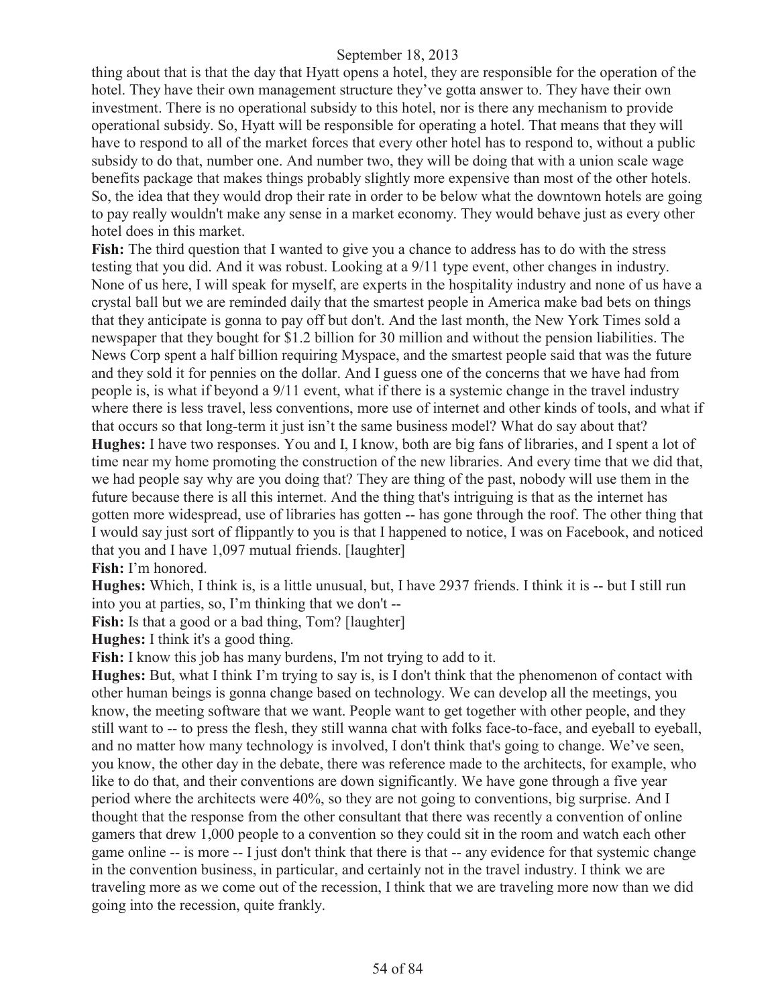thing about that is that the day that Hyatt opens a hotel, they are responsible for the operation of the hotel. They have their own management structure they've gotta answer to. They have their own investment. There is no operational subsidy to this hotel, nor is there any mechanism to provide operational subsidy. So, Hyatt will be responsible for operating a hotel. That means that they will have to respond to all of the market forces that every other hotel has to respond to, without a public subsidy to do that, number one. And number two, they will be doing that with a union scale wage benefits package that makes things probably slightly more expensive than most of the other hotels. So, the idea that they would drop their rate in order to be below what the downtown hotels are going to pay really wouldn't make any sense in a market economy. They would behave just as every other hotel does in this market.

**Fish:** The third question that I wanted to give you a chance to address has to do with the stress testing that you did. And it was robust. Looking at a 9/11 type event, other changes in industry. None of us here, I will speak for myself, are experts in the hospitality industry and none of us have a crystal ball but we are reminded daily that the smartest people in America make bad bets on things that they anticipate is gonna to pay off but don't. And the last month, the New York Times sold a newspaper that they bought for \$1.2 billion for 30 million and without the pension liabilities. The News Corp spent a half billion requiring Myspace, and the smartest people said that was the future and they sold it for pennies on the dollar. And I guess one of the concerns that we have had from people is, is what if beyond a 9/11 event, what if there is a systemic change in the travel industry where there is less travel, less conventions, more use of internet and other kinds of tools, and what if that occurs so that long-term it just isn't the same business model? What do say about that? **Hughes:** I have two responses. You and I, I know, both are big fans of libraries, and I spent a lot of time near my home promoting the construction of the new libraries. And every time that we did that, we had people say why are you doing that? They are thing of the past, nobody will use them in the future because there is all this internet. And the thing that's intriguing is that as the internet has gotten more widespread, use of libraries has gotten -- has gone through the roof. The other thing that I would say just sort of flippantly to you is that I happened to notice, I was on Facebook, and noticed that you and I have 1,097 mutual friends. [laughter]

**Fish:** I'm honored.

**Hughes:** Which, I think is, is a little unusual, but, I have 2937 friends. I think it is -- but I still run into you at parties, so, I'm thinking that we don't --

Fish: Is that a good or a bad thing, Tom? [laughter]

**Hughes:** I think it's a good thing.

**Fish:** I know this job has many burdens, I'm not trying to add to it.

**Hughes:** But, what I think I'm trying to say is, is I don't think that the phenomenon of contact with other human beings is gonna change based on technology. We can develop all the meetings, you know, the meeting software that we want. People want to get together with other people, and they still want to -- to press the flesh, they still wanna chat with folks face-to-face, and eyeball to eyeball, and no matter how many technology is involved, I don't think that's going to change. We've seen, you know, the other day in the debate, there was reference made to the architects, for example, who like to do that, and their conventions are down significantly. We have gone through a five year period where the architects were 40%, so they are not going to conventions, big surprise. And I thought that the response from the other consultant that there was recently a convention of online gamers that drew 1,000 people to a convention so they could sit in the room and watch each other game online -- is more -- I just don't think that there is that -- any evidence for that systemic change in the convention business, in particular, and certainly not in the travel industry. I think we are traveling more as we come out of the recession, I think that we are traveling more now than we did going into the recession, quite frankly.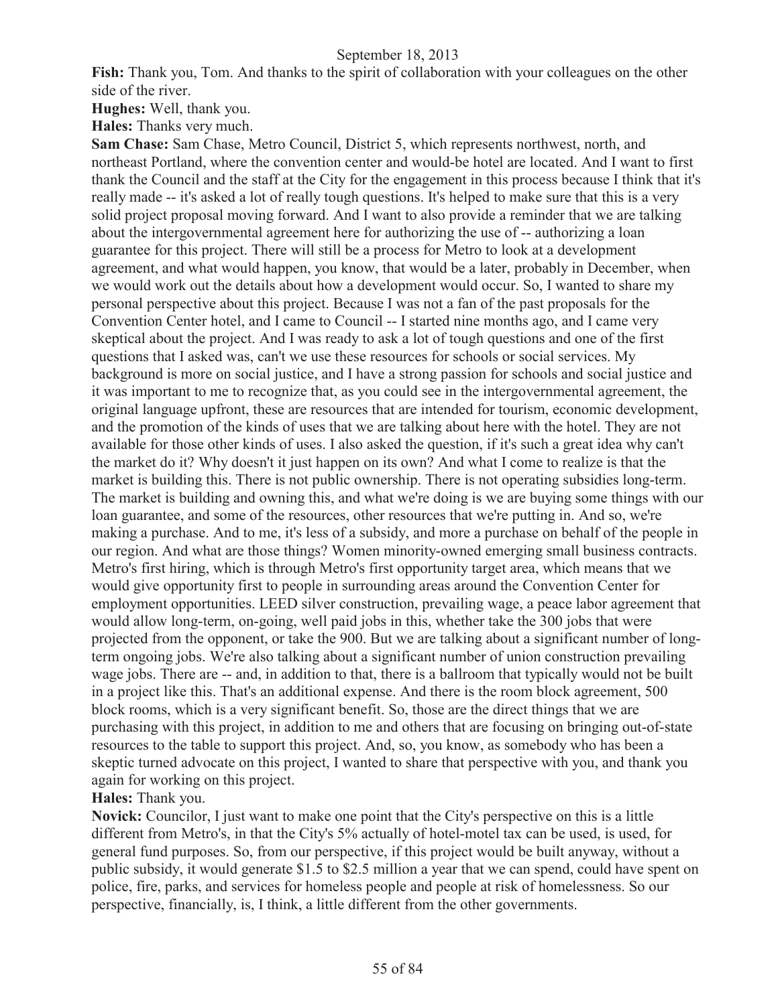**Fish:** Thank you, Tom. And thanks to the spirit of collaboration with your colleagues on the other side of the river.

**Hughes:** Well, thank you.

**Hales:** Thanks very much.

**Sam Chase:** Sam Chase, Metro Council, District 5, which represents northwest, north, and northeast Portland, where the convention center and would-be hotel are located. And I want to first thank the Council and the staff at the City for the engagement in this process because I think that it's really made -- it's asked a lot of really tough questions. It's helped to make sure that this is a very solid project proposal moving forward. And I want to also provide a reminder that we are talking about the intergovernmental agreement here for authorizing the use of -- authorizing a loan guarantee for this project. There will still be a process for Metro to look at a development agreement, and what would happen, you know, that would be a later, probably in December, when we would work out the details about how a development would occur. So, I wanted to share my personal perspective about this project. Because I was not a fan of the past proposals for the Convention Center hotel, and I came to Council -- I started nine months ago, and I came very skeptical about the project. And I was ready to ask a lot of tough questions and one of the first questions that I asked was, can't we use these resources for schools or social services. My background is more on social justice, and I have a strong passion for schools and social justice and it was important to me to recognize that, as you could see in the intergovernmental agreement, the original language upfront, these are resources that are intended for tourism, economic development, and the promotion of the kinds of uses that we are talking about here with the hotel. They are not available for those other kinds of uses. I also asked the question, if it's such a great idea why can't the market do it? Why doesn't it just happen on its own? And what I come to realize is that the market is building this. There is not public ownership. There is not operating subsidies long-term. The market is building and owning this, and what we're doing is we are buying some things with our loan guarantee, and some of the resources, other resources that we're putting in. And so, we're making a purchase. And to me, it's less of a subsidy, and more a purchase on behalf of the people in our region. And what are those things? Women minority-owned emerging small business contracts. Metro's first hiring, which is through Metro's first opportunity target area, which means that we would give opportunity first to people in surrounding areas around the Convention Center for employment opportunities. LEED silver construction, prevailing wage, a peace labor agreement that would allow long-term, on-going, well paid jobs in this, whether take the 300 jobs that were projected from the opponent, or take the 900. But we are talking about a significant number of longterm ongoing jobs. We're also talking about a significant number of union construction prevailing wage jobs. There are -- and, in addition to that, there is a ballroom that typically would not be built in a project like this. That's an additional expense. And there is the room block agreement, 500 block rooms, which is a very significant benefit. So, those are the direct things that we are purchasing with this project, in addition to me and others that are focusing on bringing out-of-state resources to the table to support this project. And, so, you know, as somebody who has been a skeptic turned advocate on this project, I wanted to share that perspective with you, and thank you again for working on this project.

# **Hales:** Thank you.

**Novick:** Councilor, I just want to make one point that the City's perspective on this is a little different from Metro's, in that the City's 5% actually of hotel-motel tax can be used, is used, for general fund purposes. So, from our perspective, if this project would be built anyway, without a public subsidy, it would generate \$1.5 to \$2.5 million a year that we can spend, could have spent on police, fire, parks, and services for homeless people and people at risk of homelessness. So our perspective, financially, is, I think, a little different from the other governments.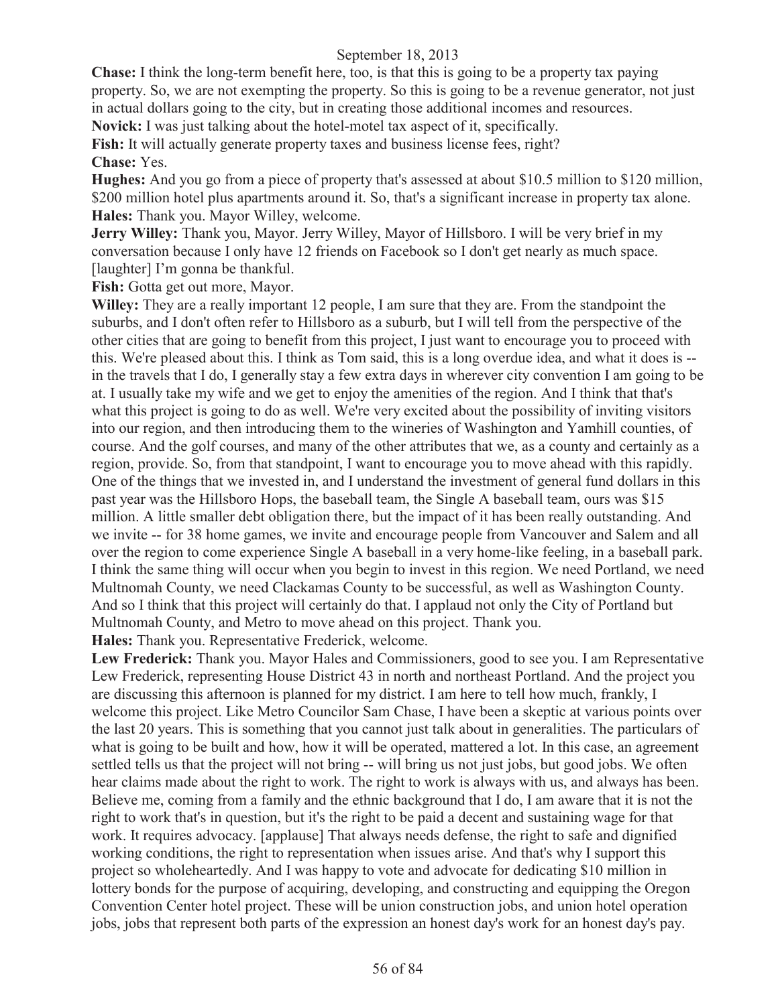**Chase:** I think the long-term benefit here, too, is that this is going to be a property tax paying property. So, we are not exempting the property. So this is going to be a revenue generator, not just in actual dollars going to the city, but in creating those additional incomes and resources.

**Novick:** I was just talking about the hotel-motel tax aspect of it, specifically.

**Fish:** It will actually generate property taxes and business license fees, right? **Chase:** Yes.

**Hughes:** And you go from a piece of property that's assessed at about \$10.5 million to \$120 million, \$200 million hotel plus apartments around it. So, that's a significant increase in property tax alone. **Hales:** Thank you. Mayor Willey, welcome.

**Jerry Willey:** Thank you, Mayor. Jerry Willey, Mayor of Hillsboro. I will be very brief in my conversation because I only have 12 friends on Facebook so I don't get nearly as much space. [laughter] I'm gonna be thankful.

Fish: Gotta get out more, Mayor.

**Willey:** They are a really important 12 people, I am sure that they are. From the standpoint the suburbs, and I don't often refer to Hillsboro as a suburb, but I will tell from the perspective of the other cities that are going to benefit from this project, I just want to encourage you to proceed with this. We're pleased about this. I think as Tom said, this is a long overdue idea, and what it does is - in the travels that I do, I generally stay a few extra days in wherever city convention I am going to be at. I usually take my wife and we get to enjoy the amenities of the region. And I think that that's what this project is going to do as well. We're very excited about the possibility of inviting visitors into our region, and then introducing them to the wineries of Washington and Yamhill counties, of course. And the golf courses, and many of the other attributes that we, as a county and certainly as a region, provide. So, from that standpoint, I want to encourage you to move ahead with this rapidly. One of the things that we invested in, and I understand the investment of general fund dollars in this past year was the Hillsboro Hops, the baseball team, the Single A baseball team, ours was \$15 million. A little smaller debt obligation there, but the impact of it has been really outstanding. And we invite -- for 38 home games, we invite and encourage people from Vancouver and Salem and all over the region to come experience Single A baseball in a very home-like feeling, in a baseball park. I think the same thing will occur when you begin to invest in this region. We need Portland, we need Multnomah County, we need Clackamas County to be successful, as well as Washington County. And so I think that this project will certainly do that. I applaud not only the City of Portland but Multnomah County, and Metro to move ahead on this project. Thank you.

**Hales:** Thank you. Representative Frederick, welcome.

**Lew Frederick:** Thank you. Mayor Hales and Commissioners, good to see you. I am Representative Lew Frederick, representing House District 43 in north and northeast Portland. And the project you are discussing this afternoon is planned for my district. I am here to tell how much, frankly, I welcome this project. Like Metro Councilor Sam Chase, I have been a skeptic at various points over the last 20 years. This is something that you cannot just talk about in generalities. The particulars of what is going to be built and how, how it will be operated, mattered a lot. In this case, an agreement settled tells us that the project will not bring -- will bring us not just jobs, but good jobs. We often hear claims made about the right to work. The right to work is always with us, and always has been. Believe me, coming from a family and the ethnic background that I do, I am aware that it is not the right to work that's in question, but it's the right to be paid a decent and sustaining wage for that work. It requires advocacy. [applause] That always needs defense, the right to safe and dignified working conditions, the right to representation when issues arise. And that's why I support this project so wholeheartedly. And I was happy to vote and advocate for dedicating \$10 million in lottery bonds for the purpose of acquiring, developing, and constructing and equipping the Oregon Convention Center hotel project. These will be union construction jobs, and union hotel operation jobs, jobs that represent both parts of the expression an honest day's work for an honest day's pay.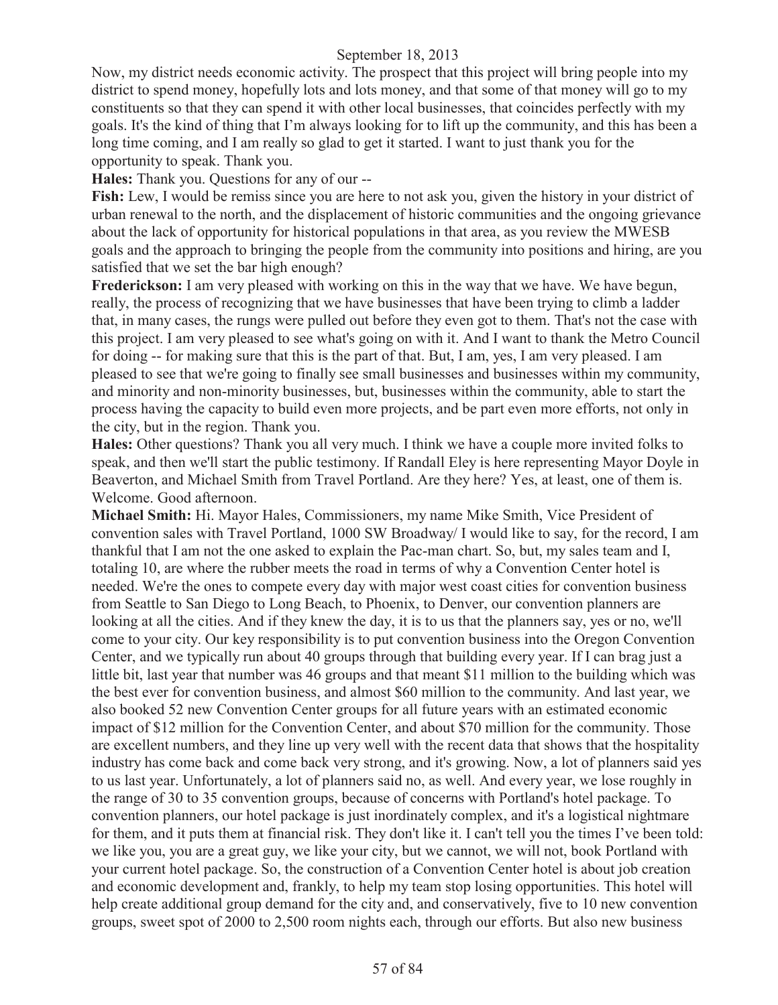Now, my district needs economic activity. The prospect that this project will bring people into my district to spend money, hopefully lots and lots money, and that some of that money will go to my constituents so that they can spend it with other local businesses, that coincides perfectly with my goals. It's the kind of thing that I'm always looking for to lift up the community, and this has been a long time coming, and I am really so glad to get it started. I want to just thank you for the opportunity to speak. Thank you.

**Hales:** Thank you. Questions for any of our --

**Fish:** Lew, I would be remiss since you are here to not ask you, given the history in your district of urban renewal to the north, and the displacement of historic communities and the ongoing grievance about the lack of opportunity for historical populations in that area, as you review the MWESB goals and the approach to bringing the people from the community into positions and hiring, are you satisfied that we set the bar high enough?

**Frederickson:** I am very pleased with working on this in the way that we have. We have begun, really, the process of recognizing that we have businesses that have been trying to climb a ladder that, in many cases, the rungs were pulled out before they even got to them. That's not the case with this project. I am very pleased to see what's going on with it. And I want to thank the Metro Council for doing -- for making sure that this is the part of that. But, I am, yes, I am very pleased. I am pleased to see that we're going to finally see small businesses and businesses within my community, and minority and non-minority businesses, but, businesses within the community, able to start the process having the capacity to build even more projects, and be part even more efforts, not only in the city, but in the region. Thank you.

**Hales:** Other questions? Thank you all very much. I think we have a couple more invited folks to speak, and then we'll start the public testimony. If Randall Eley is here representing Mayor Doyle in Beaverton, and Michael Smith from Travel Portland. Are they here? Yes, at least, one of them is. Welcome. Good afternoon.

**Michael Smith:** Hi. Mayor Hales, Commissioners, my name Mike Smith, Vice President of convention sales with Travel Portland, 1000 SW Broadway/ I would like to say, for the record, I am thankful that I am not the one asked to explain the Pac-man chart. So, but, my sales team and I, totaling 10, are where the rubber meets the road in terms of why a Convention Center hotel is needed. We're the ones to compete every day with major west coast cities for convention business from Seattle to San Diego to Long Beach, to Phoenix, to Denver, our convention planners are looking at all the cities. And if they knew the day, it is to us that the planners say, yes or no, we'll come to your city. Our key responsibility is to put convention business into the Oregon Convention Center, and we typically run about 40 groups through that building every year. If I can brag just a little bit, last year that number was 46 groups and that meant \$11 million to the building which was the best ever for convention business, and almost \$60 million to the community. And last year, we also booked 52 new Convention Center groups for all future years with an estimated economic impact of \$12 million for the Convention Center, and about \$70 million for the community. Those are excellent numbers, and they line up very well with the recent data that shows that the hospitality industry has come back and come back very strong, and it's growing. Now, a lot of planners said yes to us last year. Unfortunately, a lot of planners said no, as well. And every year, we lose roughly in the range of 30 to 35 convention groups, because of concerns with Portland's hotel package. To convention planners, our hotel package is just inordinately complex, and it's a logistical nightmare for them, and it puts them at financial risk. They don't like it. I can't tell you the times I've been told: we like you, you are a great guy, we like your city, but we cannot, we will not, book Portland with your current hotel package. So, the construction of a Convention Center hotel is about job creation and economic development and, frankly, to help my team stop losing opportunities. This hotel will help create additional group demand for the city and, and conservatively, five to 10 new convention groups, sweet spot of 2000 to 2,500 room nights each, through our efforts. But also new business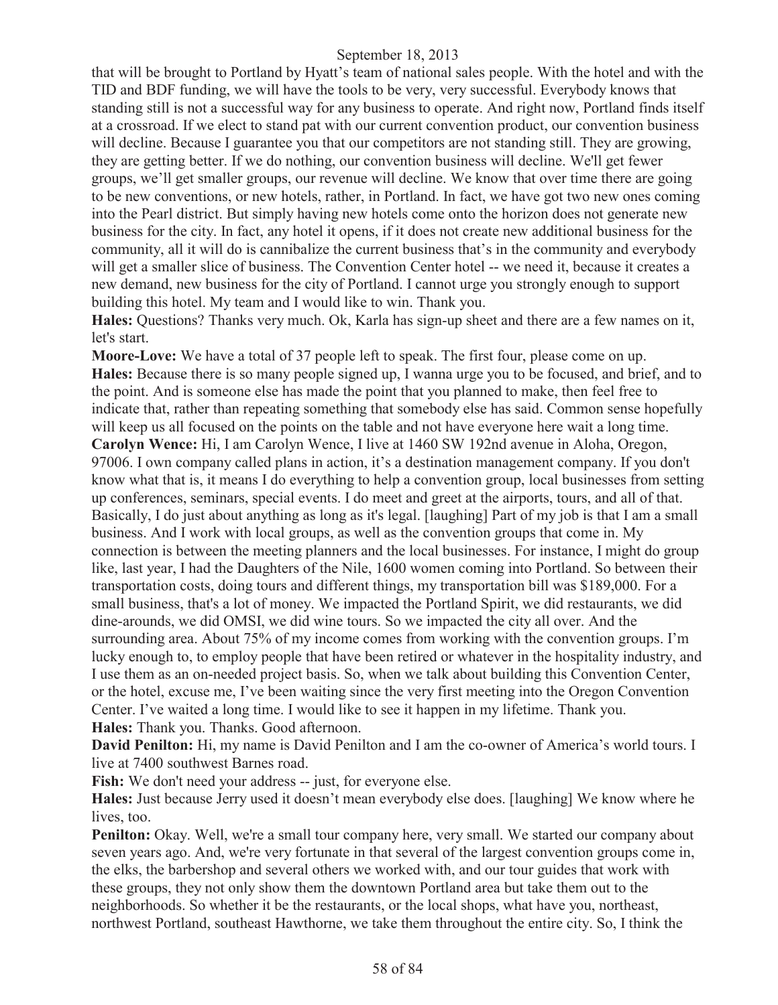that will be brought to Portland by Hyatt's team of national sales people. With the hotel and with the TID and BDF funding, we will have the tools to be very, very successful. Everybody knows that standing still is not a successful way for any business to operate. And right now, Portland finds itself at a crossroad. If we elect to stand pat with our current convention product, our convention business will decline. Because I guarantee you that our competitors are not standing still. They are growing, they are getting better. If we do nothing, our convention business will decline. We'll get fewer groups, we'll get smaller groups, our revenue will decline. We know that over time there are going to be new conventions, or new hotels, rather, in Portland. In fact, we have got two new ones coming into the Pearl district. But simply having new hotels come onto the horizon does not generate new business for the city. In fact, any hotel it opens, if it does not create new additional business for the community, all it will do is cannibalize the current business that's in the community and everybody will get a smaller slice of business. The Convention Center hotel -- we need it, because it creates a new demand, new business for the city of Portland. I cannot urge you strongly enough to support building this hotel. My team and I would like to win. Thank you.

**Hales:** Questions? Thanks very much. Ok, Karla has sign-up sheet and there are a few names on it, let's start.

**Moore-Love:** We have a total of 37 people left to speak. The first four, please come on up. **Hales:** Because there is so many people signed up, I wanna urge you to be focused, and brief, and to the point. And is someone else has made the point that you planned to make, then feel free to indicate that, rather than repeating something that somebody else has said. Common sense hopefully will keep us all focused on the points on the table and not have everyone here wait a long time. **Carolyn Wence:** Hi, I am Carolyn Wence, I live at 1460 SW 192nd avenue in Aloha, Oregon, 97006. I own company called plans in action, it's a destination management company. If you don't know what that is, it means I do everything to help a convention group, local businesses from setting up conferences, seminars, special events. I do meet and greet at the airports, tours, and all of that. Basically, I do just about anything as long as it's legal. [laughing] Part of my job is that I am a small business. And I work with local groups, as well as the convention groups that come in. My connection is between the meeting planners and the local businesses. For instance, I might do group like, last year, I had the Daughters of the Nile, 1600 women coming into Portland. So between their transportation costs, doing tours and different things, my transportation bill was \$189,000. For a small business, that's a lot of money. We impacted the Portland Spirit, we did restaurants, we did dine-arounds, we did OMSI, we did wine tours. So we impacted the city all over. And the surrounding area. About 75% of my income comes from working with the convention groups. I'm lucky enough to, to employ people that have been retired or whatever in the hospitality industry, and I use them as an on-needed project basis. So, when we talk about building this Convention Center, or the hotel, excuse me, I've been waiting since the very first meeting into the Oregon Convention Center. I've waited a long time. I would like to see it happen in my lifetime. Thank you. **Hales:** Thank you. Thanks. Good afternoon.

**David Penilton:** Hi, my name is David Penilton and I am the co-owner of America's world tours. I live at 7400 southwest Barnes road.

Fish: We don't need your address -- just, for everyone else.

**Hales:** Just because Jerry used it doesn't mean everybody else does. [laughing] We know where he lives, too.

**Penilton:** Okay. Well, we're a small tour company here, very small. We started our company about seven years ago. And, we're very fortunate in that several of the largest convention groups come in, the elks, the barbershop and several others we worked with, and our tour guides that work with these groups, they not only show them the downtown Portland area but take them out to the neighborhoods. So whether it be the restaurants, or the local shops, what have you, northeast, northwest Portland, southeast Hawthorne, we take them throughout the entire city. So, I think the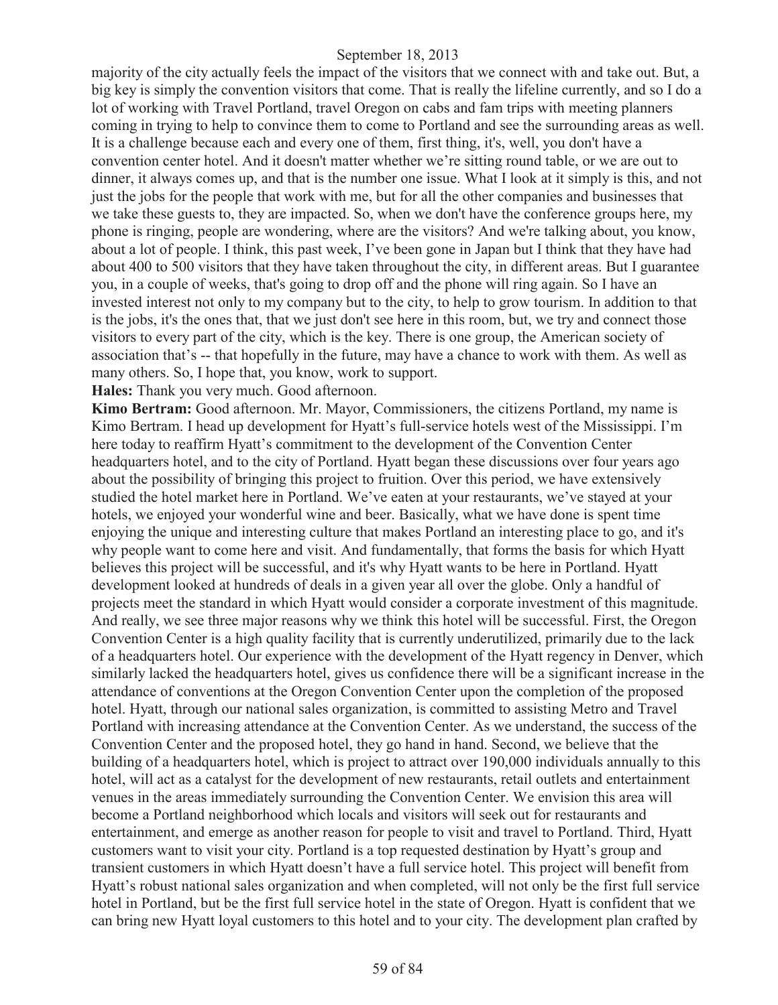majority of the city actually feels the impact of the visitors that we connect with and take out. But, a big key is simply the convention visitors that come. That is really the lifeline currently, and so I do a lot of working with Travel Portland, travel Oregon on cabs and fam trips with meeting planners coming in trying to help to convince them to come to Portland and see the surrounding areas as well. It is a challenge because each and every one of them, first thing, it's, well, you don't have a convention center hotel. And it doesn't matter whether we're sitting round table, or we are out to dinner, it always comes up, and that is the number one issue. What I look at it simply is this, and not just the jobs for the people that work with me, but for all the other companies and businesses that we take these guests to, they are impacted. So, when we don't have the conference groups here, my phone is ringing, people are wondering, where are the visitors? And we're talking about, you know, about a lot of people. I think, this past week, I've been gone in Japan but I think that they have had about 400 to 500 visitors that they have taken throughout the city, in different areas. But I guarantee you, in a couple of weeks, that's going to drop off and the phone will ring again. So I have an invested interest not only to my company but to the city, to help to grow tourism. In addition to that is the jobs, it's the ones that, that we just don't see here in this room, but, we try and connect those visitors to every part of the city, which is the key. There is one group, the American society of association that's -- that hopefully in the future, may have a chance to work with them. As well as many others. So, I hope that, you know, work to support.

**Hales:** Thank you very much. Good afternoon.

**Kimo Bertram:** Good afternoon. Mr. Mayor, Commissioners, the citizens Portland, my name is Kimo Bertram. I head up development for Hyatt's full-service hotels west of the Mississippi. I'm here today to reaffirm Hyatt's commitment to the development of the Convention Center headquarters hotel, and to the city of Portland. Hyatt began these discussions over four years ago about the possibility of bringing this project to fruition. Over this period, we have extensively studied the hotel market here in Portland. We've eaten at your restaurants, we've stayed at your hotels, we enjoyed your wonderful wine and beer. Basically, what we have done is spent time enjoying the unique and interesting culture that makes Portland an interesting place to go, and it's why people want to come here and visit. And fundamentally, that forms the basis for which Hyatt believes this project will be successful, and it's why Hyatt wants to be here in Portland. Hyatt development looked at hundreds of deals in a given year all over the globe. Only a handful of projects meet the standard in which Hyatt would consider a corporate investment of this magnitude. And really, we see three major reasons why we think this hotel will be successful. First, the Oregon Convention Center is a high quality facility that is currently underutilized, primarily due to the lack of a headquarters hotel. Our experience with the development of the Hyatt regency in Denver, which similarly lacked the headquarters hotel, gives us confidence there will be a significant increase in the attendance of conventions at the Oregon Convention Center upon the completion of the proposed hotel. Hyatt, through our national sales organization, is committed to assisting Metro and Travel Portland with increasing attendance at the Convention Center. As we understand, the success of the Convention Center and the proposed hotel, they go hand in hand. Second, we believe that the building of a headquarters hotel, which is project to attract over 190,000 individuals annually to this hotel, will act as a catalyst for the development of new restaurants, retail outlets and entertainment venues in the areas immediately surrounding the Convention Center. We envision this area will become a Portland neighborhood which locals and visitors will seek out for restaurants and entertainment, and emerge as another reason for people to visit and travel to Portland. Third, Hyatt customers want to visit your city. Portland is a top requested destination by Hyatt's group and transient customers in which Hyatt doesn't have a full service hotel. This project will benefit from Hyatt's robust national sales organization and when completed, will not only be the first full service hotel in Portland, but be the first full service hotel in the state of Oregon. Hyatt is confident that we can bring new Hyatt loyal customers to this hotel and to your city. The development plan crafted by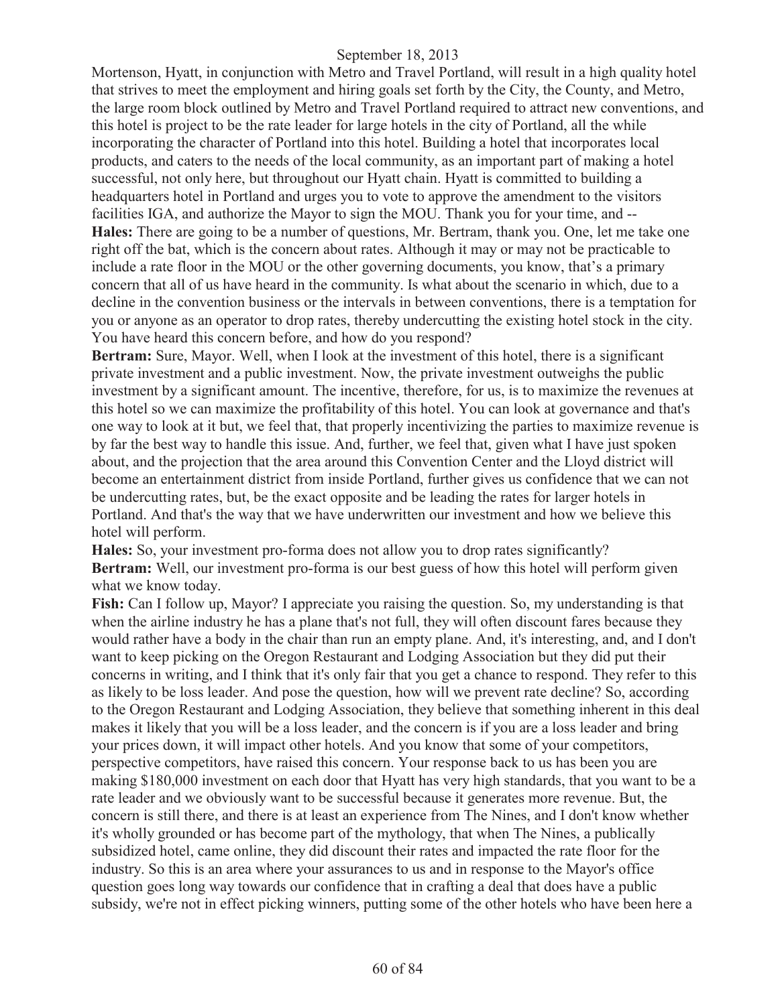Mortenson, Hyatt, in conjunction with Metro and Travel Portland, will result in a high quality hotel that strives to meet the employment and hiring goals set forth by the City, the County, and Metro, the large room block outlined by Metro and Travel Portland required to attract new conventions, and this hotel is project to be the rate leader for large hotels in the city of Portland, all the while incorporating the character of Portland into this hotel. Building a hotel that incorporates local products, and caters to the needs of the local community, as an important part of making a hotel successful, not only here, but throughout our Hyatt chain. Hyatt is committed to building a headquarters hotel in Portland and urges you to vote to approve the amendment to the visitors facilities IGA, and authorize the Mayor to sign the MOU. Thank you for your time, and -- **Hales:** There are going to be a number of questions, Mr. Bertram, thank you. One, let me take one right off the bat, which is the concern about rates. Although it may or may not be practicable to include a rate floor in the MOU or the other governing documents, you know, that's a primary concern that all of us have heard in the community. Is what about the scenario in which, due to a decline in the convention business or the intervals in between conventions, there is a temptation for you or anyone as an operator to drop rates, thereby undercutting the existing hotel stock in the city. You have heard this concern before, and how do you respond?

**Bertram:** Sure, Mayor. Well, when I look at the investment of this hotel, there is a significant private investment and a public investment. Now, the private investment outweighs the public investment by a significant amount. The incentive, therefore, for us, is to maximize the revenues at this hotel so we can maximize the profitability of this hotel. You can look at governance and that's one way to look at it but, we feel that, that properly incentivizing the parties to maximize revenue is by far the best way to handle this issue. And, further, we feel that, given what I have just spoken about, and the projection that the area around this Convention Center and the Lloyd district will become an entertainment district from inside Portland, further gives us confidence that we can not be undercutting rates, but, be the exact opposite and be leading the rates for larger hotels in Portland. And that's the way that we have underwritten our investment and how we believe this hotel will perform.

**Hales:** So, your investment pro-forma does not allow you to drop rates significantly? **Bertram:** Well, our investment pro-forma is our best guess of how this hotel will perform given what we know today.

**Fish:** Can I follow up, Mayor? I appreciate you raising the question. So, my understanding is that when the airline industry he has a plane that's not full, they will often discount fares because they would rather have a body in the chair than run an empty plane. And, it's interesting, and, and I don't want to keep picking on the Oregon Restaurant and Lodging Association but they did put their concerns in writing, and I think that it's only fair that you get a chance to respond. They refer to this as likely to be loss leader. And pose the question, how will we prevent rate decline? So, according to the Oregon Restaurant and Lodging Association, they believe that something inherent in this deal makes it likely that you will be a loss leader, and the concern is if you are a loss leader and bring your prices down, it will impact other hotels. And you know that some of your competitors, perspective competitors, have raised this concern. Your response back to us has been you are making \$180,000 investment on each door that Hyatt has very high standards, that you want to be a rate leader and we obviously want to be successful because it generates more revenue. But, the concern is still there, and there is at least an experience from The Nines, and I don't know whether it's wholly grounded or has become part of the mythology, that when The Nines, a publically subsidized hotel, came online, they did discount their rates and impacted the rate floor for the industry. So this is an area where your assurances to us and in response to the Mayor's office question goes long way towards our confidence that in crafting a deal that does have a public subsidy, we're not in effect picking winners, putting some of the other hotels who have been here a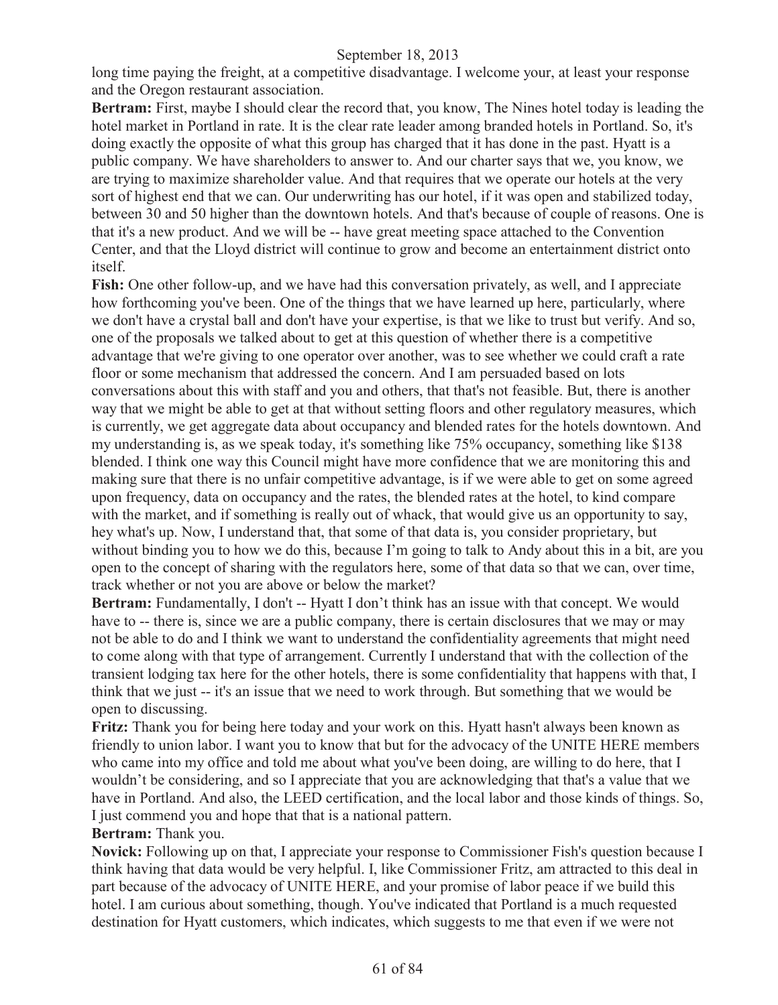long time paying the freight, at a competitive disadvantage. I welcome your, at least your response and the Oregon restaurant association.

**Bertram:** First, maybe I should clear the record that, you know, The Nines hotel today is leading the hotel market in Portland in rate. It is the clear rate leader among branded hotels in Portland. So, it's doing exactly the opposite of what this group has charged that it has done in the past. Hyatt is a public company. We have shareholders to answer to. And our charter says that we, you know, we are trying to maximize shareholder value. And that requires that we operate our hotels at the very sort of highest end that we can. Our underwriting has our hotel, if it was open and stabilized today, between 30 and 50 higher than the downtown hotels. And that's because of couple of reasons. One is that it's a new product. And we will be -- have great meeting space attached to the Convention Center, and that the Lloyd district will continue to grow and become an entertainment district onto itself.

**Fish:** One other follow-up, and we have had this conversation privately, as well, and I appreciate how forthcoming you've been. One of the things that we have learned up here, particularly, where we don't have a crystal ball and don't have your expertise, is that we like to trust but verify. And so, one of the proposals we talked about to get at this question of whether there is a competitive advantage that we're giving to one operator over another, was to see whether we could craft a rate floor or some mechanism that addressed the concern. And I am persuaded based on lots conversations about this with staff and you and others, that that's not feasible. But, there is another way that we might be able to get at that without setting floors and other regulatory measures, which is currently, we get aggregate data about occupancy and blended rates for the hotels downtown. And my understanding is, as we speak today, it's something like 75% occupancy, something like \$138 blended. I think one way this Council might have more confidence that we are monitoring this and making sure that there is no unfair competitive advantage, is if we were able to get on some agreed upon frequency, data on occupancy and the rates, the blended rates at the hotel, to kind compare with the market, and if something is really out of whack, that would give us an opportunity to say, hey what's up. Now, I understand that, that some of that data is, you consider proprietary, but without binding you to how we do this, because I'm going to talk to Andy about this in a bit, are you open to the concept of sharing with the regulators here, some of that data so that we can, over time, track whether or not you are above or below the market?

**Bertram:** Fundamentally, I don't -- Hyatt I don't think has an issue with that concept. We would have to -- there is, since we are a public company, there is certain disclosures that we may or may not be able to do and I think we want to understand the confidentiality agreements that might need to come along with that type of arrangement. Currently I understand that with the collection of the transient lodging tax here for the other hotels, there is some confidentiality that happens with that, I think that we just -- it's an issue that we need to work through. But something that we would be open to discussing.

**Fritz:** Thank you for being here today and your work on this. Hyatt hasn't always been known as friendly to union labor. I want you to know that but for the advocacy of the UNITE HERE members who came into my office and told me about what you've been doing, are willing to do here, that I wouldn't be considering, and so I appreciate that you are acknowledging that that's a value that we have in Portland. And also, the LEED certification, and the local labor and those kinds of things. So, I just commend you and hope that that is a national pattern.

### **Bertram:** Thank you.

**Novick:** Following up on that, I appreciate your response to Commissioner Fish's question because I think having that data would be very helpful. I, like Commissioner Fritz, am attracted to this deal in part because of the advocacy of UNITE HERE, and your promise of labor peace if we build this hotel. I am curious about something, though. You've indicated that Portland is a much requested destination for Hyatt customers, which indicates, which suggests to me that even if we were not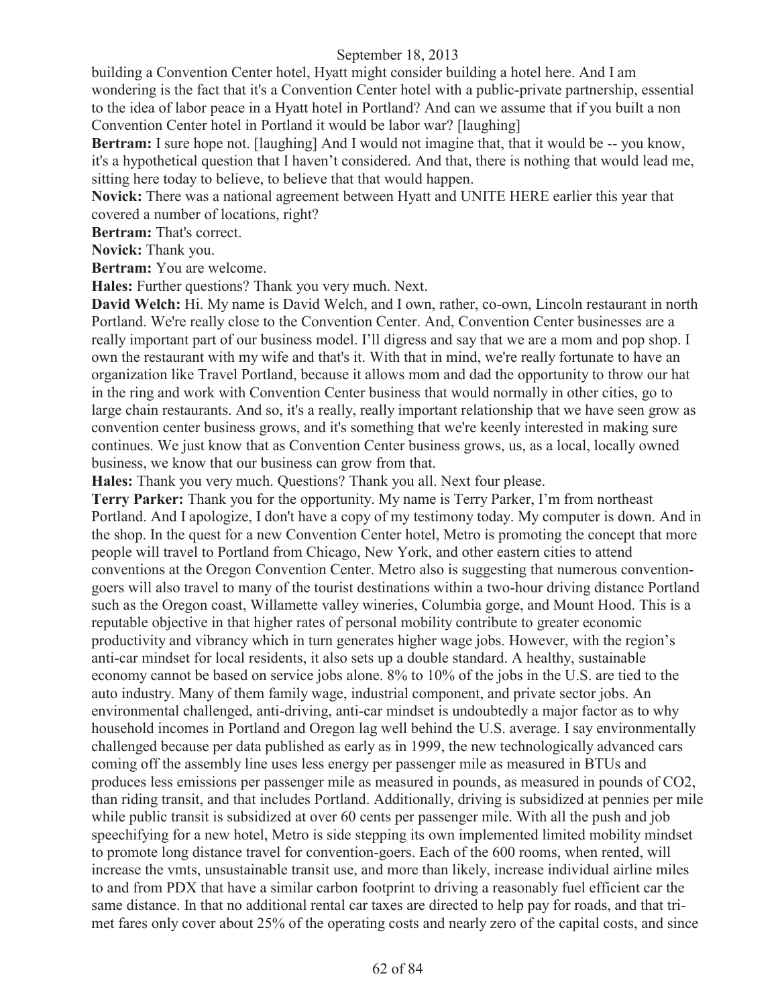building a Convention Center hotel, Hyatt might consider building a hotel here. And I am wondering is the fact that it's a Convention Center hotel with a public-private partnership, essential to the idea of labor peace in a Hyatt hotel in Portland? And can we assume that if you built a non Convention Center hotel in Portland it would be labor war? [laughing]

**Bertram:** I sure hope not. [laughing] And I would not imagine that, that it would be -- you know, it's a hypothetical question that I haven't considered. And that, there is nothing that would lead me, sitting here today to believe, to believe that that would happen.

**Novick:** There was a national agreement between Hyatt and UNITE HERE earlier this year that covered a number of locations, right?

**Bertram:** That's correct.

**Novick:** Thank you.

**Bertram:** You are welcome.

**Hales:** Further questions? Thank you very much. Next.

**David Welch:** Hi. My name is David Welch, and I own, rather, co-own, Lincoln restaurant in north Portland. We're really close to the Convention Center. And, Convention Center businesses are a really important part of our business model. I'll digress and say that we are a mom and pop shop. I own the restaurant with my wife and that's it. With that in mind, we're really fortunate to have an organization like Travel Portland, because it allows mom and dad the opportunity to throw our hat in the ring and work with Convention Center business that would normally in other cities, go to large chain restaurants. And so, it's a really, really important relationship that we have seen grow as convention center business grows, and it's something that we're keenly interested in making sure continues. We just know that as Convention Center business grows, us, as a local, locally owned business, we know that our business can grow from that.

**Hales:** Thank you very much. Questions? Thank you all. Next four please.

**Terry Parker:** Thank you for the opportunity. My name is Terry Parker, I'm from northeast Portland. And I apologize, I don't have a copy of my testimony today. My computer is down. And in the shop. In the quest for a new Convention Center hotel, Metro is promoting the concept that more people will travel to Portland from Chicago, New York, and other eastern cities to attend conventions at the Oregon Convention Center. Metro also is suggesting that numerous conventiongoers will also travel to many of the tourist destinations within a two-hour driving distance Portland such as the Oregon coast, Willamette valley wineries, Columbia gorge, and Mount Hood. This is a reputable objective in that higher rates of personal mobility contribute to greater economic productivity and vibrancy which in turn generates higher wage jobs. However, with the region's anti-car mindset for local residents, it also sets up a double standard. A healthy, sustainable economy cannot be based on service jobs alone. 8% to 10% of the jobs in the U.S. are tied to the auto industry. Many of them family wage, industrial component, and private sector jobs. An environmental challenged, anti-driving, anti-car mindset is undoubtedly a major factor as to why household incomes in Portland and Oregon lag well behind the U.S. average. I say environmentally challenged because per data published as early as in 1999, the new technologically advanced cars coming off the assembly line uses less energy per passenger mile as measured in BTUs and produces less emissions per passenger mile as measured in pounds, as measured in pounds of CO2, than riding transit, and that includes Portland. Additionally, driving is subsidized at pennies per mile while public transit is subsidized at over 60 cents per passenger mile. With all the push and job speechifying for a new hotel, Metro is side stepping its own implemented limited mobility mindset to promote long distance travel for convention-goers. Each of the 600 rooms, when rented, will increase the vmts, unsustainable transit use, and more than likely, increase individual airline miles to and from PDX that have a similar carbon footprint to driving a reasonably fuel efficient car the same distance. In that no additional rental car taxes are directed to help pay for roads, and that trimet fares only cover about 25% of the operating costs and nearly zero of the capital costs, and since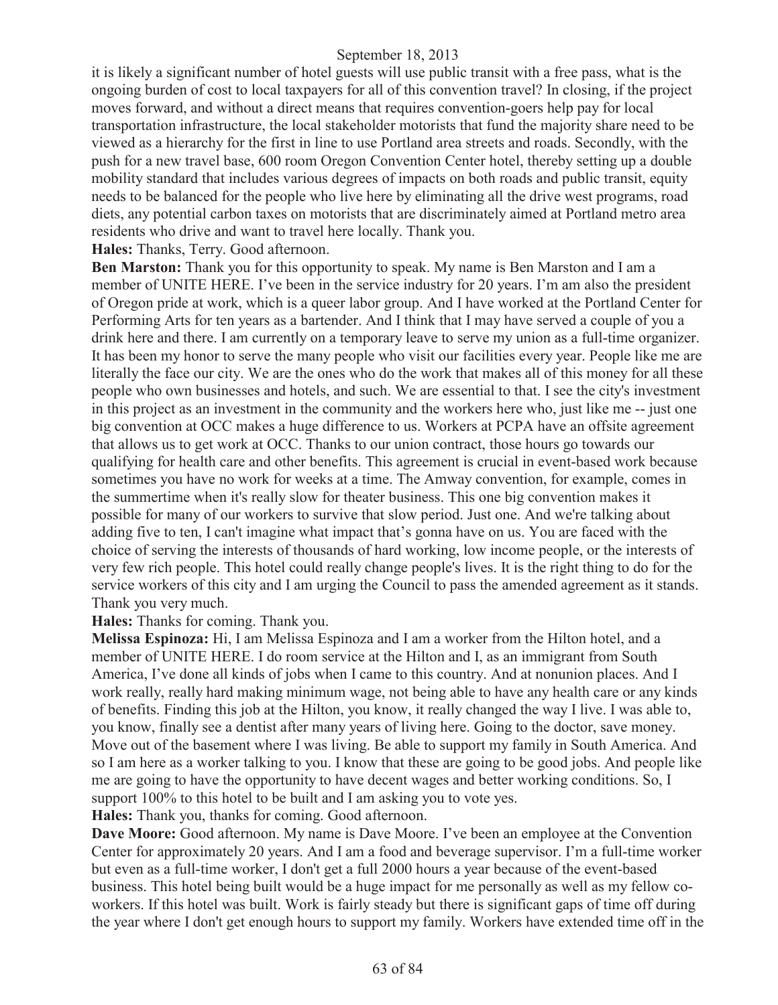it is likely a significant number of hotel guests will use public transit with a free pass, what is the ongoing burden of cost to local taxpayers for all of this convention travel? In closing, if the project moves forward, and without a direct means that requires convention-goers help pay for local transportation infrastructure, the local stakeholder motorists that fund the majority share need to be viewed as a hierarchy for the first in line to use Portland area streets and roads. Secondly, with the push for a new travel base, 600 room Oregon Convention Center hotel, thereby setting up a double mobility standard that includes various degrees of impacts on both roads and public transit, equity needs to be balanced for the people who live here by eliminating all the drive west programs, road diets, any potential carbon taxes on motorists that are discriminately aimed at Portland metro area residents who drive and want to travel here locally. Thank you.

**Hales:** Thanks, Terry. Good afternoon.

**Ben Marston:** Thank you for this opportunity to speak. My name is Ben Marston and I am a member of UNITE HERE. I've been in the service industry for 20 years. I'm am also the president of Oregon pride at work, which is a queer labor group. And I have worked at the Portland Center for Performing Arts for ten years as a bartender. And I think that I may have served a couple of you a drink here and there. I am currently on a temporary leave to serve my union as a full-time organizer. It has been my honor to serve the many people who visit our facilities every year. People like me are literally the face our city. We are the ones who do the work that makes all of this money for all these people who own businesses and hotels, and such. We are essential to that. I see the city's investment in this project as an investment in the community and the workers here who, just like me -- just one big convention at OCC makes a huge difference to us. Workers at PCPA have an offsite agreement that allows us to get work at OCC. Thanks to our union contract, those hours go towards our qualifying for health care and other benefits. This agreement is crucial in event-based work because sometimes you have no work for weeks at a time. The Amway convention, for example, comes in the summertime when it's really slow for theater business. This one big convention makes it possible for many of our workers to survive that slow period. Just one. And we're talking about adding five to ten, I can't imagine what impact that's gonna have on us. You are faced with the choice of serving the interests of thousands of hard working, low income people, or the interests of very few rich people. This hotel could really change people's lives. It is the right thing to do for the service workers of this city and I am urging the Council to pass the amended agreement as it stands. Thank you very much.

**Hales:** Thanks for coming. Thank you.

**Melissa Espinoza:** Hi, I am Melissa Espinoza and I am a worker from the Hilton hotel, and a member of UNITE HERE. I do room service at the Hilton and I, as an immigrant from South America, I've done all kinds of jobs when I came to this country. And at nonunion places. And I work really, really hard making minimum wage, not being able to have any health care or any kinds of benefits. Finding this job at the Hilton, you know, it really changed the way I live. I was able to, you know, finally see a dentist after many years of living here. Going to the doctor, save money. Move out of the basement where I was living. Be able to support my family in South America. And so I am here as a worker talking to you. I know that these are going to be good jobs. And people like me are going to have the opportunity to have decent wages and better working conditions. So, I support 100% to this hotel to be built and I am asking you to vote yes.

**Hales:** Thank you, thanks for coming. Good afternoon.

**Dave Moore:** Good afternoon. My name is Dave Moore. I've been an employee at the Convention Center for approximately 20 years. And I am a food and beverage supervisor. I'm a full-time worker but even as a full-time worker, I don't get a full 2000 hours a year because of the event-based business. This hotel being built would be a huge impact for me personally as well as my fellow coworkers. If this hotel was built. Work is fairly steady but there is significant gaps of time off during the year where I don't get enough hours to support my family. Workers have extended time off in the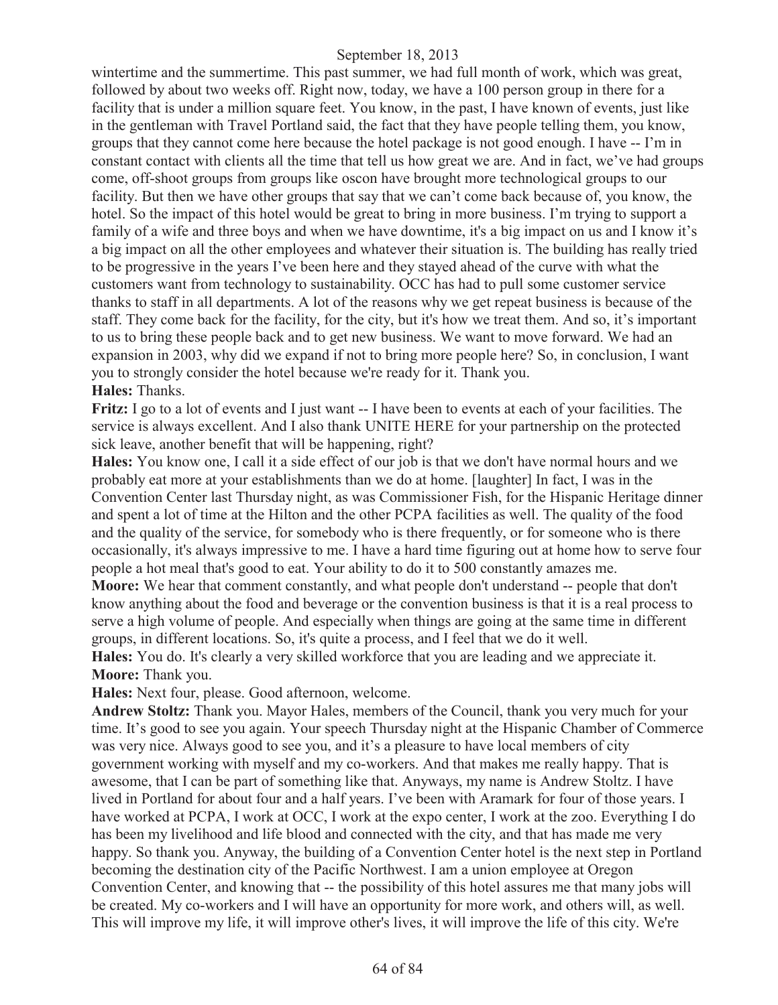wintertime and the summertime. This past summer, we had full month of work, which was great, followed by about two weeks off. Right now, today, we have a 100 person group in there for a facility that is under a million square feet. You know, in the past, I have known of events, just like in the gentleman with Travel Portland said, the fact that they have people telling them, you know, groups that they cannot come here because the hotel package is not good enough. I have -- I'm in constant contact with clients all the time that tell us how great we are. And in fact, we've had groups come, off-shoot groups from groups like oscon have brought more technological groups to our facility. But then we have other groups that say that we can't come back because of, you know, the hotel. So the impact of this hotel would be great to bring in more business. I'm trying to support a family of a wife and three boys and when we have downtime, it's a big impact on us and I know it's a big impact on all the other employees and whatever their situation is. The building has really tried to be progressive in the years I've been here and they stayed ahead of the curve with what the customers want from technology to sustainability. OCC has had to pull some customer service thanks to staff in all departments. A lot of the reasons why we get repeat business is because of the staff. They come back for the facility, for the city, but it's how we treat them. And so, it's important to us to bring these people back and to get new business. We want to move forward. We had an expansion in 2003, why did we expand if not to bring more people here? So, in conclusion, I want you to strongly consider the hotel because we're ready for it. Thank you. **Hales:** Thanks.

**Fritz:** I go to a lot of events and I just want -- I have been to events at each of your facilities. The service is always excellent. And I also thank UNITE HERE for your partnership on the protected sick leave, another benefit that will be happening, right?

**Hales:** You know one, I call it a side effect of our job is that we don't have normal hours and we probably eat more at your establishments than we do at home. [laughter] In fact, I was in the Convention Center last Thursday night, as was Commissioner Fish, for the Hispanic Heritage dinner and spent a lot of time at the Hilton and the other PCPA facilities as well. The quality of the food and the quality of the service, for somebody who is there frequently, or for someone who is there occasionally, it's always impressive to me. I have a hard time figuring out at home how to serve four people a hot meal that's good to eat. Your ability to do it to 500 constantly amazes me.

**Moore:** We hear that comment constantly, and what people don't understand -- people that don't know anything about the food and beverage or the convention business is that it is a real process to serve a high volume of people. And especially when things are going at the same time in different groups, in different locations. So, it's quite a process, and I feel that we do it well.

**Hales:** You do. It's clearly a very skilled workforce that you are leading and we appreciate it. **Moore:** Thank you.

**Hales:** Next four, please. Good afternoon, welcome.

**Andrew Stoltz:** Thank you. Mayor Hales, members of the Council, thank you very much for your time. It's good to see you again. Your speech Thursday night at the Hispanic Chamber of Commerce was very nice. Always good to see you, and it's a pleasure to have local members of city government working with myself and my co-workers. And that makes me really happy. That is awesome, that I can be part of something like that. Anyways, my name is Andrew Stoltz. I have lived in Portland for about four and a half years. I've been with Aramark for four of those years. I have worked at PCPA, I work at OCC, I work at the expo center, I work at the zoo. Everything I do has been my livelihood and life blood and connected with the city, and that has made me very happy. So thank you. Anyway, the building of a Convention Center hotel is the next step in Portland becoming the destination city of the Pacific Northwest. I am a union employee at Oregon Convention Center, and knowing that -- the possibility of this hotel assures me that many jobs will be created. My co-workers and I will have an opportunity for more work, and others will, as well. This will improve my life, it will improve other's lives, it will improve the life of this city. We're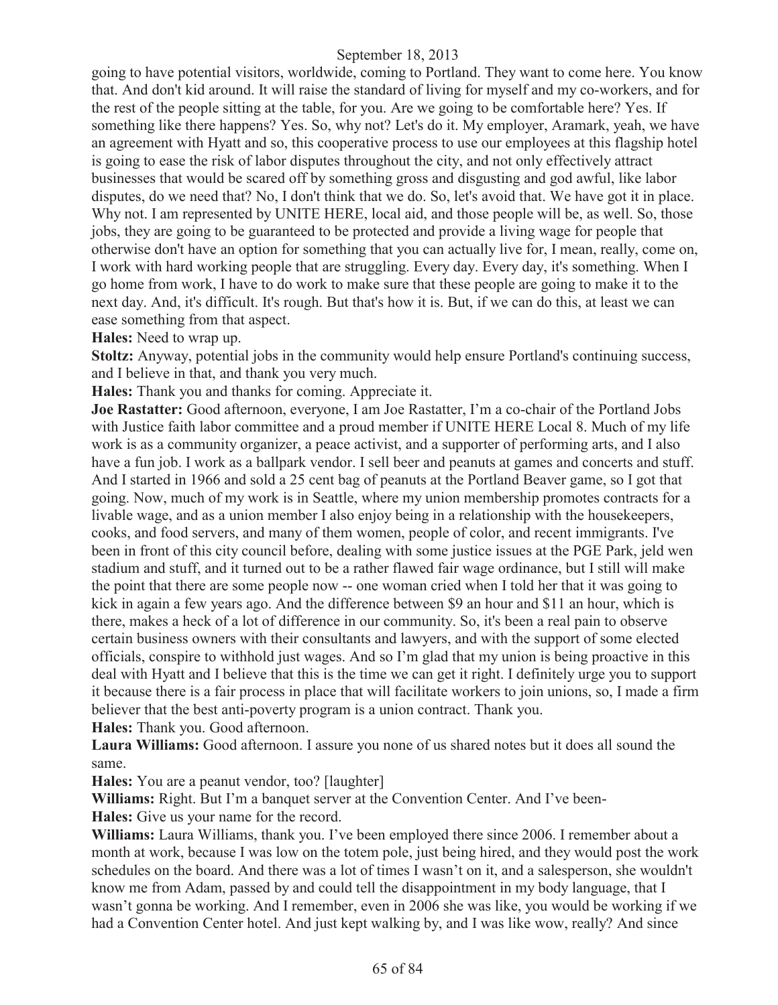going to have potential visitors, worldwide, coming to Portland. They want to come here. You know that. And don't kid around. It will raise the standard of living for myself and my co-workers, and for the rest of the people sitting at the table, for you. Are we going to be comfortable here? Yes. If something like there happens? Yes. So, why not? Let's do it. My employer, Aramark, yeah, we have an agreement with Hyatt and so, this cooperative process to use our employees at this flagship hotel is going to ease the risk of labor disputes throughout the city, and not only effectively attract businesses that would be scared off by something gross and disgusting and god awful, like labor disputes, do we need that? No, I don't think that we do. So, let's avoid that. We have got it in place. Why not. I am represented by UNITE HERE, local aid, and those people will be, as well. So, those jobs, they are going to be guaranteed to be protected and provide a living wage for people that otherwise don't have an option for something that you can actually live for, I mean, really, come on, I work with hard working people that are struggling. Every day. Every day, it's something. When I go home from work, I have to do work to make sure that these people are going to make it to the next day. And, it's difficult. It's rough. But that's how it is. But, if we can do this, at least we can ease something from that aspect.

#### **Hales:** Need to wrap up.

**Stoltz:** Anyway, potential jobs in the community would help ensure Portland's continuing success, and I believe in that, and thank you very much.

**Hales:** Thank you and thanks for coming. Appreciate it.

**Joe Rastatter:** Good afternoon, everyone, I am Joe Rastatter, I'm a co-chair of the Portland Jobs with Justice faith labor committee and a proud member if UNITE HERE Local 8. Much of my life work is as a community organizer, a peace activist, and a supporter of performing arts, and I also have a fun job. I work as a ballpark vendor. I sell beer and peanuts at games and concerts and stuff. And I started in 1966 and sold a 25 cent bag of peanuts at the Portland Beaver game, so I got that going. Now, much of my work is in Seattle, where my union membership promotes contracts for a livable wage, and as a union member I also enjoy being in a relationship with the housekeepers, cooks, and food servers, and many of them women, people of color, and recent immigrants. I've been in front of this city council before, dealing with some justice issues at the PGE Park, jeld wen stadium and stuff, and it turned out to be a rather flawed fair wage ordinance, but I still will make the point that there are some people now -- one woman cried when I told her that it was going to kick in again a few years ago. And the difference between \$9 an hour and \$11 an hour, which is there, makes a heck of a lot of difference in our community. So, it's been a real pain to observe certain business owners with their consultants and lawyers, and with the support of some elected officials, conspire to withhold just wages. And so I'm glad that my union is being proactive in this deal with Hyatt and I believe that this is the time we can get it right. I definitely urge you to support it because there is a fair process in place that will facilitate workers to join unions, so, I made a firm believer that the best anti-poverty program is a union contract. Thank you. **Hales:** Thank you. Good afternoon.

**Laura Williams:** Good afternoon. I assure you none of us shared notes but it does all sound the same.

**Hales:** You are a peanut vendor, too? [laughter]

**Williams:** Right. But I'm a banquet server at the Convention Center. And I've been-

**Hales:** Give us your name for the record.

Williams: Laura Williams, thank you. I've been employed there since 2006. I remember about a month at work, because I was low on the totem pole, just being hired, and they would post the work schedules on the board. And there was a lot of times I wasn't on it, and a salesperson, she wouldn't know me from Adam, passed by and could tell the disappointment in my body language, that I wasn't gonna be working. And I remember, even in 2006 she was like, you would be working if we had a Convention Center hotel. And just kept walking by, and I was like wow, really? And since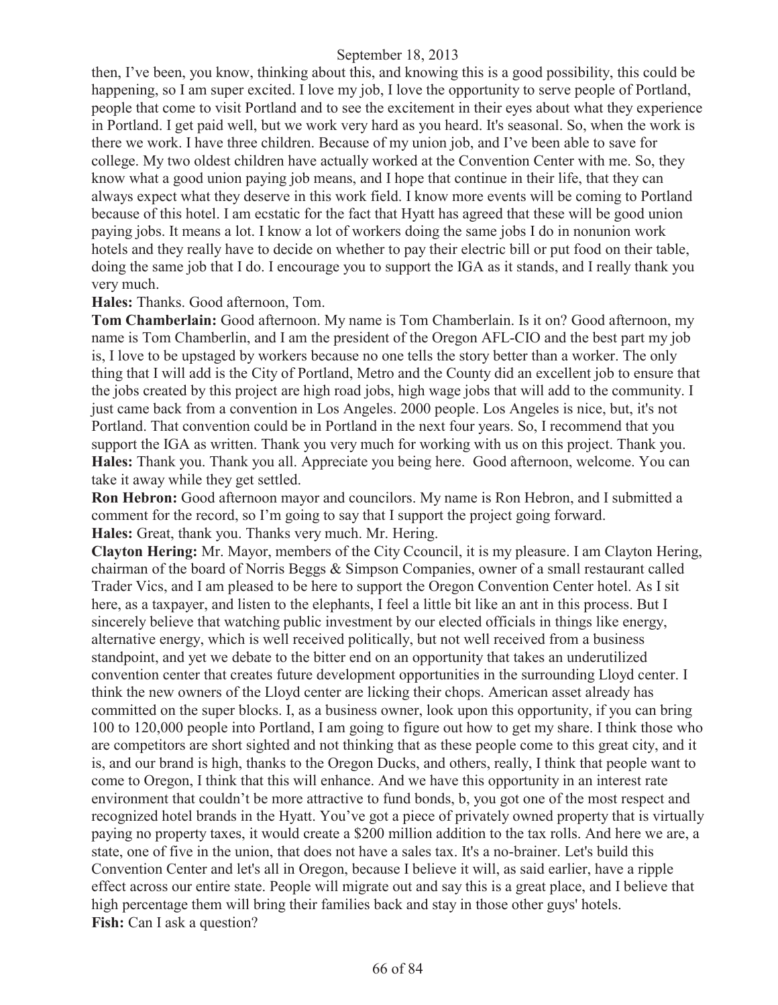then, I've been, you know, thinking about this, and knowing this is a good possibility, this could be happening, so I am super excited. I love my job, I love the opportunity to serve people of Portland, people that come to visit Portland and to see the excitement in their eyes about what they experience in Portland. I get paid well, but we work very hard as you heard. It's seasonal. So, when the work is there we work. I have three children. Because of my union job, and I've been able to save for college. My two oldest children have actually worked at the Convention Center with me. So, they know what a good union paying job means, and I hope that continue in their life, that they can always expect what they deserve in this work field. I know more events will be coming to Portland because of this hotel. I am ecstatic for the fact that Hyatt has agreed that these will be good union paying jobs. It means a lot. I know a lot of workers doing the same jobs I do in nonunion work hotels and they really have to decide on whether to pay their electric bill or put food on their table, doing the same job that I do. I encourage you to support the IGA as it stands, and I really thank you very much.

#### **Hales:** Thanks. Good afternoon, Tom.

**Tom Chamberlain:** Good afternoon. My name is Tom Chamberlain. Is it on? Good afternoon, my name is Tom Chamberlin, and I am the president of the Oregon AFL-CIO and the best part my job is, I love to be upstaged by workers because no one tells the story better than a worker. The only thing that I will add is the City of Portland, Metro and the County did an excellent job to ensure that the jobs created by this project are high road jobs, high wage jobs that will add to the community. I just came back from a convention in Los Angeles. 2000 people. Los Angeles is nice, but, it's not Portland. That convention could be in Portland in the next four years. So, I recommend that you support the IGA as written. Thank you very much for working with us on this project. Thank you. **Hales:** Thank you. Thank you all. Appreciate you being here. Good afternoon, welcome. You can take it away while they get settled.

**Ron Hebron:** Good afternoon mayor and councilors. My name is Ron Hebron, and I submitted a comment for the record, so I'm going to say that I support the project going forward. **Hales:** Great, thank you. Thanks very much. Mr. Hering.

**Clayton Hering:** Mr. Mayor, members of the City Ccouncil, it is my pleasure. I am Clayton Hering, chairman of the board of Norris Beggs & Simpson Companies, owner of a small restaurant called Trader Vics, and I am pleased to be here to support the Oregon Convention Center hotel. As I sit here, as a taxpayer, and listen to the elephants, I feel a little bit like an ant in this process. But I sincerely believe that watching public investment by our elected officials in things like energy, alternative energy, which is well received politically, but not well received from a business standpoint, and yet we debate to the bitter end on an opportunity that takes an underutilized convention center that creates future development opportunities in the surrounding Lloyd center. I think the new owners of the Lloyd center are licking their chops. American asset already has committed on the super blocks. I, as a business owner, look upon this opportunity, if you can bring 100 to 120,000 people into Portland, I am going to figure out how to get my share. I think those who are competitors are short sighted and not thinking that as these people come to this great city, and it is, and our brand is high, thanks to the Oregon Ducks, and others, really, I think that people want to come to Oregon, I think that this will enhance. And we have this opportunity in an interest rate environment that couldn't be more attractive to fund bonds, b, you got one of the most respect and recognized hotel brands in the Hyatt. You've got a piece of privately owned property that is virtually paying no property taxes, it would create a \$200 million addition to the tax rolls. And here we are, a state, one of five in the union, that does not have a sales tax. It's a no-brainer. Let's build this Convention Center and let's all in Oregon, because I believe it will, as said earlier, have a ripple effect across our entire state. People will migrate out and say this is a great place, and I believe that high percentage them will bring their families back and stay in those other guys' hotels. **Fish:** Can I ask a question?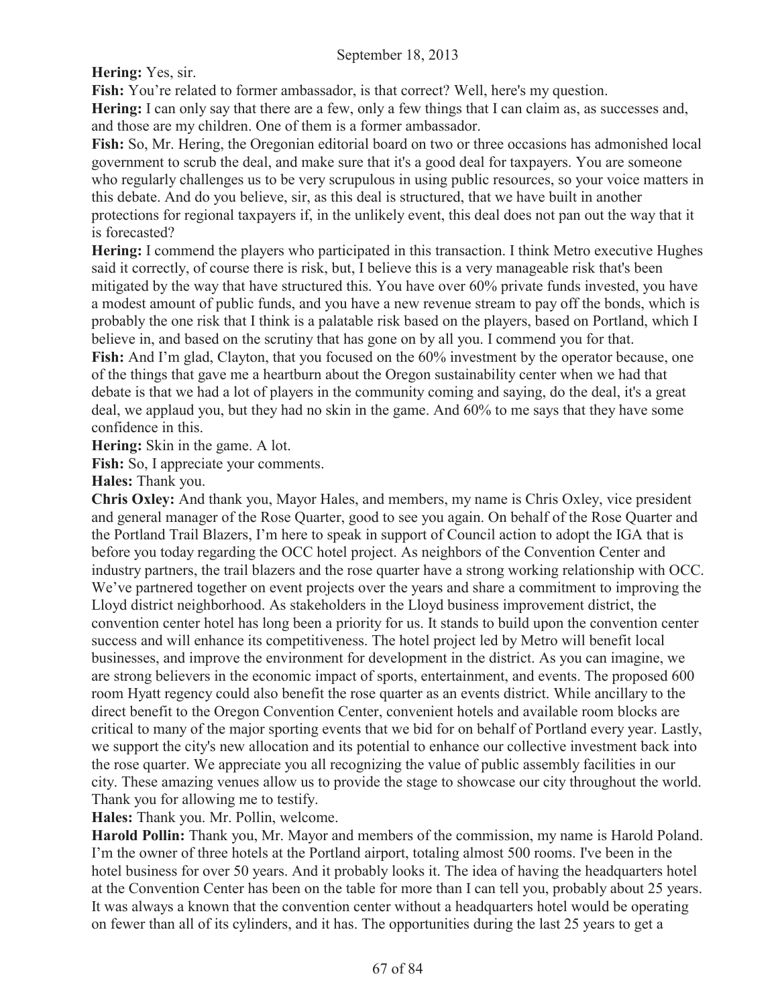**Hering:** Yes, sir.

Fish: You're related to former ambassador, is that correct? Well, here's my question.

**Hering:** I can only say that there are a few, only a few things that I can claim as, as successes and, and those are my children. One of them is a former ambassador.

**Fish:** So, Mr. Hering, the Oregonian editorial board on two or three occasions has admonished local government to scrub the deal, and make sure that it's a good deal for taxpayers. You are someone who regularly challenges us to be very scrupulous in using public resources, so your voice matters in this debate. And do you believe, sir, as this deal is structured, that we have built in another protections for regional taxpayers if, in the unlikely event, this deal does not pan out the way that it is forecasted?

**Hering:** I commend the players who participated in this transaction. I think Metro executive Hughes said it correctly, of course there is risk, but, I believe this is a very manageable risk that's been mitigated by the way that have structured this. You have over 60% private funds invested, you have a modest amount of public funds, and you have a new revenue stream to pay off the bonds, which is probably the one risk that I think is a palatable risk based on the players, based on Portland, which I believe in, and based on the scrutiny that has gone on by all you. I commend you for that. **Fish:** And I'm glad, Clayton, that you focused on the 60% investment by the operator because, one

of the things that gave me a heartburn about the Oregon sustainability center when we had that debate is that we had a lot of players in the community coming and saying, do the deal, it's a great deal, we applaud you, but they had no skin in the game. And 60% to me says that they have some confidence in this.

**Hering:** Skin in the game. A lot.

**Fish:** So, I appreciate your comments.

**Hales:** Thank you.

**Chris Oxley:** And thank you, Mayor Hales, and members, my name is Chris Oxley, vice president and general manager of the Rose Quarter, good to see you again. On behalf of the Rose Quarter and the Portland Trail Blazers, I'm here to speak in support of Council action to adopt the IGA that is before you today regarding the OCC hotel project. As neighbors of the Convention Center and industry partners, the trail blazers and the rose quarter have a strong working relationship with OCC. We've partnered together on event projects over the years and share a commitment to improving the Lloyd district neighborhood. As stakeholders in the Lloyd business improvement district, the convention center hotel has long been a priority for us. It stands to build upon the convention center success and will enhance its competitiveness. The hotel project led by Metro will benefit local businesses, and improve the environment for development in the district. As you can imagine, we are strong believers in the economic impact of sports, entertainment, and events. The proposed 600 room Hyatt regency could also benefit the rose quarter as an events district. While ancillary to the direct benefit to the Oregon Convention Center, convenient hotels and available room blocks are critical to many of the major sporting events that we bid for on behalf of Portland every year. Lastly, we support the city's new allocation and its potential to enhance our collective investment back into the rose quarter. We appreciate you all recognizing the value of public assembly facilities in our city. These amazing venues allow us to provide the stage to showcase our city throughout the world. Thank you for allowing me to testify.

**Hales:** Thank you. Mr. Pollin, welcome.

**Harold Pollin:** Thank you, Mr. Mayor and members of the commission, my name is Harold Poland. I'm the owner of three hotels at the Portland airport, totaling almost 500 rooms. I've been in the hotel business for over 50 years. And it probably looks it. The idea of having the headquarters hotel at the Convention Center has been on the table for more than I can tell you, probably about 25 years. It was always a known that the convention center without a headquarters hotel would be operating on fewer than all of its cylinders, and it has. The opportunities during the last 25 years to get a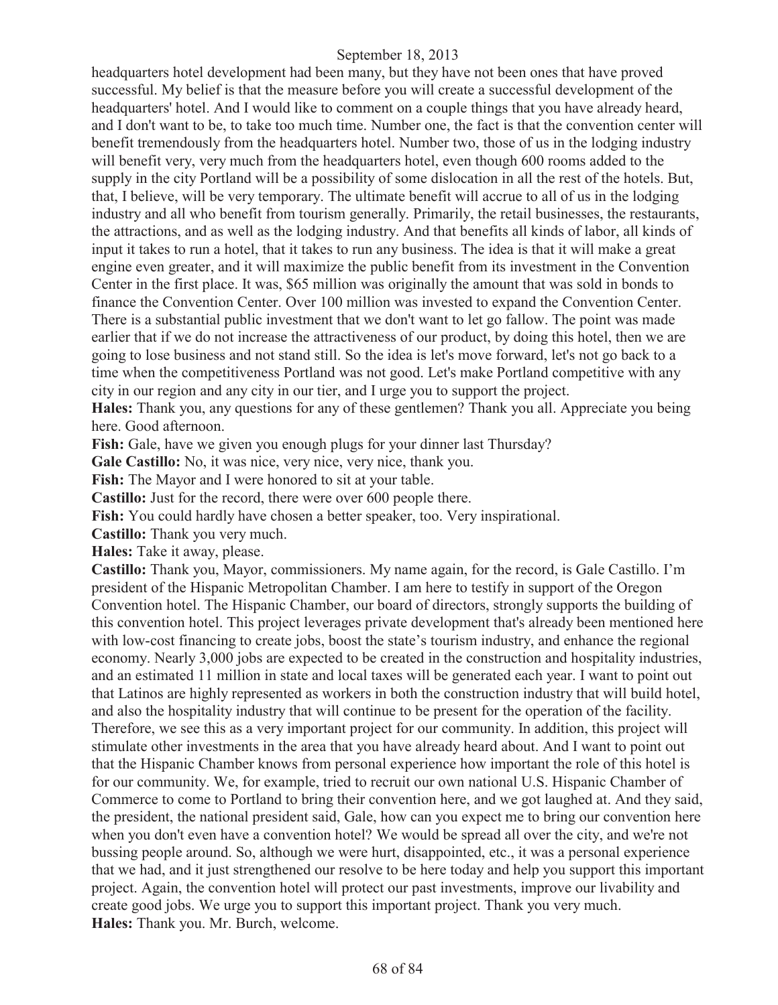headquarters hotel development had been many, but they have not been ones that have proved successful. My belief is that the measure before you will create a successful development of the headquarters' hotel. And I would like to comment on a couple things that you have already heard, and I don't want to be, to take too much time. Number one, the fact is that the convention center will benefit tremendously from the headquarters hotel. Number two, those of us in the lodging industry will benefit very, very much from the headquarters hotel, even though 600 rooms added to the supply in the city Portland will be a possibility of some dislocation in all the rest of the hotels. But, that, I believe, will be very temporary. The ultimate benefit will accrue to all of us in the lodging industry and all who benefit from tourism generally. Primarily, the retail businesses, the restaurants, the attractions, and as well as the lodging industry. And that benefits all kinds of labor, all kinds of input it takes to run a hotel, that it takes to run any business. The idea is that it will make a great engine even greater, and it will maximize the public benefit from its investment in the Convention Center in the first place. It was, \$65 million was originally the amount that was sold in bonds to finance the Convention Center. Over 100 million was invested to expand the Convention Center. There is a substantial public investment that we don't want to let go fallow. The point was made earlier that if we do not increase the attractiveness of our product, by doing this hotel, then we are going to lose business and not stand still. So the idea is let's move forward, let's not go back to a time when the competitiveness Portland was not good. Let's make Portland competitive with any city in our region and any city in our tier, and I urge you to support the project.

**Hales:** Thank you, any questions for any of these gentlemen? Thank you all. Appreciate you being here. Good afternoon.

Fish: Gale, have we given you enough plugs for your dinner last Thursday?

**Gale Castillo:** No, it was nice, very nice, very nice, thank you.

Fish: The Mayor and I were honored to sit at your table.

**Castillo:** Just for the record, there were over 600 people there.

**Fish:** You could hardly have chosen a better speaker, too. Very inspirational.

**Castillo:** Thank you very much.

**Hales:** Take it away, please.

**Castillo:** Thank you, Mayor, commissioners. My name again, for the record, is Gale Castillo. I'm president of the Hispanic Metropolitan Chamber. I am here to testify in support of the Oregon Convention hotel. The Hispanic Chamber, our board of directors, strongly supports the building of this convention hotel. This project leverages private development that's already been mentioned here with low-cost financing to create jobs, boost the state's tourism industry, and enhance the regional economy. Nearly 3,000 jobs are expected to be created in the construction and hospitality industries, and an estimated 11 million in state and local taxes will be generated each year. I want to point out that Latinos are highly represented as workers in both the construction industry that will build hotel, and also the hospitality industry that will continue to be present for the operation of the facility. Therefore, we see this as a very important project for our community. In addition, this project will stimulate other investments in the area that you have already heard about. And I want to point out that the Hispanic Chamber knows from personal experience how important the role of this hotel is for our community. We, for example, tried to recruit our own national U.S. Hispanic Chamber of Commerce to come to Portland to bring their convention here, and we got laughed at. And they said, the president, the national president said, Gale, how can you expect me to bring our convention here when you don't even have a convention hotel? We would be spread all over the city, and we're not bussing people around. So, although we were hurt, disappointed, etc., it was a personal experience that we had, and it just strengthened our resolve to be here today and help you support this important project. Again, the convention hotel will protect our past investments, improve our livability and create good jobs. We urge you to support this important project. Thank you very much. **Hales:** Thank you. Mr. Burch, welcome.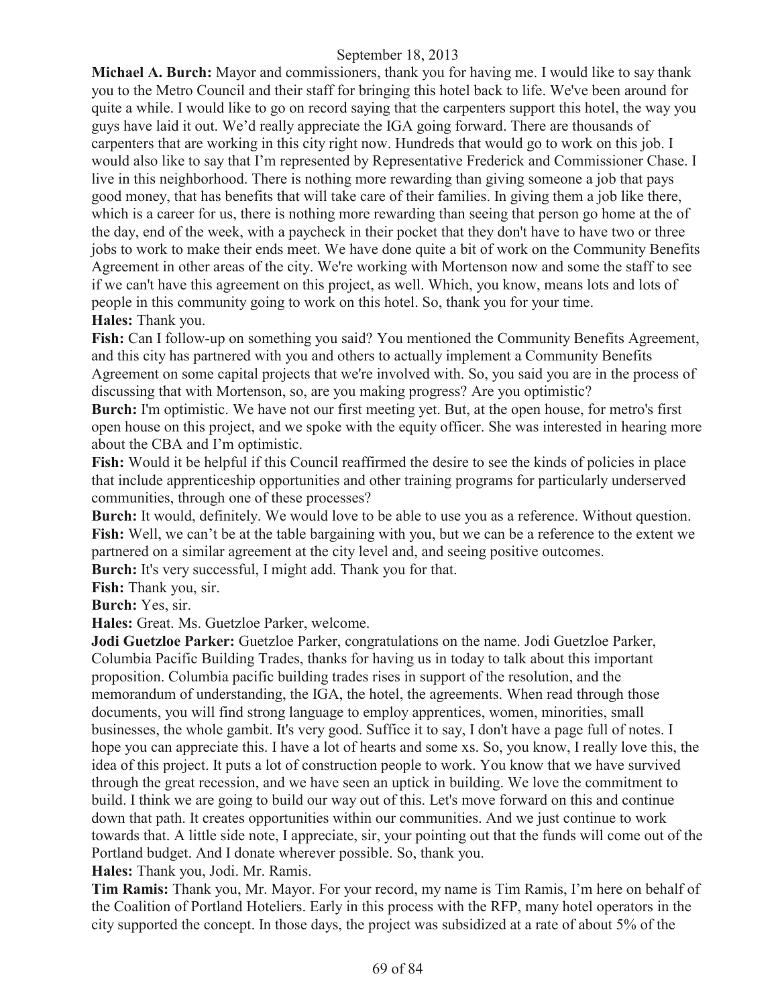**Michael A. Burch:** Mayor and commissioners, thank you for having me. I would like to say thank you to the Metro Council and their staff for bringing this hotel back to life. We've been around for quite a while. I would like to go on record saying that the carpenters support this hotel, the way you guys have laid it out. We'd really appreciate the IGA going forward. There are thousands of carpenters that are working in this city right now. Hundreds that would go to work on this job. I would also like to say that I'm represented by Representative Frederick and Commissioner Chase. I live in this neighborhood. There is nothing more rewarding than giving someone a job that pays good money, that has benefits that will take care of their families. In giving them a job like there, which is a career for us, there is nothing more rewarding than seeing that person go home at the of the day, end of the week, with a paycheck in their pocket that they don't have to have two or three jobs to work to make their ends meet. We have done quite a bit of work on the Community Benefits Agreement in other areas of the city. We're working with Mortenson now and some the staff to see if we can't have this agreement on this project, as well. Which, you know, means lots and lots of people in this community going to work on this hotel. So, thank you for your time. **Hales:** Thank you.

**Fish:** Can I follow-up on something you said? You mentioned the Community Benefits Agreement, and this city has partnered with you and others to actually implement a Community Benefits Agreement on some capital projects that we're involved with. So, you said you are in the process of discussing that with Mortenson, so, are you making progress? Are you optimistic?

**Burch:** I'm optimistic. We have not our first meeting yet. But, at the open house, for metro's first open house on this project, and we spoke with the equity officer. She was interested in hearing more about the CBA and I'm optimistic.

Fish: Would it be helpful if this Council reaffirmed the desire to see the kinds of policies in place that include apprenticeship opportunities and other training programs for particularly underserved communities, through one of these processes?

**Burch:** It would, definitely. We would love to be able to use you as a reference. Without question. Fish: Well, we can't be at the table bargaining with you, but we can be a reference to the extent we partnered on a similar agreement at the city level and, and seeing positive outcomes.

**Burch:** It's very successful, I might add. Thank you for that.

**Fish:** Thank you, sir.

**Burch:** Yes, sir.

**Hales:** Great. Ms. Guetzloe Parker, welcome.

**Jodi Guetzloe Parker:** Guetzloe Parker, congratulations on the name. Jodi Guetzloe Parker, Columbia Pacific Building Trades, thanks for having us in today to talk about this important proposition. Columbia pacific building trades rises in support of the resolution, and the memorandum of understanding, the IGA, the hotel, the agreements. When read through those documents, you will find strong language to employ apprentices, women, minorities, small businesses, the whole gambit. It's very good. Suffice it to say, I don't have a page full of notes. I hope you can appreciate this. I have a lot of hearts and some xs. So, you know, I really love this, the idea of this project. It puts a lot of construction people to work. You know that we have survived through the great recession, and we have seen an uptick in building. We love the commitment to build. I think we are going to build our way out of this. Let's move forward on this and continue down that path. It creates opportunities within our communities. And we just continue to work towards that. A little side note, I appreciate, sir, your pointing out that the funds will come out of the Portland budget. And I donate wherever possible. So, thank you.

**Hales:** Thank you, Jodi. Mr. Ramis.

**Tim Ramis:** Thank you, Mr. Mayor. For your record, my name is Tim Ramis, I'm here on behalf of the Coalition of Portland Hoteliers. Early in this process with the RFP, many hotel operators in the city supported the concept. In those days, the project was subsidized at a rate of about 5% of the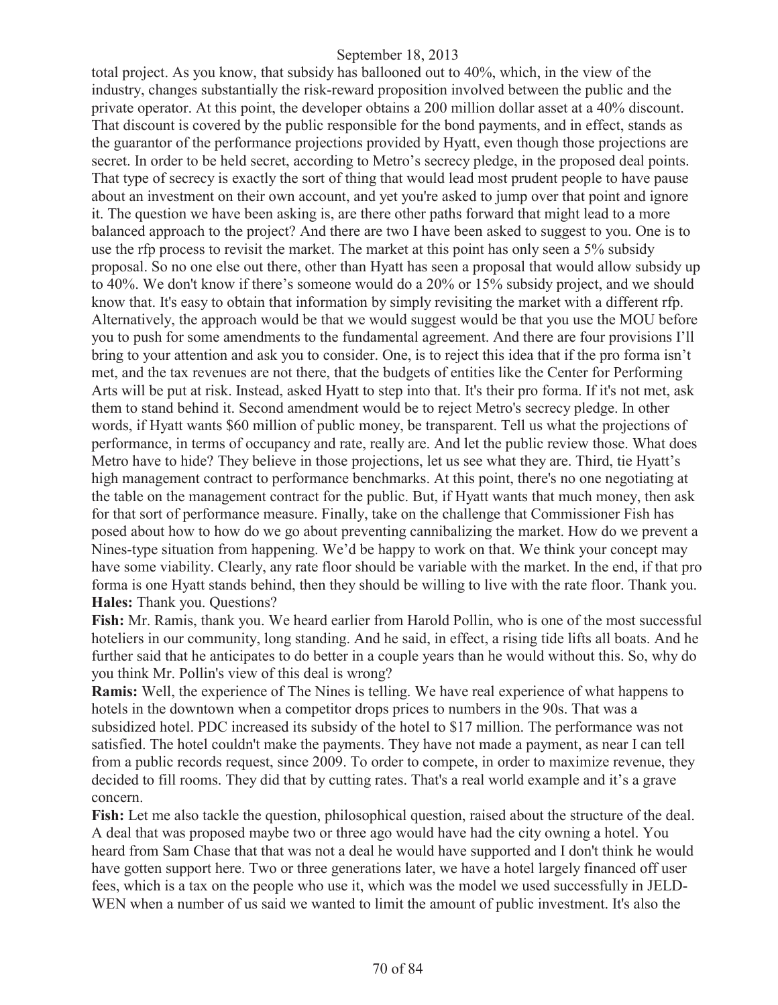total project. As you know, that subsidy has ballooned out to 40%, which, in the view of the industry, changes substantially the risk-reward proposition involved between the public and the private operator. At this point, the developer obtains a 200 million dollar asset at a 40% discount. That discount is covered by the public responsible for the bond payments, and in effect, stands as the guarantor of the performance projections provided by Hyatt, even though those projections are secret. In order to be held secret, according to Metro's secrecy pledge, in the proposed deal points. That type of secrecy is exactly the sort of thing that would lead most prudent people to have pause about an investment on their own account, and yet you're asked to jump over that point and ignore it. The question we have been asking is, are there other paths forward that might lead to a more balanced approach to the project? And there are two I have been asked to suggest to you. One is to use the rfp process to revisit the market. The market at this point has only seen a 5% subsidy proposal. So no one else out there, other than Hyatt has seen a proposal that would allow subsidy up to 40%. We don't know if there's someone would do a 20% or 15% subsidy project, and we should know that. It's easy to obtain that information by simply revisiting the market with a different rfp. Alternatively, the approach would be that we would suggest would be that you use the MOU before you to push for some amendments to the fundamental agreement. And there are four provisions I'll bring to your attention and ask you to consider. One, is to reject this idea that if the pro forma isn't met, and the tax revenues are not there, that the budgets of entities like the Center for Performing Arts will be put at risk. Instead, asked Hyatt to step into that. It's their pro forma. If it's not met, ask them to stand behind it. Second amendment would be to reject Metro's secrecy pledge. In other words, if Hyatt wants \$60 million of public money, be transparent. Tell us what the projections of performance, in terms of occupancy and rate, really are. And let the public review those. What does Metro have to hide? They believe in those projections, let us see what they are. Third, tie Hyatt's high management contract to performance benchmarks. At this point, there's no one negotiating at the table on the management contract for the public. But, if Hyatt wants that much money, then ask for that sort of performance measure. Finally, take on the challenge that Commissioner Fish has posed about how to how do we go about preventing cannibalizing the market. How do we prevent a Nines-type situation from happening. We'd be happy to work on that. We think your concept may have some viability. Clearly, any rate floor should be variable with the market. In the end, if that pro forma is one Hyatt stands behind, then they should be willing to live with the rate floor. Thank you. **Hales:** Thank you. Questions?

**Fish:** Mr. Ramis, thank you. We heard earlier from Harold Pollin, who is one of the most successful hoteliers in our community, long standing. And he said, in effect, a rising tide lifts all boats. And he further said that he anticipates to do better in a couple years than he would without this. So, why do you think Mr. Pollin's view of this deal is wrong?

**Ramis:** Well, the experience of The Nines is telling. We have real experience of what happens to hotels in the downtown when a competitor drops prices to numbers in the 90s. That was a subsidized hotel. PDC increased its subsidy of the hotel to \$17 million. The performance was not satisfied. The hotel couldn't make the payments. They have not made a payment, as near I can tell from a public records request, since 2009. To order to compete, in order to maximize revenue, they decided to fill rooms. They did that by cutting rates. That's a real world example and it's a grave concern.

Fish: Let me also tackle the question, philosophical question, raised about the structure of the deal. A deal that was proposed maybe two or three ago would have had the city owning a hotel. You heard from Sam Chase that that was not a deal he would have supported and I don't think he would have gotten support here. Two or three generations later, we have a hotel largely financed off user fees, which is a tax on the people who use it, which was the model we used successfully in JELD-WEN when a number of us said we wanted to limit the amount of public investment. It's also the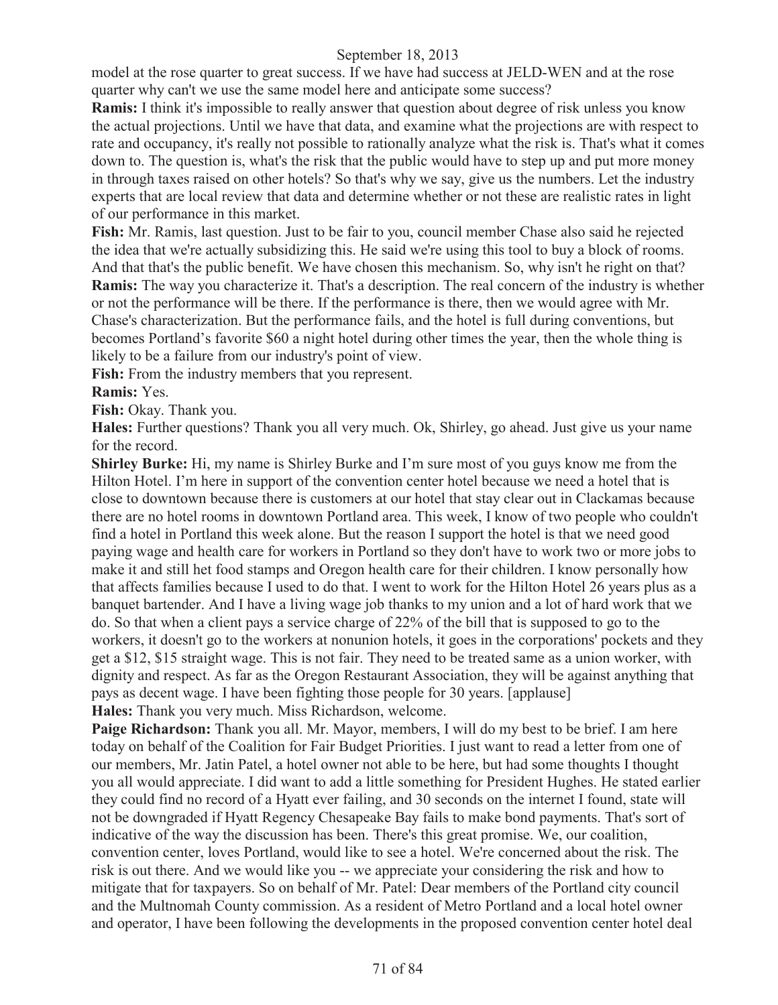model at the rose quarter to great success. If we have had success at JELD-WEN and at the rose quarter why can't we use the same model here and anticipate some success?

**Ramis:** I think it's impossible to really answer that question about degree of risk unless you know the actual projections. Until we have that data, and examine what the projections are with respect to rate and occupancy, it's really not possible to rationally analyze what the risk is. That's what it comes down to. The question is, what's the risk that the public would have to step up and put more money in through taxes raised on other hotels? So that's why we say, give us the numbers. Let the industry experts that are local review that data and determine whether or not these are realistic rates in light of our performance in this market.

**Fish:** Mr. Ramis, last question. Just to be fair to you, council member Chase also said he rejected the idea that we're actually subsidizing this. He said we're using this tool to buy a block of rooms. And that that's the public benefit. We have chosen this mechanism. So, why isn't he right on that? **Ramis:** The way you characterize it. That's a description. The real concern of the industry is whether or not the performance will be there. If the performance is there, then we would agree with Mr. Chase's characterization. But the performance fails, and the hotel is full during conventions, but becomes Portland's favorite \$60 a night hotel during other times the year, then the whole thing is likely to be a failure from our industry's point of view.

**Fish:** From the industry members that you represent.

**Ramis:** Yes.

**Fish:** Okay. Thank you.

**Hales:** Further questions? Thank you all very much. Ok, Shirley, go ahead. Just give us your name for the record.

**Shirley Burke:** Hi, my name is Shirley Burke and I'm sure most of you guys know me from the Hilton Hotel. I'm here in support of the convention center hotel because we need a hotel that is close to downtown because there is customers at our hotel that stay clear out in Clackamas because there are no hotel rooms in downtown Portland area. This week, I know of two people who couldn't find a hotel in Portland this week alone. But the reason I support the hotel is that we need good paying wage and health care for workers in Portland so they don't have to work two or more jobs to make it and still het food stamps and Oregon health care for their children. I know personally how that affects families because I used to do that. I went to work for the Hilton Hotel 26 years plus as a banquet bartender. And I have a living wage job thanks to my union and a lot of hard work that we do. So that when a client pays a service charge of 22% of the bill that is supposed to go to the workers, it doesn't go to the workers at nonunion hotels, it goes in the corporations' pockets and they get a \$12, \$15 straight wage. This is not fair. They need to be treated same as a union worker, with dignity and respect. As far as the Oregon Restaurant Association, they will be against anything that pays as decent wage. I have been fighting those people for 30 years. [applause] **Hales:** Thank you very much. Miss Richardson, welcome.

Paige Richardson: Thank you all. Mr. Mayor, members, I will do my best to be brief. I am here today on behalf of the Coalition for Fair Budget Priorities. I just want to read a letter from one of our members, Mr. Jatin Patel, a hotel owner not able to be here, but had some thoughts I thought you all would appreciate. I did want to add a little something for President Hughes. He stated earlier they could find no record of a Hyatt ever failing, and 30 seconds on the internet I found, state will not be downgraded if Hyatt Regency Chesapeake Bay fails to make bond payments. That's sort of indicative of the way the discussion has been. There's this great promise. We, our coalition, convention center, loves Portland, would like to see a hotel. We're concerned about the risk. The risk is out there. And we would like you -- we appreciate your considering the risk and how to mitigate that for taxpayers. So on behalf of Mr. Patel: Dear members of the Portland city council and the Multnomah County commission. As a resident of Metro Portland and a local hotel owner and operator, I have been following the developments in the proposed convention center hotel deal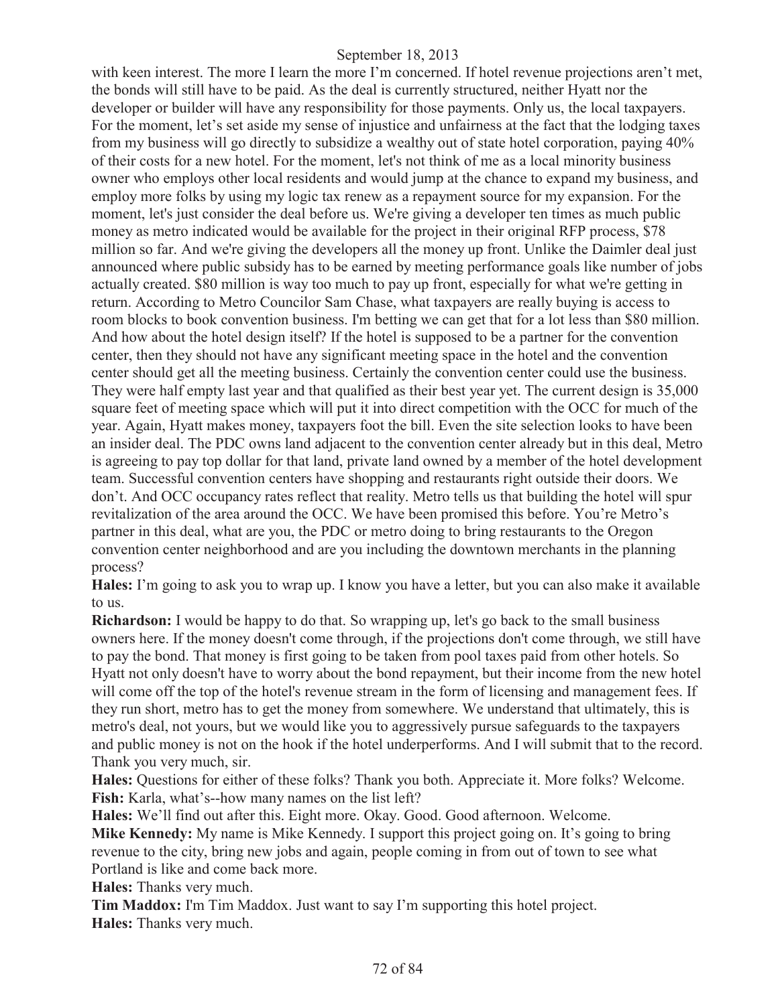with keen interest. The more I learn the more I'm concerned. If hotel revenue projections aren't met, the bonds will still have to be paid. As the deal is currently structured, neither Hyatt nor the developer or builder will have any responsibility for those payments. Only us, the local taxpayers. For the moment, let's set aside my sense of injustice and unfairness at the fact that the lodging taxes from my business will go directly to subsidize a wealthy out of state hotel corporation, paying 40% of their costs for a new hotel. For the moment, let's not think of me as a local minority business owner who employs other local residents and would jump at the chance to expand my business, and employ more folks by using my logic tax renew as a repayment source for my expansion. For the moment, let's just consider the deal before us. We're giving a developer ten times as much public money as metro indicated would be available for the project in their original RFP process, \$78 million so far. And we're giving the developers all the money up front. Unlike the Daimler deal just announced where public subsidy has to be earned by meeting performance goals like number of jobs actually created. \$80 million is way too much to pay up front, especially for what we're getting in return. According to Metro Councilor Sam Chase, what taxpayers are really buying is access to room blocks to book convention business. I'm betting we can get that for a lot less than \$80 million. And how about the hotel design itself? If the hotel is supposed to be a partner for the convention center, then they should not have any significant meeting space in the hotel and the convention center should get all the meeting business. Certainly the convention center could use the business. They were half empty last year and that qualified as their best year yet. The current design is 35,000 square feet of meeting space which will put it into direct competition with the OCC for much of the year. Again, Hyatt makes money, taxpayers foot the bill. Even the site selection looks to have been an insider deal. The PDC owns land adjacent to the convention center already but in this deal, Metro is agreeing to pay top dollar for that land, private land owned by a member of the hotel development team. Successful convention centers have shopping and restaurants right outside their doors. We don't. And OCC occupancy rates reflect that reality. Metro tells us that building the hotel will spur revitalization of the area around the OCC. We have been promised this before. You're Metro's partner in this deal, what are you, the PDC or metro doing to bring restaurants to the Oregon convention center neighborhood and are you including the downtown merchants in the planning process?

**Hales:** I'm going to ask you to wrap up. I know you have a letter, but you can also make it available to us.

**Richardson:** I would be happy to do that. So wrapping up, let's go back to the small business owners here. If the money doesn't come through, if the projections don't come through, we still have to pay the bond. That money is first going to be taken from pool taxes paid from other hotels. So Hyatt not only doesn't have to worry about the bond repayment, but their income from the new hotel will come off the top of the hotel's revenue stream in the form of licensing and management fees. If they run short, metro has to get the money from somewhere. We understand that ultimately, this is metro's deal, not yours, but we would like you to aggressively pursue safeguards to the taxpayers and public money is not on the hook if the hotel underperforms. And I will submit that to the record. Thank you very much, sir.

**Hales:** Questions for either of these folks? Thank you both. Appreciate it. More folks? Welcome. **Fish:** Karla, what's--how many names on the list left?

**Hales:** We'll find out after this. Eight more. Okay. Good. Good afternoon. Welcome. **Mike Kennedy:** My name is Mike Kennedy. I support this project going on. It's going to bring revenue to the city, bring new jobs and again, people coming in from out of town to see what Portland is like and come back more.

**Hales:** Thanks very much.

**Tim Maddox:** I'm Tim Maddox. Just want to say I'm supporting this hotel project. **Hales:** Thanks very much.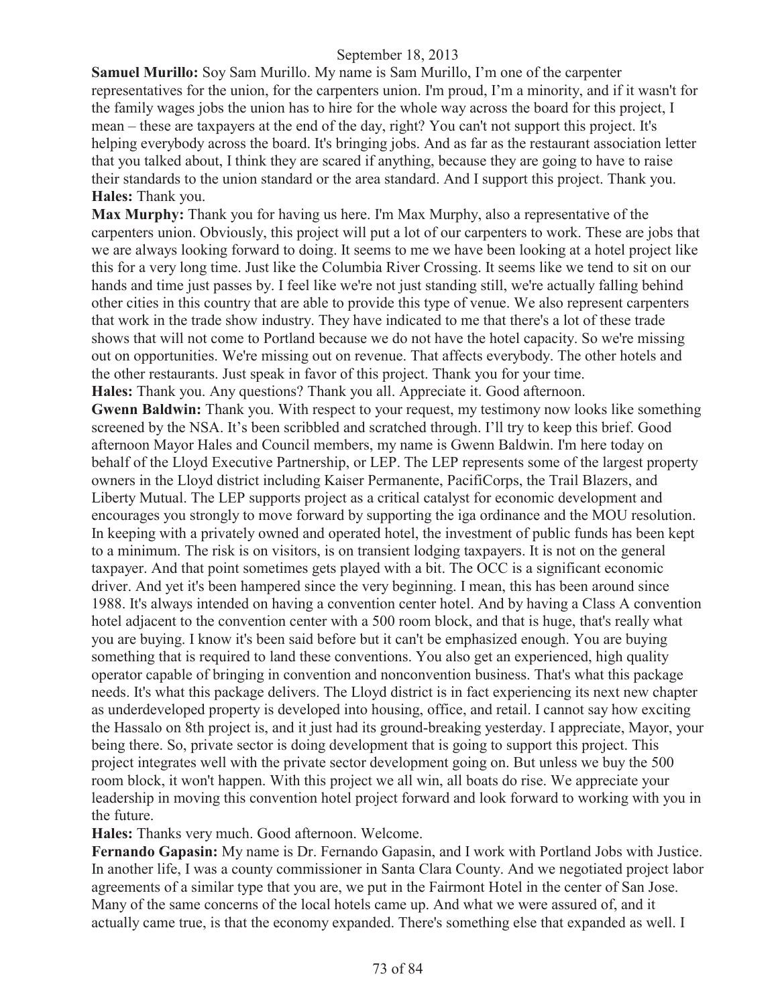**Samuel Murillo:** Soy Sam Murillo. My name is Sam Murillo, I'm one of the carpenter representatives for the union, for the carpenters union. I'm proud, I'm a minority, and if it wasn't for the family wages jobs the union has to hire for the whole way across the board for this project, I mean – these are taxpayers at the end of the day, right? You can't not support this project. It's helping everybody across the board. It's bringing jobs. And as far as the restaurant association letter that you talked about, I think they are scared if anything, because they are going to have to raise their standards to the union standard or the area standard. And I support this project. Thank you. **Hales:** Thank you.

**Max Murphy:** Thank you for having us here. I'm Max Murphy, also a representative of the carpenters union. Obviously, this project will put a lot of our carpenters to work. These are jobs that we are always looking forward to doing. It seems to me we have been looking at a hotel project like this for a very long time. Just like the Columbia River Crossing. It seems like we tend to sit on our hands and time just passes by. I feel like we're not just standing still, we're actually falling behind other cities in this country that are able to provide this type of venue. We also represent carpenters that work in the trade show industry. They have indicated to me that there's a lot of these trade shows that will not come to Portland because we do not have the hotel capacity. So we're missing out on opportunities. We're missing out on revenue. That affects everybody. The other hotels and the other restaurants. Just speak in favor of this project. Thank you for your time. **Hales:** Thank you. Any questions? Thank you all. Appreciate it. Good afternoon.

**Gwenn Baldwin:** Thank you. With respect to your request, my testimony now looks like something screened by the NSA. It's been scribbled and scratched through. I'll try to keep this brief. Good afternoon Mayor Hales and Council members, my name is Gwenn Baldwin. I'm here today on behalf of the Lloyd Executive Partnership, or LEP. The LEP represents some of the largest property owners in the Lloyd district including Kaiser Permanente, PacifiCorps, the Trail Blazers, and Liberty Mutual. The LEP supports project as a critical catalyst for economic development and encourages you strongly to move forward by supporting the iga ordinance and the MOU resolution. In keeping with a privately owned and operated hotel, the investment of public funds has been kept to a minimum. The risk is on visitors, is on transient lodging taxpayers. It is not on the general taxpayer. And that point sometimes gets played with a bit. The OCC is a significant economic driver. And yet it's been hampered since the very beginning. I mean, this has been around since 1988. It's always intended on having a convention center hotel. And by having a Class A convention hotel adjacent to the convention center with a 500 room block, and that is huge, that's really what you are buying. I know it's been said before but it can't be emphasized enough. You are buying something that is required to land these conventions. You also get an experienced, high quality operator capable of bringing in convention and nonconvention business. That's what this package needs. It's what this package delivers. The Lloyd district is in fact experiencing its next new chapter as underdeveloped property is developed into housing, office, and retail. I cannot say how exciting the Hassalo on 8th project is, and it just had its ground-breaking yesterday. I appreciate, Mayor, your being there. So, private sector is doing development that is going to support this project. This project integrates well with the private sector development going on. But unless we buy the 500 room block, it won't happen. With this project we all win, all boats do rise. We appreciate your leadership in moving this convention hotel project forward and look forward to working with you in the future.

#### **Hales:** Thanks very much. Good afternoon. Welcome.

**Fernando Gapasin:** My name is Dr. Fernando Gapasin, and I work with Portland Jobs with Justice. In another life, I was a county commissioner in Santa Clara County. And we negotiated project labor agreements of a similar type that you are, we put in the Fairmont Hotel in the center of San Jose. Many of the same concerns of the local hotels came up. And what we were assured of, and it actually came true, is that the economy expanded. There's something else that expanded as well. I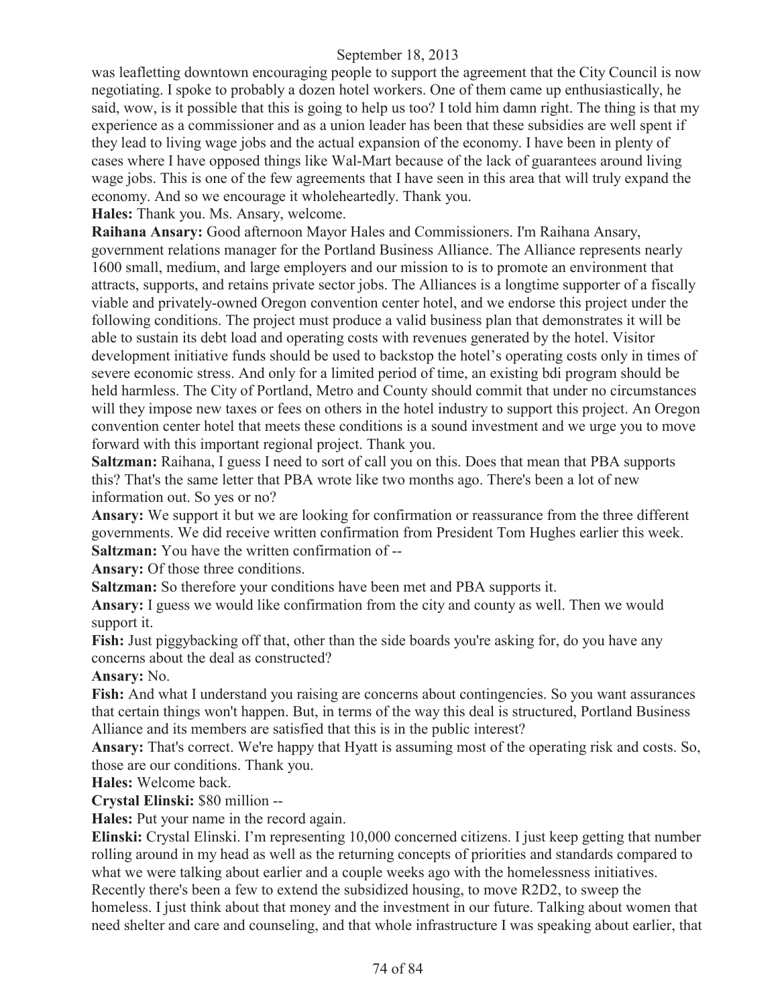was leafletting downtown encouraging people to support the agreement that the City Council is now negotiating. I spoke to probably a dozen hotel workers. One of them came up enthusiastically, he said, wow, is it possible that this is going to help us too? I told him damn right. The thing is that my experience as a commissioner and as a union leader has been that these subsidies are well spent if they lead to living wage jobs and the actual expansion of the economy. I have been in plenty of cases where I have opposed things like Wal-Mart because of the lack of guarantees around living wage jobs. This is one of the few agreements that I have seen in this area that will truly expand the economy. And so we encourage it wholeheartedly. Thank you.

**Hales:** Thank you. Ms. Ansary, welcome.

**Raihana Ansary:** Good afternoon Mayor Hales and Commissioners. I'm Raihana Ansary, government relations manager for the Portland Business Alliance. The Alliance represents nearly 1600 small, medium, and large employers and our mission to is to promote an environment that attracts, supports, and retains private sector jobs. The Alliances is a longtime supporter of a fiscally viable and privately-owned Oregon convention center hotel, and we endorse this project under the following conditions. The project must produce a valid business plan that demonstrates it will be able to sustain its debt load and operating costs with revenues generated by the hotel. Visitor development initiative funds should be used to backstop the hotel's operating costs only in times of severe economic stress. And only for a limited period of time, an existing bdi program should be held harmless. The City of Portland, Metro and County should commit that under no circumstances will they impose new taxes or fees on others in the hotel industry to support this project. An Oregon convention center hotel that meets these conditions is a sound investment and we urge you to move forward with this important regional project. Thank you.

**Saltzman:** Raihana, I guess I need to sort of call you on this. Does that mean that PBA supports this? That's the same letter that PBA wrote like two months ago. There's been a lot of new information out. So yes or no?

**Ansary:** We support it but we are looking for confirmation or reassurance from the three different governments. We did receive written confirmation from President Tom Hughes earlier this week. **Saltzman:** You have the written confirmation of --

**Ansary:** Of those three conditions.

**Saltzman:** So therefore your conditions have been met and PBA supports it.

**Ansary:** I guess we would like confirmation from the city and county as well. Then we would support it.

Fish: Just piggybacking off that, other than the side boards you're asking for, do you have any concerns about the deal as constructed?

**Ansary:** No.

Fish: And what I understand you raising are concerns about contingencies. So you want assurances that certain things won't happen. But, in terms of the way this deal is structured, Portland Business Alliance and its members are satisfied that this is in the public interest?

**Ansary:** That's correct. We're happy that Hyatt is assuming most of the operating risk and costs. So, those are our conditions. Thank you.

**Hales:** Welcome back.

**Crystal Elinski:** \$80 million --

**Hales:** Put your name in the record again.

**Elinski:** Crystal Elinski. I'm representing 10,000 concerned citizens. I just keep getting that number rolling around in my head as well as the returning concepts of priorities and standards compared to what we were talking about earlier and a couple weeks ago with the homelessness initiatives. Recently there's been a few to extend the subsidized housing, to move R2D2, to sweep the

homeless. I just think about that money and the investment in our future. Talking about women that need shelter and care and counseling, and that whole infrastructure I was speaking about earlier, that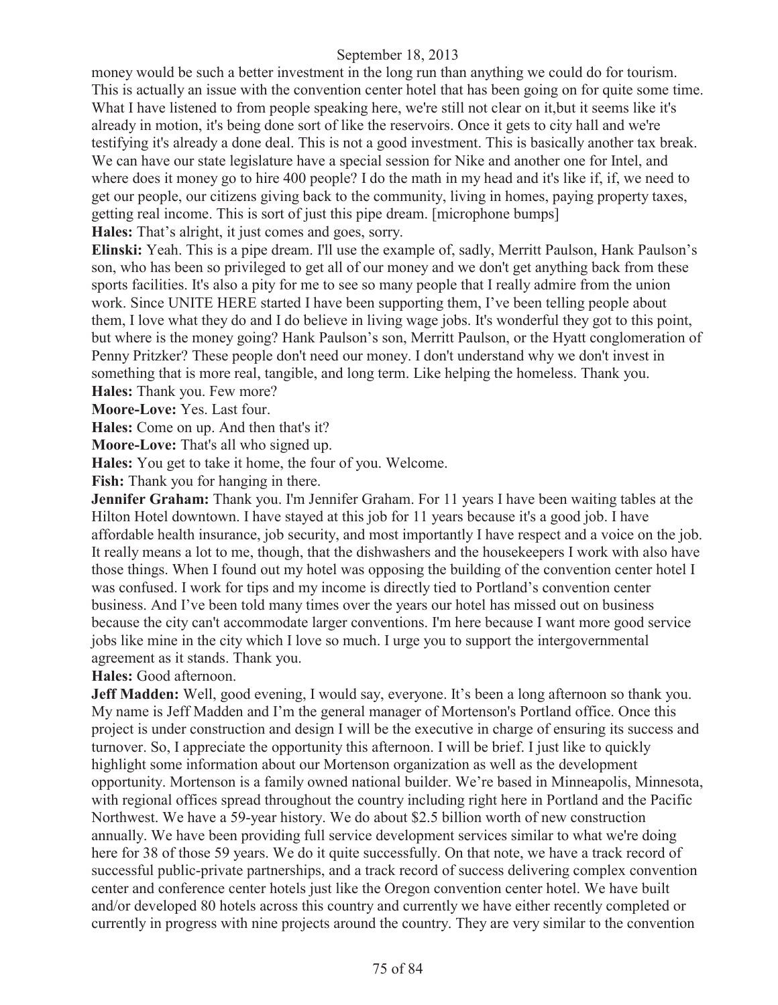money would be such a better investment in the long run than anything we could do for tourism. This is actually an issue with the convention center hotel that has been going on for quite some time. What I have listened to from people speaking here, we're still not clear on it,but it seems like it's already in motion, it's being done sort of like the reservoirs. Once it gets to city hall and we're testifying it's already a done deal. This is not a good investment. This is basically another tax break. We can have our state legislature have a special session for Nike and another one for Intel, and where does it money go to hire 400 people? I do the math in my head and it's like if, if, we need to get our people, our citizens giving back to the community, living in homes, paying property taxes, getting real income. This is sort of just this pipe dream. [microphone bumps] **Hales:** That's alright, it just comes and goes, sorry.

**Elinski:** Yeah. This is a pipe dream. I'll use the example of, sadly, Merritt Paulson, Hank Paulson's son, who has been so privileged to get all of our money and we don't get anything back from these sports facilities. It's also a pity for me to see so many people that I really admire from the union work. Since UNITE HERE started I have been supporting them, I've been telling people about them, I love what they do and I do believe in living wage jobs. It's wonderful they got to this point, but where is the money going? Hank Paulson's son, Merritt Paulson, or the Hyatt conglomeration of Penny Pritzker? These people don't need our money. I don't understand why we don't invest in something that is more real, tangible, and long term. Like helping the homeless. Thank you. **Hales:** Thank you. Few more?

**Moore-Love:** Yes. Last four.

**Hales:** Come on up. And then that's it?

**Moore-Love:** That's all who signed up.

**Hales:** You get to take it home, the four of you. Welcome.

**Fish:** Thank you for hanging in there.

**Jennifer Graham:** Thank you. I'm Jennifer Graham. For 11 years I have been waiting tables at the Hilton Hotel downtown. I have stayed at this job for 11 years because it's a good job. I have affordable health insurance, job security, and most importantly I have respect and a voice on the job. It really means a lot to me, though, that the dishwashers and the housekeepers I work with also have those things. When I found out my hotel was opposing the building of the convention center hotel I was confused. I work for tips and my income is directly tied to Portland's convention center business. And I've been told many times over the years our hotel has missed out on business because the city can't accommodate larger conventions. I'm here because I want more good service jobs like mine in the city which I love so much. I urge you to support the intergovernmental agreement as it stands. Thank you.

**Hales:** Good afternoon.

**Jeff Madden:** Well, good evening, I would say, everyone. It's been a long afternoon so thank you. My name is Jeff Madden and I'm the general manager of Mortenson's Portland office. Once this project is under construction and design I will be the executive in charge of ensuring its success and turnover. So, I appreciate the opportunity this afternoon. I will be brief. I just like to quickly highlight some information about our Mortenson organization as well as the development opportunity. Mortenson is a family owned national builder. We're based in Minneapolis, Minnesota, with regional offices spread throughout the country including right here in Portland and the Pacific Northwest. We have a 59-year history. We do about \$2.5 billion worth of new construction annually. We have been providing full service development services similar to what we're doing here for 38 of those 59 years. We do it quite successfully. On that note, we have a track record of successful public-private partnerships, and a track record of success delivering complex convention center and conference center hotels just like the Oregon convention center hotel. We have built and/or developed 80 hotels across this country and currently we have either recently completed or currently in progress with nine projects around the country. They are very similar to the convention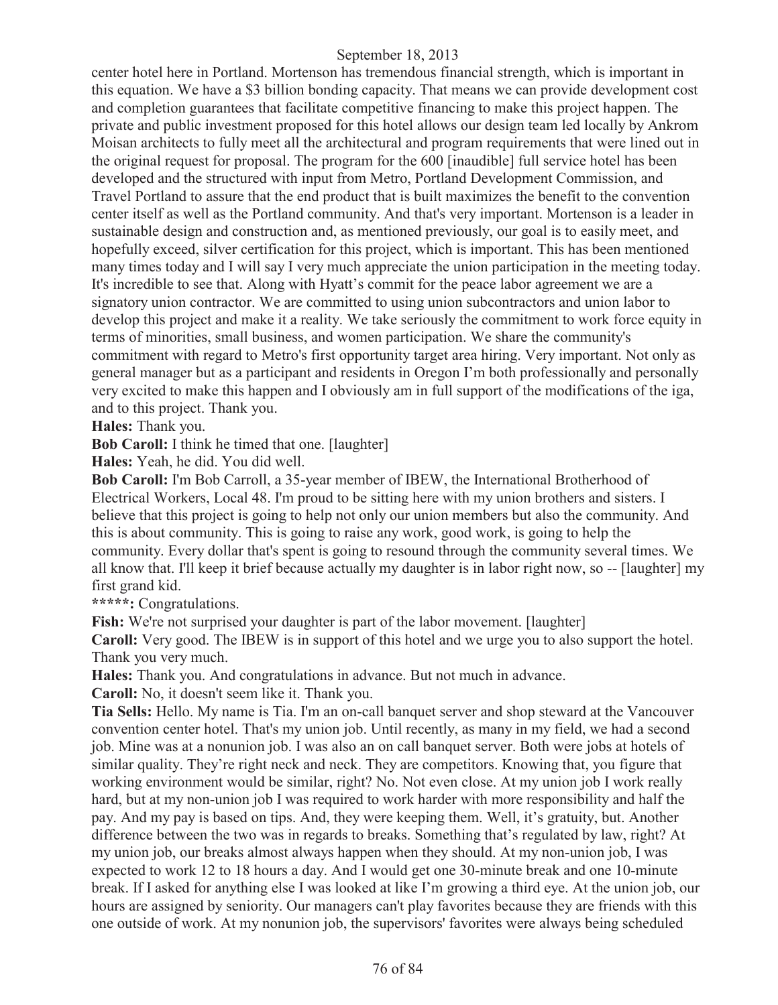center hotel here in Portland. Mortenson has tremendous financial strength, which is important in this equation. We have a \$3 billion bonding capacity. That means we can provide development cost and completion guarantees that facilitate competitive financing to make this project happen. The private and public investment proposed for this hotel allows our design team led locally by Ankrom Moisan architects to fully meet all the architectural and program requirements that were lined out in the original request for proposal. The program for the 600 [inaudible] full service hotel has been developed and the structured with input from Metro, Portland Development Commission, and Travel Portland to assure that the end product that is built maximizes the benefit to the convention center itself as well as the Portland community. And that's very important. Mortenson is a leader in sustainable design and construction and, as mentioned previously, our goal is to easily meet, and hopefully exceed, silver certification for this project, which is important. This has been mentioned many times today and I will say I very much appreciate the union participation in the meeting today. It's incredible to see that. Along with Hyatt's commit for the peace labor agreement we are a signatory union contractor. We are committed to using union subcontractors and union labor to develop this project and make it a reality. We take seriously the commitment to work force equity in terms of minorities, small business, and women participation. We share the community's commitment with regard to Metro's first opportunity target area hiring. Very important. Not only as general manager but as a participant and residents in Oregon I'm both professionally and personally very excited to make this happen and I obviously am in full support of the modifications of the iga, and to this project. Thank you.

**Hales:** Thank you.

**Bob Caroll:** I think he timed that one. [laughter]

**Hales:** Yeah, he did. You did well.

**Bob Caroll:** I'm Bob Carroll, a 35-year member of IBEW, the International Brotherhood of Electrical Workers, Local 48. I'm proud to be sitting here with my union brothers and sisters. I believe that this project is going to help not only our union members but also the community. And this is about community. This is going to raise any work, good work, is going to help the community. Every dollar that's spent is going to resound through the community several times. We all know that. I'll keep it brief because actually my daughter is in labor right now, so -- [laughter] my first grand kid.

**\*\*\*\*\*:** Congratulations.

**Fish:** We're not surprised your daughter is part of the labor movement. [laughter] **Caroll:** Very good. The IBEW is in support of this hotel and we urge you to also support the hotel. Thank you very much.

**Hales:** Thank you. And congratulations in advance. But not much in advance.

**Caroll:** No, it doesn't seem like it. Thank you.

**Tia Sells:** Hello. My name is Tia. I'm an on-call banquet server and shop steward at the Vancouver convention center hotel. That's my union job. Until recently, as many in my field, we had a second job. Mine was at a nonunion job. I was also an on call banquet server. Both were jobs at hotels of similar quality. They're right neck and neck. They are competitors. Knowing that, you figure that working environment would be similar, right? No. Not even close. At my union job I work really hard, but at my non-union job I was required to work harder with more responsibility and half the pay. And my pay is based on tips. And, they were keeping them. Well, it's gratuity, but. Another difference between the two was in regards to breaks. Something that's regulated by law, right? At my union job, our breaks almost always happen when they should. At my non-union job, I was expected to work 12 to 18 hours a day. And I would get one 30-minute break and one 10-minute break. If I asked for anything else I was looked at like I'm growing a third eye. At the union job, our hours are assigned by seniority. Our managers can't play favorites because they are friends with this one outside of work. At my nonunion job, the supervisors' favorites were always being scheduled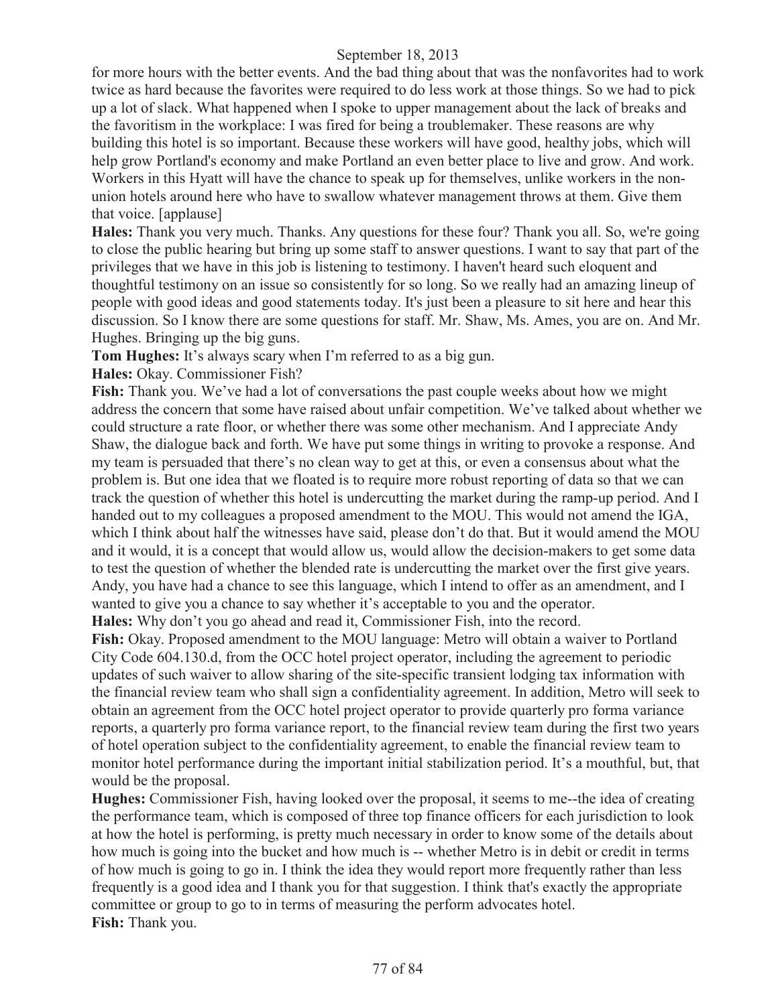for more hours with the better events. And the bad thing about that was the nonfavorites had to work twice as hard because the favorites were required to do less work at those things. So we had to pick up a lot of slack. What happened when I spoke to upper management about the lack of breaks and the favoritism in the workplace: I was fired for being a troublemaker. These reasons are why building this hotel is so important. Because these workers will have good, healthy jobs, which will help grow Portland's economy and make Portland an even better place to live and grow. And work. Workers in this Hyatt will have the chance to speak up for themselves, unlike workers in the nonunion hotels around here who have to swallow whatever management throws at them. Give them that voice. [applause]

**Hales:** Thank you very much. Thanks. Any questions for these four? Thank you all. So, we're going to close the public hearing but bring up some staff to answer questions. I want to say that part of the privileges that we have in this job is listening to testimony. I haven't heard such eloquent and thoughtful testimony on an issue so consistently for so long. So we really had an amazing lineup of people with good ideas and good statements today. It's just been a pleasure to sit here and hear this discussion. So I know there are some questions for staff. Mr. Shaw, Ms. Ames, you are on. And Mr. Hughes. Bringing up the big guns.

**Tom Hughes:** It's always scary when I'm referred to as a big gun.

**Hales:** Okay. Commissioner Fish?

Fish: Thank you. We've had a lot of conversations the past couple weeks about how we might address the concern that some have raised about unfair competition. We've talked about whether we could structure a rate floor, or whether there was some other mechanism. And I appreciate Andy Shaw, the dialogue back and forth. We have put some things in writing to provoke a response. And my team is persuaded that there's no clean way to get at this, or even a consensus about what the problem is. But one idea that we floated is to require more robust reporting of data so that we can track the question of whether this hotel is undercutting the market during the ramp-up period. And I handed out to my colleagues a proposed amendment to the MOU. This would not amend the IGA, which I think about half the witnesses have said, please don't do that. But it would amend the MOU and it would, it is a concept that would allow us, would allow the decision-makers to get some data to test the question of whether the blended rate is undercutting the market over the first give years. Andy, you have had a chance to see this language, which I intend to offer as an amendment, and I wanted to give you a chance to say whether it's acceptable to you and the operator. **Hales:** Why don't you go ahead and read it, Commissioner Fish, into the record.

Fish: Okay. Proposed amendment to the MOU language: Metro will obtain a waiver to Portland City Code 604.130.d, from the OCC hotel project operator, including the agreement to periodic updates of such waiver to allow sharing of the site-specific transient lodging tax information with the financial review team who shall sign a confidentiality agreement. In addition, Metro will seek to obtain an agreement from the OCC hotel project operator to provide quarterly pro forma variance reports, a quarterly pro forma variance report, to the financial review team during the first two years of hotel operation subject to the confidentiality agreement, to enable the financial review team to monitor hotel performance during the important initial stabilization period. It's a mouthful, but, that would be the proposal.

**Hughes:** Commissioner Fish, having looked over the proposal, it seems to me--the idea of creating the performance team, which is composed of three top finance officers for each jurisdiction to look at how the hotel is performing, is pretty much necessary in order to know some of the details about how much is going into the bucket and how much is -- whether Metro is in debit or credit in terms of how much is going to go in. I think the idea they would report more frequently rather than less frequently is a good idea and I thank you for that suggestion. I think that's exactly the appropriate committee or group to go to in terms of measuring the perform advocates hotel. **Fish:** Thank you.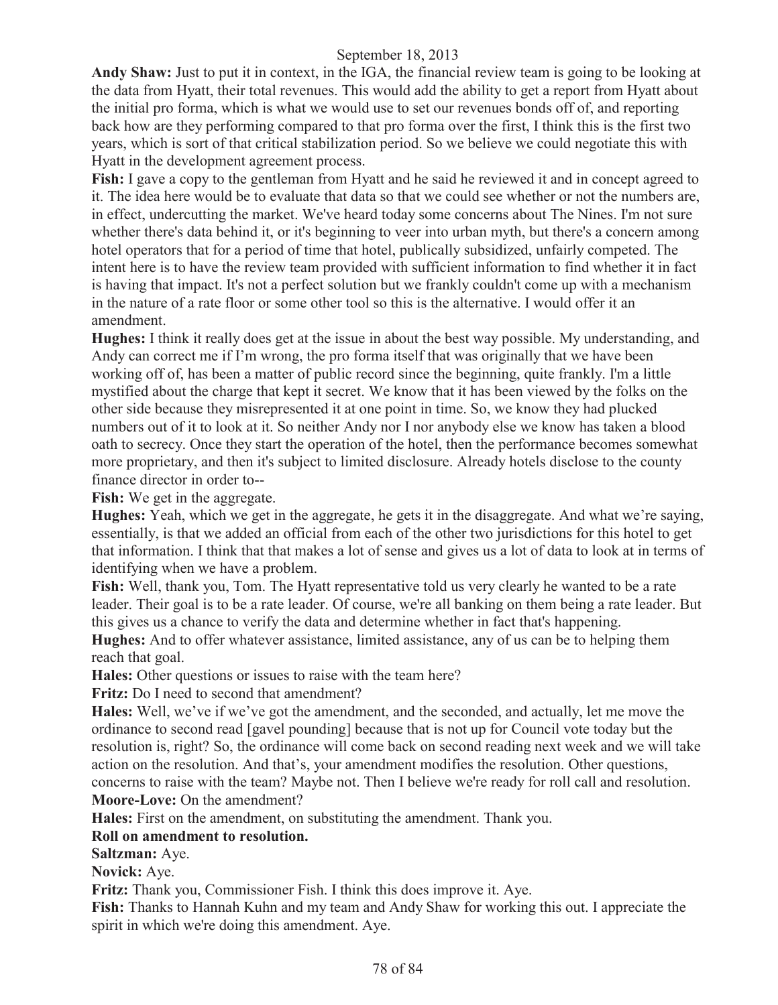**Andy Shaw:** Just to put it in context, in the IGA, the financial review team is going to be looking at the data from Hyatt, their total revenues. This would add the ability to get a report from Hyatt about the initial pro forma, which is what we would use to set our revenues bonds off of, and reporting back how are they performing compared to that pro forma over the first, I think this is the first two years, which is sort of that critical stabilization period. So we believe we could negotiate this with Hyatt in the development agreement process.

**Fish:** I gave a copy to the gentleman from Hyatt and he said he reviewed it and in concept agreed to it. The idea here would be to evaluate that data so that we could see whether or not the numbers are, in effect, undercutting the market. We've heard today some concerns about The Nines. I'm not sure whether there's data behind it, or it's beginning to veer into urban myth, but there's a concern among hotel operators that for a period of time that hotel, publically subsidized, unfairly competed. The intent here is to have the review team provided with sufficient information to find whether it in fact is having that impact. It's not a perfect solution but we frankly couldn't come up with a mechanism in the nature of a rate floor or some other tool so this is the alternative. I would offer it an amendment.

**Hughes:** I think it really does get at the issue in about the best way possible. My understanding, and Andy can correct me if I'm wrong, the pro forma itself that was originally that we have been working off of, has been a matter of public record since the beginning, quite frankly. I'm a little mystified about the charge that kept it secret. We know that it has been viewed by the folks on the other side because they misrepresented it at one point in time. So, we know they had plucked numbers out of it to look at it. So neither Andy nor I nor anybody else we know has taken a blood oath to secrecy. Once they start the operation of the hotel, then the performance becomes somewhat more proprietary, and then it's subject to limited disclosure. Already hotels disclose to the county finance director in order to--

**Fish:** We get in the aggregate.

**Hughes:** Yeah, which we get in the aggregate, he gets it in the disaggregate. And what we're saying, essentially, is that we added an official from each of the other two jurisdictions for this hotel to get that information. I think that that makes a lot of sense and gives us a lot of data to look at in terms of identifying when we have a problem.

Fish: Well, thank you, Tom. The Hyatt representative told us very clearly he wanted to be a rate leader. Their goal is to be a rate leader. Of course, we're all banking on them being a rate leader. But this gives us a chance to verify the data and determine whether in fact that's happening.

**Hughes:** And to offer whatever assistance, limited assistance, any of us can be to helping them reach that goal.

**Hales:** Other questions or issues to raise with the team here?

**Fritz:** Do I need to second that amendment?

**Hales:** Well, we've if we've got the amendment, and the seconded, and actually, let me move the ordinance to second read [gavel pounding] because that is not up for Council vote today but the resolution is, right? So, the ordinance will come back on second reading next week and we will take action on the resolution. And that's, your amendment modifies the resolution. Other questions, concerns to raise with the team? Maybe not. Then I believe we're ready for roll call and resolution. **Moore-Love:** On the amendment?

**Hales:** First on the amendment, on substituting the amendment. Thank you.

# **Roll on amendment to resolution.**

**Saltzman:** Aye.

**Novick:** Aye.

**Fritz:** Thank you, Commissioner Fish. I think this does improve it. Aye.

**Fish:** Thanks to Hannah Kuhn and my team and Andy Shaw for working this out. I appreciate the spirit in which we're doing this amendment. Aye.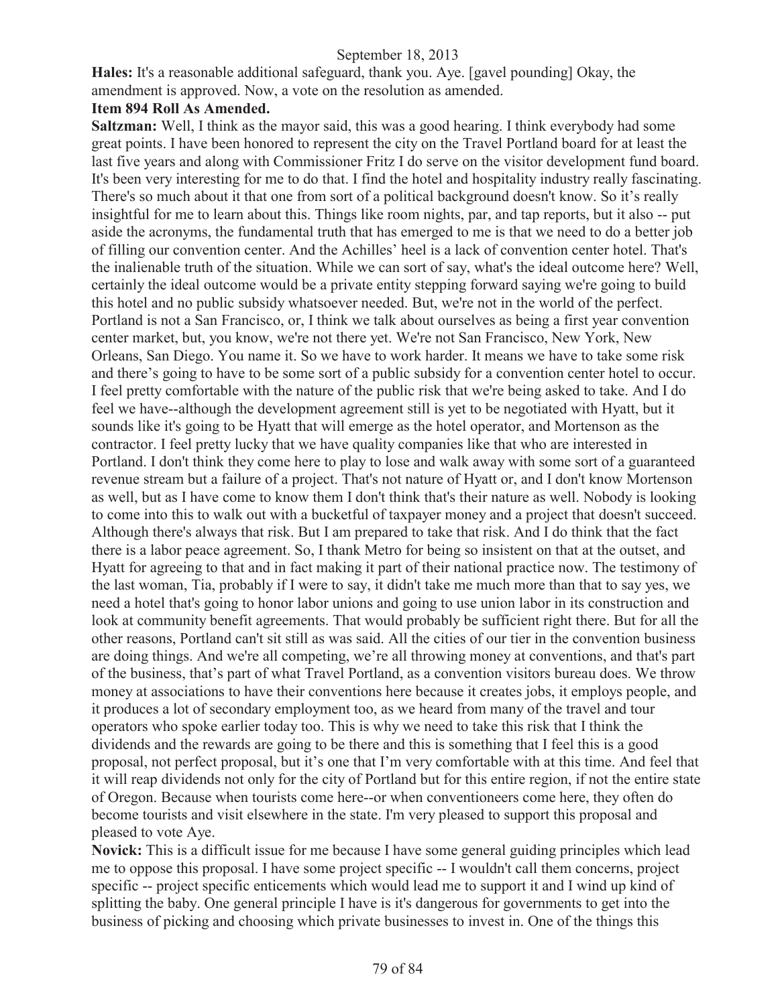**Hales:** It's a reasonable additional safeguard, thank you. Aye. [gavel pounding] Okay, the amendment is approved. Now, a vote on the resolution as amended.

#### **Item 894 Roll As Amended.**

**Saltzman:** Well, I think as the mayor said, this was a good hearing. I think everybody had some great points. I have been honored to represent the city on the Travel Portland board for at least the last five years and along with Commissioner Fritz I do serve on the visitor development fund board. It's been very interesting for me to do that. I find the hotel and hospitality industry really fascinating. There's so much about it that one from sort of a political background doesn't know. So it's really insightful for me to learn about this. Things like room nights, par, and tap reports, but it also -- put aside the acronyms, the fundamental truth that has emerged to me is that we need to do a better job of filling our convention center. And the Achilles' heel is a lack of convention center hotel. That's the inalienable truth of the situation. While we can sort of say, what's the ideal outcome here? Well, certainly the ideal outcome would be a private entity stepping forward saying we're going to build this hotel and no public subsidy whatsoever needed. But, we're not in the world of the perfect. Portland is not a San Francisco, or, I think we talk about ourselves as being a first year convention center market, but, you know, we're not there yet. We're not San Francisco, New York, New Orleans, San Diego. You name it. So we have to work harder. It means we have to take some risk and there's going to have to be some sort of a public subsidy for a convention center hotel to occur. I feel pretty comfortable with the nature of the public risk that we're being asked to take. And I do feel we have--although the development agreement still is yet to be negotiated with Hyatt, but it sounds like it's going to be Hyatt that will emerge as the hotel operator, and Mortenson as the contractor. I feel pretty lucky that we have quality companies like that who are interested in Portland. I don't think they come here to play to lose and walk away with some sort of a guaranteed revenue stream but a failure of a project. That's not nature of Hyatt or, and I don't know Mortenson as well, but as I have come to know them I don't think that's their nature as well. Nobody is looking to come into this to walk out with a bucketful of taxpayer money and a project that doesn't succeed. Although there's always that risk. But I am prepared to take that risk. And I do think that the fact there is a labor peace agreement. So, I thank Metro for being so insistent on that at the outset, and Hyatt for agreeing to that and in fact making it part of their national practice now. The testimony of the last woman, Tia, probably if I were to say, it didn't take me much more than that to say yes, we need a hotel that's going to honor labor unions and going to use union labor in its construction and look at community benefit agreements. That would probably be sufficient right there. But for all the other reasons, Portland can't sit still as was said. All the cities of our tier in the convention business are doing things. And we're all competing, we're all throwing money at conventions, and that's part of the business, that's part of what Travel Portland, as a convention visitors bureau does. We throw money at associations to have their conventions here because it creates jobs, it employs people, and it produces a lot of secondary employment too, as we heard from many of the travel and tour operators who spoke earlier today too. This is why we need to take this risk that I think the dividends and the rewards are going to be there and this is something that I feel this is a good proposal, not perfect proposal, but it's one that I'm very comfortable with at this time. And feel that it will reap dividends not only for the city of Portland but for this entire region, if not the entire state of Oregon. Because when tourists come here--or when conventioneers come here, they often do become tourists and visit elsewhere in the state. I'm very pleased to support this proposal and pleased to vote Aye.

**Novick:** This is a difficult issue for me because I have some general guiding principles which lead me to oppose this proposal. I have some project specific -- I wouldn't call them concerns, project specific -- project specific enticements which would lead me to support it and I wind up kind of splitting the baby. One general principle I have is it's dangerous for governments to get into the business of picking and choosing which private businesses to invest in. One of the things this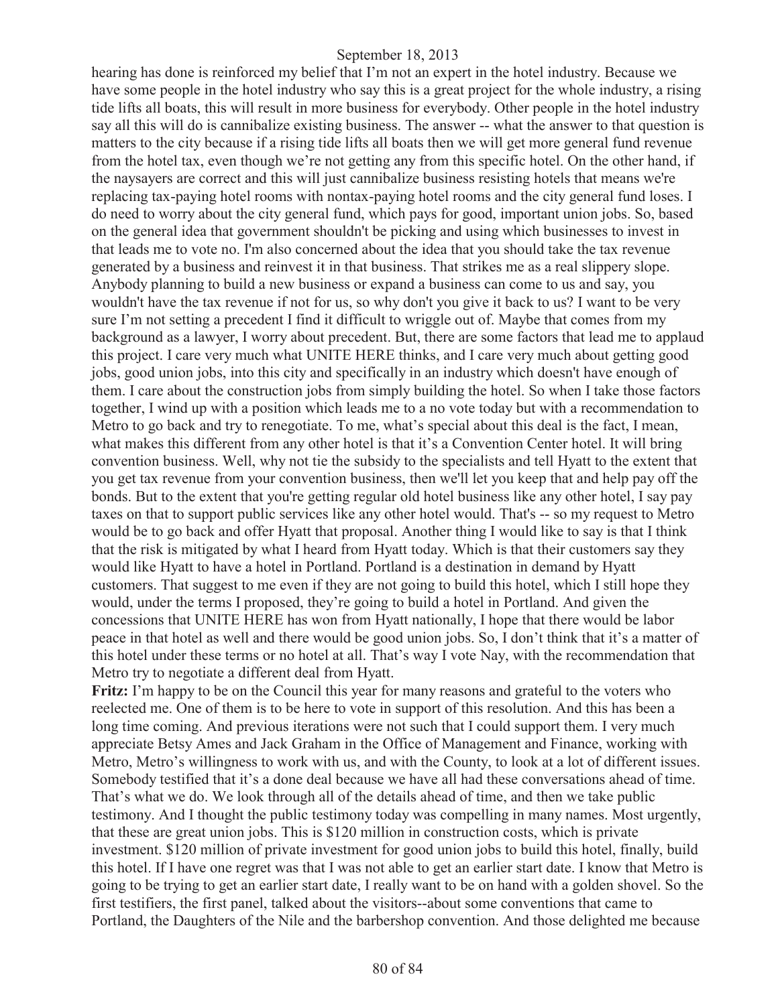hearing has done is reinforced my belief that I'm not an expert in the hotel industry. Because we have some people in the hotel industry who say this is a great project for the whole industry, a rising tide lifts all boats, this will result in more business for everybody. Other people in the hotel industry say all this will do is cannibalize existing business. The answer -- what the answer to that question is matters to the city because if a rising tide lifts all boats then we will get more general fund revenue from the hotel tax, even though we're not getting any from this specific hotel. On the other hand, if the naysayers are correct and this will just cannibalize business resisting hotels that means we're replacing tax-paying hotel rooms with nontax-paying hotel rooms and the city general fund loses. I do need to worry about the city general fund, which pays for good, important union jobs. So, based on the general idea that government shouldn't be picking and using which businesses to invest in that leads me to vote no. I'm also concerned about the idea that you should take the tax revenue generated by a business and reinvest it in that business. That strikes me as a real slippery slope. Anybody planning to build a new business or expand a business can come to us and say, you wouldn't have the tax revenue if not for us, so why don't you give it back to us? I want to be very sure I'm not setting a precedent I find it difficult to wriggle out of. Maybe that comes from my background as a lawyer, I worry about precedent. But, there are some factors that lead me to applaud this project. I care very much what UNITE HERE thinks, and I care very much about getting good jobs, good union jobs, into this city and specifically in an industry which doesn't have enough of them. I care about the construction jobs from simply building the hotel. So when I take those factors together, I wind up with a position which leads me to a no vote today but with a recommendation to Metro to go back and try to renegotiate. To me, what's special about this deal is the fact, I mean, what makes this different from any other hotel is that it's a Convention Center hotel. It will bring convention business. Well, why not tie the subsidy to the specialists and tell Hyatt to the extent that you get tax revenue from your convention business, then we'll let you keep that and help pay off the bonds. But to the extent that you're getting regular old hotel business like any other hotel, I say pay taxes on that to support public services like any other hotel would. That's -- so my request to Metro would be to go back and offer Hyatt that proposal. Another thing I would like to say is that I think that the risk is mitigated by what I heard from Hyatt today. Which is that their customers say they would like Hyatt to have a hotel in Portland. Portland is a destination in demand by Hyatt customers. That suggest to me even if they are not going to build this hotel, which I still hope they would, under the terms I proposed, they're going to build a hotel in Portland. And given the concessions that UNITE HERE has won from Hyatt nationally, I hope that there would be labor peace in that hotel as well and there would be good union jobs. So, I don't think that it's a matter of this hotel under these terms or no hotel at all. That's way I vote Nay, with the recommendation that Metro try to negotiate a different deal from Hyatt.

Fritz: I'm happy to be on the Council this year for many reasons and grateful to the voters who reelected me. One of them is to be here to vote in support of this resolution. And this has been a long time coming. And previous iterations were not such that I could support them. I very much appreciate Betsy Ames and Jack Graham in the Office of Management and Finance, working with Metro, Metro's willingness to work with us, and with the County, to look at a lot of different issues. Somebody testified that it's a done deal because we have all had these conversations ahead of time. That's what we do. We look through all of the details ahead of time, and then we take public testimony. And I thought the public testimony today was compelling in many names. Most urgently, that these are great union jobs. This is \$120 million in construction costs, which is private investment. \$120 million of private investment for good union jobs to build this hotel, finally, build this hotel. If I have one regret was that I was not able to get an earlier start date. I know that Metro is going to be trying to get an earlier start date, I really want to be on hand with a golden shovel. So the first testifiers, the first panel, talked about the visitors--about some conventions that came to Portland, the Daughters of the Nile and the barbershop convention. And those delighted me because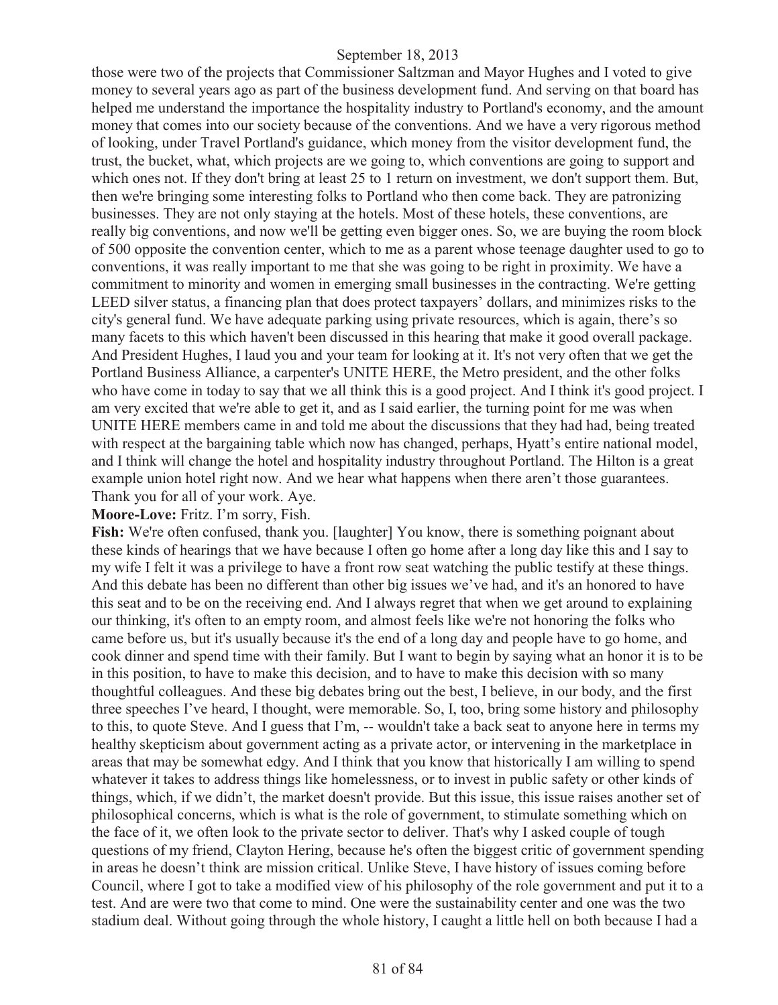those were two of the projects that Commissioner Saltzman and Mayor Hughes and I voted to give money to several years ago as part of the business development fund. And serving on that board has helped me understand the importance the hospitality industry to Portland's economy, and the amount money that comes into our society because of the conventions. And we have a very rigorous method of looking, under Travel Portland's guidance, which money from the visitor development fund, the trust, the bucket, what, which projects are we going to, which conventions are going to support and which ones not. If they don't bring at least 25 to 1 return on investment, we don't support them. But, then we're bringing some interesting folks to Portland who then come back. They are patronizing businesses. They are not only staying at the hotels. Most of these hotels, these conventions, are really big conventions, and now we'll be getting even bigger ones. So, we are buying the room block of 500 opposite the convention center, which to me as a parent whose teenage daughter used to go to conventions, it was really important to me that she was going to be right in proximity. We have a commitment to minority and women in emerging small businesses in the contracting. We're getting LEED silver status, a financing plan that does protect taxpayers' dollars, and minimizes risks to the city's general fund. We have adequate parking using private resources, which is again, there's so many facets to this which haven't been discussed in this hearing that make it good overall package. And President Hughes, I laud you and your team for looking at it. It's not very often that we get the Portland Business Alliance, a carpenter's UNITE HERE, the Metro president, and the other folks who have come in today to say that we all think this is a good project. And I think it's good project. I am very excited that we're able to get it, and as I said earlier, the turning point for me was when UNITE HERE members came in and told me about the discussions that they had had, being treated with respect at the bargaining table which now has changed, perhaps, Hyatt's entire national model, and I think will change the hotel and hospitality industry throughout Portland. The Hilton is a great example union hotel right now. And we hear what happens when there aren't those guarantees. Thank you for all of your work. Aye.

#### **Moore-Love:** Fritz. I'm sorry, Fish.

Fish: We're often confused, thank you. [laughter] You know, there is something poignant about these kinds of hearings that we have because I often go home after a long day like this and I say to my wife I felt it was a privilege to have a front row seat watching the public testify at these things. And this debate has been no different than other big issues we've had, and it's an honored to have this seat and to be on the receiving end. And I always regret that when we get around to explaining our thinking, it's often to an empty room, and almost feels like we're not honoring the folks who came before us, but it's usually because it's the end of a long day and people have to go home, and cook dinner and spend time with their family. But I want to begin by saying what an honor it is to be in this position, to have to make this decision, and to have to make this decision with so many thoughtful colleagues. And these big debates bring out the best, I believe, in our body, and the first three speeches I've heard, I thought, were memorable. So, I, too, bring some history and philosophy to this, to quote Steve. And I guess that I'm, -- wouldn't take a back seat to anyone here in terms my healthy skepticism about government acting as a private actor, or intervening in the marketplace in areas that may be somewhat edgy. And I think that you know that historically I am willing to spend whatever it takes to address things like homelessness, or to invest in public safety or other kinds of things, which, if we didn't, the market doesn't provide. But this issue, this issue raises another set of philosophical concerns, which is what is the role of government, to stimulate something which on the face of it, we often look to the private sector to deliver. That's why I asked couple of tough questions of my friend, Clayton Hering, because he's often the biggest critic of government spending in areas he doesn't think are mission critical. Unlike Steve, I have history of issues coming before Council, where I got to take a modified view of his philosophy of the role government and put it to a test. And are were two that come to mind. One were the sustainability center and one was the two stadium deal. Without going through the whole history, I caught a little hell on both because I had a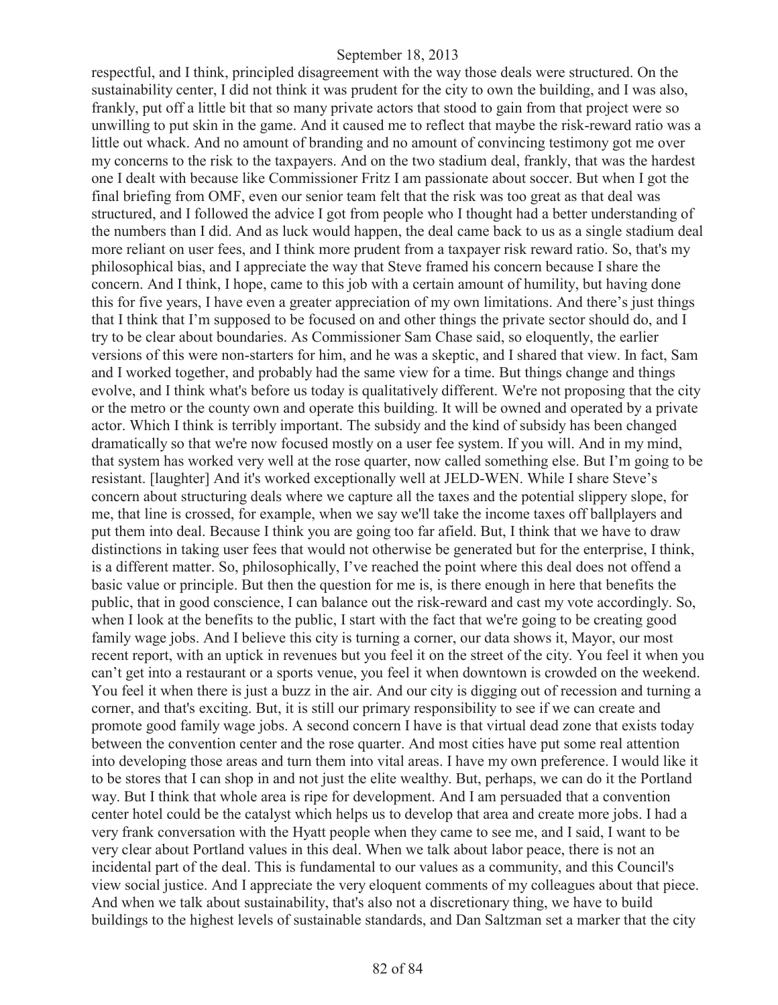respectful, and I think, principled disagreement with the way those deals were structured. On the sustainability center, I did not think it was prudent for the city to own the building, and I was also, frankly, put off a little bit that so many private actors that stood to gain from that project were so unwilling to put skin in the game. And it caused me to reflect that maybe the risk-reward ratio was a little out whack. And no amount of branding and no amount of convincing testimony got me over my concerns to the risk to the taxpayers. And on the two stadium deal, frankly, that was the hardest one I dealt with because like Commissioner Fritz I am passionate about soccer. But when I got the final briefing from OMF, even our senior team felt that the risk was too great as that deal was structured, and I followed the advice I got from people who I thought had a better understanding of the numbers than I did. And as luck would happen, the deal came back to us as a single stadium deal more reliant on user fees, and I think more prudent from a taxpayer risk reward ratio. So, that's my philosophical bias, and I appreciate the way that Steve framed his concern because I share the concern. And I think, I hope, came to this job with a certain amount of humility, but having done this for five years, I have even a greater appreciation of my own limitations. And there's just things that I think that I'm supposed to be focused on and other things the private sector should do, and I try to be clear about boundaries. As Commissioner Sam Chase said, so eloquently, the earlier versions of this were non-starters for him, and he was a skeptic, and I shared that view. In fact, Sam and I worked together, and probably had the same view for a time. But things change and things evolve, and I think what's before us today is qualitatively different. We're not proposing that the city or the metro or the county own and operate this building. It will be owned and operated by a private actor. Which I think is terribly important. The subsidy and the kind of subsidy has been changed dramatically so that we're now focused mostly on a user fee system. If you will. And in my mind, that system has worked very well at the rose quarter, now called something else. But I'm going to be resistant. [laughter] And it's worked exceptionally well at JELD-WEN. While I share Steve's concern about structuring deals where we capture all the taxes and the potential slippery slope, for me, that line is crossed, for example, when we say we'll take the income taxes off ballplayers and put them into deal. Because I think you are going too far afield. But, I think that we have to draw distinctions in taking user fees that would not otherwise be generated but for the enterprise, I think, is a different matter. So, philosophically, I've reached the point where this deal does not offend a basic value or principle. But then the question for me is, is there enough in here that benefits the public, that in good conscience, I can balance out the risk-reward and cast my vote accordingly. So, when I look at the benefits to the public, I start with the fact that we're going to be creating good family wage jobs. And I believe this city is turning a corner, our data shows it, Mayor, our most recent report, with an uptick in revenues but you feel it on the street of the city. You feel it when you can't get into a restaurant or a sports venue, you feel it when downtown is crowded on the weekend. You feel it when there is just a buzz in the air. And our city is digging out of recession and turning a corner, and that's exciting. But, it is still our primary responsibility to see if we can create and promote good family wage jobs. A second concern I have is that virtual dead zone that exists today between the convention center and the rose quarter. And most cities have put some real attention into developing those areas and turn them into vital areas. I have my own preference. I would like it to be stores that I can shop in and not just the elite wealthy. But, perhaps, we can do it the Portland way. But I think that whole area is ripe for development. And I am persuaded that a convention center hotel could be the catalyst which helps us to develop that area and create more jobs. I had a very frank conversation with the Hyatt people when they came to see me, and I said, I want to be very clear about Portland values in this deal. When we talk about labor peace, there is not an incidental part of the deal. This is fundamental to our values as a community, and this Council's view social justice. And I appreciate the very eloquent comments of my colleagues about that piece. And when we talk about sustainability, that's also not a discretionary thing, we have to build buildings to the highest levels of sustainable standards, and Dan Saltzman set a marker that the city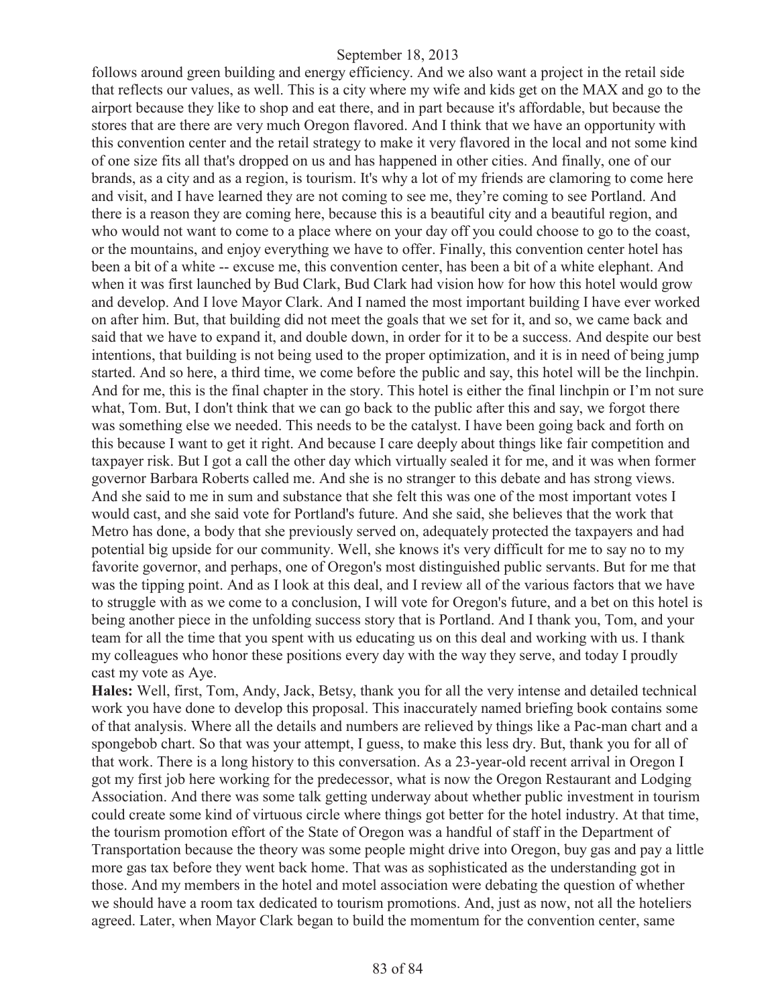follows around green building and energy efficiency. And we also want a project in the retail side that reflects our values, as well. This is a city where my wife and kids get on the MAX and go to the airport because they like to shop and eat there, and in part because it's affordable, but because the stores that are there are very much Oregon flavored. And I think that we have an opportunity with this convention center and the retail strategy to make it very flavored in the local and not some kind of one size fits all that's dropped on us and has happened in other cities. And finally, one of our brands, as a city and as a region, is tourism. It's why a lot of my friends are clamoring to come here and visit, and I have learned they are not coming to see me, they're coming to see Portland. And there is a reason they are coming here, because this is a beautiful city and a beautiful region, and who would not want to come to a place where on your day off you could choose to go to the coast, or the mountains, and enjoy everything we have to offer. Finally, this convention center hotel has been a bit of a white -- excuse me, this convention center, has been a bit of a white elephant. And when it was first launched by Bud Clark, Bud Clark had vision how for how this hotel would grow and develop. And I love Mayor Clark. And I named the most important building I have ever worked on after him. But, that building did not meet the goals that we set for it, and so, we came back and said that we have to expand it, and double down, in order for it to be a success. And despite our best intentions, that building is not being used to the proper optimization, and it is in need of being jump started. And so here, a third time, we come before the public and say, this hotel will be the linchpin. And for me, this is the final chapter in the story. This hotel is either the final linchpin or I'm not sure what, Tom. But, I don't think that we can go back to the public after this and say, we forgot there was something else we needed. This needs to be the catalyst. I have been going back and forth on this because I want to get it right. And because I care deeply about things like fair competition and taxpayer risk. But I got a call the other day which virtually sealed it for me, and it was when former governor Barbara Roberts called me. And she is no stranger to this debate and has strong views. And she said to me in sum and substance that she felt this was one of the most important votes I would cast, and she said vote for Portland's future. And she said, she believes that the work that Metro has done, a body that she previously served on, adequately protected the taxpayers and had potential big upside for our community. Well, she knows it's very difficult for me to say no to my favorite governor, and perhaps, one of Oregon's most distinguished public servants. But for me that was the tipping point. And as I look at this deal, and I review all of the various factors that we have to struggle with as we come to a conclusion, I will vote for Oregon's future, and a bet on this hotel is being another piece in the unfolding success story that is Portland. And I thank you, Tom, and your team for all the time that you spent with us educating us on this deal and working with us. I thank my colleagues who honor these positions every day with the way they serve, and today I proudly cast my vote as Aye.

**Hales:** Well, first, Tom, Andy, Jack, Betsy, thank you for all the very intense and detailed technical work you have done to develop this proposal. This inaccurately named briefing book contains some of that analysis. Where all the details and numbers are relieved by things like a Pac-man chart and a spongebob chart. So that was your attempt, I guess, to make this less dry. But, thank you for all of that work. There is a long history to this conversation. As a 23-year-old recent arrival in Oregon I got my first job here working for the predecessor, what is now the Oregon Restaurant and Lodging Association. And there was some talk getting underway about whether public investment in tourism could create some kind of virtuous circle where things got better for the hotel industry. At that time, the tourism promotion effort of the State of Oregon was a handful of staff in the Department of Transportation because the theory was some people might drive into Oregon, buy gas and pay a little more gas tax before they went back home. That was as sophisticated as the understanding got in those. And my members in the hotel and motel association were debating the question of whether we should have a room tax dedicated to tourism promotions. And, just as now, not all the hoteliers agreed. Later, when Mayor Clark began to build the momentum for the convention center, same